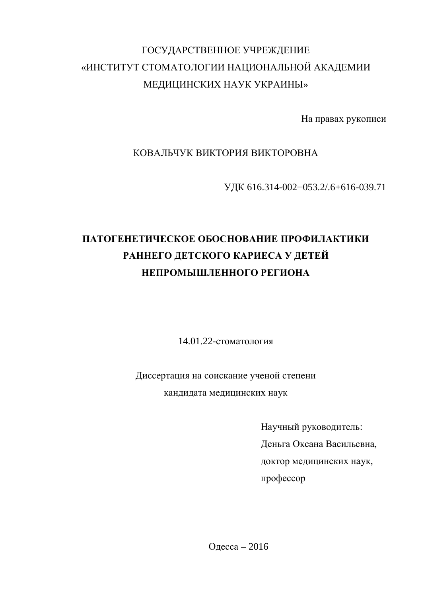## ГОСУДАРСТВЕННОЕ УЧРЕЖДЕНИЕ «ИНСТИТУТ СТОМАТОЛОГИИ НАЦИОНАЛЬНОЙ АКАДЕМИИ МЕДИЦИНСКИХ НАУК УКРАИНЫ»

На правах рукописи

КОВАЛЬЧУК ВИКТОРИЯ ВИКТОРОВНА

УДК 616.314-002-053.2/.6+616-039.71

## **ПАТОГЕНЕТИЧЕСКОЕ ОБОСНОВАНИЕ ПРОФИЛАКТИКИ** РАННЕГО ДЕТСКОГО КАРИЕСА У ДЕТЕЙ НЕПРОМЫШЛЕННОГО РЕГИОНА

14.01.22-стоматология

Диссертация на соискание ученой степени кандидата медицинских наук

> Научный руководитель: Деньга Оксана Васильевна, доктор медицинских наук, профессор

Одесса – 2016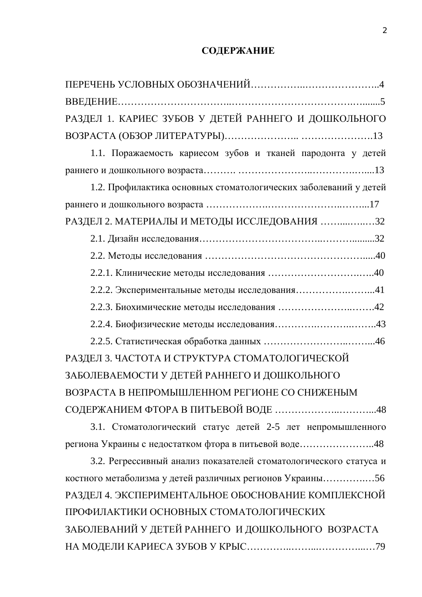### СОДЕРЖАНИЕ

ɉȿɊȿɑȿɇɖɍɋɅɈȼɇɕɏɈȻɈɁɇȺɑȿɇɂɃ……………..…………………..4

| РАЗДЕЛ 1. КАРИЕС ЗУБОВ У ДЕТЕЙ РАННЕГО И ДОШКОЛЬНОГО              |
|-------------------------------------------------------------------|
|                                                                   |
| 1.1. Поражаемость кариесом зубов и тканей пародонта у детей       |
|                                                                   |
| 1.2. Профилактика основных стоматологических заболеваний у детей  |
|                                                                   |
| РАЗДЕЛ 2. МАТЕРИАЛЫ И МЕТОДЫ ИССЛЕДОВАНИЯ 32                      |
|                                                                   |
|                                                                   |
|                                                                   |
| 2.2.2. Экспериментальные методы исследования41                    |
|                                                                   |
|                                                                   |
|                                                                   |
| РАЗДЕЛ 3. ЧАСТОТА И СТРУКТУРА СТОМАТОЛОГИЧЕСКОЙ                   |
| ЗАБОЛЕВАЕМОСТИ У ДЕТЕЙ РАННЕГО И ДОШКОЛЬНОГО                      |
| ВОЗРАСТА В НЕПРОМЫШЛЕННОМ РЕГИОНЕ СО СНИЖЕНЫМ                     |
|                                                                   |
| 3.1. Стоматологический статус детей 2-5 лет непромышленного       |
| региона Украины с недостатком фтора в питьевой воде48             |
| 3.2. Регрессивный анализ показателей стоматологического статуса и |
| костного метаболизма у детей различных регионов Украины56         |
| РАЗДЕЛ 4. ЭКСПЕРИМЕНТАЛЬНОЕ ОБОСНОВАНИЕ КОМПЛЕКСНОЙ               |
| ПРОФИЛАКТИКИ ОСНОВНЫХ СТОМАТОЛОГИЧЕСКИХ                           |
| ЗАБОЛЕВАНИЙ У ДЕТЕЙ РАННЕГО И ДОШКОЛЬНОГО ВОЗРАСТА                |
|                                                                   |
|                                                                   |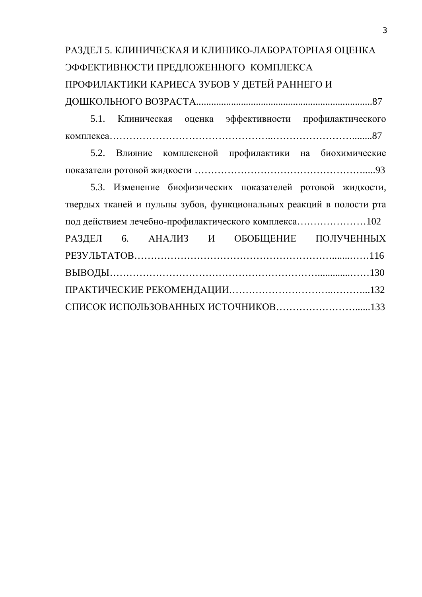# РАЗДЕЛ 5. КЛИНИЧЕСКАЯ И КЛИНИКО-ЛАБОРАТОРНАЯ ОЦЕНКА ЭФФЕКТИВНОСТИ ПРЕДЛОЖЕННОГО КОМПЛЕКСА ПРОФИЛАКТИКИ КАРИЕСА ЗУБОВ У ДЕТЕЙ РАННЕГО И ȾɈɒɄɈɅɖɇɈȽɈȼɈɁɊȺɋɌȺ.......................................................................87

5.1. Клиническая оценка эффективности профилактического ɤɨɦɩɥɟɤɫɚ…………………………………………..……………………........87

5.2. Влияние комплексной профилактики на биохимические ɩɨɤɚɡɚɬɟɥɢɪɨɬɨɜɨɣɠɢɞɤɨɫɬɢ …………………………………………….....93

5.3. Изменение биофизических показателей ротовой жидкости, твердых тканей и пульпы зубов, функциональных реакций в полости рта под действием лечебно-профилактического комплекса.........................102 РАЗДЕЛ 6. АНАЛИЗ И ОБОБЩЕНИЕ ПОЛУЧЕННЫХ PE3VJIbTATOB…………………………………………………………………116 ȼɕȼɈȾɕ……………………………………………………….............……130 ɉɊȺɄɌɂɑȿɋɄɂȿɊȿɄɈɆȿɇȾȺɐɂɂ…………………………..………...132 ɋɉɂɋɈɄɂɋɉɈɅɖɁɈȼȺɇɇɕɏɂɋɌɈɑɇɂɄɈȼ……………………......133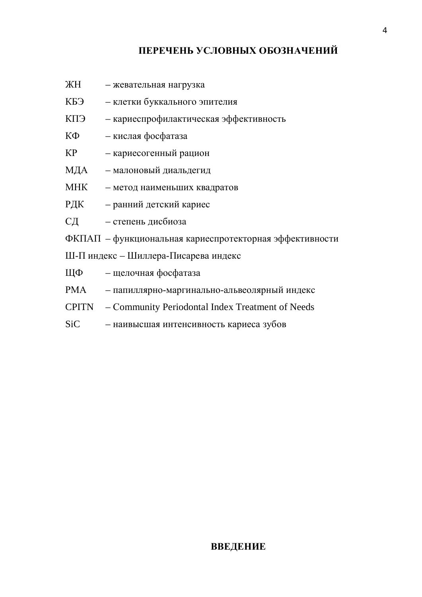### ПЕРЕЧЕНЬ УСЛОВНЫХ ОБОЗНАЧЕНИЙ

- ЖН жевательная нагрузка
- КБЭ клетки буккального эпителия
- КПЭ кариеспрофилактическая эффективность
- КФ кислая фосфатаза
- КР кариесогенный рацион
- МДА малоновый диальдегид
- МНК метод наименьших квадратов
- РДК ранний детский кариес
- СД степень дисбиоза
- ФКПАП функциональная кариеспротекторная эффективности
- Ш-П индекс Шиллера-Писарева индекс
- ЩФ щелочная фосфатаза
- РМА папиллярно-маргинально-альвеолярный индекс
- CPITN Community Periodontal Index Treatment of Needs
- SiC наивысшая интенсивность кариеса зубов

#### **ВВЕДЕНИЕ**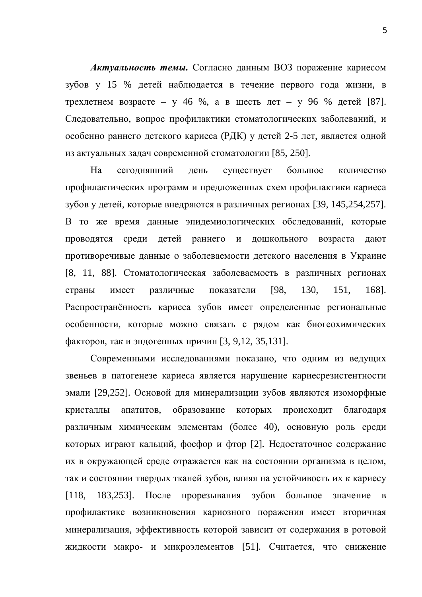**Актуальность темы.** Согласно данным ВОЗ поражение кариесом зубов у 15 % детей наблюдается в течение первого года жизни, в трехлетнем возрасте – у 46 %, а в шесть лет – у 96 % детей [87]. Следовательно, вопрос профилактики стоматологических заболеваний, и особенно раннего детского кариеса (РДК) у детей 2-5 лет, является одной из актуальных задач современной стоматологии [85, 250].

На сегодняшний день существует большое количество профилактических программ и предложенных схем профилактики кариеса зубов у детей, которые внедряются в различных регионах [39, 145,254,257]. В то же время данные эпидемиологических обследований, которые проводятся среди детей раннего и дошкольного возраста дают противоречивые данные о заболеваемости детского населения в Украине [8, 11, 88]. Стоматологическая заболеваемость в различных регионах страны имеет различные показатели [98, 130, 151, 168]. Распространённость кариеса зубов имеет определенные региональные особенности, которые можно связать с рядом как биогеохимических факторов, так и эндогенных причин [3, 9,12, 35,131].

Современными исследованиями показано, что одним из ведущих звеньев в патогенезе кариеса является нарушение кариесрезистентности эмали [29,252]. Основой для минерализации зубов являются изоморфные кристаллы апатитов, образование которых происходит благодаря различным химическим элементам (более 40), основную роль среди которых играют кальций, фосфор и фтор [2]. Недостаточное содержание их в окружающей среде отражается как на состоянии организма в целом, так и состоянии твердых тканей зубов, влияя на устойчивость их к кариесу  $[118, 183, 253]$ . После прорезывания зубов большое значение в профилактике возникновения кариозного поражения имеет вторичная минерализация, эффективность которой зависит от содержания в ротовой жидкости макро- и микроэлементов [51]. Считается, что снижение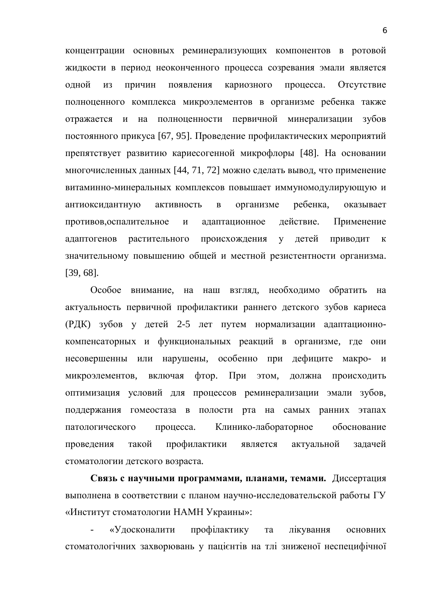концентрации основных реминерализующих компонентов в ротовой жидкости в период неоконченного процесса созревания эмали является одной из причин появления кариозного процесса. Отсутствие полноценного комплекса микроэлементов в организме ребенка также отражается и на полноценности первичной минерализации зубов постоянного прикуса [67, 95]. Проведение профилактических мероприятий препятствует развитию кариесогенной микрофлоры [48]. На основании многочисленных данных [44, 71, 72] можно сделать вывод, что применение витаминно-минеральных комплексов повышает иммуномодулирующую и антиоксидантную активность в организме ребенка, оказывает противов, оспалительное и адаптационное действие. Применение адаптогенов растительного происхождения у детей приводит к значительному повышению общей и местной резистентности организма. [39, 68].

Особое внимание, на наш взгляд, необходимо обратить на актуальность первичной профилактики раннего детского зубов кариеса (РДК) зубов у детей 2-5 лет путем нормализации адаптационнокомпенсаторных и функциональных реакций в организме, где они несовершенны или нарушены, особенно при дефиците макро- и микроэлементов, включая фтор. При этом, должна происходить оптимизация условий для процессов реминерализации эмали зубов, поддержания гомеостаза в полости рта на самых ранних этапах патологического процесса. Клинико-лабораторное обоснование проведения такой профилактики является актуальной задачей стоматологии детского возраста.

Связь с научными программами, планами, темами. Диссертация выполнена в соответствии с планом научно-исследовательской работы ГУ «Институт стоматологии НАМН Украины»:

«Удосконалити профілактику та лікування основних стоматологічних захворювань у пацієнтів на тлі зниженої неспецифічної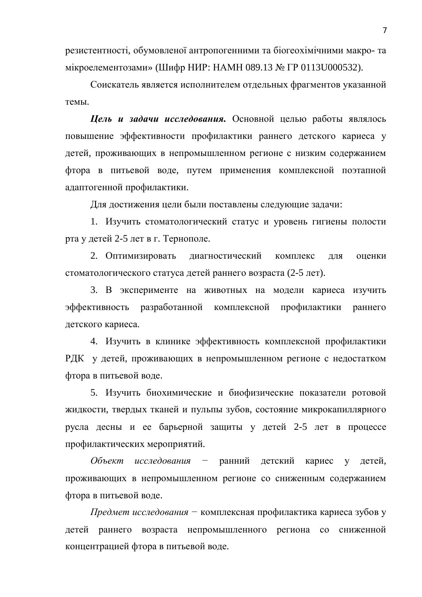резистентності, обумовленої антропогенними та біогеохімічними макро- та мікроелементозами» (Шифр НИР: НАМН 089.13 № ГР 0113U000532).

Соискатель является исполнителем отдельных фрагментов указанной темы.

**Цель и задачи исследования.** Основной целью работы являлось повышение эффективности профилактики раннего детского кариеса у детей, проживающих в непромышленном регионе с низким содержанием фтора в питьевой воде, путем применения комплексной поэтапной адаптогенной профилактики.

Для достижения цели были поставлены следующие задачи:

1. Изучить стоматологический статус и уровень гигиены полости рта у детей 2-5 лет в г. Тернополе.

2. Оптимизировать диагностический комплекс для оценки стоматологического статуса детей раннего возраста (2-5 лет).

3. В эксперименте на животных на модели кариеса изучить эффективность разработанной комплексной профилактики раннего детского кариеса.

4. Изучить в клинике эффективность комплексной профилактики РДК у детей, проживающих в непромышленном регионе с недостатком фтора в питьевой воде.

5. Изучить биохимические и биофизические показатели ротовой жидкости, твердых тканей и пульпы зубов, состояние микрокапиллярного русла десны и ее барьерной защиты у детей 2-5 лет в процессе профилактических мероприятий.

Объект исследования – ранний детский кариес у детей, проживающих в непромышленном регионе со сниженным содержанием фтора в питьевой воде.

*Предмет исследования* – комплексная профилактика кариеса зубов у детей раннего возраста непромышленного региона со сниженной концентрацией фтора в питьевой воде.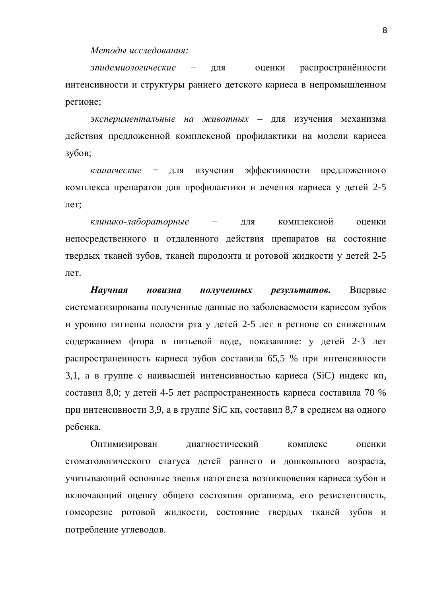$M$ етоды исследования:

эпидемиологические - для оценки распространённости интенсивности и структуры раннего детского кариеса в непромышленном регионе;

экспериментальные на животных – для изучения механизма действия предложенной комплексной профилактики на модели кариеса зубов;

*клинические* – для изучения эффективности предложенного комплекса препаратов для профилактики и лечения кариеса у детей 2-5 лет:

*клинико-лабораторные* – для комплексной оценки непосредственного и отдаленного действия препаратов на состояние твердых тканей зубов, тканей пародонта и ротовой жидкости у детей 2-5 лет.

**Научная новизна полученных результатов.** Впервые систематизированы полученные данные по заболеваемости кариесом зубов и уровню гигиены полости рта у детей 2-5 лет в регионе со сниженным содержанием фтора в питьевой воде, показавшие: у детей 2-3 лет распространенность кариеса зубов составила 65,5 % при интенсивности 3,1, а в группе с наивысшей интенсивностью кариеса (SiC) индекс кп, составил 8,0; у детей 4-5 лет распространенность кариеса составила 70 % при интенсивности 3,9, а в группе SiC кп<sub>з</sub> составил 8,7 в среднем на одного ребенка.

Оптимизирован диагностический комплекс оценки стоматологического статуса детей раннего и дошкольного возраста, учитывающий основные звенья патогенеза возникновения кариеса зубов и включающий оценку общего состояния организма, его резистентность, гомеорезис ротовой жидкости, состояние твердых тканей зубов и потребление углеводов.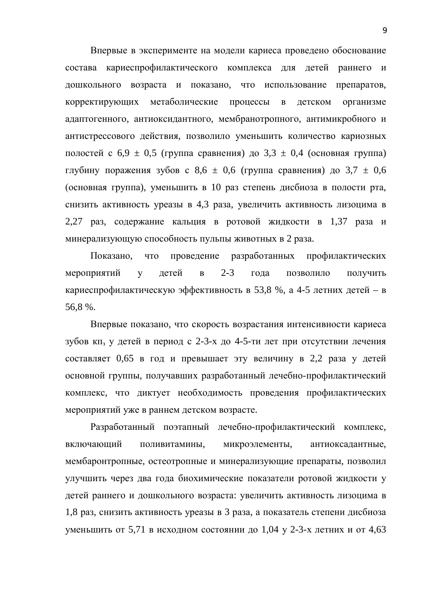Впервые в эксперименте на модели кариеса проведено обоснование состава кариеспрофилактического комплекса для детей раннего и дошкольного возраста и показано, что использование препаратов, корректирующих метаболические процессы в детском организме адаптогенного, антиоксидантного, мембранотропного, антимикробного и антистрессового действия, позволило уменьшить количество кариозных полостей с 6,9  $\pm$  0,5 (группа сравнения) до 3,3  $\pm$  0,4 (основная группа) глубину поражения зубов с 8,6  $\pm$  0,6 (группа сравнения) до 3,7  $\pm$  0,6 (основная группа), уменьшить в 10 раз степень дисбиоза в полости рта, снизить активность уреазы в 4,3 раза, увеличить активность лизоцима в 2,27 раз, содержание кальция в ротовой жидкости в 1,37 раза и минерализующую способность пульпы животных в 2 раза.

Показано, что проведение разработанных профилактических мероприятий у детей в 2-3 года позволило получить кариеспрофилактическую эффективность в 53,8 %, а 4-5 летних детей – в 56,8 %.

Впервые показано, что скорость возрастания интенсивности кариеса зубов кп<sub>з</sub> у детей в период с 2-3-х до 4-5-ти лет при отсутствии лечения составляет 0,65 в год и превышает эту величину в 2,2 раза у детей основной группы, получавших разработанный лечебно-профилактический комплекс, что диктует необходимость проведения профилактических мероприятий уже в раннем детском возрасте.

Разработанный поэтапный лечебно-профилактический комплекс, включающий поливитамины, микроэлементы, антиоксадантные, мембаронтропные, остеотропные и минерализующие препараты, позволил улучшить через два года биохимические показатели ротовой жидкости у детей раннего и дошкольного возраста: увеличить активность лизоцима в 1,8 раз, снизить активность уреазы в 3 раза, а показатель степени дисбиоза уменьшить от 5,71 в исходном состоянии до 1,04 у 2-3-х летних и от 4,63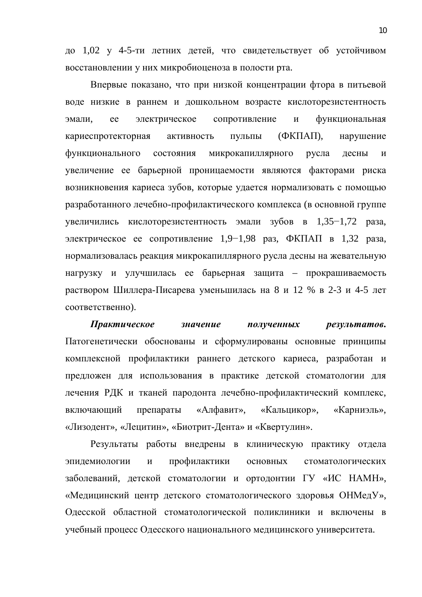до 1,02 у 4-5-ти летних детей, что свидетельствует об устойчивом восстановлении у них микробиоценоза в полости рта.

Впервые показано, что при низкой концентрации фтора в питьевой воде низкие в раннем и дошкольном возрасте кислоторезистентность эмали, ее электрическое сопротивление и функциональная кариеспротекторная активность пульпы (ФКПАП), нарушение функционального состояния микрокапиллярного русла десны и увеличение ее барьерной проницаемости являются факторами риска возникновения кариеса зубов, которые удается нормализовать с помощью разработанного лечебно-профилактического комплекса (в основной группе увеличились кислоторезистентность эмали зубов в  $1,35-1,72$  раза, электрическое ее сопротивление 1,9–1,98 раз, ФКПАП в 1,32 раза, нормализовалась реакция микрокапиллярного русла десны на жевательную нагрузку и улучшилась ее барьерная защита – прокрашиваемость раствором Шиллера-Писарева уменьшилась на 8 и 12 % в 2-3 и 4-5 лет соответственно).

Практическое значение полученных результатов. Патогенетически обоснованы и сформулированы основные принципы комплексной профилактики раннего детского кариеса, разработан и предложен для использования в практике детской стоматологии для лечения РДК и тканей пародонта лечебно-профилактический комплекс, включающий препараты «Алфавит», «Кальцикор», «Карниэль», «Лизодент», «Лецитин», «Биотрит-Дента» и «Квертулин».

Результаты работы внедрены в клиническую практику отдела эпидемиологии и профилактики основных стоматологических заболеваний, детской стоматологии и ортодонтии ГУ «ИС НАМН», «Медицинский центр детского стоматологического здоровья ОНМедУ», Одесской областной стоматологической поликлиники и включены в учебный процесс Одесского национального медицинского университета.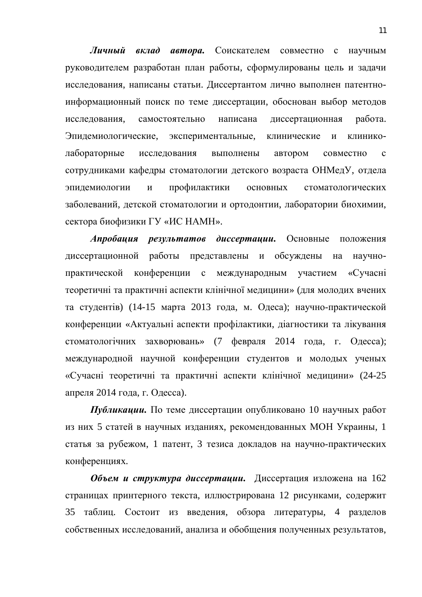**Личный вклад автора.** Соискателем совместно с научным руководителем разработан план работы, сформулированы цель и задачи исследования, написаны статьи. Диссертантом лично выполнен патентноинформационный поиск по теме диссертации, обоснован выбор методов исследования, самостоятельно написана диссертационная работа. Эпидемиологические, экспериментальные, клинические и клиниколабораторные исследования выполнены автором совместно с сотрудниками кафедры стоматологии детского возраста ОНМедУ, отдела эпидемиологии и профилактики основных стоматологических заболеваний, детской стоматологии и ортодонтии, лаборатории биохимии, сектора биофизики ГУ «ИС НАМН».

Апробация результатов диссертации. Основные положения диссертационной работы представлены и обсуждены на научнопрактической конференции с международным участием «Сучасні теоретичні та практичні аспекти клінічної медицини» (для молодих вчених та студентів) (14-15 марта 2013 года, м. Одеса); научно-практической конференции «Актуальні аспекти профілактики, діагностики та лікування стоматологічних захворювань» (7 февраля 2014 года, г. Одесса); международной научной конференции студентов и молодых ученых «Сучасні теоретичні та практичні аспекти клінічної медицини» (24-25 апреля 2014 года, г. Одесса).

**Публикации.** По теме диссертации опубликовано 10 научных работ из них 5 статей в научных изданиях, рекомендованных МОН Украины, 1 статья за рубежом, 1 патент, 3 тезиса докладов на научно-практических конференциях.

Объем и структура диссертации. Диссертация изложена на 162 страницах принтерного текста, иллюстрирована 12 рисунками, содержит 35 таблиц. Состоит из введения, обзора литературы, 4 разделов собственных исследований, анализа и обобщения полученных результатов,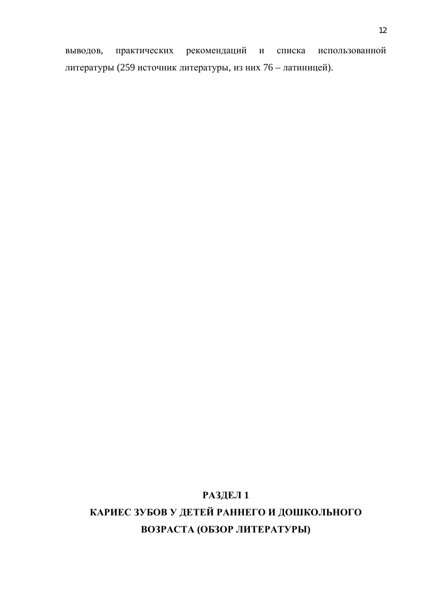выводов, практических рекомендаций и списка использованной литературы (259 источник литературы, из них 76 – латиницей).

# **РАЗДЕЛ 1** КАРИЕС ЗУБОВ У ДЕТЕЙ РАННЕГО И ДОШКОЛЬНОГО ВОЗРАСТА (ОБЗОР ЛИТЕРАТУРЫ)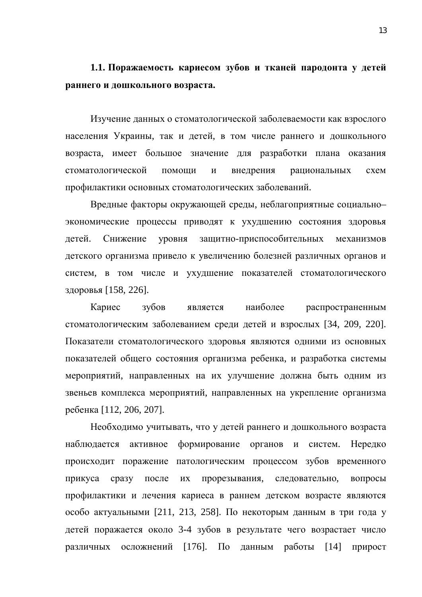**1.1.** Поражаемость кариесом зубов и тканей пародонта у детей **раннего и дошкольного возраста.** 

Изучение данных о стоматологической заболеваемости как взрослого населения Украины, так и детей, в том числе раннего и дошкольного возраста, имеет большое значение для разработки плана оказания стоматологической помощи и внедрения рациональных схем профилактики основных стоматологических заболеваний.

Вредные факторы окружающей среды, неблагоприятные социальноэкономические процессы приводят к ухудшению состояния здоровья детей. Снижение уровня защитно-приспособительных механизмов детского организма привело к увеличению болезней различных органов и систем, в том числе и ухудшение показателей стоматологического здоровья [158, 226].

Кариес зубов является наиболее распространенным стоматологическим заболеванием среди детей и взрослых [34, 209, 220]. Показатели стоматологического здоровья являются одними из основных показателей общего состояния организма ребенка, и разработка системы мероприятий, направленных на их улучшение должна быть одним из звеньев комплекса мероприятий, направленных на укрепление организма ребенка [112, 206, 207].

Необходимо учитывать, что у детей раннего и дошкольного возраста наблюдается активное формирование органов и систем. Нередко происходит поражение патологическим процессом зубов временного прикуса сразу после их прорезывания, следовательно, вопросы профилактики и лечения кариеса в раннем детском возрасте являются особо актуальными [211, 213, 258]. По некоторым данным в три года у детей поражается около 3-4 зубов в результате чего возрастает число различных осложнений [176]. По данным работы [14] прирост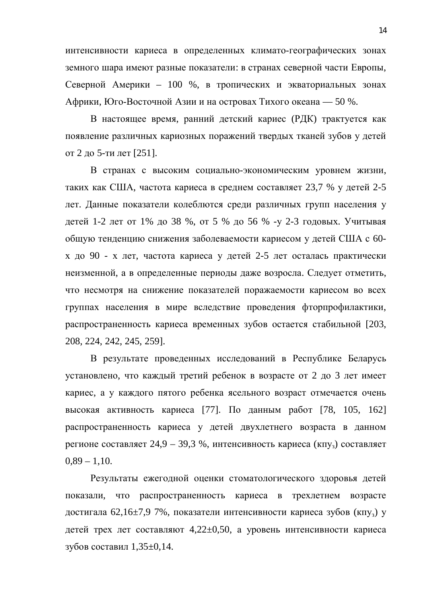интенсивности кариеса в определенных климато-географических зонах земного шара имеют разные показатели: в странах северной части Европы, Северной Америки – 100 %, в тропических и экваториальных зонах Африки, Юго-Восточной Азии и на островах Тихого океана — 50 %.

В настоящее время, ранний детский кариес (РДК) трактуется как появление различных кариозных поражений твердых тканей зубов у детей от 2 до 5-ти лет [251].

В странах с высоким социально-экономическим уровнем жизни, таких как США, частота кариеса в среднем составляет 23,7 % у детей 2-5 лет. Данные показатели колеблются среди различных групп населения у детей 1-2 лет от 1% до 38 %, от 5 % до 56 % -у 2-3 годовых. Учитывая общую тенденцию снижения заболеваемости кариесом у детей США с 60х до 90 - х лет, частота кариеса у детей 2-5 лет осталась практически неизменной, а в определенные периоды даже возросла. Следует отметить, что несмотря на снижение показателей поражаемости кариесом во всех группах населения в мире вследствие проведения фторпрофилактики, распространенность кариеса временных зубов остается стабильной [203, 208, 224, 242, 245, 259].

В результате проведенных исследований в Республике Беларусь установлено, что каждый третий ребенок в возрасте от 2 до 3 лет имеет кариес, а у каждого пятого ребенка ясельного возраст отмечается очень высокая активность кариеса [77]. По данным работ [78, 105, 162] распространенность кариеса у детей двухлетнего возраста в данном регионе составляет 24,9 – 39,3 %, интенсивность кариеса (кпу<sub>3</sub>) составляет  $0,89 - 1,10.$ 

Результаты ежегодной оценки стоматологического здоровья детей показали, что распространенность кариеса в трехлетнем возрасте достигала 62,16±7,9 7%, показатели интенсивности кариеса зубов (кпу<sub>з</sub>) у детей трех лет составляют  $4,22\pm0,50$ , а уровень интенсивности кариеса зубов составил  $1,35\pm0,14$ .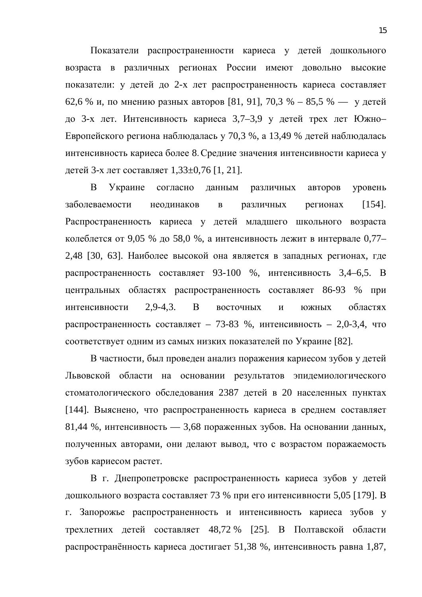Показатели распространенности кариеса у детей дошкольного возраста в различных регионах России имеют довольно высокие показатели: у детей до 2-х лет распространенность кариеса составляет 62.6 % и, по мнению разных авторов [81, 91], 70,3 % – 85,5 % — у детей до 3-х лет. Интенсивность кариеса 3,7–3,9 у детей трех лет Южно-Европейского региона наблюдалась у 70,3 %, а 13,49 % детей наблюдалась интенсивность кариеса более 8. Средние значения интенсивности кариеса у детей 3-х лет составляет 1,33 $\pm$ 0,76 [1, 21].

В Украине согласно данным различных авторов уровень заболеваемости неодинаков в различных регионах [154]. Распространенность кариеса у детей младшего школьного возраста колеблется от 9,05 % до 58,0 %, а интенсивность лежит в интервале 0,77– 2,48 [30, 63]. Наиболее высокой она является в западных регионах, где распространенность составляет 93-100 %, интенсивность 3,4–6,5. В центральных областях распространенность составляет 86-93 % при интенсивности 2,9-4,3. В восточных и южных областях распространенность составляет – 73-83 %, интенсивность – 2,0-3,4, что соответствует одним из самых низких показателей по Украине [82].

В частности, был проведен анализ поражения кариесом зубов у детей Львовской области на основании результатов эпидемиологического стоматологического обследования 2387 детей в 20 населенных пунктах [144]. Выяснено, что распространенность кариеса в среднем составляет 81,44 %, интенсивность — 3,68 пораженных зубов. На основании данных, полученных авторами, они делают вывод, что с возрастом поражаемость зубов кариесом растет.

В г. Днепропетровске распространенность кариеса зубов у детей дошкольного возраста составляет 73 % при его интенсивности 5,05 [179]. В г. Запорожье распространенность и интенсивность кариеса зубов у трехлетних детей составляет 48,72 % [25]. В Полтавской области распространённость кариеса достигает 51,38 %, интенсивность равна 1,87,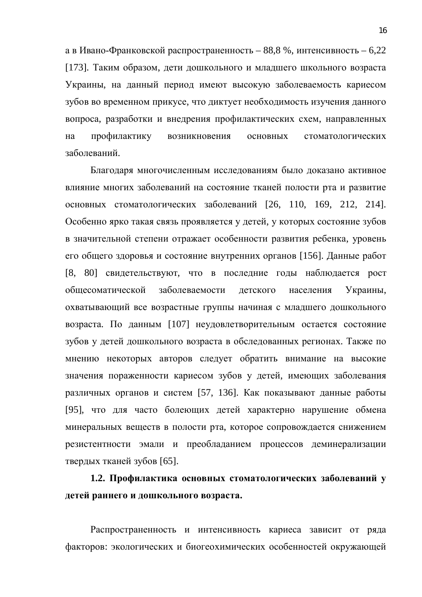а в Ивано-Франковской распространенность – 88,8 %, интенсивность – 6,22 [173]. Таким образом, дети дошкольного и младшего школьного возраста Украины, на данный период имеют высокую заболеваемость кариесом зубов во временном прикусе, что диктует необходимость изучения данного вопроса, разработки и внедрения профилактических схем, направленных на профилактику возникновения основных стоматологических заболеваний.

Благодаря многочисленным исследованиям было доказано активное влияние многих заболеваний на состояние тканей полости рта и развитие основных стоматологических заболеваний [26, 110, 169, 212, 214]. Особенно ярко такая связь проявляется у детей, у которых состояние зубов в значительной степени отражает особенности развития ребенка, уровень его общего здоровья и состояние внутренних органов [156]. Данные работ [8, 80] свидетельствуют, что в последние годы наблюдается рост общесоматической заболеваемости детского населения Украины, охватывающий все возрастные группы начиная с младшего дошкольного возраста. По данным [107] неудовлетворительным остается состояние зубов у детей дошкольного возраста в обследованных регионах. Также по мнению некоторых авторов следует обратить внимание на высокие значения пораженности кариесом зубов у детей, имеющих заболевания различных органов и систем [57, 136]. Как показывают данные работы [95], что для часто болеющих детей характерно нарушение обмена минеральных веществ в полости рта, которое сопровождается снижением резистентности эмали и преобладанием процессов деминерализации твердых тканей зубов [65].

1.2. Профилактика основных стоматологических заболеваний у детей раннего и дошкольного возраста.

Распространенность и интенсивность кариеса зависит от ряда факторов: экологических и биогеохимических особенностей окружающей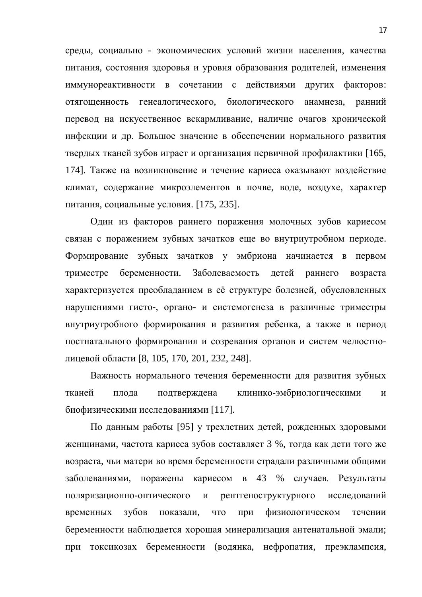среды, социально - экономических условий жизни населения, качества питания, состояния здоровья и уровня образования родителей, изменения иммунореактивности в сочетании с действиями других факторов: отягощенность генеалогического, биологического анамнеза, ранний перевод на искусственное вскармливание, наличие очагов хронической инфекции и др. Большое значение в обеспечении нормального развития твердых тканей зубов играет и организация первичной профилактики [165, 174]. Также на возникновение и течение кариеса оказывают воздействие климат, содержание микроэлементов в почве, воде, воздухе, характер питания, социальные условия. [175, 235].

Один из факторов раннего поражения молочных зубов кариесом связан с поражением зубных зачатков еще во внутриутробном периоде. Формирование зубных зачатков у эмбриона начинается в первом триместре беременности. Заболеваемость детей раннего возраста характеризуется преобладанием в её структуре болезней, обусловленных нарушениями гисто-, органо- и системогенеза в различные триместры внутриутробного формирования и развития ребенка, а также в период постнатального формирования и созревания органов и систем челюстнолицевой области [8, 105, 170, 201, 232, 248].

Важность нормального течения беременности для развития зубных тканей плода подтверждена клинико-эмбриологическими и биофизическими исследованиями [117].

По данным работы [95] у трехлетних детей, рожденных здоровыми женщинами, частота кариеса зубов составляет 3 %, тогда как дети того же возраста, чьи матери во время беременности страдали различными общими заболеваниями, поражены кариесом в 43 % случаев. Результаты поляризационно-оптического и рентгеноструктурного исследований временных зубов показали, что при физиологическом течении беременности наблюдается хорошая минерализация антенатальной эмали; при токсикозах беременности (водянка, нефропатия, преэклампсия,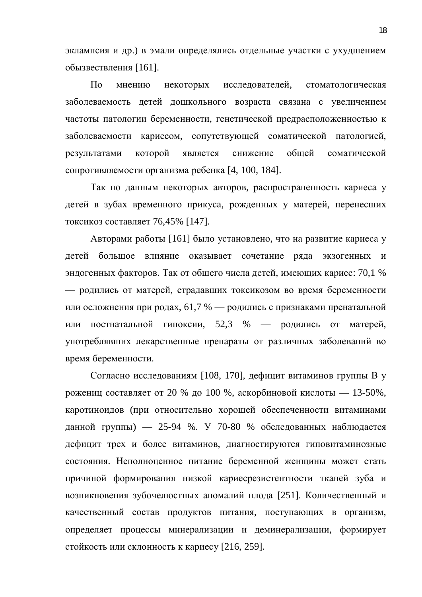эклампсия и др.) в эмали определялись отдельные участки с ухудшением обызвествления [161].

По мнению некоторых исследователей, стоматологическая заболеваемость детей дошкольного возраста связана с увеличением частоты патологии беременности, генетической предрасположенностью к заболеваемости кариесом, сопутствующей соматической патологией, результатами которой является снижение общей соматической сопротивляемости организма ребенка [4, 100, 184].

Так по данным некоторых авторов, распространенность кариеса у детей в зубах временного прикуса, рожденных у матерей, перенесших токсикоз составляет 76,45% [147].

Авторами работы [161] было установлено, что на развитие кариеса у детей большое влияние оказывает сочетание ряда экзогенных и эндогенных факторов. Так от общего числа детей, имеющих кариес: 70,1 % — родились от матерей, страдавших токсикозом во время беременности или осложнения при родах, 61,7 % — родились с признаками пренатальной или постнатальной гипоксии, 52,3 % — родились от матерей, употреблявших лекарственные препараты от различных заболеваний во время беременности.

Согласно исследованиям [108, 170], дефицит витаминов группы В у рожениц составляет от 20 % до 100 %, аскорбиновой кислоты — 13-50%, каротиноидов (при относительно хорошей обеспеченности витаминами данной группы) — 25-94 %. У 70-80 % обследованных наблюдается дефицит трех и более витаминов, диагностируются гиповитаминозные состояния. Неполноценное питание беременной женщины может стать причиной формирования низкой кариесрезистентности тканей зуба и возникновения зубочелюстных аномалий плода [251]. Количественный и качественный состав продуктов питания, поступающих в организм, определяет процессы минерализации и деминерализации, формирует стойкость или склонность к кариесу [216, 259].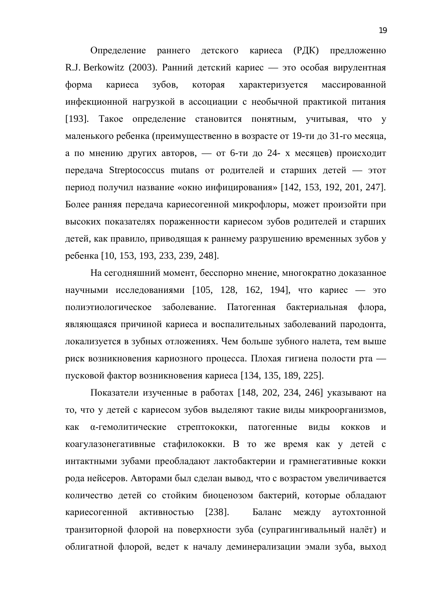Определение раннего детского кариеса (РДК) предложенно R.J. Berkowitz (2003). Ранний детский кариес — это особая вирулентная форма кариеса зубов, которая характеризуется массированной инфекционной нагрузкой в ассоциации с необычной практикой питания [193]. Такое определение становится понятным, учитывая, что у маленького ребенка (преимущественно в возрасте от 19-ти до 31-го месяца, а по мнению других авторов, — от 6-ти до 24- х месяцев) происходит передача Streptococcus mutans от родителей и старших детей — этот период получил название «окно инфицирования» [142, 153, 192, 201, 247]. Более ранняя передача кариесогенной микрофлоры, может произойти при высоких показателях пораженности кариесом зубов родителей и старших детей, как правило, приводящая к раннему разрушению временных зубов у ребенка [10, 153, 193, 233, 239, 248].

На сегодняшний момент, бесспорно мнение, многократно доказанное научными исследованиями  $[105, 128, 162, 194]$ , что кариес — это полиэтиологическое заболевание. Патогенная бактериальная флора, являющаяся причиной кариеса и воспалительных заболеваний пародонта, локализуется в зубных отложениях. Чем больше зубного налета, тем выше риск возникновения кариозного процесса. Плохая гигиена полости рта пусковой фактор возникновения кариеса [134, 135, 189, 225].

Показатели изученные в работах [148, 202, 234, 246] указывают на то, что у детей с кариесом зубов выделяют такие виды микроорганизмов, как а-гемолитические стрептококки, патогенные виды кокков и коагулазонегативные стафилококки. В то же время как у детей с интактными зубами преобладают лактобактерии и грамнегативные кокки рода нейсеров. Авторами был сделан вывод, что с возрастом увеличивается количество детей со стойким биоценозом бактерий, которые обладают кариесогенной активностью [238]. Баланс между аутохтонной транзиторной флорой на поверхности зуба (супрагингивальный налёт) и облигатной флорой, ведет к началу деминерализации эмали зуба, выход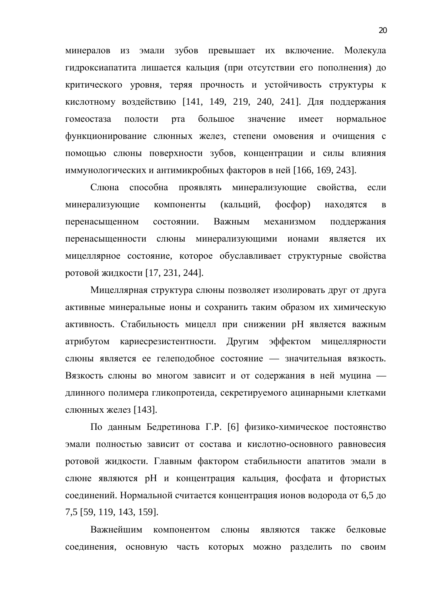минералов из эмали зубов превышает их включение. Молекула гидроксиапатита лишается кальция (при отсутствии его пополнения) до критического уровня, теряя прочность и устойчивость структуры к кислотному воздействию [141, 149, 219, 240, 241]. Для поддержания гомеостаза полости рта большое значение имеет нормальное функционирование слюнных желез, степени омовения и очищения с помощью слюны поверхности зубов, концентрации и силы влияния иммунологических и антимикробных факторов в ней [166, 169, 243].

Слюна способна проявлять минерализующие свойства, если минерализующие компоненты (кальций, фосфор) находятся в перенасыщенном состоянии. Важным механизмом поддержания перенасыщенности слюны минерализующими ионами является их мицеллярное состояние, которое обуславливает структурные свойства ротовой жидкости [17, 231, 244].

Мицеллярная структура слюны позволяет изолировать друг от друга активные минеральные ионы и сохранить таким образом их химическую активность. Стабильность мицелл при снижении рН является важным атрибутом кариесрезистентности. Другим эффектом мицеллярности слюны является ее гелеподобное состояние — значительная вязкость. Вязкость слюны во многом зависит и от содержания в ней муцина длинного полимера гликопротеида, секретируемого ацинарными клетками слюнных желез [143].

По данным Бедретинова Г.Р. [6] физико-химическое постоянство эмали полностью зависит от состава и кислотно-основного равновесия ротовой жидкости. Главным фактором стабильности апатитов эмали в слюне являются рН и концентрация кальция, фосфата и фтористых соединений. Нормальной считается концентрация ионов водорода от 6,5 до 7,5 [59, 119, 143, 159].

Важнейшим компонентом слюны являются также белковые соединения, основную часть которых можно разделить по своим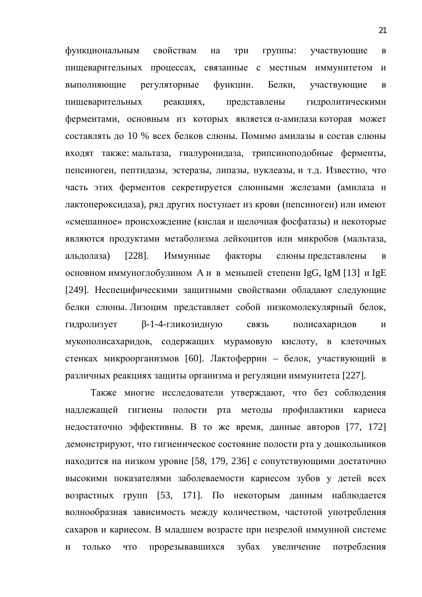функциональным свойствам на три группы: участвующие в пищеварительных процессах, связанные с местным иммунитетом и выполняющие регуляторные функции. Белки, участвующие в пищеварительных реакциях, представлены гидролитическими ферментами, основным из которых является α-амилаза которая может составлять до 10 % всех белков слюны. Помимо амилазы в состав слюны входят также: мальтаза, гиалуронидаза, трипсиноподобные ферменты, пепсиноген, пептидазы, эстеразы, липазы, нуклеазы, и т.д. Известно, что часть этих ферментов секретируется слюнными железами (амилаза и лактопероксидаза), ряд других поступает из крови (пепсиноген) или имеют «смешанное» происхождение (кислая и щелочная фосфатазы) и некоторые являются продуктами метаболизма лейкоцитов или микробов (мальтаза, альдолаза) [228]. Иммунные факторы слюны-представлены в основном иммуноглобулином А и в меньшей степени IgG, IgM [13] и IgE [249]. Неспецифическими защитными свойствами обладают следующие белки слюны. Лизоцим представляет собой низкомолекулярный белок, гидролизует В-1-4-гликозидную связь полисахаридов и мукополисахаридов, содержащих мурамовую кислоту, в клеточных стенках микроорганизмов [60]. Лактоферрин – белок, участвующий в различных реакциях защиты организма и регуляции иммунитета [227].

Также многие исследователи утверждают, что без соблюдения надлежащей гигиены полости рта методы профилактики кариеса недостаточно эффективны. В то же время, данные авторов [77, 172] демонстрируют, что гигиеническое состояние полости рта у дошкольников находится на низком уровне [58, 179, 236] с сопутствующими достаточно высокими показателями заболеваемости кариесом зубов у детей всех возрастных групп [53, 171]. По некоторым данным наблюдается волнообразная зависимость между количеством, частотой употребления сахаров и кариесом. В младшем возрасте при незрелой иммунной системе и только что прорезывавшихся зубах увеличение потребления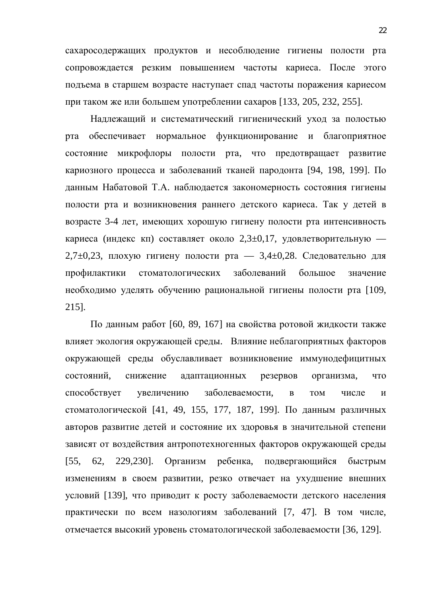сахаросодержащих продуктов и несоблюдение гигиены полости рта сопровождается резким повышением частоты кариеса. После этого подъема в старшем возрасте наступает спад частоты поражения кариесом при таком же или большем употреблении сахаров [133, 205, 232, 255].

Надлежащий и систематический гигиенический уход за полостью рта обеспечивает нормальное функционирование и благоприятное состояние микрофлоры полости рта, что предотвращает развитие кариозного процесса и заболеваний тканей пародонта [94, 198, 199]. По данным Набатовой Т.А. наблюдается закономерность состояния гигиены полости рта и возникновения раннего детского кариеса. Так у детей в возрасте 3-4 лет, имеющих хорошую гигиену полости рта интенсивность кариеса (индекс кп) составляет около 2,3 $\pm$ 0,17, удовлетворительную —  $2,7\pm0,23$ , плохую гигиену полости рта — 3,4 $\pm0,28$ . Следовательно для профилактики стоматологических заболеваний большое значение необходимо уделять обучению рациональной гигиены полости рта [109, 215].

По данным работ [60, 89, 167] на свойства ротовой жидкости также влияет экология окружающей среды. Влияние неблагоприятных факторов окружающей среды обуславливает возникновение иммунодефицитных состояний, снижение адаптационных резервов организма, что способствует увеличению заболеваемости, в том числе и стоматологической [41, 49, 155, 177, 187, 199]. По данным различных авторов развитие детей и состояние их здоровья в значительной степени зависят от воздействия антропотехногенных факторов окружающей среды [55, 62, 229,230]. Организм ребенка, подвергающийся быстрым изменениям в своем развитии, резко отвечает на ухудшение внешних условий [139], что приводит к росту заболеваемости детского населения практически по всем назологиям заболеваний [7, 47]. В том числе, отмечается высокий уровень стоматологической заболеваемости [36, 129].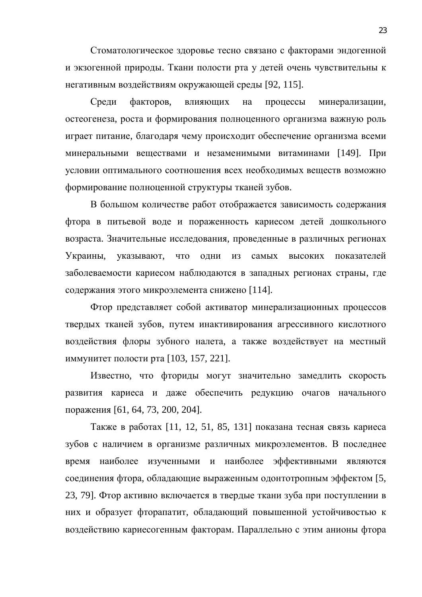Стоматологическое здоровье тесно связано с факторами эндогенной и экзогенной природы. Ткани полости рта у детей очень чувствительны к негативным воздействиям окружающей среды [92, 115].

Среди факторов, влияющих на процессы минерализации, остеогенеза, роста и формирования полноценного организма важную роль играет питание, благодаря чему происходит обеспечение организма всеми минеральными веществами и незаменимыми витаминами [149]. При условии оптимального соотношения всех необходимых веществ возможно формирование полноценной структуры тканей зубов.

В большом количестве работ отображается зависимость содержания фтора в питьевой воде и пораженность кариесом детей дошкольного возраста. Значительные исследования, проведенные в различных регионах Украины, указывают, что одни из самых высоких показателей заболеваемости кариесом наблюдаются в западных регионах страны, где содержания этого микроэлемента снижено [114].

Фтор представляет собой активатор минерализационных процессов твердых тканей зубов, путем инактивирования агрессивного кислотного воздействия флоры зубного налета, а также воздействует на местный иммунитет полости рта [103, 157, 221].

Известно, что фториды могут значительно замедлить скорость развития кариеса и даже обеспечить редукцию очагов начального поражения [61, 64, 73, 200, 204].

Также в работах [11, 12, 51, 85, 131] показана тесная связь кариеса зубов с наличием в организме различных микроэлементов. В последнее время наиболее изученными и наиболее эффективными являются соединения фтора, обладающие выраженным одонтотропным эффектом [5, 23, 79]. Фтор активно включается в твердые ткани зуба при поступлении в них и образует фторапатит, обладающий повышенной устойчивостью к воздействию кариесогенным факторам. Параллельно с этим анионы фтора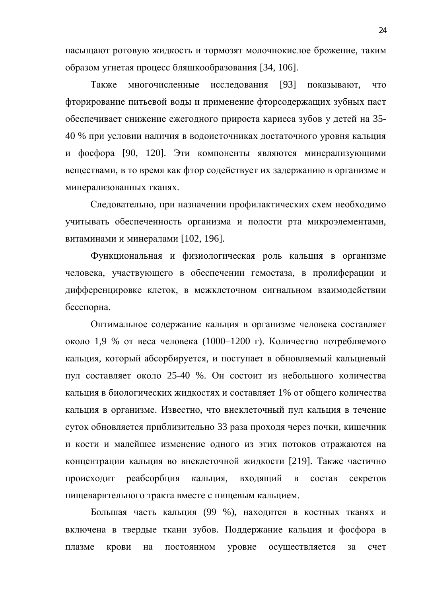насыщают ротовую жидкость и тормозят молочнокислое брожение, таким образом угнетая процесс бляшкообразования [34, 106].

Также многочисленные исследования [93] показывают, что фторирование питьевой воды и применение фторсодержащих зубных паст обеспечивает снижение ежегодного прироста кариеса зубов у детей на 35-40 % при условии наличия в водоисточниках достаточного уровня кальция и фосфора [90, 120]. Эти компоненты являются минерализующими веществами, в то время как фтор содействует их задержанию в организме и минерализованных тканях.

Следовательно, при назначении профилактических схем необходимо учитывать обеспеченность организма и полости рта микроэлементами, витаминами и минералами [102, 196].

Функциональная и физиологическая роль кальция в организме человека, участвующего в обеспечении гемостаза, в пролиферации и дифференцировке клеток, в межклеточном сигнальном взаимодействии бесспорна.

Оптимальное содержание кальция в организме человека составляет около 1,9 % от веса человека (1000–1200 г). Количество потребляемого кальция, который абсорбируется, и поступает в обновляемый кальциевый пул составляет около 25-40 %. Он состоит из небольшого количества кальция в биологических жидкостях и составляет 1% от общего количества кальция в организме. Известно, что внеклеточный пул кальция в течение суток обновляется приблизительно 33 раза проходя через почки, кишечник и кости и малейшее изменение одного из этих потоков отражаются на концентрации кальция во внеклеточной жидкости [219]. Также частично происходит реабсорбция кальция, входящий в состав секретов пищеварительного тракта вместе с пищевым кальцием.

Большая часть кальция (99 %), находится в костных тканях и включена в твердые ткани зубов. Поддержание кальция и фосфора в плазме крови на постоянном уровне осуществляется за счет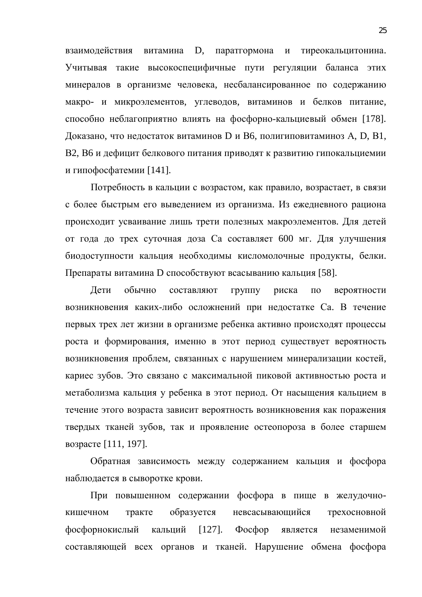взаимодействия витамина D, паратгормона и тиреокальцитонина. Учитывая такие высокоспецифичные пути регуляции баланса этих минералов в организме человека, несбалансированное по содержанию макро- и микроэлементов, углеводов, витаминов и белков питание, способно неблагоприятно влиять на фосфорно-кальциевый обмен [178]. Доказано, что недостаток витаминов D и B6, полигиповитаминоз A, D, B1, В2, В6 и дефицит белкового питания приводят к развитию гипокальциемии и гипофосфатемии [141].

Потребность в кальции с возрастом, как правило, возрастает, в связи с более быстрым его выведением из организма. Из ежедневного рациона происходит усваивание лишь трети полезных макроэлементов. Для детей от года до трех суточная доза Са составляет 600 мг. Для улучшения биодоступности кальция необходимы кисломолочные продукты, белки. Препараты витамина D способствуют всасыванию кальция [58].

Дети обычно составляют группу риска по вероятности возникновения каких-либо осложнений при недостатке Са. В течение первых трех лет жизни в организме ребенка активно происходят процессы роста и формирования, именно в этот период существует вероятность возникновения проблем, связанных с нарушением минерализации костей, кариес зубов. Это связано с максимальной пиковой активностью роста и метаболизма кальция у ребенка в этот период. От насыщения кальцием в течение этого возраста зависит вероятность возникновения как поражения твердых тканей зубов, так и проявление остеопороза в более старшем возрасте [111, 197].

Обратная зависимость между содержанием кальция и фосфора наблюдается в сыворотке крови.

При повышенном содержании фосфора в пище в желудочнокишечном тракте образуется невсасывающийся трехосновной фосфорнокислый кальций [127]. Фосфор является незаменимой составляющей всех органов и тканей. Нарушение обмена фосфора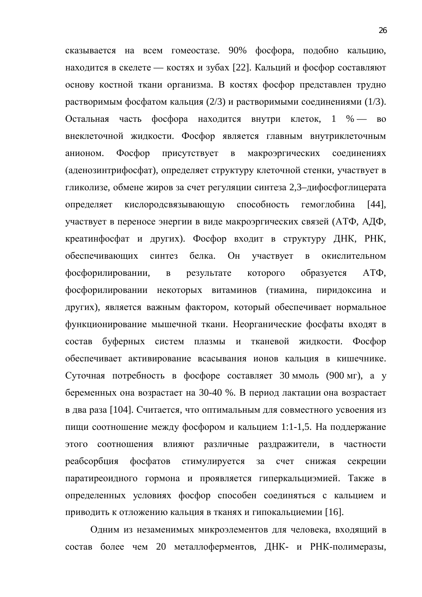сказывается на всем гомеостазе. 90% фосфора, подобно кальцию, находится в скелете — костях и зубах [22]. Кальций и фосфор составляют основу костной ткани организма. В костях фосфор представлен трудно растворимым фосфатом кальция (2/3) и растворимыми соединениями (1/3). Остальная часть фосфора находится внутри клеток, 1 % — во внеклеточной жидкости. Фосфор является главным внутриклеточным анионом. Фосфор присутствует в макроэргических соединениях (аденозинтрифосфат), определяет структуру клеточной стенки, участвует в гликолизе, обмене жиров за счет регуляции синтеза 2,3–дифосфоглицерата определяет кислородсвязывающую способность гемоглобина [44], участвует в переносе энергии в виде макроэргических связей (АТФ, АДФ, креатинфосфат и других). Фосфор входит в структуру ДНК, РНК, обеспечивающих синтез белка. Он участвует в окислительном фосфорилировании, в результате которого образуется АТФ, фосфорилировании некоторых витаминов (тиамина, пиридоксина и других), является важным фактором, который обеспечивает нормальное функционирование мышечной ткани. Неорганические фосфаты входят в состав буферных систем плазмы и тканевой жидкости. Фосфор обеспечивает активирование всасывания ионов кальция в кишечнике. Суточная потребность в фосфоре составляет 30 ммоль (900 мг), а у беременных она возрастает на 30-40 %. В период лактации она возрастает в два раза [104]. Считается, что оптимальным для совместного усвоения из пищи соотношение между фосфором и кальцием 1:1-1,5. На поддержание этого соотношения влияют различные раздражители, в частности реабсорбция фосфатов стимулируется за счет снижая секреции паратиреоидного гормона и проявляется гиперкальциэмией. Также в определенных условиях фосфор способен соединяться с кальцием и приводить к отложению кальция в тканях и гипокальциемии [16].

Одним из незаменимых микроэлементов для человека, входящий в состав более чем 20 металлоферментов, ДНК- и РНК-полимеразы,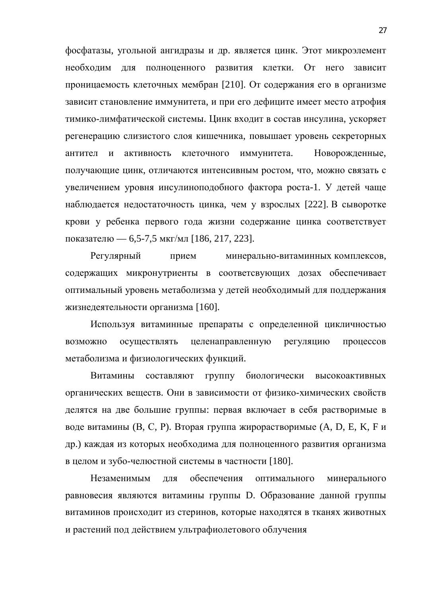фосфатазы, угольной ангидразы и др. является цинк. Этот микроэлемент необходим для полноценного развития клетки. От него зависит проницаемость клеточных мембран [210]. От содержания его в организме зависит становление иммунитета, и при его дефиците имеет место атрофия тимико-лимфатической системы. Цинк входит в состав инсулина, ускоряет регенерацию слизистого слоя кишечника, повышает уровень секреторных антител и активность клеточного иммунитета. Новорожденные, получающие цинк, отличаются интенсивным ростом, что, можно связать с увеличением уровня инсулиноподобного фактора роста-1. У детей чаще наблюдается недостаточность цинка, чем у взрослых [222]. В сыворотке крови у ребенка первого года жизни содержание цинка соответствует показателю — 6,5-7,5 мкг/мл [186, 217, 223].

Регулярный прием минерально-витаминных комплексов, содержащих микронутриенты в соответсвующих дозах обеспечивает оптимальный уровень метаболизма у детей необходимый для поддержания жизнедеятельности организма [160].

Используя витаминные препараты с определенной цикличностью возможно осуществлять целенаправленную регуляцию процессов метаболизма и физиологических функций.

Витамины составляют группу биологически высокоактивных органических веществ. Они в зависимости от физико-химических свойств делятся на две большие группы: первая включает в себя растворимые в воде витамины (В, С, Р). Вторая группа жирорастворимые (А, D, E, K, F и др.) каждая из которых необходима для полноценного развития организма в целом и зубо-челюстной системы в частности [180].

Незаменимым для обеспечения оптимального минерального равновесия являются витамины группы D. Образование данной группы витаминов происходит из стеринов, которые находятся в тканях животных и растений под действием ультрафиолетового облучения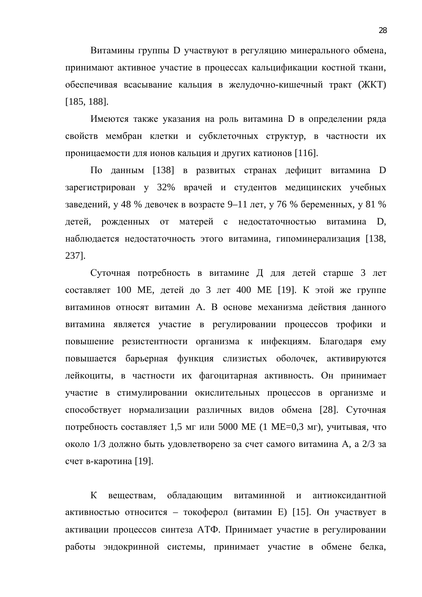Витамины группы D участвуют в регуляцию минерального обмена, принимают активное участие в процессах кальцификации костной ткани, обеспечивая всасывание кальция в желудочно-кишечный тракт (ЖКТ) [185, 188].

Имеются также указания на роль витамина D в определении ряда свойств мембран клетки и субклеточных структур, в частности их проницаемости для ионов кальция и других катионов [116].

По данным [138] в развитых странах дефицит витамина D зарегистрирован у 32% врачей и студентов медицинских учебных заведений, у 48 % девочек в возрасте 9–11 лет, у 76 % беременных, у 81 % детей, рожденных от матерей с недостаточностью витамина D, наблюдается недостаточность этого витамина, гипоминерализация [138, 237].

Суточная потребность в витамине Д для детей старше 3 лет составляет 100 ME, детей до 3 лет 400 ME [19]. К этой же группе витаминов относят витамин А. В основе механизма действия данного витамина является участие в регулировании процессов трофики и повышение резистентности организма к инфекциям. Благодаря ему повышается барьерная функция слизистых оболочек, активируются лейкоциты, в частности их фагоцитарная активность. Он принимает участие в стимулировании окислительных процессов в организме и способствует нормализации различных видов обмена [28]. Суточная потребность составляет 1,5 мг или 5000 ME (1 ME=0,3 мг), учитывая, что около 1/3 должно быть удовлетворено за счет самого витамина A, а 2/3 за счет в-каротина [19].

К веществам, обладающим витаминной и антиоксидантной активностью относится – токоферол (витамин Е) [15]. Он участвует в активации процессов синтеза АТФ. Принимает участие в регулировании работы эндокринной системы, принимает участие в обмене белка,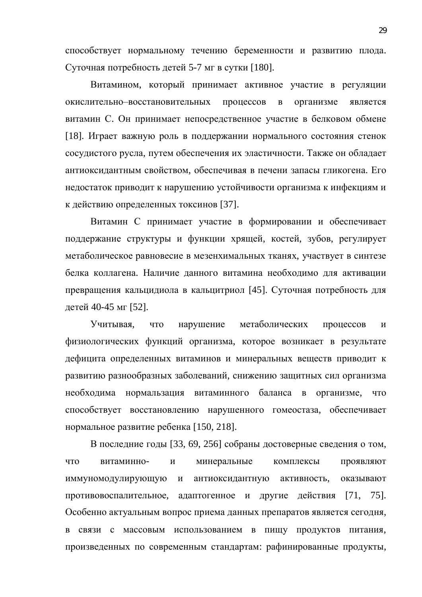способствует нормальному течению беременности и развитию плода. Суточная потребность детей 5-7 мг в сутки [180].

Витамином, который принимает активное участие в регуляции окислительно-восстановительных процессов в организме является витамин С. Он принимает непосредственное участие в белковом обмене [18]. Играет важную роль в поддержании нормального состояния стенок сосудистого русла, путем обеспечения их эластичности. Также он обладает антиоксидантным свойством, обеспечивая в печени запасы гликогена. Его недостаток приводит к нарушению устойчивости организма к инфекциям и к действию определенных токсинов [37].

Витамин С принимает участие в формировании и обеспечивает поддержание структуры и функции хрящей, костей, зубов, регулирует метаболическое равновесие в мезенхимальных тканях, участвует в синтезе белка коллагена. Наличие данного витамина необходимо для активации превращения кальцидиола в кальцитриол [45]. Суточная потребность для детей 40-45 мг [52].

Учитывая, что нарушение метаболических процессов и физиологических функций организма, которое возникает в результате дефицита определенных витаминов и минеральных веществ приводит к развитию разнообразных заболеваний, снижению защитных сил организма необходима нормальзация витаминного баланса в организме, что способствует восстановлению нарушенного гомеостаза, обеспечивает нормальное развитие ребенка [150, 218].

В последние годы [33, 69, 256] собраны достоверные сведения о том, что витаминно- и минеральные комплексы проявляют иммуномодулирующую и антиоксидантную активность, оказывают противовоспалительное, адаптогенное и другие действия [71, 75]. Особенно актуальным вопрос приема данных препаратов является сегодня, в связи с массовым использованием в пищу продуктов питания, произведенных по современным стандартам: рафинированные продукты,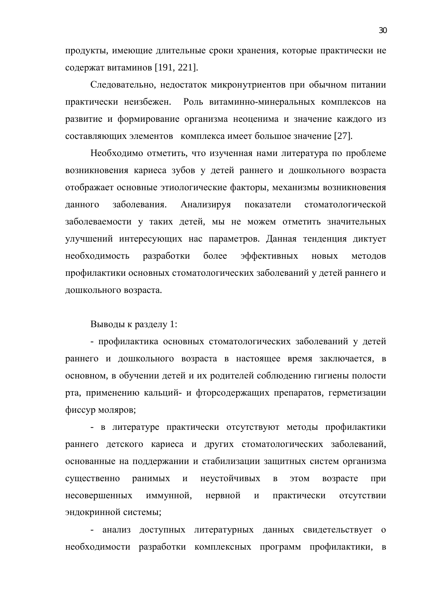продукты, имеющие длительные сроки хранения, которые практически не содержат витаминов [191, 221].

Следовательно, недостаток микронутриентов при обычном питании практически неизбежен. Роль витаминно-минеральных комплексов на развитие и формирование организма неоценима и значение каждого из составляющих элементов комплекса имеет большое значение [27].

Необходимо отметить, что изученная нами литература по проблеме возникновения кариеса зубов у детей раннего и дошкольного возраста отображает основные этиологические факторы, механизмы возникновения данного заболевания. Анализируя показатели стоматологической заболеваемости у таких детей, мы не можем отметить значительных улучшений интересующих нас параметров. Данная тенденция диктует необходимость разработки более эффективных новых методов профилактики основных стоматологических заболеваний у детей раннего и дошкольного возраста.

Выводы к разделу 1:

- профилактика основных стоматологических заболеваний у детей раннего и дошкольного возраста в настоящее время заключается, в основном, в обучении детей и их родителей соблюдению гигиены полости рта, применению кальций- и фторсодержащих препаратов, герметизации фиссур моляров;

- в литературе практически отсутствуют методы профилактики раннего детского кариеса и других стоматологических заболеваний, основанные на поддержании и стабилизации защитных систем организма существенно ранимых и неустойчивых в этом возрасте при несовершенных иммунной, нервной и практически отсутствии эндокринной системы;

- анализ доступных литературных данных свидетельствует о необходимости разработки комплексных программ профилактики, в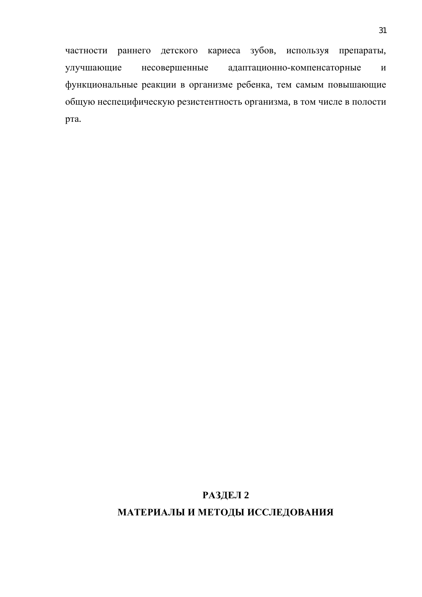частности раннего детского кариеса зубов, используя препараты, улучшающие несовершенные адаптационно-компенсаторные и функциональные реакции в организме ребенка, тем самым повышающие общую неспецифическую резистентность организма, в том числе в полости рта.

### РАЗДЕЛ 2

#### **МАТЕРИАЛЫ И МЕТОДЫ ИССЛЕДОВАНИЯ**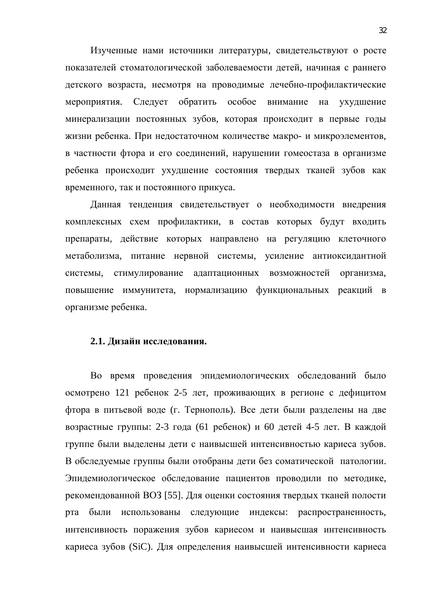Изученные нами источники литературы, свидетельствуют о росте показателей стоматологической заболеваемости детей, начиная с раннего детского возраста, несмотря на проводимые лечебно-профилактические мероприятия. Следует обратить особое внимание на ухудшение минерализации постоянных зубов, которая происходит в первые годы жизни ребенка. При недостаточном количестве макро- и микроэлементов, в частности фтора и его соединений, нарушении гомеостаза в организме ребенка происходит ухудшение состояния твердых тканей зубов как временного, так и постоянного прикуса.

Данная тенденция свидетельствует о необходимости внедрения комплексных схем профилактики, в состав которых будут входить препараты, действие которых направлено на регуляцию клеточного метаболизма, питание нервной системы, усиление антиоксидантной системы, стимулирование адаптационных возможностей организма, повышение иммунитета, нормализацию функциональных реакций в организме ребенка.

#### 2.1. Дизайн исследования.

Во время проведения эпидемиологических обследований было осмотрено 121 ребенок 2-5 лет, проживающих в регионе с дефицитом фтора в питьевой воде (г. Тернополь). Все дети были разделены на две возрастные группы: 2-3 года (61 ребенок) и 60 детей 4-5 лет. В каждой группе были выделены дети с наивысшей интенсивностью кариеса зубов. В обследуемые группы были отобраны дети без соматической патологии. Эпидемиологическое обследование пациентов проводили по методике, рекомендованной ВОЗ [55]. Для оценки состояния твердых тканей полости рта были использованы следующие индексы: распространенность, интенсивность поражения зубов кариесом и наивысшая интенсивность кариеса зубов (SiC). Для определения наивысшей интенсивности кариеса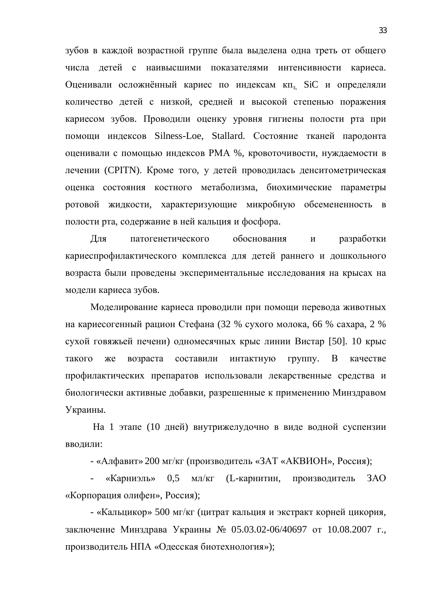зубов в каждой возрастной группе была выделена одна треть от общего числа детей с наивысшими показателями интенсивности кариеса. Оценивали осложнённый кариес по индексам кп<sub>з,</sub> SiC и определяли количество детей с низкой, средней и высокой степенью поражения кариесом зубов. Проводили оценку уровня гигиены полости рта при помощи индексов Silness-Loe, Stallard. Состояние тканей пародонта оценивали с помощью индексов РМА %, кровоточивости, нуждаемости в лечении (CPITN). Кроме того, у детей проводилась денситометрическая оценка состояния костного метаболизма, биохимические параметры ротовой жидкости, характеризующие микробную обсемененность в полости рта, содержание в ней кальция и фосфора.

Для патогенетического обоснования и разработки кариеспрофилактического комплекса для детей раннего и дошкольного возраста были проведены экспериментальные исследования на крысах на модели кариеса зубов.

Моделирование кариеса проводили при помощи перевода животных на кариесогенный рацион Стефана (32 % сухого молока, 66 % сахара, 2 % сухой говяжьей печени) одномесячных крыс линии Вистар [50]. 10 крыс такого же возраста составили интактную группу. В качестве профилактических препаратов использовали лекарственные средства и биологически активные добавки, разрешенные к применению Минздравом Украины.

На 1 этапе (10 дней) внутрижелудочно в виде водной суспензии вводили:

- «Алфавит» 200 мг/кг (производитель «ЗАТ «АКВИОН», Россия);

«Карниэль» 0,5 мл/кг (L-карнитин, производитель ЗАО «Корпорация олифен», Россия);

- «Кальцикор» 500 мг/кг (цитрат кальция и экстракт корней цикория, заключение Минздрава Украины № 05.03.02-06/40697 от 10.08.2007 г., производитель НПА «Одесская биотехнология»);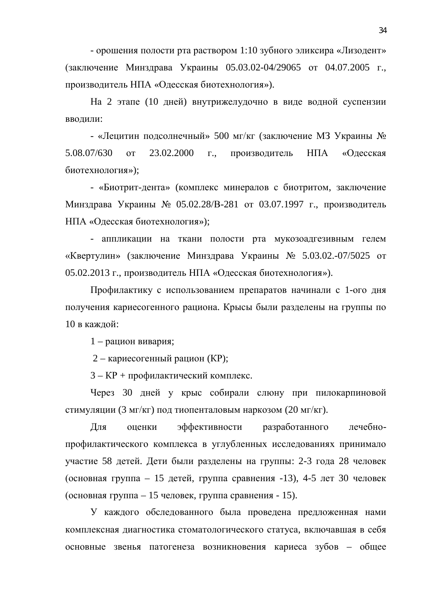$\sim$  орошения полости рта раствором 1:10 зубного эликсира «Лизодент» (заключение Минздрава Украины 05.03.02-04/29065 от 04.07.2005 г., производитель НПА «Одесская биотехнология»).

На 2 этапе (10 дней) внутрижелудочно в виде водной суспензии вводили:

- «Лецитин подсолнечный» 500 мг/кг (заключение МЗ Украины № 5.08.07/630 от 23.02.2000 г., производитель НПА «Одесская биотехнология»);

- «Биотрит-дента» (комплекс минералов с биотритом, заключение Минздрава Украины № 05.02.28/В-281 от 03.07.1997 г., производитель НПА «Одесская биотехнология»);

- аппликации на ткани полости рта мукозоадгезивным гелем «Квертулин» (заключение Минздрава Украины № 5.03.02.-07/5025 от 05.02.2013 г., производитель НПА «Одесская биотехнология»).

Профилактику с использованием препаратов начинали с 1-ого дня получения кариесогенного рациона. Крысы были разделены на группы по 10 в кажлой:

 $1$  – рацион вивария;

2 – кариесогенный рацион (KP);

3 – KP + профилактический комплекс.

Через 30 дней у крыс собирали слюну при пилокарпиновой стимуляции (3 мг/кг) под тиопенталовым наркозом (20 мг/кг).

Для оценки эффективности разработанного лечебнопрофилактического комплекса в углубленных исследованиях принимало участие 58 детей. Дети были разделены на группы: 2-3 года 28 человек  $($ основная группа – 15 детей, группа сравнения -13), 4-5 лет 30 человек  $($ основная группа – 15 человек, группа сравнения - 15).

У каждого обследованного была проведена предложенная нами комплексная диагностика стоматологического статуса, включавшая в себя основные звенья патогенеза возникновения кариеса зубов – общее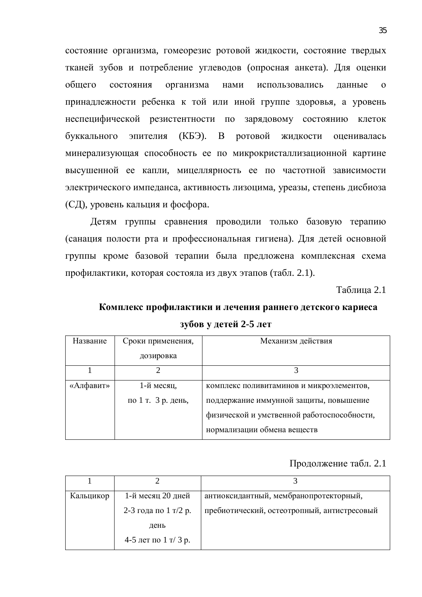состояние организма, гомеорезис ротовой жидкости, состояние твердых тканей зубов и потребление углеводов (опросная анкета). Для оценки общего состояния организма нами использовались данные о принадлежности ребенка к той или иной группе здоровья, а уровень неспецифической резистентности по зарядовому состоянию клеток буккального эпителия (КБЭ). В ротовой жидкости оценивалась минерализующая способность ее по микрокристаллизационной картине высушенной ее капли, мицеллярность ее по частотной зависимости электрического импеданса, активность лизоцима, уреазы, степень дисбиоза (СД), уровень кальция и фосфора.

Детям группы сравнения проводили только базовую терапию (санация полости рта и профессиональная гигиена). Для детей основной группы кроме базовой терапии была предложена комплексная схема профилактики, которая состояла из двух этапов (табл. 2.1).

Таблица 2.1

### Комплекс профилактики и лечения раннего детского кариеса **зубов у детей 2-5 лет**

| Название  | Сроки применения,  | Механизм действия                          |
|-----------|--------------------|--------------------------------------------|
|           |                    |                                            |
|           | дозировка          |                                            |
|           |                    |                                            |
|           |                    |                                            |
|           |                    |                                            |
| «Алфавит» | 1-й месяц,         | комплекс поливитаминов и микроэлементов,   |
|           | по 1 т. 3 р. день, | поддержание иммунной защиты, повышение     |
|           |                    | физической и умственной работоспособности, |
|           |                    | нормализации обмена веществ                |

#### Продолжение табл. 2.1

| Кальцикор | 1-й месяц 20 дней    | антиоксидантный, мембранопротекторный,      |
|-----------|----------------------|---------------------------------------------|
|           | 2-3 года по 1 т/2 р. | пребиотический, остеотропный, антистресовый |
|           | день                 |                                             |
|           | 4-5 лет по 1 т/3 р.  |                                             |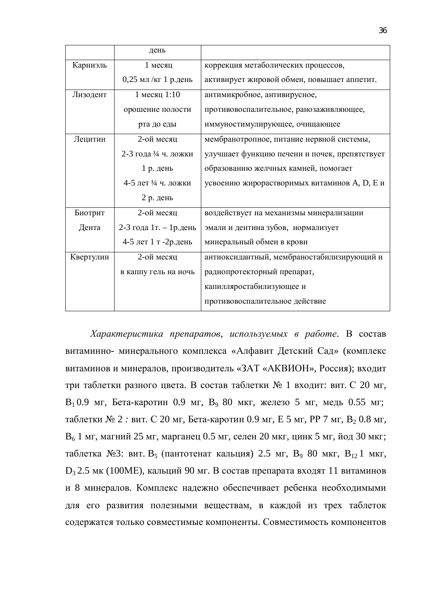|           | день                      |                                               |
|-----------|---------------------------|-----------------------------------------------|
| Карниэль  | 1 месяц                   | коррекция метаболических процессов,           |
|           | $0,25$ мл /кг 1 р.день    | активирует жировой обмен, повышает аппетит.   |
| Лизодент  | 1 месяц 1:10              | антимикробное, антивирусное,                  |
|           | орошение полости          | противовоспалительное, ранозаживляющее,       |
|           | рта до еды                | иммуностимулирующее, очищающее                |
| Лецитин   | 2-ой месяц                | мембранотропное, питание нервной системы,     |
|           | 2-3 года 1/4 ч. ложки     | улучшает функцию печени и почек, препятствует |
|           | 1 р. день                 | образованию желчных камней, помогает          |
|           | 4-5 лет ¼ ч. ложки        | усвоению жирорастворимых витаминов А, D, Е и  |
|           | 2 р. день                 |                                               |
| Биотрит   | 2-ой месяц                | воздействует на механизмы минерализации       |
| Дента     | 2-3 года 1 т. – 1 р. день | эмали и дентина зубов, нормализует            |
|           | 4-5 лет 1 т -2р.день      | минеральный обмен в крови                     |
| Квертулин | 2-ой месяц                | антиоксидантный, мембраностабилизирующий и    |
|           | в каппу гель на ночь      | радиопротекторный препарат,                   |
|           |                           | капилляростабилизующее и                      |
|           |                           | противовоспалительное действие                |

 $Xapaxmepucmuka$  препаратов, используемых в работе. В состав витаминно- минерального комплекса «Алфавит Детский Сад» (комплекс витаминов и минералов, производитель «ЗАТ «АКВИОН», Россия); входит три таблетки разного цвета. В состав таблетки № 1 входит: вит. С 20 мг,  $B_1 0.9$  мг, Бета-каротин 0.9 мг,  $B_9 80$  мкг, железо 5 мг, медь 0.55 мг; таблетки № 2 *:* вит. С 20 мг, Бета-каротин 0.9 мг, Е 5 мг, РР 7 мг, В<sub>2</sub> 0.8 мг,  $B_6$  1 мг, магний 25 мг, марганец 0.5 мг, селен 20 мкг, цинк 5 мг, йод 30 мкг; таблетка №3: вит. В<sub>5</sub> (пантотенат кальция) 2.5 мг, В<sub>9</sub> 80 мкг, В<sub>12</sub> 1 мкг,  $D_3$  2.5 мк (100МЕ), кальций 90 мг. В состав препарата входят 11 витаминов и 8 минералов. Комплекс надежно обеспечивает ребенка необходимыми для его развития полезными веществам, в каждой из трех таблеток содержатся только совместимые компоненты. Совместимость компонентов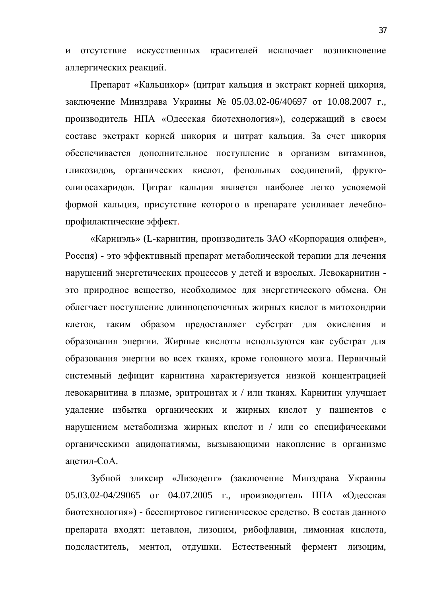и отсутствие искусственных красителей исключает возникновение аллергических реакций.

Препарат «Кальцикор» (цитрат кальция и экстракт корней цикория, заключение Минздрава Украины № 05.03.02-06/40697 от 10.08.2007 г., производитель НПА «Одесская биотехнология»), содержащий в своем составе экстракт корней цикория и цитрат кальция. За счет цикория обеспечивается дополнительное поступление в организм витаминов, гликозидов, органических кислот, фенольных соединений, фруктоолигосахаридов. Цитрат кальция является наиболее легко усвояемой формой кальция, присутствие которого в препарате усиливает лечебнопрофилактические эффект.

«Карниэль» (L-карнитин, производитель ЗАО «Корпорация олифен», Россия) - это эффективный препарат метаболической терапии для лечения нарушений энергетических процессов у детей и взрослых. Левокарнитин это природное вещество, необходимое для энергетического обмена. Он облегчает поступление длинноцепочечных жирных кислот в митохондрии клеток, таким образом предоставляет субстрат для окисления и образования энергии. Жирные кислоты используются как субстрат для образования энергии во всех тканях, кроме головного мозга. Первичный системный дефицит карнитина характеризуется низкой концентрацией девокарнитина в плазме, эритроцитах и / или тканях. Карнитин улучшает удаление избытка органических и жирных кислот у пациентов с нарушением метаболизма жирных кислот и / или со специфическими органическими ацидопатиямы, вызывающими накопление в организме ацетил-СоА.

Зубной эликсир «Лизодент» (заключение Минздрава Украины 05.03.02-04/29065 от 04.07.2005 г., производитель НПА «Одесская биотехнология») - бесспиртовое гигиеническое средство. В состав данного препарата входят: цетавлон, лизоцим, рибофлавин, лимонная кислота, подсластитель, ментол, отдушки. Естественный фермент лизоцим,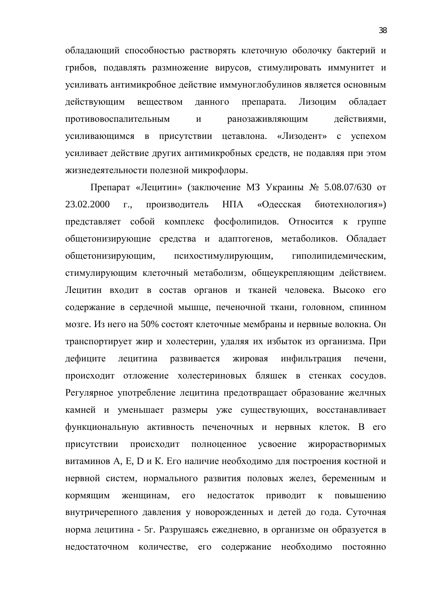обладающий способностью растворять клеточную оболочку бактерий и грибов, подавлять размножение вирусов, стимулировать иммунитет и усиливать антимикробное действие иммуноглобулинов является основным действующим веществом данного препарата. Лизоцим обладает противовоспалительным и ранозаживляющим действиями, усиливающимся в присутствии цетавлона. «Лизодент» с успехом усиливает действие других антимикробных средств, не подавляя при этом жизнедеятельности полезной микрофлоры.

Препарат «Лецитин» (заключение МЗ Украины № 5.08.07/630 от 23.02.2000 г., производитель НПА «Одесская биотехнология») представляет собой комплекс фосфолипидов. Относится к группе общетонизирующие средства и адаптогенов, метаболиков. Обладает общетонизирующим, психостимулирующим, гиполипидемическим, стимулирующим клеточный метаболизм, общеукрепляющим действием. Лецитин входит в состав органов и тканей человека. Высоко его содержание в сердечной мышце, печеночной ткани, головном, спинном мозге. Из него на 50% состоят клеточные мембраны и нервные волокна. Он транспортирует жир и холестерин, удаляя их избыток из организма. При дефиците лецитина развивается жировая инфильтрация печени, происходит отложение холестериновых бляшек в стенках сосудов. Регулярное употребление лецитина предотвращает образование желчных камней и уменьшает размеры уже существующих, восстанавливает функциональную активность печеночных и нервных клеток. В его присутствии происходит полноценное усвоение жирорастворимых витаминов А, Е, D и К. Его наличие необходимо для построения костной и нервной систем, нормального развития половых желез, беременным и кормящим женщинам, его недостаток приводит к повышению внутричерепного давления у новорожденных и детей до года. Суточная норма лецитина - 5г. Разрушаясь ежедневно, в организме он образуется в недостаточном количестве, его содержание необходимо постоянно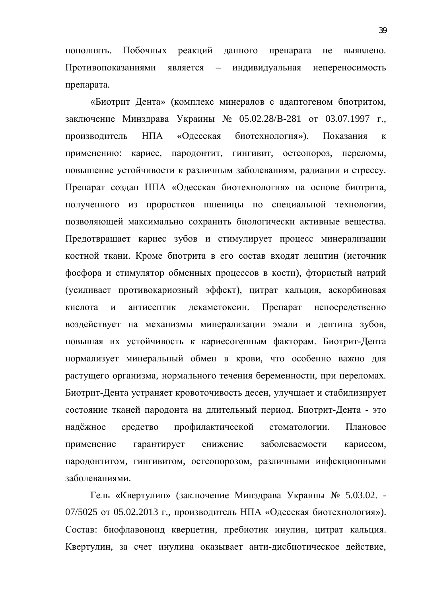пополнять. Побочных реакций данного препарата не выявлено. Противопоказаниями является – индивидуальная непереносимость препарата.

«Биотрит Дента» (комплекс минералов с адаптогеном биотритом, заключение Минздрава Украины № 05.02.28/В-281 от 03.07.1997 г., производитель НПА «Одесская биотехнология»). Показания к применению: кариес, пародонтит, гингивит, остеопороз, переломы, повышение устойчивости к различным заболеваниям, радиации и стрессу. Препарат создан НПА «Одесская биотехнология» на основе биотрита, полученного из проростков пшеницы по специальной технологии, позволяющей максимально сохранить биологически активные вещества. Предотвращает кариес зубов и стимулирует процесс минерализации костной ткани. Кроме биотрита в его состав входят лецитин (источник фосфора и стимулятор обменных процессов в кости), фтористый натрий (усиливает противокариозный эффект), цитрат кальция, аскорбиновая кислота и антисептик декаметоксин. Препарат непосредственно воздействует на механизмы минерализации эмали и дентина зубов, повышая их устойчивость к кариесогенным факторам. Биотрит-Дента нормализует минеральный обмен в крови, что особенно важно для растущего организма, нормального течения беременности, при переломах. Биотрит-Дента устраняет кровоточивость десен, улучшает и стабилизирует состояние тканей пародонта на длительный период. Биотрит-Дента - это надёжное средство профилактической стоматологии. Плановое применение гарантирует снижение заболеваемости кариесом, пародонтитом, гингивитом, остеопорозом, различными инфекционными заболеваниями.

Гель «Квертулин» (заключение Минздрава Украины № 5.03.02. -07/5025 от 05.02.2013 г., производитель НПА «Одесская биотехнология»). Состав: биофлавоноид кверцетин, пребиотик инулин, цитрат кальция. Квертулин, за счет инулина оказывает анти-дисбиотическое действие,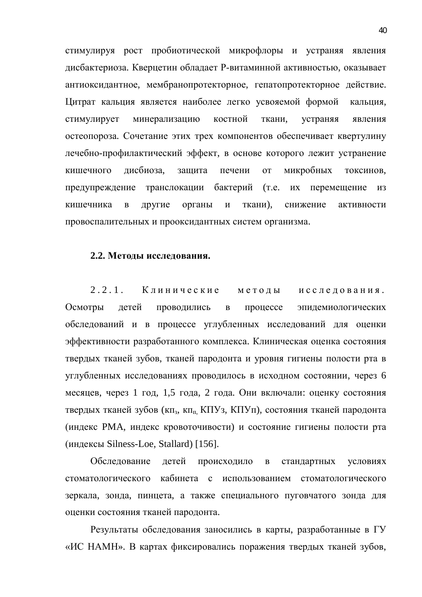стимулируя рост пробиотической микрофлоры и устраняя явления дисбактериоза. Кверцетин обладает Р-витаминной активностью, оказывает антиоксидантное, мембранопротекторное, гепатопротекторное действие. Цитрат кальция является наиболее легко усвояемой формой кальция, стимулирует минерализацию костной ткани, устраняя явления остеопороза. Сочетание этих трех компонентов обеспечивает квертулину лечебно-профилактический эффект, в основе которого лежит устранение кишечного дисбиоза, защита печени от микробных токсинов, предупреждение транслокации бактерий (т.е. их перемещение из кишечника в другие органы и ткани), снижение активности провоспалительных и прооксидантных систем организма.

#### 2.2. Методы исследования.

2.2.1. Клинические методы исследования. Осмотры детей проводились в процессе эпидемиологических обследований и в процессе углубленных исследований для оценки эффективности разработанного комплекса. Клиническая оценка состояния твердых тканей зубов, тканей пародонта и уровня гигиены полости рта в углубленных исследованиях проводилось в исходном состоянии, через 6 месяцев, через 1 год, 1,5 года, 2 года. Они включали: оценку состояния твердых тканей зубов (кп<sub>з</sub>, кп<sub>п,</sub> КПУз, КПУп), состояния тканей пародонта (индекс РМА, индекс кровоточивости) и состояние гигиены полости рта ɢɧɞɟɤɫɵ Silness-Loe, Stallard) [156].

Обследование детей происходило в стандартных условиях стоматологического кабинета с использованием стоматологического зеркала, зонда, пинцета, а также специального пуговчатого зонда для оценки состояния тканей пародонта.

Результаты обследования заносились в карты, разработанные в ГУ «ИС НАМН». В картах фиксировались поражения твердых тканей зубов,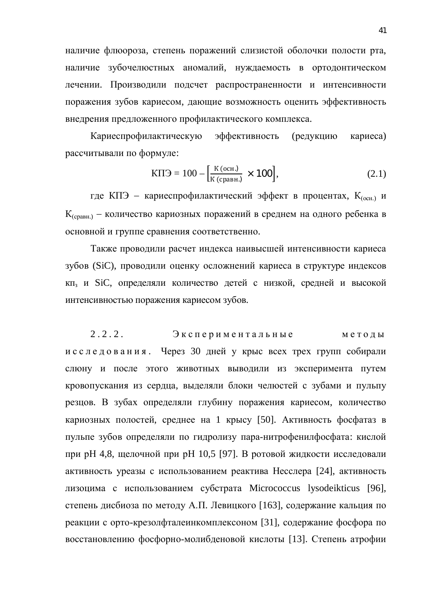наличие флюороза, степень поражений слизистой оболочки полости рта, наличие зубочелюстных аномалий, нуждаемость в ортодонтическом лечении. Производили подсчет распространенности и интенсивности поражения зубов кариесом, дающие возможность оценить эффективность внедрения предложенного профилактического комплекса.

Кариеспрофилактическую эффективность (редукцию кариеса) рассчитывали по формуле:

$$
K\Pi \Theta = 100 - \left[\frac{K(\text{och})}{K(\text{cpash})} \times 100\right],\tag{2.1}
$$

где КПЭ - кариеспрофилактический эффект в процентах, К<sub>(осн.)</sub> и  $K_{(c_{OABH})}$  – количество кариозных поражений в среднем на одного ребенка в основной и группе сравнения соответственно.

Также проводили расчет индекса наивысшей интенсивности кариеса зубов (SiC), проводили оценку осложнений кариеса в структуре индексов кп<sub>з</sub> и SiC, определяли количество детей с низкой, средней и высокой интенсивностью поражения кариесом зубов.

 $2.2.2.$  Экспериментальные методы и с с л е д о в а н и я. Через 30 дней у крыс всех трех групп собирали слюну и после этого животных выводили из эксперимента путем кровопускания из сердца, выделяли блоки челюстей с зубами и пульпу резцов. В зубах определяли глубину поражения кариесом, количество кариозных полостей, среднее на 1 крысу [50]. Активность фосфатаз в пульпе зубов определяли по гидролизу пара-нитрофенилфосфата: кислой при рН 4,8, щелочной при рН 10,5 [97]. В ротовой жидкости исследовали активность уреазы с использованием реактива Несслера [24], активность лизоцима с использованием субстрата Micrococcus lysodeikticus [96], степень дисбиоза по методу А.П. Левицкого [163], содержание кальция по реакции с орто-крезолфталеинкомплексоном [31], содержание фосфора по восстановлению фосфорно-молибденовой кислоты [13]. Степень атрофии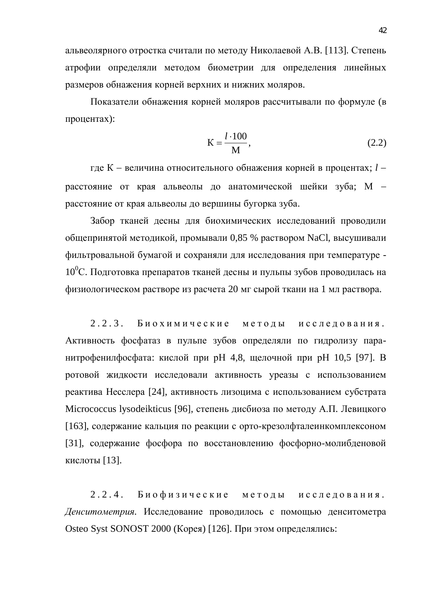альвеолярного отростка считали по методу Николаевой А.В. [113]. Степень атрофии определяли методом биометрии для определения линейных размеров обнажения корней верхних и нижних моляров.

Показатели обнажения корней моляров рассчитывали по формуле (в процентах):

$$
K = \frac{l \cdot 100}{M},\tag{2.2}
$$

где К - величина относительного обнажения корней в процентах; *l* расстояние от края альвеолы до анатомической шейки зуба; М расстояние от края альвеолы до вершины бугорка зуба.

Забор тканей десны для биохимических исследований проводили общепринятой методикой, промывали 0,85 % раствором NaCl, высушивали фильтровальной бумагой и сохраняли для исследования при температуре - $10^0$ С. Подготовка препаратов тканей десны и пульпы зубов проводилась на физиологическом растворе из расчета 20 мг сырой ткани на 1 мл раствора.

 $2.2.3.$  Биохимические методы исследования. Активность фосфатаз в пульпе зубов определяли по гидролизу паранитрофенилфосфата: кислой при р $H$  4,8, щелочной при р $H$  10,5 [97]. В ротовой жидкости исследовали активность уреазы с использованием реактива Несслера [24], активность лизоцима с использованием субстрата Micrococcus lysodeikticus [96], степень дисбиоза по методу А.П. Левицкого [163], содержание кальция по реакции с орто-крезолфталеинкомплексоном [31], содержание фосфора по восстановлению фосфорно-молибденовой кислоты  $[13]$ .

 $2.2.4.$  Биофизические методы исследования. Денситометрия. Исследование проводилось с помощью денситометра Osteo Syst SONOST 2000 (Корея) [126]. При этом определялись: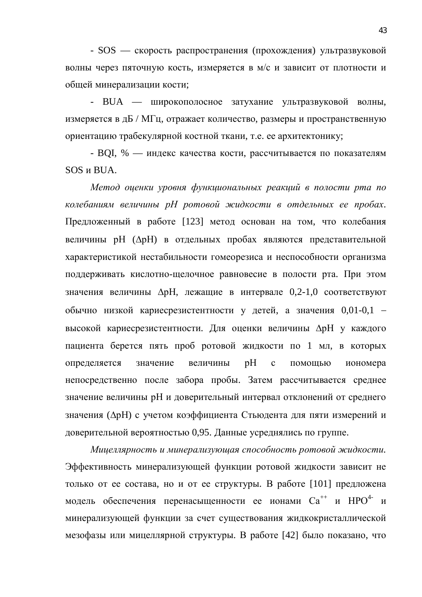- SOS — скорость распространения (прохождения) ультразвуковой волны через пяточную кость, измеряется в м/с и зависит от плотности и общей минерализации кости;

- BUA — широкополосное затухание ультразвуковой волны, измеряется в дБ / МГц, отражает количество, размеры и пространственную ориентацию трабекулярной костной ткани, т.е. ее архитектонику;

- BQI, % — индекс качества кости, рассчитывается по показателям SOS и BUA.

Метод оценки уровня функциональных реакций в полости рта по колебаниям величины pH ротовой жидкости в отдельных ее пробах. Предложенный в работе [123] метод основан на том, что колебания величины рН ( $\Delta$ рН) в отдельных пробах являются представительной характеристикой нестабильности гомеорезиса и неспособности организма поддерживать кислотно-щелочное равновесие в полости рта. При этом значения величины  $\Delta$ рН, лежащие в интервале 0,2-1,0 соответствуют обычно низкой кариесрезистентности у детей, а значения 0,01-0,1 высокой кариесрезистентности. Для оценки величины  $\Delta$ рН у каждого пациента берется пять проб ротовой жилкости по 1 мл. в которых определяется значение величины рН с помощью иономера непосредственно после забора пробы. Затем рассчитывается среднее значение величины рН и доверительный интервал отклонений от среднего значения ( $\Delta$ рН) с учетом коэффициента Стьюдента для пяти измерений и доверительной вероятностью 0,95. Данные усреднялись по группе.

Мицеллярность и минерализующая способность ротовой жидкости. Эффективность минерализующей функции ротовой жидкости зависит не только от ее состава, но и от ее структуры. В работе [101] предложена модель обеспечения перенасыщенности ее ионами Са<sup>++</sup> и НРО<sup>4-</sup> и минерализующей функции за счет существования жидкокристаллической мезофазы или мицеллярной структуры. В работе [42] было показано, что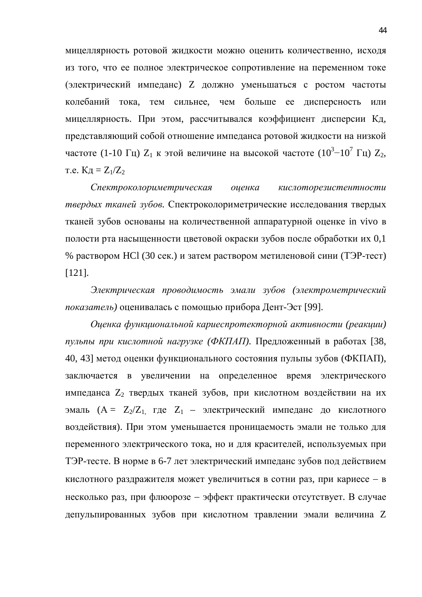мицеллярность ротовой жидкости можно оценить количественно, исходя из того, что ее полное электрическое сопротивление на переменном токе (электрический импеданс) Z должно уменьшаться с ростом частоты колебаний тока, тем сильнее, чем больше ее дисперсность или мицеллярность. При этом, рассчитывался коэффициент дисперсии Кд, представляющий собой отношение импеданса ротовой жидкости на низкой частоте (1-10 Гц)  $Z_1$  к этой величине на высокой частоте (10<sup>3</sup>-10<sup>7</sup> Гц)  $Z_2$ , т.е.  $K_{\text{A}} = Z_1/Z_2$ 

Спектроколориметрическая оценка кислоторезистентности *твердых тканей зубов.* Спектроколориметрические исследования твердых тканей зубов основаны на количественной аппаратурной оценке in vivo в полости рта насыщенности цветовой окраски зубов после обработки их 0,1 % раствором HCl (30 сек.) и затем раствором метиленовой сини (ТЭР-тест) [121].

Электрическая проводимость эмали зубов (электрометрический показатель) оценивалась с помощью прибора Дент-Эст [99].

*Ɉɰɟɧɤɚɮɭɧɤɰɢɨɧɚɥɶɧɨɣɤɚɪɢɟɫɩɪɨɬɟɤɬɨɪɧɨɣɚɤɬɢɜɧɨɫɬɢ (ɪɟɚɤɰɢɢ)* пульпы при кислотной нагрузке (ФКПАП). Предложенный в работах [38, 40, 43] метод оценки функционального состояния пульпы зубов (ФКПАП), заключается в увеличении на определенное время электрического импеданса  $Z_2$  твердых тканей зубов, при кислотном воздействии на их эмаль ( $A = Z_2/Z_1$ , где  $Z_1$  – электрический импеданс до кислотного воздействия). При этом уменьшается проницаемость эмали не только для переменного электрического тока, но и для красителей, используемых при ТЭР-тесте. В норме в 6-7 лет электрический импеданс зубов под действием кислотного раздражителя может увеличиться в сотни раз, при кариесе - в несколько раз, при флюорозе – эффект практически отсутствует. В случае депульпированных зубов при кислотном травлении эмали величина Z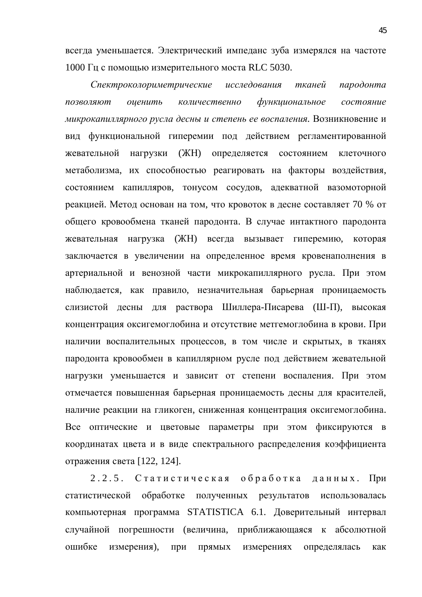всегда уменьшается. Электрический импеданс зуба измерялся на частоте 1000 Гц с помощью измерительного моста RLC 5030.

Спектроколориметрические исследования тканей пародонта позволяют оценить количественно функциональное состояние микрокапиллярного русла десны и степень ее воспаления. Возникновение и вид функциональной гиперемии под действием регламентированной жевательной нагрузки (ЖН) определяется состоянием клеточного метаболизма, их способностью реагировать на факторы воздействия, состоянием капилляров, тонусом сосудов, адекватной вазомоторной реакцией. Метод основан на том, что кровоток в десне составляет 70 % от общего кровообмена тканей пародонта. В случае интактного пародонта жевательная нагрузка (ЖН) всегда вызывает гиперемию, которая заключается в увеличении на определенное время кровенаполнения в артериальной и венозной части микрокапиллярного русла. При этом наблюдается, как правило, незначительная барьерная проницаемость слизистой десны для раствора Шиллера-Писарева (Ш-П), высокая концентрация оксигемоглобина и отсутствие метгемоглобина в крови. При наличии воспалительных процессов, в том числе и скрытых, в тканях пародонта кровообмен в капиллярном русле под действием жевательной нагрузки уменьшается и зависит от степени воспаления. При этом отмечается повышенная барьерная проницаемость десны для красителей, наличие реакции на гликоген, сниженная концентрация оксигемоглобина. Все оптические и цветовые параметры при этом фиксируются в координатах цвета и в виде спектрального распределения коэффициента отражения света [122, 124].

2.2.5. Статистическая обработка данных. При статистической обработке полученных результатов использовалась компьютерная программа STATISTICA 6.1. Доверительный интервал случайной погрешности (величина, приближающаяся к абсолютной ошибке измерения), при прямых измерениях определялась как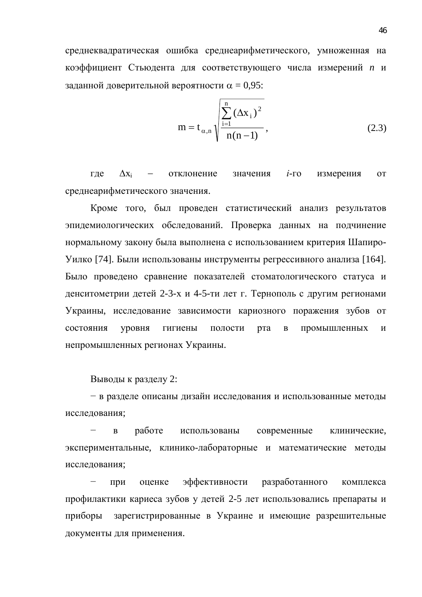среднеквадратическая ошибка среднеарифметического, умноженная на коэффициент Стьюдента для соответствующего числа измерений *n* и заданной доверительной вероятности  $\alpha = 0.95$ :

$$
m = t_{\alpha,n} \sqrt{\frac{\sum_{i=1}^{n} (\Delta x_i)^2}{n(n-1)}},
$$
\n(2.3)

где  $\Delta x_i$  – отклонение значения *i*-го измерения от среднеарифметического значения.

Кроме того, был проведен статистический анализ результатов эпидемиологических обследований. Проверка данных на подчинение нормальному закону была выполнена с использованием критерия Шапиро-Уилко [74]. Были использованы инструменты регрессивного анализа [164]. Было проведено сравнение показателей стоматологического статуса и денситометрии детей 2-3-х и 4-5-ти лет г. Тернополь с другим регионами Украины, исследование зависимости кариозного поражения зубов от состояния уровня гигиены полости рта в промышленных и непромышленных регионах Украины.

Выводы к разделу 2:

- в разделе описаны дизайн исследования и использованные методы исследования;

в работе использованы современные клинические. экспериментальные, клинико-лабораторные и математические методы исследования;

при оценке эффективности разработанного комплекса профилактики кариеса зубов у детей 2-5 лет использовались препараты и приборы зарегистрированные в Украине и имеющие разрешительные документы для применения.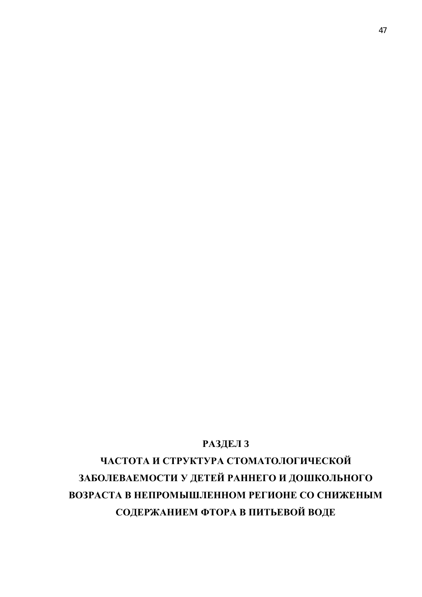## РАЗДЕЛ 3

ЧАСТОТА И СТРУКТУРА СТОМАТОЛОГИЧЕСКОЙ ЗАБОЛЕВАЕМОСТИ У ДЕТЕЙ РАННЕГО И ДОШКОЛЬНОГО **ВОЗРАСТА В НЕПРОМЫШЛЕННОМ РЕГИОНЕ СО СНИЖЕНЫМ** СОДЕРЖАНИЕМ ФТОРА В ПИТЬЕВОЙ ВОДЕ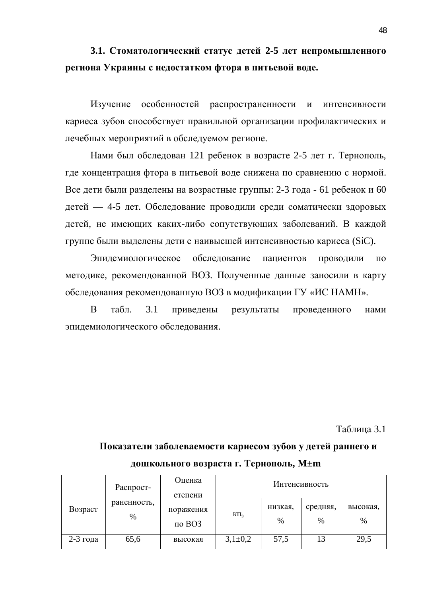## 3.1. Стоматологический статус детей 2-5 лет непромышленного **региона Украины с недостатком фтора в питьевой воде.**

Изучение особенностей распространенности и интенсивности кариеса зубов способствует правильной организации профилактических и лечебных мероприятий в обследуемом регионе.

Нами был обследован 121 ребенок в возрасте 2-5 лет г. Тернополь, где концентрация фтора в питьевой воде снижена по сравнению с нормой. Все дети были разделены на возрастные группы: 2-3 года - 61 ребенок и 60 детей — 4-5 лет. Обследование проводили среди соматически здоровых детей, не имеющих каких-либо сопутствующих заболеваний. В каждой группе были выделены дети с наивысшей интенсивностью кариеса (SiC).

Эпидемиологическое обследование пациентов проводили по методике, рекомендованной ВОЗ. Полученные данные заносили в карту обследования рекомендованную ВОЗ в модификации ГУ «ИС НАМН».

В табл. 3.1 приведены результаты проведенного нами эпидемиологического обследования.

Таблица 3.1

#### Bo<sub>3</sub>pact Распространенность, % Опенка степени поражения  $π$ ο BO3 Интенсивность KΠ<sub>3</sub> низкая, % средняя, % высокая, % 2-3 года | 65,6 | высокая | 3,1±0,2 | 57,5 | 13 | 29,5

## дошкольного возраста г. Тернополь, М±m

Показатели заболеваемости кариесом зубов у детей раннего и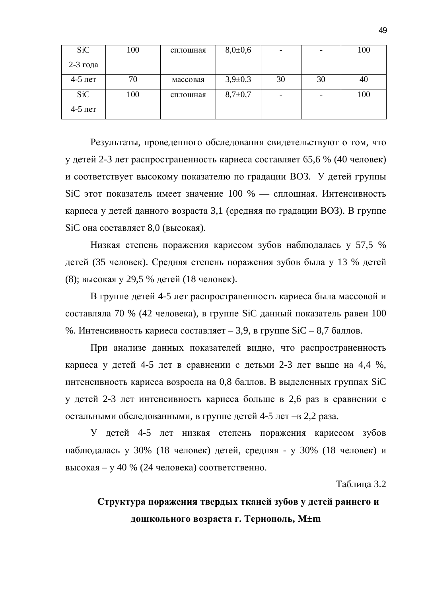| <b>SiC</b> | 100 | сплошная | $8,0{\pm}0,6$ | $\overline{\phantom{a}}$ |    | 100 |
|------------|-----|----------|---------------|--------------------------|----|-----|
| $2-3$ года |     |          |               |                          |    |     |
| $4-5$ лет  | 70  | массовая | $3,9+0,3$     | 30                       | 30 | 40  |
| <b>SiC</b> | 100 | сплошная | $8,7+0,7$     | $\overline{\phantom{0}}$ |    | 100 |
| 4-5 лет    |     |          |               |                          |    |     |

Результаты, проведенного обследования свидетельствуют о том, что у детей 2-3 лет распространенность кариеса составляет 65,6 % (40 человек) и соответствует высокому показателю по градации ВОЗ. У детей группы SiC этот показатель имеет значение 100 % — сплошная. Интенсивность кариеса у детей данного возраста 3,1 (средняя по градации ВОЗ). В группе SiC она составляет 8,0 (высокая).

Низкая степень поражения кариесом зубов наблюдалась у 57,5 % детей (35 человек). Средняя степень поражения зубов была у 13 % детей (8); высокая у 29,5 % детей (18 человек).

В группе детей 4-5 лет распространенность кариеса была массовой и составляла 70 % (42 человека), в группе SiC данный показатель равен 100 %. Интенсивность кариеса составляет – 3,9, в группе  $SiC - 8,7$  баллов.

При анализе данных показателей видно, что распространенность кариеса у детей 4-5 лет в сравнении с детьми 2-3 лет выше на 4,4 %, интенсивность кариеса возросла на 0,8 баллов. В выделенных группах SiC у детей 2-3 лет интенсивность кариеса больше в 2,6 раз в сравнении с остальными обследованными, в группе детей 4-5 лет –в 2,2 раза.

У детей 4-5 лет низкая степень поражения кариесом зубов наблюдалась у 30% (18 человек) детей, средняя - у 30% (18 человек) и высокая – у 40 % (24 человека) соответственно.

Таблица 3.2

## Структура поражения твердых тканей зубов у детей раннего и дошкольного возраста г. Тернополь, М±m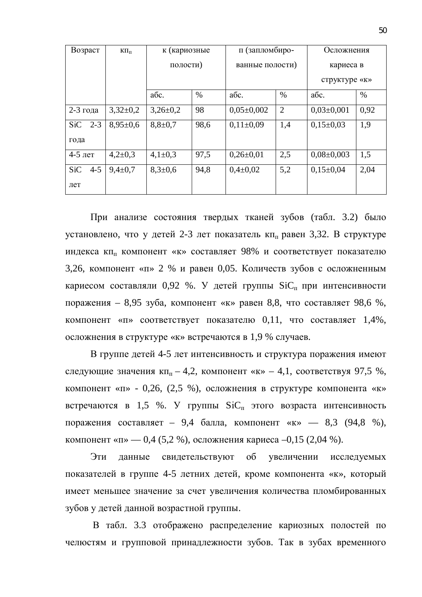| Возраст               | $K\Pi_{\Pi}$   | к (кариозные  |      | п (запломбиро-   |                 | Осложнения       |           |  |
|-----------------------|----------------|---------------|------|------------------|-----------------|------------------|-----------|--|
|                       |                | полости)      |      |                  | ванные полости) |                  | кариеса в |  |
|                       |                |               |      |                  |                 | структуре «к»    |           |  |
|                       |                | абс.          | $\%$ | абс.             | $\%$            | абс.             | $\%$      |  |
| $2-3$ года            | $3,32\pm0,2$   | $3,26\pm0.2$  | 98   | $0.05 \pm 0.002$ | $\overline{2}$  | $0.03 \pm 0.001$ | 0,92      |  |
| $2 - 3$<br><b>SiC</b> | $8,95 \pm 0.6$ | $8,8 \pm 0.7$ | 98,6 | $0,11\pm0,09$    | 1,4             | $0,15\pm0.03$    | 1,9       |  |
| года                  |                |               |      |                  |                 |                  |           |  |
| $4-5$ лет             | $4,2{\pm}0,3$  | $4,1\pm0,3$   | 97,5 | $0,26\pm0.01$    | 2,5             | $0,08\pm0,003$   | 1,5       |  |
| <b>SiC</b><br>$4 - 5$ | $9,4\pm0.7$    | $8,3{\pm}0,6$ | 94,8 | $0,4\pm0,02$     | 5,2             | $0,15\pm0.04$    | 2,04      |  |
| лет                   |                |               |      |                  |                 |                  |           |  |

При анализе состояния твердых тканей зубов (табл. 3.2) было установлено, что у детей 2-3 лет показатель кп<sub>п</sub> равен 3,32. В структуре индекса кп<sub>п</sub> компонент «к» составляет 98% и соответствует показателю 3,26, компонент «п» 2 % и равен 0,05. Количеств зубов с осложненным кариесом составляли 0,92 %. У детей группы  $\text{SiC}_{\text{H}}$  при интенсивности поражения – 8,95 зуба, компонент «к» равен 8,8, что составляет 98,6 %, компонент «п» соответствует показателю 0,11, что составляет 1,4%, осложнения в структуре «к» встречаются в 1,9 % случаев.

В группе детей 4-5 лет интенсивность и структура поражения имеют следующие значения  $\kappa \Pi_{\text{II}} - 4.2$ , компонент «к» – 4,1, соответствуя 97,5 %, компонент «п» - 0,26, (2,5 %), осложнения в структуре компонента «к» встречаются в 1,5 %. У группы  $SiC<sub>π</sub>$  этого возраста интенсивность поражения составляет – 9,4 балла, компонент «к» — 8,3 (94,8 %), компонент «п» — 0,4 (5,2 %), осложнения кариеса –0,15 (2,04 %).

Эти данные свидетельствуют об увеличении исследуемых показателей в группе 4-5 летних детей, кроме компонента «к», который имеет меньшее значение за счет увеличения количества пломбированных зубов у детей данной возрастной группы.

В табл. 3.3 отображено распределение кариозных полостей по челюстям и групповой принадлежности зубов. Так в зубах временного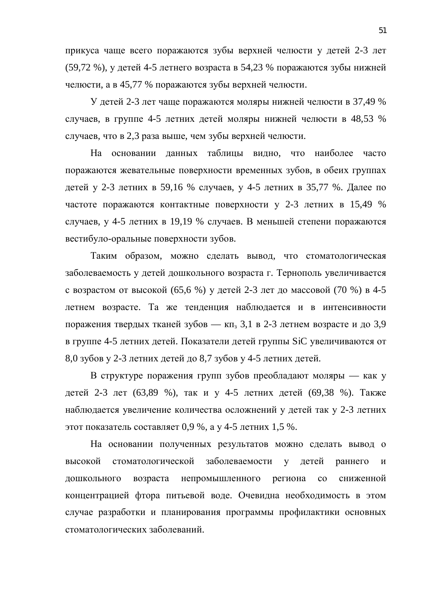прикуса чаще всего поражаются зубы верхней челюсти у детей 2-3 лет (59,72 %), у детей 4-5 летнего возраста в 54,23 % поражаются зубы нижней челюсти, а в 45,77 % поражаются зубы верхней челюсти.

У детей 2-3 лет чаще поражаются моляры нижней челюсти в 37,49 % случаев, в группе 4-5 летних детей моляры нижней челюсти в 48.53 % случаев, что в 2,3 раза выше, чем зубы верхней челюсти.

На основании данных таблицы видно, что наиболее часто поражаются жевательные поверхности временных зубов, в обеих группах детей у 2-3 летних в 59,16 % случаев, у 4-5 летних в 35,77 %. Далее по частоте поражаются контактные поверхности у 2-3 летних в 15.49 % случаев, у 4-5 летних в 19,19 % случаев. В меньшей степени поражаются вестибуло-оральные поверхности зубов.

Таким образом, можно сделать вывод, что стоматологическая заболеваемость у детей дошкольного возраста г. Тернополь увеличивается с возрастом от высокой  $(65,6\%)$  у детей 2-3 лет до массовой  $(70\%)$  в 4-5 летнем возрасте. Та же тенденция наблюдается и в интенсивности поражения твердых тканей зубов — кп<sub>з</sub> 3,1 в 2-3 летнем возрасте и до 3,9 в группе 4-5 летних детей. Показатели детей группы SiC увеличиваются от  $8,0$  зубов у 2-3 летних детей до  $8,7$  зубов у 4-5 летних детей.

В структуре поражения групп зубов преобладают моляры — как у детей 2-3 лет (63,89 %), так и у 4-5 летних детей (69,38 %). Также наблюдается увеличение количества осложнений у детей так у 2-3 летних этот показатель составляет 0,9 %, а у 4-5 летних 1,5 %.

На основании полученных результатов можно сделать вывод о высокой стоматологической заболеваемости у детей раннего и дошкольного возраста непромышленного региона со сниженной концентрацией фтора питьевой воде. Очевидна необходимость в этом случае разработки и планирования программы профилактики основных стоматологических заболеваний.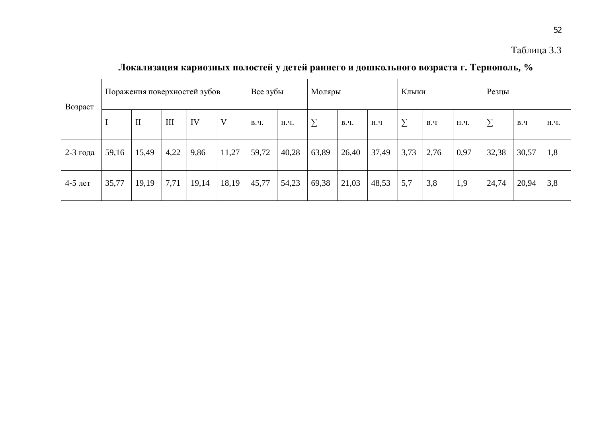### Таблица 3.3

52

Возраст Поражения поверхностей зубов Все зубы Моляры Клыки | Кления  $\text{I} \qquad \text{III} \quad \text{IV} \qquad \text{I} \qquad \text{B.u.} \quad \text{H.u.} \quad \text{I} \sum \quad \text{B.u.} \quad \text{I} \quad \text{B.u.} \quad \text{I} \quad \text{I} \quad \text{I} \quad \text{I} \quad \text{I} \quad \text{I} \quad \text{I} \quad \text{I} \quad \text{I} \quad \text{I} \quad \text{I} \quad \text{I} \quad \text{I} \quad \text{I} \quad \text{I} \quad \text{I} \quad \text{I} \quad \text{I} \quad \text{I} \quad \text{$ 2-3 года | 59,16 | 15,49 | 4,22 | 9,86 | 11,27 | 59,72 | 40,28 | 63,89 | 26,40 | 37,49 | 3,73 | 2,76 | 0,97 | 32,38 | 30,57 | 1,8 4-5 лет | 35,77 | 19,19 | 7,71 | 19,14 | 18,19 | 45,77 | 54,23 | 69,38 | 21,03 | 48,53 | 5,7 | 3,8 | 1,9 | 24,74 | 20,94 | 3,8

**Локализация кариозных полостей у детей раннего и дошкольного возраста г. Тернополь, %**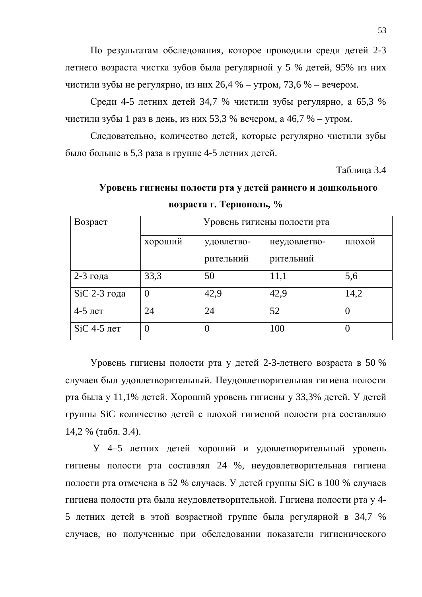По результатам обследования, которое проводили среди детей 2-3 детнего возраста чистка зубов была регулярной у 5 % детей, 95% из них чистили зубы не регулярно, из них 26,4 % – утром, 73,6 % – вечером.

Среди 4-5 летних детей 34,7 % чистили зубы регулярно, а 65,3 % чистили зубы 1 раз в день, из них 53,3 % вечером, а 46,7 % – утром.

Следовательно, количество детей, которые регулярно чистили зубы было больше в 5,3 раза в группе 4-5 летних детей.

Таблица 3.4

## **Уровень гигиены полости рта у детей раннего и дошкольного возраста г. Тернополь, %**

| Возраст       | Уровень гигиены полости рта |            |              |          |  |  |  |
|---------------|-----------------------------|------------|--------------|----------|--|--|--|
|               | хороший                     | удовлетво- | неудовлетво- | плохой   |  |  |  |
|               |                             | рительний  | рительний    |          |  |  |  |
| $2-3$ года    | 33,3                        | 50         | 11,1         | 5,6      |  |  |  |
| SiC 2-3 года  | 0                           | 42,9       | 42,9         | 14,2     |  |  |  |
| $4-5$ лет     | 24                          | 24         | 52           | $\theta$ |  |  |  |
| $SiC$ 4-5 лет | $\theta$                    | $\theta$   | 100          | $\theta$ |  |  |  |

Уровень гигиены полости рта у детей 2-3-летнего возраста в 50 % случаев был удовлетворительный. Неудовлетворительная гигиена полости рта была у 11,1% детей. Хороший уровень гигиены у 33,3% детей. У детей группы SiC количество детей с плохой гигиеной полости рта составляло 14,2 % (табл. 3.4).

У 4–5 летних детей хороший и удовлетворительный уровень гигиены полости рта составлял 24 %, неудовлетворительная гигиена полости рта отмечена в 52 % случаев. У детей группы SiC в 100 % случаев гигиена полости рта была неудовлетворительной. Гигиена полости рта у 4-5 летних детей в этой возрастной группе была регулярной в 34,7 % случаев, но полученные при обследовании показатели гигиенического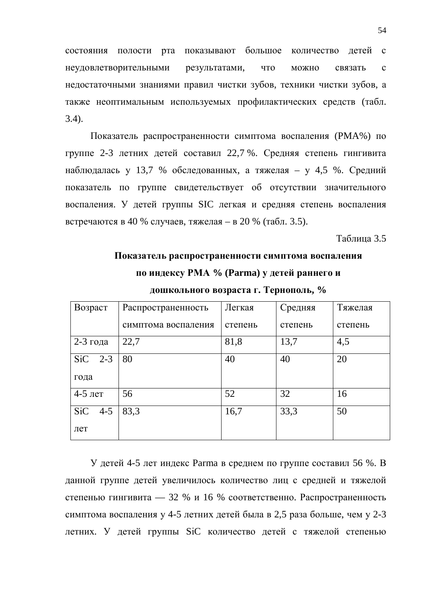состояния полости рта показывают большое количество детей с неудовлетворительными результатами, что можно связать с недостаточными знаниями правил чистки зубов, техники чистки зубов, а также неоптимальным используемых профилактических средств (табл. 3.4).

Показатель распространенности симптома воспаления (РМА%) по группе 2-3 летних детей составил 22,7 %. Средняя степень гингивита наблюдалась у 13,7 % обследованных, а тяжелая – у 4,5 %. Средний показатель по группе свидетельствует об отсутствии значительного воспаления. У детей группы SIC легкая и средняя степень воспаления встречаются в 40 % случаев, тяжелая – в 20 % (табл. 3.5).

#### Таблина 3.5

# Показатель распространенности симптома воспаления по индексу РМА % (Parma) у детей раннего и

дошкольного возраста г. Тернополь, %

| Возраст               | Распространенность  | Легкая  | Средняя | Тяжелая |
|-----------------------|---------------------|---------|---------|---------|
|                       | симптома воспаления | степень | степень | степень |
| $2-3$ года            | 22,7                | 81,8    | 13,7    | 4,5     |
| SiC<br>$2 - 3$        | 80                  | 40      | 40      | 20      |
| года                  |                     |         |         |         |
| $4-5$ лет             | 56                  | 52      | 32      | 16      |
| <b>SiC</b><br>$4 - 5$ | 83,3                | 16,7    | 33,3    | 50      |
| лет                   |                     |         |         |         |

У детей 4-5 лет индекс Parma в среднем по группе составил 56 %. В данной группе детей увеличилось количество лиц с средней и тяжелой степенью гингивита — 32 % и 16 % соответственно. Распространенность симптома воспаления у 4-5 летних детей была в 2,5 раза больше, чем у 2-3 летних. У детей группы SiC количество детей с тяжелой степенью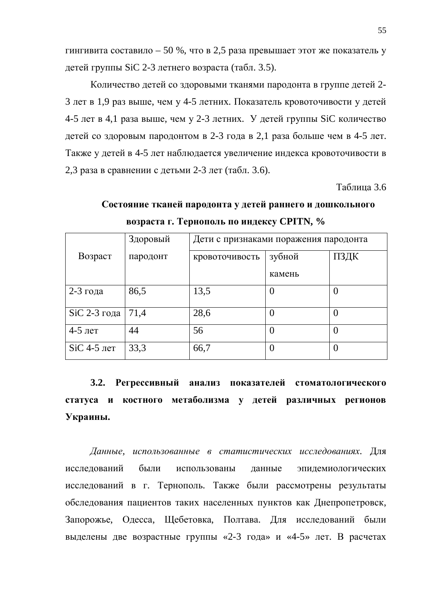гингивита составило – 50 %, что в 2,5 раза превышает этот же показатель у детей группы SiC 2-3 летнего возраста (табл. 3.5).

Количество детей со здоровыми тканями пародонта в группе детей 2-3 лет в 1,9 раз выше, чем у 4-5 летних. Показатель кровоточивости у детей 4-5 лет в 4,1 раза выше, чем у 2-3 летних. У детей группы SiC количество детей со здоровым пародонтом в 2-3 года в 2,1 раза больше чем в 4-5 лет. Также у детей в 4-5 лет наблюдается увеличение индекса кровоточивости в 2,3 раза в сравнении с детьми 2-3 лет (табл. 3.6).

Таблина 3.6

|               | Здоровый<br>Дети с признаками поражения пародонта |                |                |      |  |  |
|---------------|---------------------------------------------------|----------------|----------------|------|--|--|
| Возраст       | пародонт                                          | кровоточивость | зубной         | ПЗДК |  |  |
|               |                                                   |                | камень         |      |  |  |
| $2-3$ года    | 86,5                                              | 13,5           | $\theta$       |      |  |  |
| SiC 2-3 года  | 71,4                                              | 28,6           | $\overline{0}$ |      |  |  |
| $4-5$ лет     | 44                                                | 56             | $\theta$       | O    |  |  |
| $SiC$ 4-5 лет | 33,3                                              | 66,7           | $\theta$       |      |  |  |

Состояние тканей пародонта у детей раннего и дошкольного **ɜɨɡɪɚɫɬɚɝ. Ɍɟɪɧɨɩɨɥɶɩɨɢɧɞɟɤɫɭ CPITN, %**

3.2. Регрессивный анализ показателей стоматологического статуса и костного метаболизма у детей различных регионов **Украины.** 

Данные, использованные в статистических исследованиях. Для исследований были использованы данные эпидемиологических исследований в г. Тернополь. Также были рассмотрены результаты обследования пациентов таких населенных пунктов как Днепропетровск, Запорожье, Одесса, Щебетовка, Полтава. Для исследований были выделены две возрастные группы «2-3 года» и «4-5» лет. В расчетах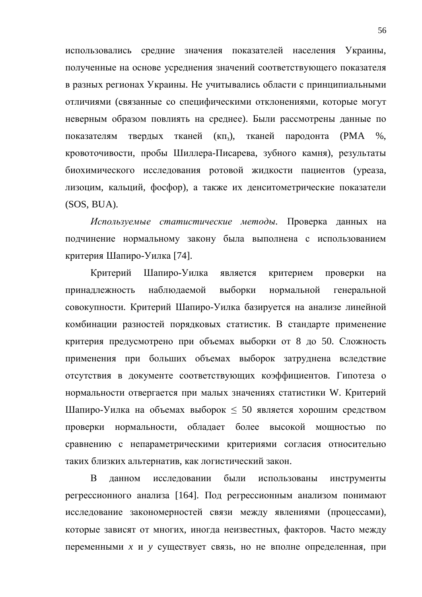использовались средние значения показателей населения Украины, полученные на основе усреднения значений соответствующего показателя в разных регионах Украины. Не учитывались области с принципиальными отличиями (связанные со специфическими отклонениями, которые могут неверным образом повлиять на среднее). Были рассмотрены данные по показателям твердых тканей (кп<sub>3</sub>), тканей пародонта (РМА %, кровоточивости, пробы Шиллера-Писарева, зубного камня), результаты биохимического исследования ротовой жидкости пациентов (уреаза, лизоцим, кальций, фосфор), а также их денситометрические показатели (SOS, BUA).

Используемые статистические методы. Проверка данных на подчинение нормальному закону была выполнена с использованием критерия Шапиро-Уилка [74].

Критерий Шапиро-Уилка является критерием проверки на принадлежность наблюдаемой выборки нормальной генеральной совокупности. Критерий Шапиро-Уилка базируется на анализе линейной комбинации разностей порядковых статистик. В стандарте применение критерия предусмотрено при объемах выборки от 8 до 50. Сложность применения при больших объемах выборок затруднена вследствие отсутствия в документе соответствующих коэффициентов. Гипотеза о нормальности отвергается при малых значениях статистики W. Критерий Шапиро-Уилка на объемах выборок  $\leq 50$  является хорошим средством проверки нормальности, обладает более высокой мощностью по сравнению с непараметрическими критериями согласия относительно таких близких альтернатив, как логистический закон.

В данном исследовании были использованы инструменты регрессионного анализа [164]. Под регрессионным анализом понимают исследование закономерностей связи между явлениями (процессами), которые зависят от многих, иногда неизвестных, факторов. Часто между переменными *х* и у существует связь, но не вполне определенная, при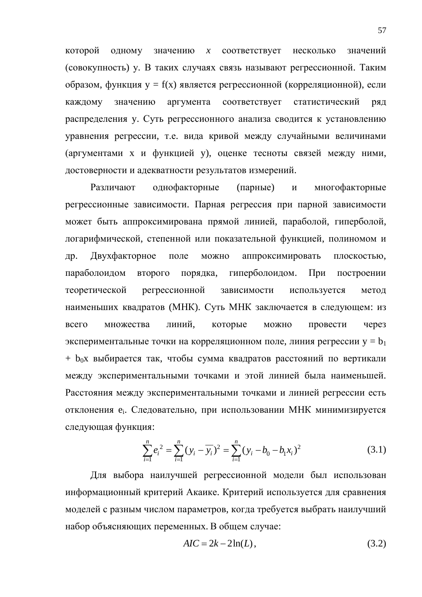которой одному значению *х* соответствует несколько значений (совокупность) у. В таких случаях связь называют регрессионной. Таким  $\sigma$ бразом, функция у = f(x) является регрессионной (корреляционной), если каждому значению аргумента соответствует статистический ряд распределения у. Суть регрессионного анализа сводится к установлению уравнения регрессии, т.е. вида кривой между случайными величинами (аргументами х и функцией у), оценке тесноты связей между ними, достоверности и адекватности результатов измерений.

Различают однофакторные (парные) и многофакторные регрессионные зависимости. Парная регрессия при парной зависимости может быть аппроксимирована прямой линией, параболой, гиперболой, логарифмической, степенной или показательной функцией, полиномом и др. Двухфакторное поле можно аппроксимировать плоскостью, параболоидом второго порядка, гиперболоидом. При построении теоретической регрессионной зависимости используется метод наименьших квадратов (МНК). Суть МНК заключается в следующем: из всего множества линий, которые можно провести через экспериментальные точки на корреляционном поле, линия регрессии  $y = b_1$  $+$  b<sub>0</sub>x выбирается так, чтобы сумма квадратов расстояний по вертикали между экспериментальными точками и этой линией была наименьшей. Расстояния между экспериментальными точками и линией регрессии есть отклонения е<sub>і</sub>. Следовательно, при использовании МНК минимизируется следующая функция:

$$
\sum_{i=1}^{n} e_i^2 = \sum_{i=1}^{n} (y_i - \overline{y_i})^2 = \sum_{i=1}^{n} (y_i - b_0 - b_1 x_i)^2
$$
 (3.1)

Для выбора наилучшей регрессионной модели был использован информационный критерий Акаике. Критерий используется для сравнения моделей с разным числом параметров, когда требуется выбрать наилучший набор объясняющих переменных. В общем случае:

$$
AIC = 2k - 2\ln(L),\tag{3.2}
$$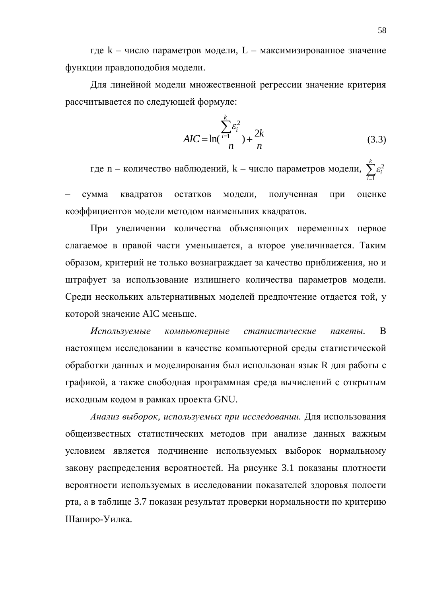где  $k$  – число параметров модели,  $L$  – максимизированное значение функции правдоподобия модели.

Для линейной модели множественной регрессии значение критерия рассчитывается по следующей формуле:

$$
AIC = \ln(\frac{\sum_{i=1}^{k} \varepsilon_i^2}{n}) + \frac{2k}{n}
$$
 (3.3)

где n – количество наблюдений, k – число параметров модели,  $\sum \varepsilon_i^2$ 1 *k i i*  $\mathcal E$  $\sum_{i=1}$ 

сумма квадратов остатков модели, полученная при оценке коэффициентов модели методом наименьших квадратов.

При увеличении количества объясняющих переменных первое слагаемое в правой части уменьшается, а второе увеличивается. Таким образом, критерий не только вознаграждает за качество приближения, но и штрафует за использование излишнего количества параметров модели. Среди нескольких альтернативных моделей предпочтение отдается той, у которой значение AIC меньше.

Используемые компьютерные статистические пакеты. В настоящем исследовании в качестве компьютерной среды статистической обработки данных и моделирования был использован язык R для работы с графикой, а также свободная программная среда вычислений с открытым исходным кодом в рамках проекта GNU.

Анализ выборок, используемых при исследовании. Для использования общеизвестных статистических методов при анализе данных важным условием является подчинение используемых выборок нормальному закону распределения вероятностей. На рисунке 3.1 показаны плотности вероятности используемых в исследовании показателей здоровья полости рта, а в таблице 3.7 показан результат проверки нормальности по критерию Шапиро-Уилка.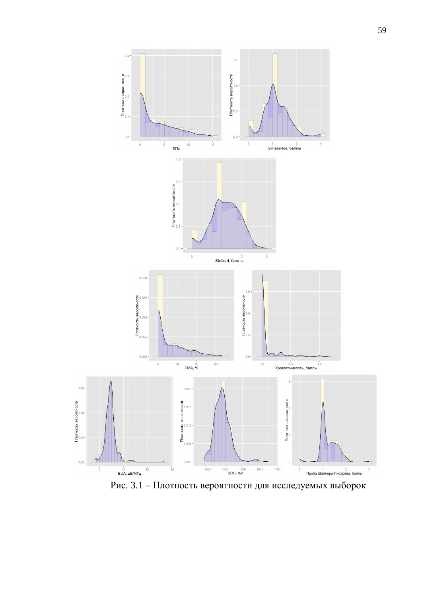

Рис. 3.1 – Плотность вероятности для исследуемых выборок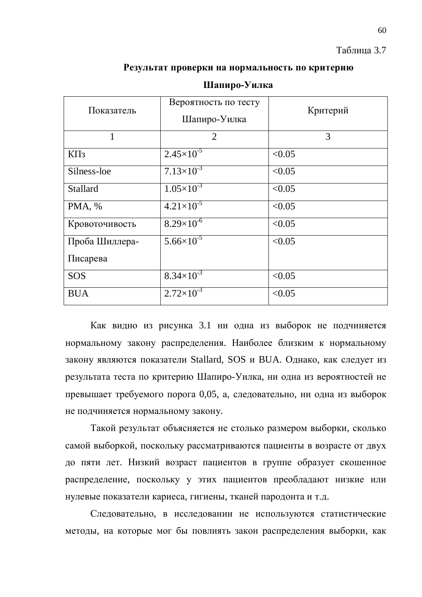### Таблица 3.7

### Результат проверки на нормальность по критерию

| Показатель      | Вероятность по тесту<br>Шапиро-Уилка | Критерий |  |  |
|-----------------|--------------------------------------|----------|--|--|
| 1               | $\overline{2}$                       | 3        |  |  |
| $K\Pi_3$        | $2.45\times10^{-5}$                  | < 0.05   |  |  |
| Silness-loe     | $7.13\times10^{-3}$                  | < 0.05   |  |  |
| <b>Stallard</b> | $1.05 \times 10^{-3}$                | < 0.05   |  |  |
| PMA, %          | $4.21\times10^{-5}$                  | < 0.05   |  |  |
| Кровоточивость  | $8.29 \times 10^{-6}$                | < 0.05   |  |  |
| Проба Шиллера-  | $5.66 \times 10^{-5}$                | < 0.05   |  |  |
| Писарева        |                                      |          |  |  |
| <b>SOS</b>      | $8.34\times10^{-3}$                  | < 0.05   |  |  |
| <b>BUA</b>      | $2.72\times10^{-3}$                  | < 0.05   |  |  |

### **Шапиро-Уилка**

Как видно из рисунка 3.1 ни одна из выборок не подчиняется нормальному закону распределения. Наиболее близким к нормальному закону являются показатели Stallard, SOS и BUA. Однако, как следует из результата теста по критерию Шапиро-Уилка, ни одна из вероятностей не превышает требуемого порога 0,05, а, следовательно, ни одна из выборок не подчиняется нормальному закону.

Такой результат объясняется не столько размером выборки, сколько самой выборкой, поскольку рассматриваются пациенты в возрасте от двух до пяти лет. Низкий возраст пациентов в группе образует скошенное распределение, поскольку у этих пациентов преобладают низкие или нулевые показатели кариеса, гигиены, тканей пародонта и т.д.

Следовательно, в исследовании не используются статистические методы, на которые мог бы повлиять закон распределения выборки, как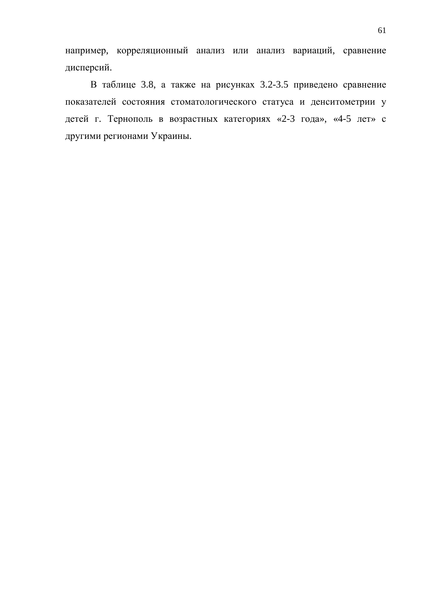например, корреляционный анализ или анализ вариаций, сравнение дисперсий.

В таблице 3.8, а также на рисунках 3.2-3.5 приведено сравнение показателей состояния стоматологического статуса и денситометрии у детей г. Тернополь в возрастных категориях «2-3 года», «4-5 лет» с другими регионами Украины.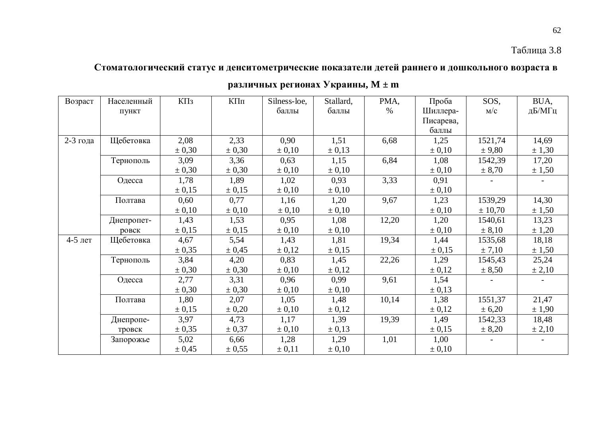## Таблица 3.8

## Стоматологический статус и денситометрические показатели детей раннего и дошкольного возраста в

| Возраст  | Населенный | $K\Pi$ з   | КПп        | Silness-loe, | Stallard,  | PMA,  | Проба      | SOS,       | BUA,   |
|----------|------------|------------|------------|--------------|------------|-------|------------|------------|--------|
|          | ПУНКТ      |            |            | баллы        | баллы      | $\%$  | Шиллера-   | M/C        | дБ/МГц |
|          |            |            |            |              |            |       | Писарева,  |            |        |
|          |            |            |            |              |            |       | баллы      |            |        |
| 2-3 года | Щебетовка  | 2,08       | 2,33       | 0,90         | 1,51       | 6,68  | 1,25       | 1521,74    | 14,69  |
|          |            | $\pm 0,30$ | $\pm 0,30$ | $\pm 0,10$   | $\pm 0.13$ |       | $\pm 0,10$ | ± 9,80     | ± 1,30 |
|          | Тернополь  | 3,09       | 3,36       | 0,63         | 1,15       | 6,84  | 1,08       | 1542,39    | 17,20  |
|          |            | $\pm 0,30$ | $\pm 0,30$ | $\pm 0,10$   | $\pm 0,10$ |       | $\pm 0.10$ | ± 8,70     | ± 1,50 |
|          | Одесса     | 1,78       | 1,89       | 1,02         | 0,93       | 3,33  | 0,91       |            |        |
|          |            | $\pm 0.15$ | ± 0,15     | $\pm 0,10$   | $\pm 0,10$ |       | $\pm 0,10$ |            |        |
|          | Полтава    | 0,60       | 0,77       | 1,16         | 1,20       | 9,67  | 1,23       | 1539,29    | 14,30  |
|          |            | $\pm 0.10$ | $\pm 0.10$ | $\pm 0,10$   | $\pm 0,10$ |       | $\pm 0.10$ | ± 10,70    | ± 1,50 |
|          | Днепропет- | 1,43       | 1,53       | 0,95         | 1,08       | 12,20 | 1,20       | 1540,61    | 13,23  |
|          | ровск      | $\pm 0.15$ | ± 0,15     | $\pm 0,10$   | $\pm 0,10$ |       | $\pm 0.10$ | $\pm 8,10$ | ± 1,20 |
| 4-5 лет  | Щебетовка  | 4,67       | 5,54       | 1,43         | 1,81       | 19,34 | 1,44       | 1535,68    | 18,18  |
|          |            | $\pm 0.35$ | ± 0,45     | $\pm 0.12$   | $\pm 0.15$ |       | ± 0,15     | ± 7,10     | ± 1,50 |
|          | Тернополь  | 3,84       | 4,20       | 0,83         | 1,45       | 22,26 | 1,29       | 1545,43    | 25,24  |
|          |            | $\pm 0,30$ | $\pm 0,30$ | $\pm 0,10$   | $\pm 0.12$ |       | $\pm 0.12$ | ± 8,50     | ± 2,10 |
|          | Одесса     | 2,77       | 3,31       | 0,96         | 0,99       | 9,61  | 1,54       |            |        |
|          |            | $\pm 0,30$ | $\pm 0,30$ | $\pm 0.10$   | $\pm 0.10$ |       | ± 0,13     |            |        |
|          | Полтава    | 1,80       | 2,07       | 1,05         | 1,48       | 10,14 | 1,38       | 1551,37    | 21,47  |
|          |            | $\pm 0.15$ | $\pm 0,20$ | $\pm 0,10$   | $\pm 0.12$ |       | $\pm 0.12$ | ± 6,20     | ± 1,90 |
|          | Днепропе-  | 3,97       | 4,73       | 1,17         | 1,39       | 19,39 | 1,49       | 1542,33    | 18,48  |
|          | тровск     | $\pm 0.35$ | $\pm 0.37$ | $\pm 0,10$   | ± 0,13     |       | ± 0,15     | ± 8,20     | ± 2,10 |
|          | Запорожье  | 5,02       | 6,66       | 1,28         | 1,29       | 1,01  | 1,00       |            |        |
|          |            | $\pm 0.45$ | $\pm 0.55$ | $\pm 0.11$   | $\pm 0,10$ |       | $\pm 0.10$ |            |        |

## **различных регионах Украины, М ± m**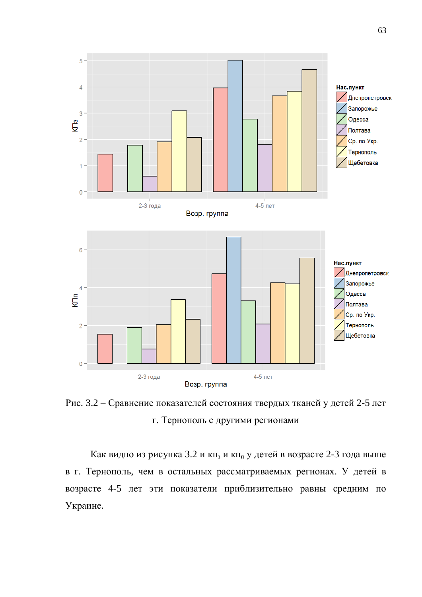

Рис. 3.2 – Сравнение показателей состояния твердых тканей у детей 2-5 лет г. Тернополь с другими регионами

Как видно из рисунка 3.2 и кп<sub>з</sub> и кп<sub>п</sub> у детей в возрасте 2-3 года выше в г. Тернополь, чем в остальных рассматриваемых регионах. У детей в возрасте 4-5 лет эти показатели приблизительно равны средним по Украине.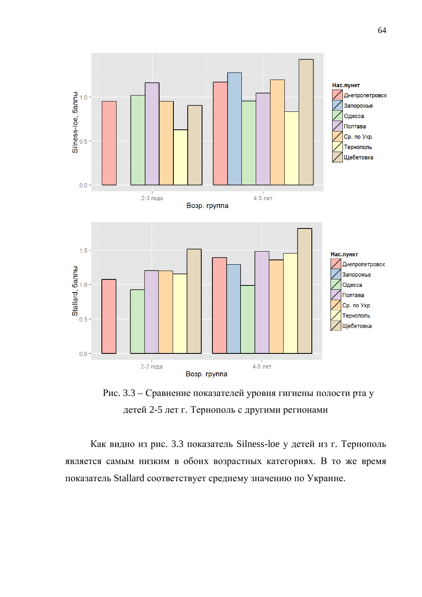

Рис. 3.3 – Сравнение показателей уровня гигиены полости рта у детей 2-5 лет г. Тернополь с другими регионами

Как видно из рис. 3.3 показатель Silness-loe у детей из г. Тернополь является самым низким в обоих возрастных категориях. В то же время показатель Stallard соответствует среднему значению по Украине.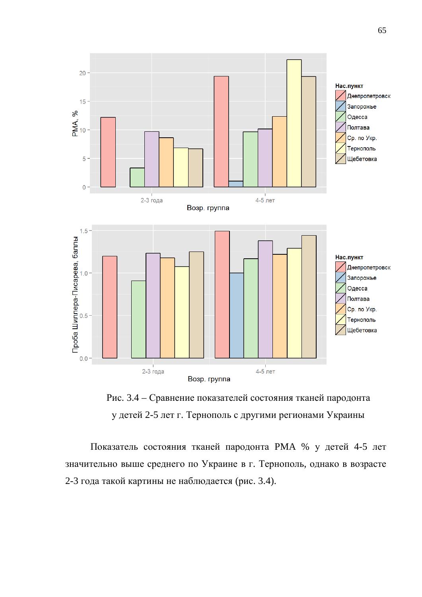

Рис. 3.4 – Сравнение показателей состояния тканей пародонта у детей 2-5 лет г. Тернополь с другими регионами Украины

Показатель состояния тканей пародонта РМА % у детей 4-5 лет значительно выше среднего по Украине в г. Тернополь, однако в возрасте 2-3 года такой картины не наблюдается (рис. 3.4).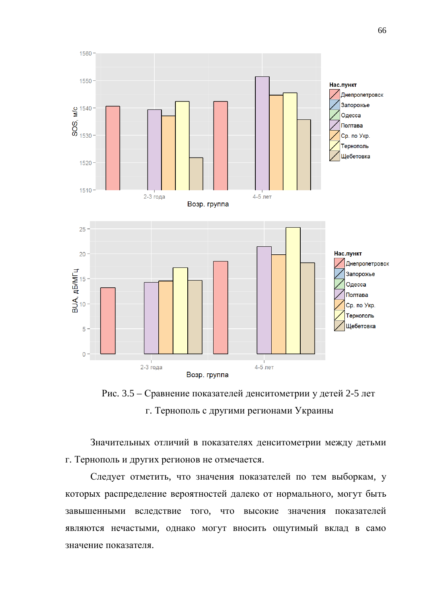

Рис. 3.5 – Сравнение показателей денситометрии у детей 2-5 лет г. Тернополь с другими регионами Украины

Значительных отличий в показателях денситометрии между детьми г. Тернополь и других регионов не отмечается.

Следует отметить, что значения показателей по тем выборкам, у которых распределение вероятностей далеко от нормального, могут быть завышенными вследствие того, что высокие значения показателей являются нечастыми, однако могут вносить ощутимый вклад в само значение показателя.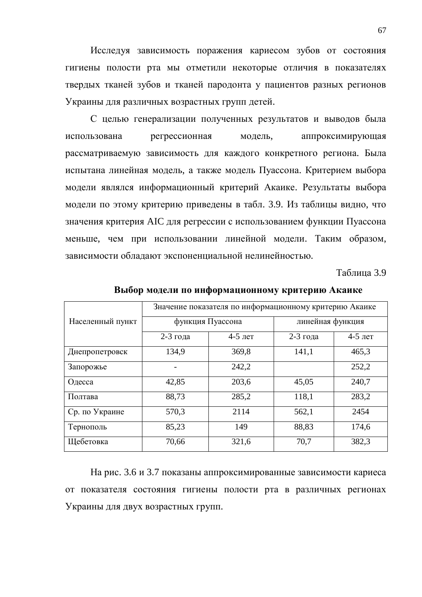Исследуя зависимость поражения кариесом зубов от состояния гигиены полости рта мы отметили некоторые отличия в показателях твердых тканей зубов и тканей пародонта у пациентов разных регионов Украины для различных возрастных групп детей.

С целью генерализации полученных результатов и выводов была использована регрессионная модель, аппроксимирующая рассматриваемую зависимость для каждого конкретного региона. Была испытана линейная модель, а также модель Пуассона. Критерием выбора модели являлся информационный критерий Акаике. Результаты выбора модели по этому критерию приведены в табл. 3.9. Из таблицы видно, что значения критерия AIC для регрессии с использованием функции Пуассона меньше, чем при использовании линейной модели. Таким образом, зависимости обладают экспоненциальной нелинейностью.

Таблица 3.9

|                  | Значение показателя по информационному критерию Акаике |           |                  |           |  |  |  |  |
|------------------|--------------------------------------------------------|-----------|------------------|-----------|--|--|--|--|
| Населенный пункт | функция Пуассона                                       |           | линейная функция |           |  |  |  |  |
|                  | 2-3 года                                               | $4-5$ лет | $2-3$ года       | $4-5$ лет |  |  |  |  |
| Днепропетровск   | 134,9                                                  | 369,8     | 141,1            | 465,3     |  |  |  |  |
| Запорожье        |                                                        | 242,2     |                  | 252,2     |  |  |  |  |
| Одесса           | 42,85                                                  | 203,6     | 45,05            | 240,7     |  |  |  |  |
| Полтава          | 88,73                                                  | 285,2     | 118,1            | 283,2     |  |  |  |  |
| Ср. по Украине   | 570,3                                                  | 2114      | 562,1            | 2454      |  |  |  |  |
| Тернополь        | 85,23                                                  | 149       | 88,83            | 174,6     |  |  |  |  |
| Щебетовка        | 70,66                                                  | 321,6     | 70,7             | 382,3     |  |  |  |  |

**Выбор модели по информационному критерию Акаике** 

На рис. 3.6 и 3.7 показаны аппроксимированные зависимости кариеса от показателя состояния гигиены полости рта в различных регионах Украины для двух возрастных групп.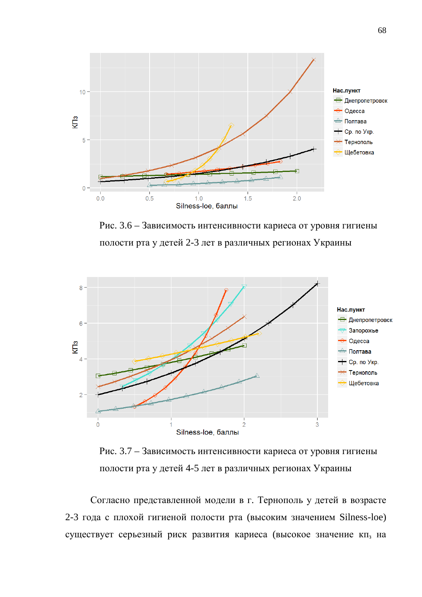

Рис. 3.6 – Зависимость интенсивности кариеса от уровня гигиены полости рта у детей 2-3 лет в различных регионах Украины



Рис. 3.7 – Зависимость интенсивности кариеса от уровня гигиены полости рта у детей 4-5 лет в различных регионах Украины

Согласно представленной модели в г. Тернополь у детей в возрасте 2-3 года с плохой гигиеной полости рта (высоким значением Silness-loe) существует серьезный риск развития кариеса (высокое значение кп<sub>з</sub> на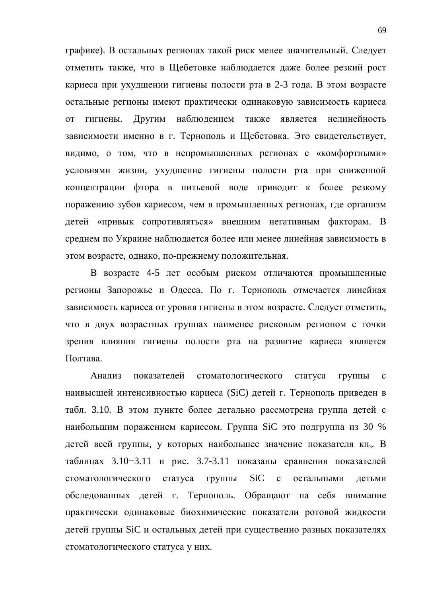графике). В остальных регионах такой риск менее значительный. Следует отметить также, что в Щебетовке наблюдается даже более резкий рост кариеса при ухудшении гигиены полости рта в 2-3 года. В этом возрасте остальные регионы имеют практически одинаковую зависимость кариеса от гигиены. Другим наблюдением также является нелинейность зависимости именно в г. Тернополь и Щебетовка. Это свидетельствует, видимо, о том, что в непромышленных регионах с «комфортными» условиями жизни, ухудшение гигиены полости рта при сниженной концентрации фтора в питьевой воде приводит к более резкому поражению зубов кариесом, чем в промышленных регионах, где организм детей «привык сопротивляться» внешним негативным факторам. В среднем по Украине наблюдается более или менее линейная зависимость в этом возрасте, однако, по-прежнему положительная.

В возрасте 4-5 лет особым риском отличаются промышленные регионы Запорожье и Одесса. По г. Тернополь отмечается линейная зависимость кариеса от уровня гигиены в этом возрасте. Следует отметить, что в двух возрастных группах наименее рисковым регионом с точки зрения влияния гигиены полости рта на развитие кариеса является Полтава.

Анализ показателей стоматологического статуса группы с наивысшей интенсивностью кариеса (SiC) детей г. Тернополь приведен в табл. 3.10. В этом пункте более детально рассмотрена группа детей с наибольшим поражением кариесом. Группа SiC это подгруппа из 30 % детей всей группы, у которых наибольшее значение показателя кп<sub>з</sub>. В таблицах  $3.10-3.11$  и рис.  $3.7-3.11$  показаны сравнения показателей стоматологического статуса группы SiC с остальными детьми обследованных детей г. Тернополь. Обращают на себя внимание практически одинаковые биохимические показатели ротовой жидкости детей группы SiC и остальных детей при существенно разных показателях стоматологического статуса у них.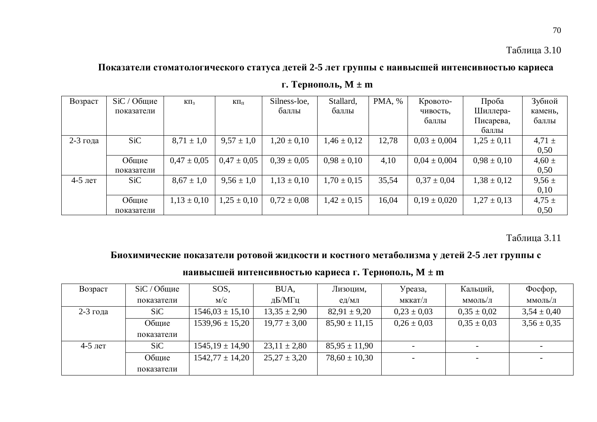### Показатели стоматологического статуса детей 2-5 лет группы с наивысшей интенсивностью кариеса

| Возраст   | $SiC / O6$ щие | $K\Pi_3$        | $K\Pi_{\Pi}$    | Silness-loe,    | Stallard,       | PMA, % | Кровото-         | Проба           | Зубной     |
|-----------|----------------|-----------------|-----------------|-----------------|-----------------|--------|------------------|-----------------|------------|
|           | показатели     |                 |                 | баллы           | баллы           |        | чивость,         | Шиллера-        | камень,    |
|           |                |                 |                 |                 |                 |        | баллы            | Писарева,       | баллы      |
|           |                |                 |                 |                 |                 |        |                  | баллы           |            |
| 2-3 года  | <b>SiC</b>     | $8,71 \pm 1,0$  | $9,57 \pm 1,0$  | $1,20 \pm 0,10$ | $1,46 \pm 0,12$ | 12,78  | $0.03 \pm 0.004$ | $1,25 \pm 0,11$ | $4,71 \pm$ |
|           |                |                 |                 |                 |                 |        |                  |                 | 0,50       |
|           | Общие          | $0.47 \pm 0.05$ | $0.47 \pm 0.05$ | $0.39 \pm 0.05$ | $0.98 \pm 0.10$ | 4,10   | $0.04 \pm 0.004$ | $0.98 \pm 0.10$ | $4,60 \pm$ |
|           | показатели     |                 |                 |                 |                 |        |                  |                 | 0,50       |
| $4-5$ лет | SiC            | $8,67 \pm 1,0$  | $9,56 \pm 1,0$  | $1,13 \pm 0,10$ | $1,70 \pm 0,15$ | 35,54  | $0.37 \pm 0.04$  | $1,38 \pm 0,12$ | $9,56 \pm$ |
|           |                |                 |                 |                 |                 |        |                  |                 | 0,10       |
|           | Общие          | $1,13 \pm 0,10$ | $1.25 \pm 0.10$ | $0.72 \pm 0.08$ | $1,42 \pm 0,15$ | 16,04  | $0.19 \pm 0.020$ | $1,27 \pm 0,13$ | $4,75 \pm$ |
|           | показатели     |                 |                 |                 |                 |        |                  |                 | 0,50       |

**Г. Тернополь, М ± m** 

Таблица 3.11

### Биохимические показатели ротовой жидкости и костного метаболизма у детей 2-5 лет группы с

| Возраст    | $SiC/O6$ щие | SOS,                | BUA,             | Лизоцим,          | Уреаза,                  | Кальций,        | $\Phi$ oc $\Phi$ op, |
|------------|--------------|---------------------|------------------|-------------------|--------------------------|-----------------|----------------------|
|            | показатели   | M/C                 | дБ/МГц           | $e$ д/мл          | мккат/л                  | ммоль/л         | ммоль/л              |
| $2-3$ года | SiC          | $1546,03 \pm 15,10$ | $13.35 \pm 2.90$ | $82,91 \pm 9,20$  | $0.23 \pm 0.03$          | $0.35 \pm 0.02$ | $3,54 \pm 0,40$      |
|            | Общие        | $1539.96 \pm 15.20$ | $19,77 \pm 3,00$ | $85,90 \pm 11,15$ | $0.26 \pm 0.03$          | $0.35 \pm 0.03$ | $3,56 \pm 0,35$      |
|            | показатели   |                     |                  |                   |                          |                 |                      |
| $4-5$ лет  | SiC          | $1545,19 \pm 14,90$ | $23,11 \pm 2,80$ | $85,95 \pm 11,90$ | $\overline{\phantom{0}}$ | $\overline{a}$  |                      |
|            | Общие        | $1542,77 \pm 14,20$ | $25,27 \pm 3,20$ | $78,60 \pm 10,30$ |                          |                 |                      |
|            | показатели   |                     |                  |                   |                          |                 |                      |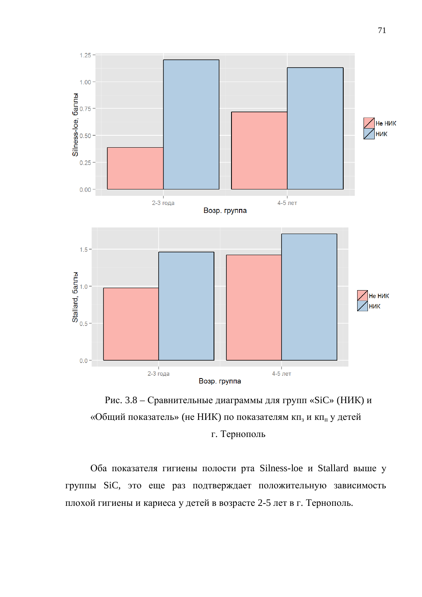

Рис. 3.8 – Сравнительные диаграммы для групп «SiC» (НИК) и «Общий показатель» (не НИК) по показателям кп<sub>з</sub> и кп<sub>п</sub> у детей г. Тернополь

Оба показателя гигиены полости рта Silness-loe и Stallard выше у группы SiC, это еще раз подтверждает положительную зависимость плохой гигиены и кариеса у детей в возрасте 2-5 лет в г. Тернополь.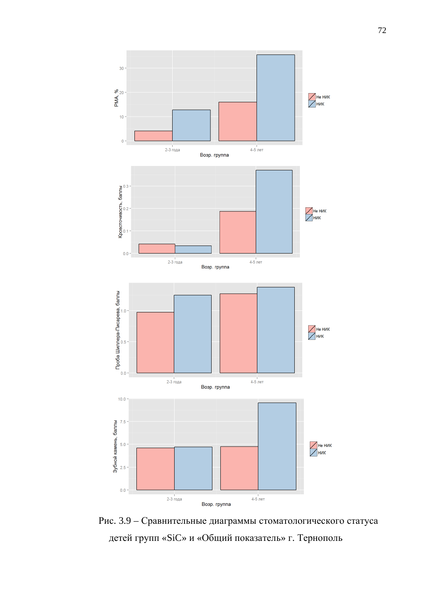

Рис. 3.9 – Сравнительные диаграммы стоматологического статуса детей групп «SiC» и «Общий показатель» г. Тернополь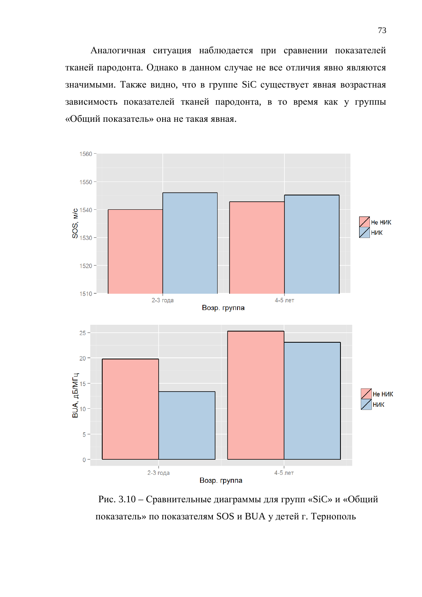Аналогичная ситуация наблюдается при сравнении показателей тканей пародонта. Однако в данном случае не все отличия явно являются значимыми. Также видно, что в группе SiC существует явная возрастная зависимость показателей тканей пародонта, в то время как у группы «Общий показатель» она не такая явная.



Рис. 3.10 – Сравнительные диаграммы для групп «SiC» и «Общий показатель» по показателям SOS и BUA у детей г. Тернополь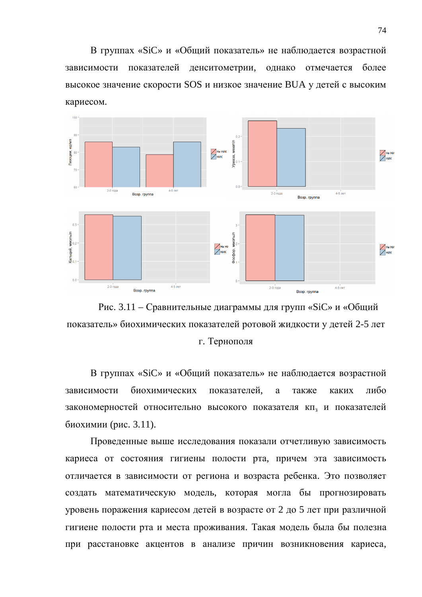В группах «SiC» и «Общий показатель» не наблюдается возрастной зависимости показателей денситометрии, однако отмечается более высокое значение скорости SOS и низкое значение BUA у детей с высоким кариесом.





В группах «SiC» и «Общий показатель» не наблюдается возрастной зависимости биохимических показателей, а также каких либо закономерностей относительно высокого показателя кп<sub>з</sub> и показателей биохимии (рис. 3.11).

Проведенные выше исследования показали отчетливую зависимость кариеса от состояния гигиены полости рта, причем эта зависимость отличается в зависимости от региона и возраста ребенка. Это позволяет создать математическую модель, которая могла бы прогнозировать уровень поражения кариесом детей в возрасте от 2 до 5 лет при различной гигиене полости рта и места проживания. Такая модель была бы полезна при расстановке акцентов в анализе причин возникновения кариеса,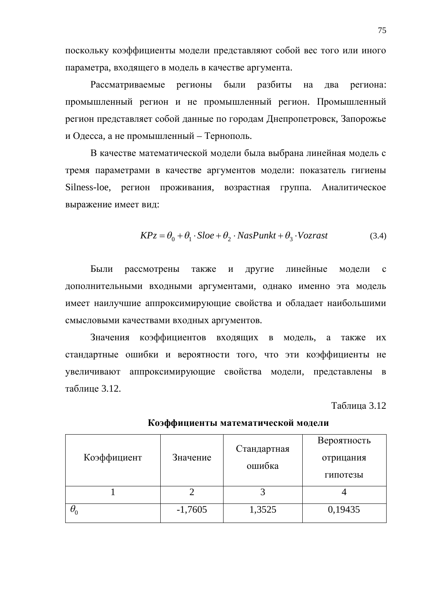поскольку коэффициенты модели представляют собой вес того или иного параметра, входящего в модель в качестве аргумента.

Рассматриваемые регионы были разбиты на два региона: промышленный регион и не промышленный регион. Промышленный регион представляет собой данные по городам Днепропетровск, Запорожье и Одесса, а не промышленный – Тернополь.

В качестве математической модели была выбрана линейная модель с тремя параметрами в качестве аргументов модели: показатель гигиены Silness-loe, регион проживания, возрастная группа. Аналитическое выражение имеет вид:

$$
KPz = \theta_0 + \theta_1 \cdot Sloe + \theta_2 \cdot NasPunkt + \theta_3 \cdot Vozrast
$$
\n(3.4)

Были рассмотрены также и другие линейные модели с дополнительными входными аргументами, однако именно эта модель имеет наилучшие аппроксимирующие свойства и обладает наибольшими смысловыми качествами входных аргументов.

Значения коэффициентов входящих в модель, а также их стандартные ошибки и вероятности того, что эти коэффициенты не увеличивают аппроксимирующие свойства модели, представлены в таблице 3.12.

Таблица 3.12

| Коэффициент | Значение  | Стандартная<br>ошибка | Вероятность<br>отрицания<br>гипотезы |  |
|-------------|-----------|-----------------------|--------------------------------------|--|
|             |           |                       |                                      |  |
|             | $-1,7605$ | 1,3525                | 0,19435                              |  |

Коэффициенты математической модели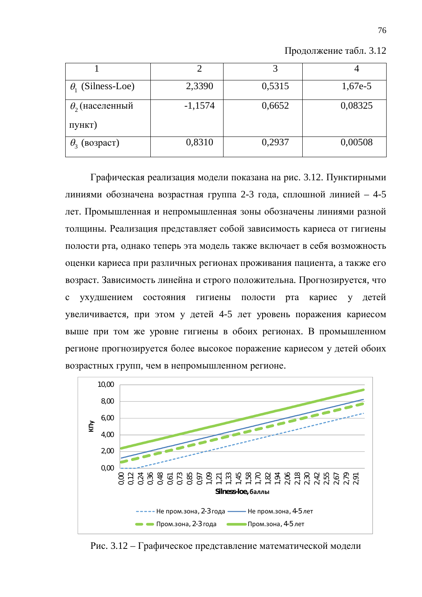| $\theta_1$ (Silness-Loe) | 2,3390    | 0,5315 | $1,67e-5$ |
|--------------------------|-----------|--------|-----------|
| $\theta$ , (населенный   | $-1,1574$ | 0,6652 | 0,08325   |
| пункт)                   |           |        |           |
| $\theta_3$ (возраст)     | 0,8310    | 0,2937 | 0,00508   |

Продолжение табл. 3.12

Графическая реализация модели показана на рис. 3.12. Пунктирными линиями обозначена возрастная группа 2-3 года, сплошной линией - 4-5 лет. Промышленная и непромышленная зоны обозначены линиями разной толщины. Реализация представляет собой зависимость кариеса от гигиены полости рта, однако теперь эта модель также включает в себя возможность оценки кариеса при различных регионах проживания пациента, а также его возраст. Зависимость линейна и строго положительна. Прогнозируется, что с ухудшением состояния гигиены полости рта кариес у детей увеличивается, при этом у детей 4-5 лет уровень поражения кариесом выше при том же уровне гигиены в обоих регионах. В промышленном регионе прогнозируется более высокое поражение кариесом у детей обоих возрастных групп, чем в непромышленном регионе.



Рис. 3.12 – Графическое представление математической модели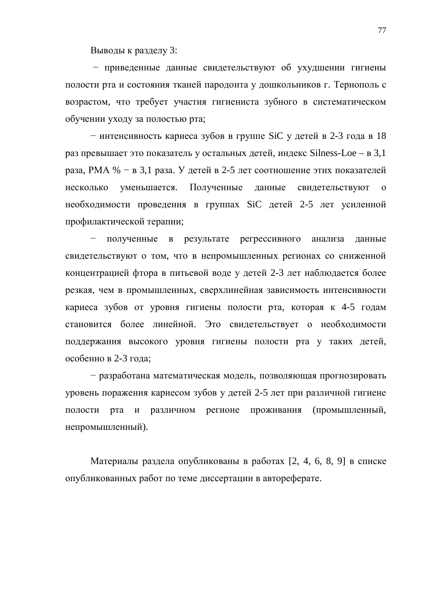Выводы к разделу 3:

– приведенные данные свидетельствуют об ухудшении гигиены полости рта и состояния тканей пародонта у дошкольников г. Тернополь с возрастом, что требует участия гигиениста зубного в систематическом обучении уходу за полостью рта;

– интенсивность кариеса зубов в группе SiC у детей в 2-3 года в 18 раз превышает это показатель у остальных детей, индекс Silness-Loe – в 3,1 раза, РМА % – в 3,1 раза. У детей в 2-5 лет соотношение этих показателей несколько уменьшается. Полученные данные свидетельствуют о необходимости проведения в группах SiC детей 2-5 лет усиленной профилактической терапии;

полученные в результате регрессивного анализа данные свидетельствуют о том, что в непромышленных регионах со сниженной концентрацией фтора в питьевой воде у детей 2-3 лет наблюдается более резкая, чем в промышленных, сверхлинейная зависимость интенсивности кариеса зубов от уровня гигиены полости рта, которая к 4-5 годам становится более линейной. Это свидетельствует о необходимости поддержания высокого уровня гигиены полости рта у таких детей, особенно в 2-3 года;

- разработана математическая модель, позволяющая прогнозировать уровень поражения кариесом зубов у детей 2-5 лет при различной гигиене полости рта и различном регионе проживания (промышленный, непромышленный).

Материалы раздела опубликованы в работах [2, 4, 6, 8, 9] в списке опубликованных работ по теме диссертации в автореферате.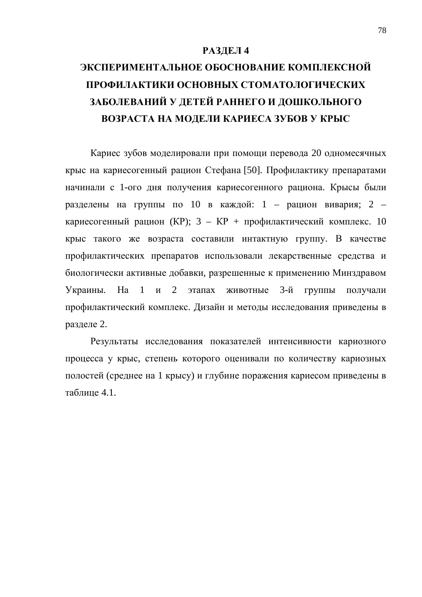#### РАЗДЕЛ 4

# ЭКСПЕРИМЕНТАЛЬНОЕ ОБОСНОВАНИЕ КОМПЛЕКСНОЙ ПРОФИЛАКТИКИ ОСНОВНЫХ СТОМАТОЛОГИЧЕСКИХ ЗАБОЛЕВАНИЙ У ДЕТЕЙ РАННЕГО И ДОШКОЛЬНОГО ВОЗРАСТА НА МОДЕЛИ КАРИЕСА ЗУБОВ У КРЫС

Кариес зубов моделировали при помощи перевода 20 одномесячных крыс на кариесогенный рацион Стефана [50]. Профилактику препаратами начинали с 1-ого дня получения кариесогенного рациона. Крысы были разделены на группы по 10 в каждой: 1 – рацион вивария; 2 – кариесогенный рацион (KP);  $3 - KP + \text{ профилактический комплекс. } 10$ крыс такого же возраста составили интактную группу. В качестве профилактических препаратов использовали лекарственные средства и биологически активные добавки, разрешенные к применению Минздравом Украины. На 1 и 2 этапах животные 3-й группы получали профилактический комплекс. Дизайн и методы исследования приведены в разделе 2.

Результаты исследования показателей интенсивности кариозного процесса у крыс, степень которого оценивали по количеству кариозных полостей (среднее на 1 крысу) и глубине поражения кариесом приведены в таблине 4.1.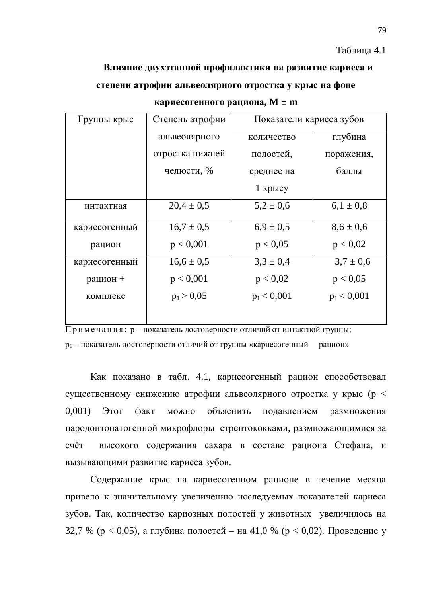#### Таблица 4.1

# Влияние двухэтапной профилактики на развитие кариеса и степени атрофии альвеолярного отростка у крыс на фоне

| Группы крыс   | Степень атрофии | Показатели кариеса зубов |               |
|---------------|-----------------|--------------------------|---------------|
|               | альвеолярного   | количество               | глубина       |
|               | отростка нижней | полостей,                | поражения,    |
|               | челюсти, %      | среднее на               | баллы         |
|               |                 | $1$ крысу                |               |
| интактная     | $20.4 \pm 0.5$  | $5,2 \pm 0,6$            | $6.1 \pm 0.8$ |
| кариесогенный | $16.7 \pm 0.5$  | $6.9 \pm 0.5$            | $8,6 \pm 0,6$ |
| рацион        | p < 0,001       | p < 0.05                 | p < 0.02      |
| кариесогенный | $16,6 \pm 0,5$  | $3,3 \pm 0,4$            | $3.7 \pm 0.6$ |
| рацион +      | p < 0,001       | p < 0.02                 | p < 0.05      |
| комплекс      | $p_1 > 0.05$    | $p_1 < 0,001$            | $p_1 < 0,001$ |
|               |                 |                          |               |

#### **кариесогенного рациона, М ± m**

 $\overline{\Pi}$ римечания: р – показатель достоверности отличий от интактной группы; р<sub>1</sub> – показатель достоверности отличий от группы «кариесогенный рацион»

Как показано в табл. 4.1, кариесогенный рацион способствовал существенному снижению атрофии альвеолярного отростка у крыс ( $p <$ 0,001) Этот факт можно объяснить подавлением размножения пародонтопатогенной микрофлоры стрептококками, размножающимися за счёт высокого содержания сахара в составе рациона Стефана, и вызывающими развитие кариеса зубов.

Содержание крыс на кариесогенном рационе в течение месяца привело к значительному увеличению исследуемых показателей кариеса зубов. Так, количество кариозных полостей у животных увеличилось на 32,7 % ( $p < 0.05$ ), а глубина полостей – на 41,0 % ( $p < 0.02$ ). Проведение у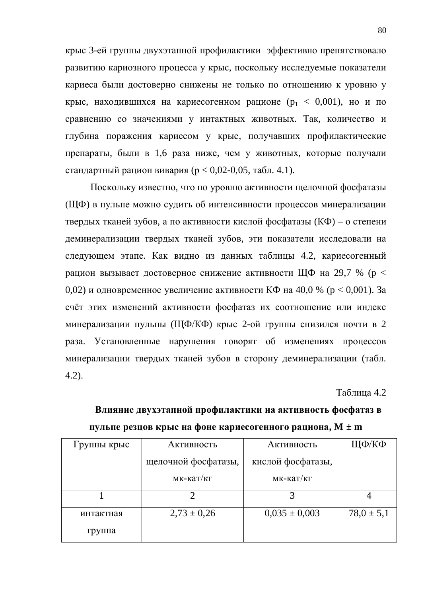крыс 3-ей группы двухэтапной профилактики эффективно препятствовало развитию кариозного процесса у крыс, поскольку исследуемые показатели кариеса были достоверно снижены не только по отношению к уровню у крыс, находившихся на кариесогенном рационе ( $p_1 < 0.001$ ), но и по сравнению со значениями у интактных животных. Так, количество и глубина поражения кариесом у крыс, получавших профилактические препараты, были в 1,6 раза ниже, чем у животных, которые получали стандартный рацион вивария ( $p < 0.02-0.05$ , табл. 4.1).

Поскольку известно, что по уровню активности щелочной фосфатазы (ЩФ) в пульпе можно судить об интенсивности процессов минерализации твердых тканей зубов, а по активности кислой фосфатазы ( $K\Phi$ ) – о степени деминерализации твердых тканей зубов, эти показатели исследовали на следующем этапе. Как видно из данных таблицы 4.2, кариесогенный рацион вызывает достоверное снижение активности ЩФ на 29,7 % (р < 0,02) и одновременное увеличение активности КФ на 40,0 % (р < 0,001). За счёт этих изменений активности фосфатаз их соотношение или индекс минерализации пульпы (ЩФ/КФ) крыс 2-ой группы снизился почти в 2 раза. Установленные нарушения говорят об изменениях процессов минерализации твердых тканей зубов в сторону деминерализации (табл. 4.2).

Таблина 4.2

| Группы крыс | Активность          | Активность        | ЩФ/КФ          |
|-------------|---------------------|-------------------|----------------|
|             |                     |                   |                |
|             | щелочной фосфатазы, | кислой фосфатазы, |                |
|             |                     |                   |                |
|             | мк-кат/кг           | мк-кат/кг         |                |
|             |                     |                   |                |
|             |                     |                   |                |
|             |                     |                   |                |
| интактная   | $2,73 \pm 0,26$     | $0,035 \pm 0,003$ | $78.0 \pm 5.1$ |
|             |                     |                   |                |
| группа      |                     |                   |                |
|             |                     |                   |                |

### Влияние двухэтапной профилактики на активность фосфатаз в пульпе резцов крыс на фоне кариесогенного рациона,  $M \pm m$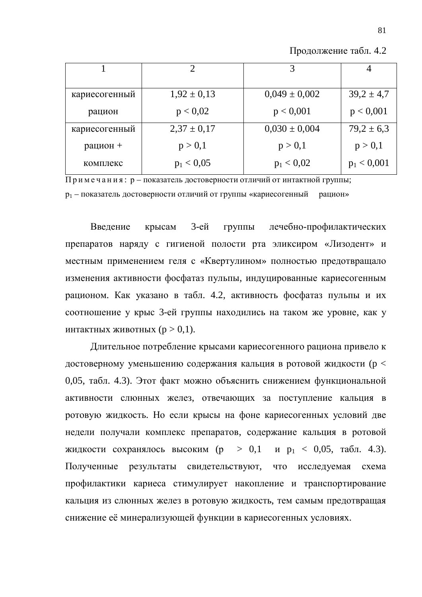| Продолжение табл. 4.2 |  |  |
|-----------------------|--|--|
|-----------------------|--|--|

|               |                 |                   | 4              |
|---------------|-----------------|-------------------|----------------|
|               |                 |                   |                |
| кариесогенный | $1,92 \pm 0,13$ | $0,049 \pm 0,002$ | $39,2 \pm 4,7$ |
| рацион        | p < 0.02        | p < 0,001         | p < 0,001      |
| кариесогенный | $2,37 \pm 0,17$ | $0,030 \pm 0,004$ | $79.2 \pm 6.3$ |
| рацион +      | p > 0,1         | p > 0,1           | p > 0,1        |
| комплекс      | $p_1 < 0.05$    | $p_1 < 0.02$      | $p_1 < 0,001$  |

 $\Pi$ римечания: р – показатель достоверности отличий от интактной группы; р<sub>1</sub> – показатель достоверности отличий от группы «кариесогенный рацион»

Введение крысам 3-ей группы лечебно-профилактических препаратов наряду с гигиеной полости рта эликсиром «Лизодент» и местным применением геля с «Квертулином» полностью предотвращало изменения активности фосфатаз пульпы, индуцированные кариесогенным рационом. Как указано в табл. 4.2, активность фосфатаз пульпы и их соотношение у крыс 3-ей группы находились на таком же уровне, как у ИНТАКТНЫХ ЖИВОТНЫХ  $(p > 0, 1)$ .

Длительное потребление крысами кариесогенного рациона привело к достоверному уменьшению содержания кальция в ротовой жидкости (р < 0,05, табл. 4.3). Этот факт можно объяснить снижением функциональной активности слюнных желез, отвечающих за поступление кальция в ротовую жидкость. Но если крысы на фоне кариесогенных условий две недели получали комплекс препаратов, содержание кальция в ротовой жидкости сохранялось высоким (р > 0,1 и р<sub>1</sub> < 0,05, табл. 4.3). Полученные результаты свидетельствуют, что исследуемая схема профилактики кариеса стимулирует накопление и транспортирование кальция из слюнных желез в ротовую жидкость, тем самым предотвращая снижение её минерализующей функции в кариесогенных условиях.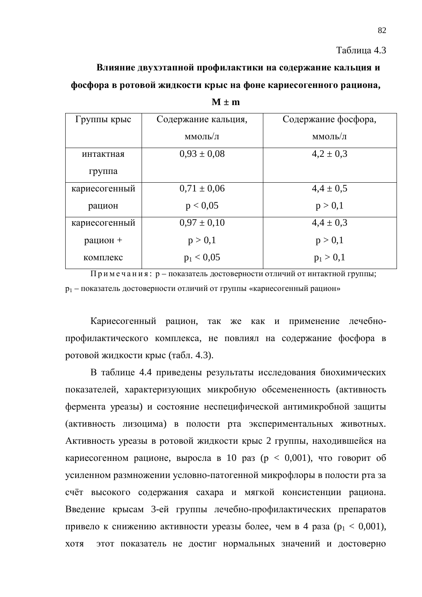Таблица 4.3

Влияние двухэтапной профилактики на содержание кальция и фосфора в ротовой жидкости крыс на фоне кариесогенного рациона,

| Группы крыс   | Содержание кальция, | Содержание фосфора, |
|---------------|---------------------|---------------------|
|               | ммоль/л             | ммоль/л             |
| интактная     | $0.93 \pm 0.08$     | $4,2 \pm 0,3$       |
| группа        |                     |                     |
| кариесогенный | $0.71 \pm 0.06$     | $4,4 \pm 0,5$       |
| рацион        | p < 0.05            | p > 0,1             |
| кариесогенный | $0.97 \pm 0.10$     | $4,4 \pm 0,3$       |
| рацион +      | p > 0,1             | p > 0,1             |
| комплекс      | $p_1 < 0.05$        | $p_1 > 0,1$         |

 $M \pm m$ 

Примечания: р – показатель достоверности отличий от интактной группы; р<sub>1</sub> – показатель достоверности отличий от группы «кариесогенный рацион»

Кариесогенный рацион, так же как и применение лечебнопрофилактического комплекса, не повлиял на содержание фосфора в ротовой жидкости крыс (табл. 4.3).

В таблице 4.4 приведены результаты исследования биохимических показателей, характеризующих микробную обсемененность (активность фермента уреазы) и состояние неспецифической антимикробной защиты (активность лизоцима) в полости рта экспериментальных животных. Активность уреазы в ротовой жидкости крыс 2 группы, находившейся на кариесогенном рационе, выросла в 10 раз ( $p < 0.001$ ), что говорит об усиленном размножении условно-патогенной микрофлоры в полости рта за счёт высокого содержания сахара и мягкой консистенции рациона. Введение крысам 3-ей группы лечебно-профилактических препаратов привело к снижению активности уреазы более, чем в 4 раза ( $p_1 < 0.001$ ), хотя этот показатель не достиг нормальных значений и достоверно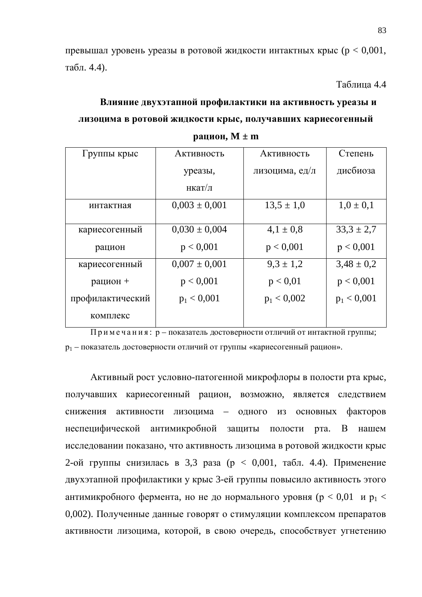превышал уровень уреазы в ротовой жидкости интактных крыс ( $p < 0.001$ , табл. 4.4).

Таблица 4.4

# Влияние двухэтапной профилактики на активность уреазы и лизоцима в ротовой жидкости крыс, получавших кариесогенный **paцион**,  $M \pm m$

| Группы крыс      | Активность        | Активность     | Степень        |  |
|------------------|-------------------|----------------|----------------|--|
|                  | уреазы,           | лизоцима, ед/л | дисбиоза       |  |
|                  | нкат/л            |                |                |  |
| интактная        | $0,003 \pm 0,001$ | $13.5 \pm 1.0$ | $1,0 \pm 0,1$  |  |
| кариесогенный    | $0,030 \pm 0,004$ | $4.1 \pm 0.8$  | $33.3 \pm 2.7$ |  |
| рацион           | p < 0,001         | p < 0,001      | p < 0,001      |  |
| кариесогенный    | $0,007 \pm 0,001$ | $9.3 \pm 1.2$  | $3,48 \pm 0,2$ |  |
| рацион +         | p < 0,001         | p < 0.01       | p < 0,001      |  |
| профилактический | $p_1 < 0,001$     | $p_1 < 0,002$  | $p_1 < 0,001$  |  |
| комплекс         |                   |                |                |  |

 $\Pi$ римечания: р – показатель достоверности отличий от интактной группы;  $p_1$  – показатель достоверности отличий от группы «кариесогенный рацион».

Активный рост условно-патогенной микрофлоры в полости рта крыс, получавших кариесогенный рацион, возможно, является следствием снижения активности лизоцима – одного из основных факторов неспецифической антимикробной защиты полости рта. В нашем исследовании показано, что активность лизоцима в ротовой жидкости крыс 2-ой группы снизилась в 3,3 раза ( $p < 0.001$ , табл. 4.4). Применение двухэтапной профилактики у крыс 3-ей группы повысило активность этого антимикробного фермента, но не до нормального уровня ( $p < 0.01$  и  $p_1 <$ 0,002). Полученные данные говорят о стимуляции комплексом препаратов активности лизоцима, которой, в свою очередь, способствует угнетению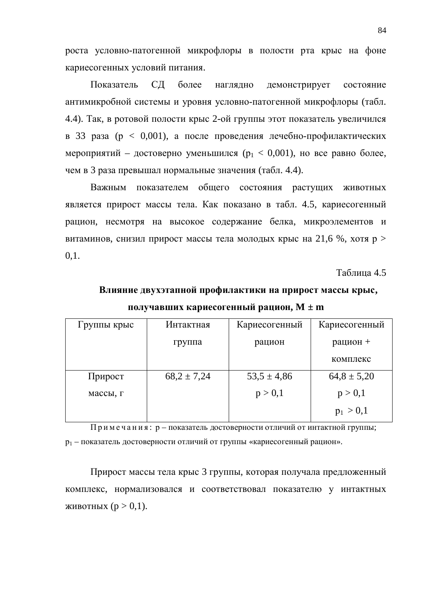роста условно-патогенной микрофлоры в полости рта крыс на фоне кариесогенных условий питания.

Показатель СД более наглядно демонстрирует состояние антимикробной системы и уровня условно-патогенной микрофлоры (табл. 4.4). Так, в ротовой полости крыс 2-ой группы этот показатель увеличился в 33 раза ( $p < 0.001$ ), а после проведения лечебно-профилактических мероприятий – достоверно уменьшился ( $p_1 < 0.001$ ), но все равно более, чем в 3 раза превышал нормальные значения (табл. 4.4).

Важным показателем общего состояния растущих животных является прирост массы тела. Как показано в табл. 4.5, кариесогенный рацион, несмотря на высокое содержание белка, микроэлементов и витаминов, снизил прирост массы тела молодых крыс на 21,6 %, хотя  $p >$ 0,1.

Таблица 4.5

### Влияние двухэтапной профилактики на прирост массы крыс, ПОЛУЧАВШИХ КАРИССОГЕННЫЙ РАЦИОН, M ± m

| Группы крыс | Интактная       | Кариесогенный   | Кариесогенный   |
|-------------|-----------------|-----------------|-----------------|
|             | группа          | рацион          | рацион +        |
|             |                 |                 | комплекс        |
| Прирост     | $68,2 \pm 7,24$ | $53,5 \pm 4,86$ | $64,8 \pm 5,20$ |
| массы, г    |                 | p > 0,1         | p > 0,1         |
|             |                 |                 | $p_1 > 0,1$     |

 $\Pi$ римечания: р – показатель достоверности отличий от интактной группы;  $p_1$  – показатель достоверности отличий от группы «кариесогенный рацион».

Прирост массы тела крыс 3 группы, которая получала предложенный комплекс, нормализовался и соответствовал показателю у интактных ЖИВОТНЫХ ( $p > 0,1$ ).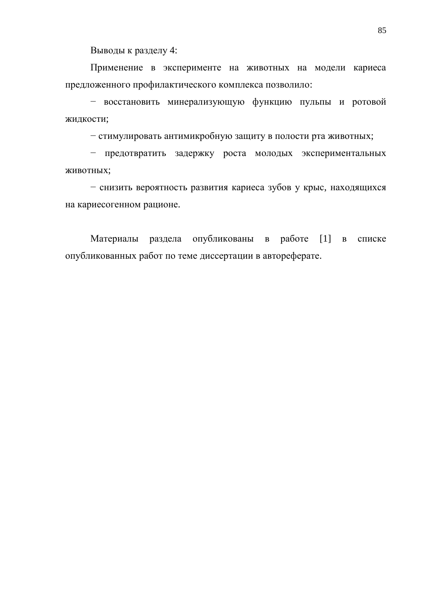Выводы к разделу 4:

Применение в эксперименте на животных на модели кариеса предложенного профилактического комплекса позволило:

– восстановить минерализующую функцию пульпы и ротовой жидкости;

– стимулировать антимикробную защиту в полости рта животных;

- предотвратить задержку роста молодых экспериментальных ЖИВОТНЫХ;

– снизить вероятность развития кариеса зубов у крыс, находящихся на кариесогенном рационе.

Материалы раздела опубликованы в работе [1] в списке опубликованных работ по теме диссертации в автореферате.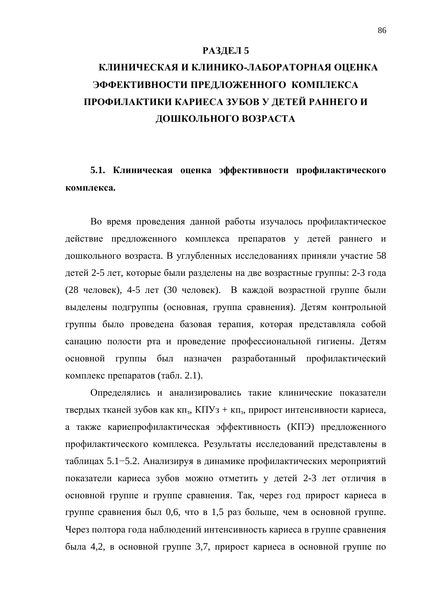#### РАЗДЕЛ 5

# КЛИНИЧЕСКАЯ И КЛИНИКО-ЛАБОРАТОРНАЯ ОЦЕНКА ЭФФЕКТИВНОСТИ ПРЕДЛОЖЕННОГО КОМПЛЕКСА ПРОФИЛАКТИКИ КАРИЕСА ЗУБОВ У ДЕТЕЙ РАННЕГО И ДОШКОЛЬНОГО ВОЗРАСТА

5.1. Клиническая оценка эффективности профилактического комплекса.

Во время проведения данной работы изучалось профилактическое действие предложенного комплекса препаратов у детей раннего и дошкольного возраста. В углубленных исследованиях приняли участие 58 детей 2-5 лет, которые были разделены на две возрастные группы: 2-3 года (28 человек), 4-5 лет (30 человек). В каждой возрастной группе были выделены подгруппы (основная, группа сравнения). Детям контрольной группы было проведена базовая терапия, которая представляла собой санацию полости рта и проведение профессиональной гигиены. Детям основной группы был назначен разработанный профилактический комплекс препаратов (табл. 2.1).

Определялись и анализировались такие клинические показатели твердых тканей зубов как кп<sub>з</sub>, КПУз + кп<sub>з</sub>, прирост интенсивности кариеса, а также кариепрофилактическая эффективность (КПЭ) предложенного профилактического комплекса. Результаты исследований представлены в таблицах 5.1–5.2. Анализируя в динамике профилактических мероприятий показатели кариеса зубов можно отметить у детей 2-3 лет отличия в основной группе и группе сравнения. Так, через год прирост кариеса в группе сравнения был 0,6, что в 1,5 раз больше, чем в основной группе. Через полтора года наблюдений интенсивность кариеса в группе сравнения была 4,2, в основной группе 3,7, прирост кариеса в основной группе по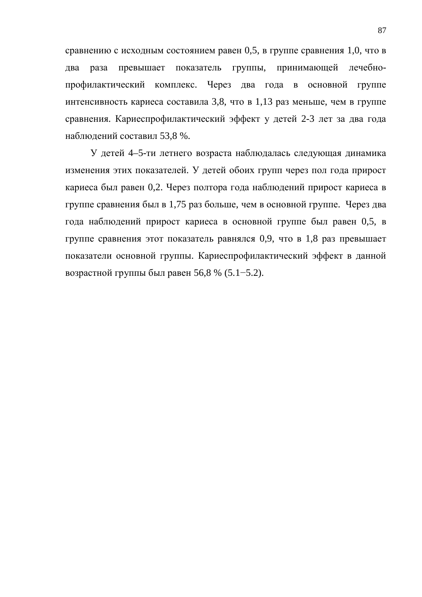сравнению с исходным состоянием равен 0,5, в группе сравнения 1,0, что в два раза превышает показатель группы, принимающей лечебнопрофилактический комплекс. Через два года в основной группе интенсивность кариеса составила 3,8, что в 1,13 раз меньше, чем в группе сравнения. Кариеспрофилактический эффект у детей 2-3 лет за два года наблюдений составил 53,8 %.

У детей 4–5-ти летнего возраста наблюдалась следующая динамика изменения этих показателей. У детей обоих групп через пол года прирост кариеса был равен 0,2. Через полтора года наблюдений прирост кариеса в группе сравнения был в 1,75 раз больше, чем в основной группе. Через два года наблюдений прирост кариеса в основной группе был равен 0,5, в группе сравнения этот показатель равнялся 0,9, что в 1,8 раз превышает показатели основной группы. Кариеспрофилактический эффект в данной возрастной группы был равен 56,8 % (5.1–5.2).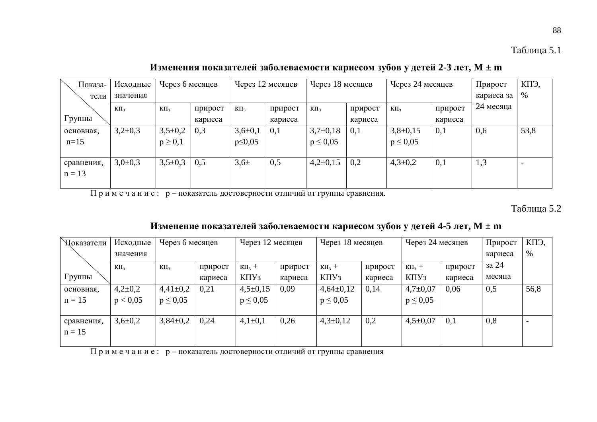Изменения показателей заболеваемости кариесом зубов у детей 2-3 лет, М ± m

| Показа-    | Исходные    | Через 6 месяцев | Через 12 месяцев |               | Через 18 месяцев |               | Через 24 месяцев |               | Прирост | КПЭ,       |      |
|------------|-------------|-----------------|------------------|---------------|------------------|---------------|------------------|---------------|---------|------------|------|
| тели       | значения    |                 |                  |               |                  |               |                  |               |         | кариеса за | %    |
|            | $K\Pi_3$    | $K\Pi_3$        | прирост          | $K\Pi_3$      | прирост          | $K\Pi_3$      | прирост          | $K\Pi_3$      | прирост | 24 месяца  |      |
| Группы     |             |                 | кариеса          |               | кариеса          |               | кариеса          |               | кариеса |            |      |
| основная.  | $3,2\pm0,3$ | $3,5+0,2$       | 0,3              | $3,6 \pm 0,1$ | 0,1              | $3,7\pm0,18$  | 0,1              | $3,8+0,15$    | 0,1     | 0,6        | 53,8 |
| $\pi=15$   |             | $p \geq 0,1$    |                  | $p \leq 0.05$ |                  | $p \leq 0.05$ |                  | $p \leq 0.05$ |         |            |      |
|            |             |                 |                  |               |                  |               |                  |               |         |            |      |
| сравнения, | $3,0\pm0,3$ | $3,5+0,3$       | 0,5              | $3,6 \pm$     | 0,5              | $4,2\pm0,15$  | 0,2              | $4,3 \pm 0,2$ | 0,1     | 1,3        |      |
| $n = 13$   |             |                 |                  |               |                  |               |                  |               |         |            |      |
|            |             |                 |                  |               |                  |               |                  |               |         |            |      |

Примечание: р – показатель достоверности отличий от группы сравнения.

Таблица 5.2

### Изменение показателей заболеваемости кариесом зубов у детей 4-5 лет, М ± m

| Показатели          | Исходные      |               | Через 6 месяцев |               | Через 12 месяцев |                | Через 18 месяцев |                | Через 24 месяцев |                   | КПЭ, |
|---------------------|---------------|---------------|-----------------|---------------|------------------|----------------|------------------|----------------|------------------|-------------------|------|
|                     | значения      |               |                 |               |                  |                |                  |                |                  | кариеса           | %    |
|                     | $K\Pi_3$      | $K\Pi_3$      | прирост         | $K\Pi_3 +$    | прирост          | $K\Pi_3 +$     | прирост          | $K\Pi_3 +$     | прирост          | <sub>3</sub> a 24 |      |
| Группы              |               |               | кариеса         | $K\Pi Y_3$    | кариеса          | $K\Pi Y_3$     | кариеса          | $K\Pi Y_3$     | кариеса          | месяца            |      |
| основная.           | $4,2{\pm}0,2$ | $4,41\pm0,2$  | 0,21            | $4,5\pm0,15$  | 0,09             | $4,64\pm0,12$  | 0,14             | $4,7+0,07$     | 0,06             | 0,5               | 56,8 |
| $\overline{n} = 15$ | p < 0.05      | $p \leq 0.05$ |                 | $p \leq 0.05$ |                  | $p \leq 0.05$  |                  | $p \leq 0.05$  |                  |                   |      |
|                     |               |               |                 |               |                  |                |                  |                |                  |                   |      |
| сравнения,          | $3,6 \pm 0,2$ | $3,84\pm0,2$  | 0,24            | $4,1\pm0,1$   | 0,26             | $4,3 \pm 0,12$ | 0,2              | $4,5 \pm 0.07$ | 0,1              | 0,8               |      |
| $n = 15$            |               |               |                 |               |                  |                |                  |                |                  |                   |      |
|                     |               |               |                 |               |                  |                |                  |                |                  |                   |      |

примечание: р-показатель достоверности отличий от группы сравнения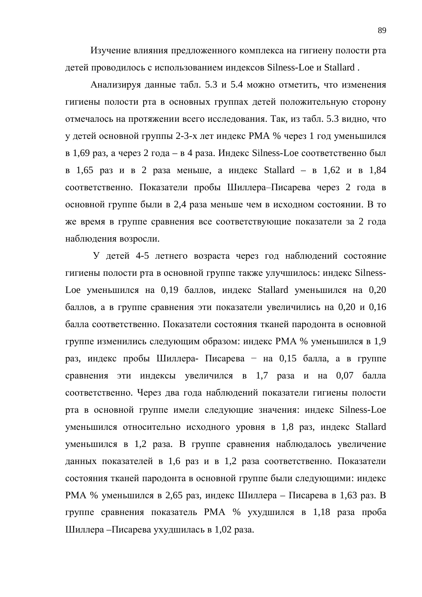Изучение влияния предложенного комплекса на гигиену полости рта детей проводилось с использованием индексов Silness-Loe и Stallard.

Анализируя данные табл. 5.3 и 5.4 можно отметить, что изменения гигиены полости рта в основных группах детей положительную сторону отмечалось на протяжении всего исследования. Так, из табл. 5.3 видно, что у детей основной группы 2-3-х лет индекс РМА % через 1 год уменьшился в 1,69 раз, а через 2 года – в 4 раза. Индекс Silness-Loe соответственно был в 1,65 раз и в 2 раза меньше, а индекс Stallard – в 1,62 и в 1,84 соответственно. Показатели пробы Шиллера-Писарева через 2 года в основной группе были в 2,4 раза меньше чем в исходном состоянии. В то же время в группе сравнения все соответствующие показатели за 2 года наблюдения возросли.

У детей 4-5 летнего возраста через год наблюдений состояние гигиены полости рта в основной группе также улучшилось: индекс Silness-Loe уменьшился на 0,19 баллов, индекс Stallard уменьшился на 0,20 баллов, а в группе сравнения эти показатели увеличились на 0,20 и 0,16 балла соответственно. Показатели состояния тканей пародонта в основной группе изменились следующим образом: индекс РМА % уменьшился в 1,9 раз, индекс пробы Шиллера- Писарева – на 0,15 балла, а в группе сравнения эти индексы увеличился в 1,7 раза и на 0,07 балла соответственно. Через два года наблюдений показатели гигиены полости рта в основной группе имели следующие значения: индекс Silness-Loe уменьшился относительно исходного уровня в 1,8 раз, индекс Stallard уменьшился в 1,2 раза. В группе сравнения наблюдалось увеличение данных показателей в 1,6 раз и в 1,2 раза соответственно. Показатели состояния тканей пародонта в основной группе были следующими: индекс РМА % уменьшился в 2,65 раз, индекс Шиллера – Писарева в 1,63 раз. В группе сравнения показатель РМА % ухудшился в 1,18 раза проба Шиллера – Писарева ухудшилась в 1,02 раза.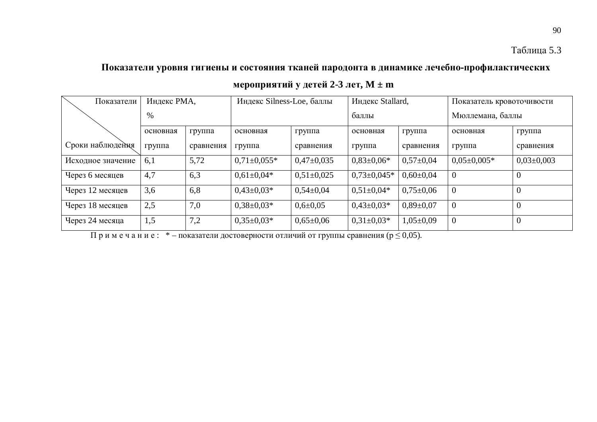90

### Показатели уровня гигиены и состояния тканей пародонта в динамике лечебно-профилактических

| Показатели        | Индекс РМА, |           | Индекс Silness-Loe, баллы |                 | Индекс Stallard, |                 | Показатель кровоточивости |                  |
|-------------------|-------------|-----------|---------------------------|-----------------|------------------|-----------------|---------------------------|------------------|
|                   | %           |           |                           |                 | баллы            |                 | Мюллемана, баллы          |                  |
|                   | основная    | группа    | основная                  | группа          | основная         | группа          | основная                  | группа           |
| Сроки наблюдения  | группа      | сравнения | группа                    | сравнения       | группа           | сравнения       | группа                    | сравнения        |
| Исходное значение | 6,1         | 5,72      | $0.71 \pm 0.055*$         | $0,47\pm0,035$  | $0.83 \pm 0.06*$ | $0,57 \pm 0.04$ | $0.05 \pm 0.005*$         | $0.03 \pm 0.003$ |
| Через 6 месяцев   | 4,7         | 6,3       | $0.61 \pm 0.04*$          | $0,51\pm0,025$  | $0,73\pm0,045*$  | $0,60\pm0,04$   | $\overline{0}$            |                  |
| Через 12 месяцев  | 3,6         | 6,8       | $0.43 \pm 0.03*$          | $0,54\pm0,04$   | $0,51\pm0,04*$   | $0,75 \pm 0.06$ | $\boldsymbol{0}$          | $\overline{0}$   |
| Через 18 месяцев  | 2,5         | 7,0       | $0.38 \pm 0.03*$          | $0,6 \pm 0,05$  | $0,43\pm0,03*$   | $0.89 \pm 0.07$ | $\overline{0}$            | $\Omega$         |
| Через 24 месяца   | 1,5         | 7,2       | $0,35\pm0,03*$            | $0.65 \pm 0.06$ | $0,31\pm0,03*$   | $1,05\pm0,09$   | $\boldsymbol{0}$          | $\overline{0}$   |

 $\Pi$ римечание: \* – показатели достоверности отличий от группы сравнения ( $p \le 0,05$ ).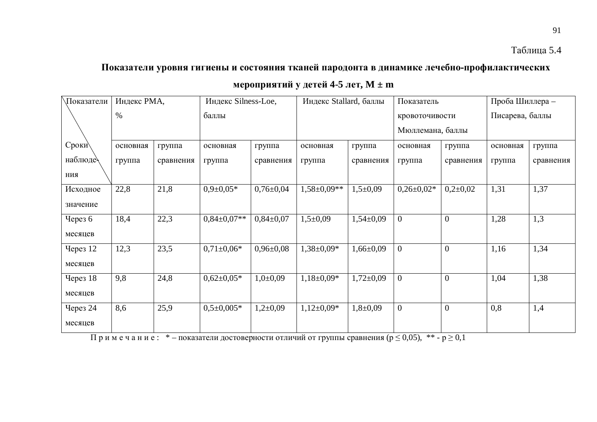91

# Показатели уровня гигиены и состояния тканей пародонта в динамике лечебно-профилактических

 $$ 

| Показатели      | Индекс РМА, |           | Индекс Silness-Loe, |                 | Индекс Stallard, баллы |                 | Показатель       |                | Проба Шиллера - |           |
|-----------------|-------------|-----------|---------------------|-----------------|------------------------|-----------------|------------------|----------------|-----------------|-----------|
|                 | $\%$        |           | баллы               |                 |                        |                 | кровоточивости   |                | Писарева, баллы |           |
|                 |             |           |                     |                 |                        |                 | Мюллемана, баллы |                |                 |           |
| Сроки           | основная    | группа    | основная            | группа          | основная               | группа          | основная         | группа         | основная        | группа    |
| наблюде         | группа      | сравнения | группа              | сравнения       | группа                 | сравнения       | группа           | сравнения      | группа          | сравнения |
| ния             |             |           |                     |                 |                        |                 |                  |                |                 |           |
| Исходное        | 22,8        | 21,8      | $0,9\pm0,05*$       | $0,76 \pm 0.04$ | $1,58 \pm 0.09**$      | $1,5+0,09$      | $0,26\pm0,02*$   | $0,2{\pm}0,02$ | 1,31            | 1,37      |
| значение        |             |           |                     |                 |                        |                 |                  |                |                 |           |
| Через $6$       | 18,4        | 22,3      | $0,84\pm0,07**$     | $0,84\pm0,07$   | $1,5+0,09$             | $1,54\pm0,09$   | $\overline{0}$   | $\overline{0}$ | 1,28            | 1,3       |
| месяцев         |             |           |                     |                 |                        |                 |                  |                |                 |           |
| Через 12        | 12,3        | 23,5      | $0,71\pm0,06*$      | $0,96 \pm 0,08$ | $1,38 \pm 0,09*$       | $1,66 \pm 0,09$ | $\overline{0}$   | $\overline{0}$ | 1,16            | 1,34      |
| месяцев         |             |           |                     |                 |                        |                 |                  |                |                 |           |
| <b>Через 18</b> | 9,8         | 24,8      | $0,62{\pm}0,05*$    | $1,0+0,09$      | $1,18\pm0,09*$         | $1,72 \pm 0.09$ | $\overline{0}$   | $\overline{0}$ | 1,04            | 1,38      |
| месяцев         |             |           |                     |                 |                        |                 |                  |                |                 |           |
| Через 24        | 8,6         | 25,9      | $0,5\pm0,005*$      | $1,2{\pm}0,09$  | $1,12\pm0.09*$         | $1,8+0,09$      | $\overline{0}$   | $\overline{0}$ | 0,8             | 1,4       |
| месяцев         |             |           |                     |                 |                        |                 |                  |                |                 |           |

 $\frac{1}{\ln p}$ имечание: \* – показатели достоверности отличий от группы сравнения ( $p \le 0.05$ ), \*\* -  $p \ge 0.1$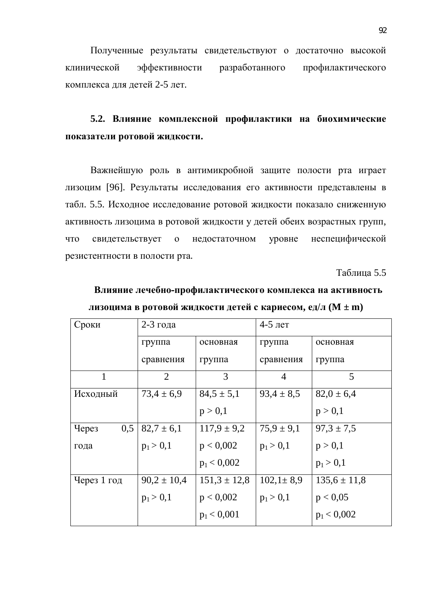Полученные результаты свидетельствуют о достаточно высокой клинической эффективности разработанного профилактического комплекса для детей 2-5 лет.

### 5.2. Влияние комплексной профилактики на биохимические показатели ротовой жидкости.

Важнейшую роль в антимикробной защите полости рта играет лизоцим [96]. Результаты исследования его активности представлены в табл. 5.5. Исходное исследование ротовой жидкости показало сниженную активность лизоцима в ротовой жидкости у детей обеих возрастных групп, что свидетельствует о недостаточном уровне неспецифической резистентности в полости рта.

Таблица 5.5

| Влияние лечебно-профилактического комплекса на активность        |
|------------------------------------------------------------------|
| лизоцима в ротовой жидкости детей с кариесом, ед/л ( $M \pm m$ ) |

| Сроки                    | 2-3 года        |                  | $4-5$ лет       |                  |
|--------------------------|-----------------|------------------|-----------------|------------------|
|                          | группа          | основная         | группа          | основная         |
|                          | сравнения       | группа           | сравнения       | группа           |
| 1                        | $\overline{2}$  | 3                | $\overline{4}$  | 5                |
| Исходный                 | $73,4 \pm 6,9$  | $84,5 \pm 5,1$   | $93,4 \pm 8,5$  | $82.0 \pm 6.4$   |
|                          |                 | p > 0,1          |                 | p > 0,1          |
| 0,5<br>Yepe <sub>3</sub> | $82,7 \pm 6,1$  | $117,9 \pm 9,2$  | $75.9 \pm 9.1$  | $97.3 \pm 7.5$   |
| года                     | $p_1 > 0,1$     | p < 0,002        | $p_1 > 0,1$     | p > 0,1          |
|                          |                 | $p_1 < 0,002$    |                 | $p_1 > 0,1$      |
| Через 1 год              | $90,2 \pm 10,4$ | $151,3 \pm 12,8$ | $102,1 \pm 8,9$ | $135.6 \pm 11.8$ |
|                          | $p_1 > 0,1$     | p < 0,002        | $p_1 > 0,1$     | p < 0.05         |
|                          |                 | $p_1 < 0.001$    |                 | $p_1 < 0,002$    |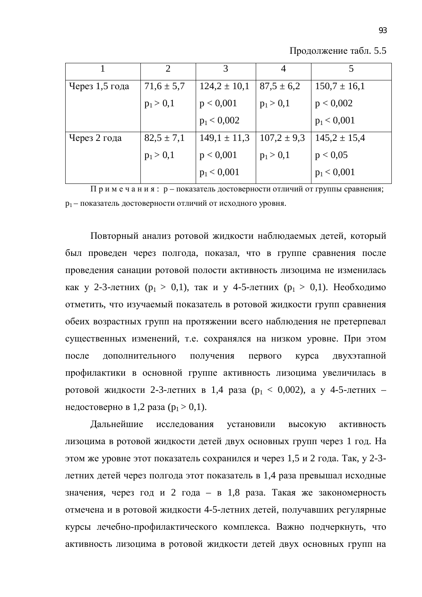Продолжение табл. 5.5

|                | $\mathcal{D}_{\cdot}$ | 3                | $\overline{4}$  | 5                |
|----------------|-----------------------|------------------|-----------------|------------------|
| Через 1,5 года | $71,6 \pm 5,7$        | $124.2 \pm 10.1$ | $87.5 \pm 6.2$  | $150.7 \pm 16.1$ |
|                | $p_1 > 0,1$           | p < 0,001        | $p_1 > 0,1$     | p < 0,002        |
|                |                       | $p_1 < 0,002$    |                 | $p_1 < 0,001$    |
| Через 2 года   | $82,5 \pm 7,1$        | $149,1 \pm 11,3$ | $107.2 \pm 9.3$ | $145,2 \pm 15,4$ |
|                | $p_1 > 0,1$           | p < 0,001        | $p_1 > 0,1$     | p < 0.05         |
|                |                       | $p_1 < 0,001$    |                 | $p_1 < 0,001$    |

 $\Pi$  р и м е ч а н и я : р – показатель достоверности отличий от группы сравнения; р<sub>1</sub> – показатель достоверности отличий от исходного уровня.

Повторный анализ ротовой жидкости наблюдаемых детей, который был проведен через полгода, показал, что в группе сравнения после проведения санации ротовой полости активность лизоцима не изменилась как у 2-3-летних ( $p_1 > 0,1$ ), так и у 4-5-летних ( $p_1 > 0,1$ ). Необходимо отметить, что изучаемый показатель в ротовой жидкости групп сравнения обеих возрастных групп на протяжении всего наблюдения не претерпевал существенных изменений, т.е. сохранялся на низком уровне. При этом после дополнительного получения первого курса двухэтапной профилактики в основной группе активность лизоцима увеличилась в ротовой жидкости 2-3-летних в 1,4 раза ( $p_1 < 0.002$ ), а у 4-5-летних – недостоверно в 1,2 раза ( $p_1 > 0,1$ ).

Дальнейшие исследования установили высокую активность лизоцима в ротовой жидкости детей двух основных групп через 1 год. На этом же уровне этот показатель сохранился и через 1,5 и 2 года. Так, у 2-3летних детей через полгода этот показатель в 1,4 раза превышал исходные значения, через год и 2 года – в 1,8 раза. Такая же закономерность отмечена и в ротовой жидкости 4-5-летних детей, получавших регулярные курсы лечебно-профилактического комплекса. Важно подчеркнуть, что активность лизоцима в ротовой жидкости детей двух основных групп на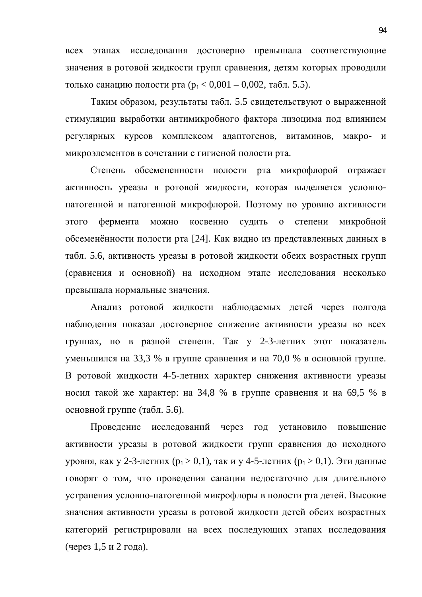всех этапах исследования достоверно превышала соответствующие значения в ротовой жидкости групп сравнения, детям которых проводили только санацию полости рта ( $p_1 < 0.001 - 0.002$ , табл. 5.5).

Таким образом, результаты табл. 5.5 свидетельствуют о выраженной стимуляции выработки антимикробного фактора лизоцима под влиянием регулярных курсов комплексом адаптогенов, витаминов, макро- и микроэлементов в сочетании с гигиеной полости рта.

Степень обсемененности полости рта микрофлорой отражает активность уреазы в ротовой жидкости, которая выделяется условнопатогенной и патогенной микрофлорой. Поэтому по уровню активности этого фермента можно косвенно судить о степени микробной обсеменённости полости рта [24]. Как видно из представленных данных в табл. 5.6, активность уреазы в ротовой жидкости обеих возрастных групп (сравнения и основной) на исходном этапе исследования несколько превышала нормальные значения.

Анализ ротовой жидкости наблюдаемых детей через полгода наблюдения показал достоверное снижение активности уреазы во всех группах, но в разной степени. Так у 2-3-летних этот показатель уменьшился на 33,3 % в группе сравнения и на 70,0 % в основной группе. В ротовой жидкости 4-5-летних характер снижения активности уреазы носил такой же характер: на 34,8 % в группе сравнения и на 69,5 % в основной группе (табл. 5.6).

Проведение исследований через год установило повышение активности уреазы в ротовой жидкости групп сравнения до исходного уровня, как у 2-3-летних ( $p_1 > 0, 1$ ), так и у 4-5-летних ( $p_1 > 0, 1$ ). Эти данные говорят о том, что проведения санации недостаточно для длительного устранения условно-патогенной микрофлоры в полости рта детей. Высокие значения активности уреазы в ротовой жидкости детей обеих возрастных категорий регистрировали на всех последующих этапах исследования  $($ через 1,5 и 2 года).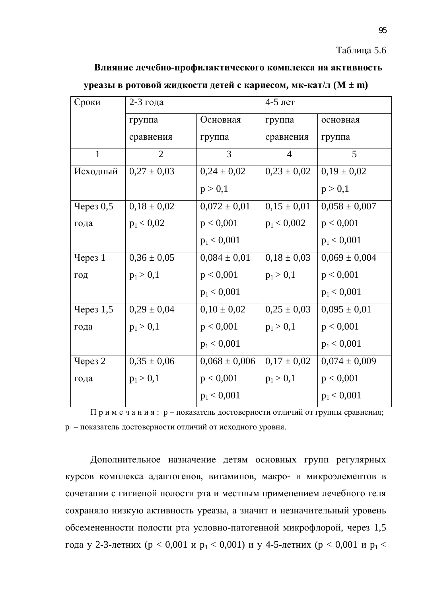#### Таблица 5.6

#### Влияние лечебно-профилактического комплекса на активность

| Сроки        | 2-3 года        |                   | 4-5 лет         |                   |
|--------------|-----------------|-------------------|-----------------|-------------------|
|              | группа          | Основная          | группа          | основная          |
|              | сравнения       | группа            | сравнения       | группа            |
| $\mathbf{1}$ | $\overline{2}$  | 3                 | $\overline{4}$  | 5                 |
| Исходный     | $0,27 \pm 0,03$ | $0,24 \pm 0,02$   | $0,23 \pm 0,02$ | $0,19 \pm 0,02$   |
|              |                 | p > 0,1           |                 | p > 0,1           |
| Через 0,5    | $0,18 \pm 0,02$ | $0,072 \pm 0,01$  | $0,15 \pm 0,01$ | $0,058 \pm 0,007$ |
| года         | $p_1 < 0.02$    | p < 0,001         | $p_1 < 0,002$   | p < 0,001         |
|              |                 | $p_1 < 0,001$     |                 | $p_1 < 0,001$     |
| Через 1      | $0,36 \pm 0,05$ | $0,084 \pm 0,01$  | $0,18 \pm 0,03$ | $0,069 \pm 0,004$ |
| год          | $p_1 > 0,1$     | p < 0,001         | $p_1 > 0,1$     | p < 0,001         |
|              |                 | $p_1 < 0,001$     |                 | $p_1 < 0,001$     |
| Через 1,5    | $0,29 \pm 0,04$ | $0,10 \pm 0,02$   | $0.25 \pm 0.03$ | $0,095 \pm 0,01$  |
| года         | $p_1 > 0,1$     | p < 0,001         | $p_1 > 0,1$     | p < 0,001         |
|              |                 | $p_1 < 0,001$     |                 | $p_1 < 0,001$     |
| Через 2      | $0,35 \pm 0,06$ | $0,068 \pm 0,006$ | $0,17 \pm 0,02$ | $0,074 \pm 0,009$ |
| года         | $p_1 > 0,1$     | p < 0,001         | $p_1 > 0,1$     | p < 0,001         |
|              |                 | $p_1 < 0,001$     |                 | $p_1 < 0,001$     |

#### **УРЕАЗЫ В РОТОВОЙ ЖИДКОСТИ ДЕТЕЙ С КАРИЕСОМ, МК-КАТ/Л (M ± m)**

 $\Pi$  р и м е ч а н и я : р – показатель достоверности отличий от группы сравнения; р<sub>1</sub> – показатель достоверности отличий от исходного уровня.

Дополнительное назначение детям основных групп регулярных курсов комплекса адаптогенов, витаминов, макро- и микроэлементов в сочетании с гигиеной полости рта и местным применением лечебного геля сохраняло низкую активность уреазы, а значит и незначительный уровень обсемененности полости рта условно-патогенной микрофлорой, через 1,5 года у 2-3-летних (р < 0,001 и р<sub>1</sub> < 0,001) и у 4-5-летних (р < 0,001 и р<sub>1</sub> <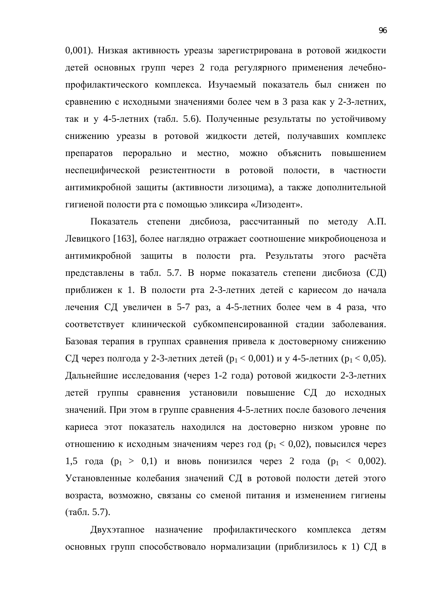0,001). Низкая активность уреазы зарегистрирована в ротовой жидкости детей основных групп через 2 года регулярного применения лечебнопрофилактического комплекса. Изучаемый показатель был снижен по сравнению с исходными значениями более чем в 3 раза как у 2-3-летних, так и у 4-5-летних (табл. 5.6). Полученные результаты по устойчивому снижению уреазы в ротовой жидкости детей, получавших комплекс препаратов перорально и местно, можно объяснить повышением неспецифической резистентности в ротовой полости, в частности антимикробной защиты (активности лизоцима), а также дополнительной гигиеной полости рта с помощью эликсира «Лизодент».

Показатель степени дисбиоза, рассчитанный по методу А.П. Левицкого [163], более наглядно отражает соотношение микробиоценоза и антимикробной защиты в полости рта. Результаты этого расчёта представлены в табл. 5.7. В норме показатель степени дисбиоза (СД) приближен к 1. В полости рта 2-3-летних детей с кариесом до начала дечения СД увеличен в 5-7 раз, а 4-5-летних более чем в 4 раза, что соответствует клинической субкомпенсированной стадии заболевания. Базовая терапия в группах сравнения привела к достоверному снижению СД через полгода у 2-3-летних детей ( $p_1 < 0.001$ ) и у 4-5-летних ( $p_1 < 0.05$ ). Дальнейшие исследования (через 1-2 года) ротовой жидкости 2-3-летних детей группы сравнения установили повышение СД до исходных значений. При этом в группе сравнения 4-5-летних после базового лечения кариеса этот показатель находился на достоверно низком уровне по отношению к исходным значениям через год ( $p_1 < 0.02$ ), повысился через 1,5 года ( $p_1 > 0,1$ ) и вновь понизился через 2 года ( $p_1 < 0,002$ ). Установленные колебания значений СД в ротовой полости детей этого возраста, возможно, связаны со сменой питания и изменением гигиены  $(\text{табл. } 5.7).$ 

Двухэтапное назначение профилактического комплекса детям основных групп способствовало нормализации (приблизилось к 1) СД в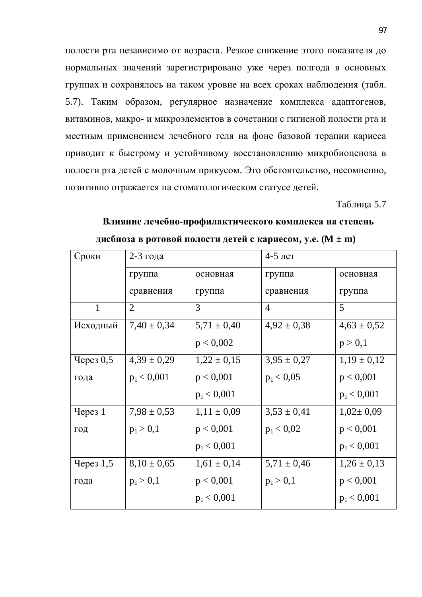полости рта независимо от возраста. Резкое снижение этого показателя до нормальных значений зарегистрировано уже через полгода в основных группах и сохранялось на таком уровне на всех сроках наблюдения (табл. 5.7). Таким образом, регулярное назначение комплекса адаптогенов, витаминов, макро- и микроэлементов в сочетании с гигиеной полости рта и местным применением лечебного геля на фоне базовой терапии кариеса приводит к быстрому и устойчивому восстановлению микробиоценоза в полости рта детей с молочным прикусом. Это обстоятельство, несомненно, позитивно отражается на стоматологическом статусе детей.

Таблица 5.7

| Сроки           | 2-3 года        |                 | $4-5$ лет       |                 |
|-----------------|-----------------|-----------------|-----------------|-----------------|
|                 | группа          | основная        | группа          | основная        |
|                 | сравнения       | группа          | сравнения       | группа          |
| $\mathbf{1}$    | 2               | 3               | $\overline{4}$  | 5               |
| Исходный        | $7,40 \pm 0,34$ | $5,71 \pm 0,40$ | $4,92 \pm 0,38$ | $4,63 \pm 0,52$ |
|                 |                 | p < 0,002       |                 | p > 0,1         |
| Через 0,5       | $4,39 \pm 0,29$ | $1,22 \pm 0,15$ | $3,95 \pm 0,27$ | $1,19 \pm 0,12$ |
| года            | $p_1 < 0,001$   | p < 0,001       | $p_1 < 0.05$    | p < 0,001       |
|                 |                 | $p_1 < 0,001$   |                 | $p_1 < 0,001$   |
| $\gamma$ ерез 1 | $7,98 \pm 0,53$ | $1,11 \pm 0,09$ | $3,53 \pm 0,41$ | $1,02 \pm 0,09$ |
| ГОД             | $p_1 > 0,1$     | p < 0,001       | $p_1 < 0.02$    | p < 0,001       |
|                 |                 | $p_1 < 0,001$   |                 | $p_1 < 0,001$   |
| Через $1,5$     | $8,10 \pm 0,65$ | $1,61 \pm 0,14$ | $5,71 \pm 0,46$ | $1,26 \pm 0,13$ |
| года            | $p_1 > 0,1$     | p < 0,001       | $p_1 > 0,1$     | p < 0,001       |
|                 |                 | $p_1 < 0,001$   |                 | $p_1 < 0,001$   |

### Влияние лечебно-профилактического комплекса на степень **ДИСбиоза в ротовой полости детей с кариесом, у.е. (M**  $\pm$  **m)**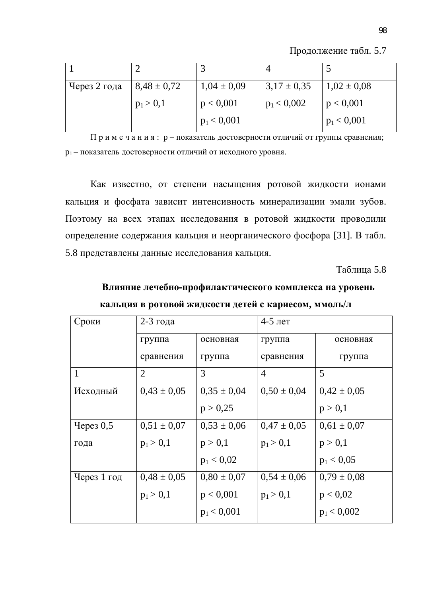Продолжение табл. 5.7

| Через 2 года | $8,48 \pm 0,72$ | $1,04 \pm 0,09$ | $3,17 \pm 0,35$ | $1,02 \pm 0,08$ |
|--------------|-----------------|-----------------|-----------------|-----------------|
|              | $p_1 > 0,1$     | p < 0,001       | $p_1 < 0,002$   | p < 0,001       |
|              |                 | $p_1 < 0,001$   |                 | $p_1 < 0,001$   |

 $\Pi$  р и м е ч а н и я : р – показатель достоверности отличий от группы сравнения; р<sub>1</sub> – показатель достоверности отличий от исходного уровня.

Как известно, от степени насыщения ротовой жидкости ионами кальция и фосфата зависит интенсивность минерализации эмали зубов. Поэтому на всех этапах исследования в ротовой жидкости проводили определение содержания кальция и неорганического фосфора [31]. В табл. 5.8 представлены данные исследования кальция.

Таблица 5.8

| Влияние лечебно-профилактического комплекса на уровень |
|--------------------------------------------------------|
| кальция в ротовой жидкости детей с кариесом, ммоль/л   |

| Сроки       | 2-3 года        |                 | $4-5$ лет       |                 |  |  |
|-------------|-----------------|-----------------|-----------------|-----------------|--|--|
|             | группа          | основная        | группа          | основная        |  |  |
|             | сравнения       | группа          | сравнения       | группа          |  |  |
| 1           | $\overline{2}$  | 3               | $\overline{4}$  | 5               |  |  |
| Исходный    | $0.43 \pm 0.05$ | $0.35 \pm 0.04$ | $0,50 \pm 0,04$ | $0.42 \pm 0.05$ |  |  |
|             |                 | p > 0,25        |                 | p > 0,1         |  |  |
| Через $0,5$ | $0.51 \pm 0.07$ | $0,53 \pm 0,06$ | $0.47 \pm 0.05$ | $0.61 \pm 0.07$ |  |  |
| года        | $p_1 > 0,1$     | p > 0,1         | $p_1 > 0,1$     | p > 0,1         |  |  |
|             |                 | $p_1 < 0.02$    |                 | $p_1 < 0.05$    |  |  |
| Через 1 год | $0.48 \pm 0.05$ | $0.80 \pm 0.07$ | $0,54 \pm 0,06$ | $0.79 \pm 0.08$ |  |  |
|             | $p_1 > 0,1$     | p < 0,001       | $p_1 > 0,1$     | p < 0.02        |  |  |
|             |                 | $p_1 < 0,001$   |                 | $p_1 < 0,002$   |  |  |
|             |                 |                 |                 |                 |  |  |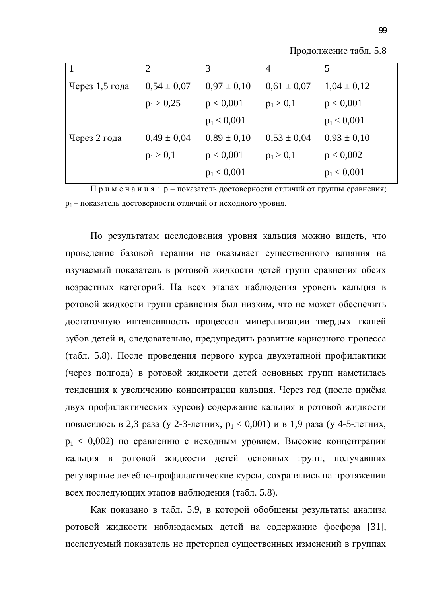| Продолжение табл. 5.8 |  |  |
|-----------------------|--|--|
|-----------------------|--|--|

|                | $\overline{2}$  | 3               | 4               | 5               |
|----------------|-----------------|-----------------|-----------------|-----------------|
| Через 1,5 года | $0,54 \pm 0,07$ | $0.97 \pm 0.10$ | $0,61 \pm 0,07$ | $1,04 \pm 0,12$ |
|                | $p_1 > 0.25$    | p < 0,001       | $p_1 > 0,1$     | p < 0,001       |
|                |                 | $p_1 < 0,001$   |                 | $p_1 < 0,001$   |
| Через 2 года   | $0,49 \pm 0,04$ | $0.89 \pm 0.10$ | $0,53 \pm 0,04$ | $0.93 \pm 0.10$ |
|                | $p_1 > 0,1$     | p < 0,001       | $p_1 > 0,1$     | p < 0,002       |
|                |                 | $p_1 < 0,001$   |                 | $p_1 < 0,001$   |

 $\Pi$  р и м е ч а н и я : р – показатель достоверности отличий от группы сравнения; р<sub>1</sub> – показатель достоверности отличий от исходного уровня.

По результатам исследования уровня кальция можно видеть, что проведение базовой терапии не оказывает существенного влияния на изучаемый показатель в ротовой жидкости детей групп сравнения обеих возрастных категорий. На всех этапах наблюдения уровень кальция в ротовой жидкости групп сравнения был низким, что не может обеспечить достаточную интенсивность процессов минерализации твердых тканей зубов детей и, следовательно, предупредить развитие кариозного процесса (табл. 5.8). После проведения первого курса двухэтапной профилактики через полгода) в ротовой жидкости детей основных групп наметилась тенденция к увеличению концентрации кальция. Через год (после приёма двух профилактических курсов) содержание кальция в ротовой жидкости повысилось в 2,3 раза (у 2-3-летних,  $p_1 < 0.001$ ) и в 1,9 раза (у 4-5-летних,  $p_1 < 0.002$ ) по сравнению с исходным уровнем. Высокие концентрации кальция в ротовой жидкости детей основных групп, получавших регулярные лечебно-профилактические курсы, сохранялись на протяжении всех последующих этапов наблюдения (табл. 5.8).

Как показано в табл. 5.9, в которой обобщены результаты анализа ротовой жидкости наблюдаемых детей на содержание фосфора [31], исследуемый показатель не претерпел существенных изменений в группах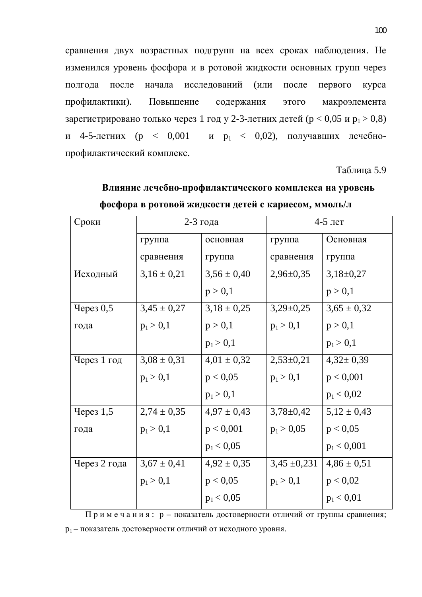сравнения двух возрастных подгрупп на всех сроках наблюдения. Не изменился уровень фосфора и в ротовой жидкости основных групп через полгода после начала исследований (или после первого курса профилактики). Повышение содержания этого макроэлемента зарегистрировано только через 1 год у 2-3-летних детей (р < 0,05 и р<sub>1</sub> > 0,8) и 4-5-летних (р < 0,001 и р<sub>1</sub> < 0,02), получавших лечебнопрофилактический комплекс.

Таблица 5.9

| Сроки        | $2-3$ года      |                 | $4-5$ лет        |                 |  |
|--------------|-----------------|-----------------|------------------|-----------------|--|
|              | группа          | основная        | группа           | Основная        |  |
|              | сравнения       | группа          | сравнения        | группа          |  |
| Исходный     | $3,16 \pm 0,21$ | $3,56 \pm 0,40$ | $2,96 \pm 0,35$  | $3,18\pm0,27$   |  |
|              |                 | p > 0,1         |                  | p > 0,1         |  |
| Через 0,5    | $3,45 \pm 0,27$ | $3,18 \pm 0,25$ | $3,29\pm0,25$    | $3,65 \pm 0,32$ |  |
| года         | $p_1 > 0,1$     | p > 0,1         | $p_1 > 0,1$      | p > 0,1         |  |
|              |                 | $p_1 > 0,1$     |                  | $p_1 > 0,1$     |  |
| Через 1 год  | $3,08 \pm 0,31$ | $4,01 \pm 0,32$ | $2,53\pm0,21$    | $4,32 \pm 0,39$ |  |
|              | $p_1 > 0,1$     | p < 0,05        | $p_1 > 0,1$      | p < 0,001       |  |
|              |                 | $p_1 > 0,1$     |                  | $p_1 < 0.02$    |  |
| Через $1,5$  | $2,74 \pm 0,35$ | $4,97 \pm 0,43$ | $3,78 \pm 0,42$  | $5,12 \pm 0,43$ |  |
| года         | $p_1 > 0,1$     | p < 0,001       | $p_1 > 0.05$     | p < 0,05        |  |
|              |                 | $p_1 < 0.05$    |                  | $p_1 < 0,001$   |  |
| Через 2 года | $3,67 \pm 0,41$ | $4,92 \pm 0,35$ | $3,45 \pm 0,231$ | $4,86 \pm 0,51$ |  |
|              | $p_1 > 0,1$     | p < 0.05        | $p_1 > 0,1$      | p < 0.02        |  |
|              |                 | $p_1 < 0.05$    |                  | $p_1 < 0.01$    |  |

### Влияние лечебно-профилактического комплекса на уровень фосфора в ротовой жидкости детей с кариесом, ммоль/л

Примечания: р – показатель достоверности отличий от группы сравнения; р<sub>1</sub> – показатель достоверности отличий от исходного уровня.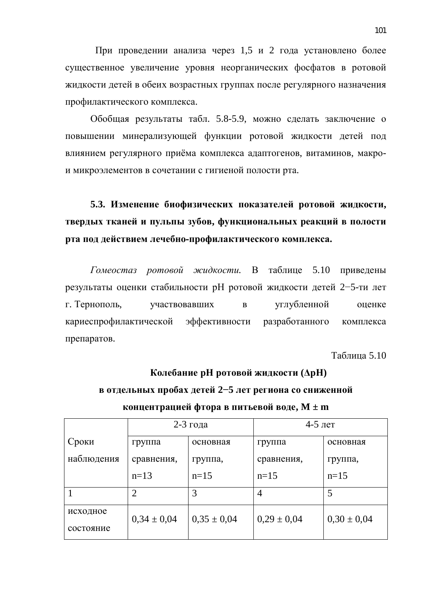При проведении анализа через 1,5 и 2 года установлено более существенное увеличение уровня неорганических фосфатов в ротовой жидкости детей в обеих возрастных группах после регулярного назначения профилактического комплекса.

Обобщая результаты табл. 5.8-5.9, можно сделать заключение о повышении минерализующей функции ротовой жидкости детей под влиянием регулярного приёма комплекса адаптогенов, витаминов, макрои микроэлементов в сочетании с гигиеной полости рта.

5.3. Изменение биофизических показателей ротовой жидкости, твердых тканей и пульпы зубов, функциональных реакций в полости рта под действием лечебно-профилактического комплекса.

Гомеостаз ротовой жидкости. В таблице 5.10 приведены результаты оценки стабильности рН ротовой жидкости детей 2-5-ти лет г. Тернополь, частвовавших в углубленной оценке кариеспрофилактической эффективности разработанного комплекса препаратов.

Таблица 5.10

# Колебание рН ротовой жидкости ( $\Delta$ рН) **в отдельных пробах детей 2–5 лет региона со сниженной концентрацией фтора в питьевой воде, M ± m**

|            | $2-3$ года      |                 | $4-5$ лет       |                 |
|------------|-----------------|-----------------|-----------------|-----------------|
| Сроки      | группа          | основная        | группа          | основная        |
| наблюдения | сравнения,      | группа,         | сравнения,      | группа,         |
|            | $n=13$          | $n=15$          | $n=15$          | $n=15$          |
|            | 2               | 3               | 4               | 5               |
| исходное   | $0.34 \pm 0.04$ | $0.35 \pm 0.04$ | $0,29 \pm 0,04$ | $0,30 \pm 0,04$ |
| состояние  |                 |                 |                 |                 |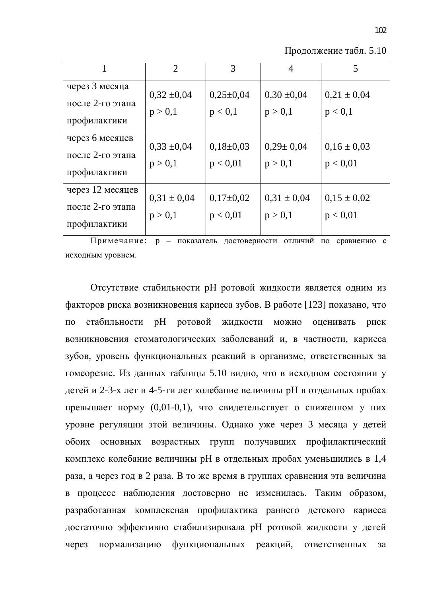Продолжение табл. 5.10

|                                                      | $\overline{2}$             | 3                         | $\overline{4}$             | 5                           |
|------------------------------------------------------|----------------------------|---------------------------|----------------------------|-----------------------------|
| через 3 месяца<br>после 2-го этапа<br>профилактики   | $0,32 \pm 0,04$<br>p > 0,1 | $0,25\pm0,04$<br>p < 0,1  | $0,30 \pm 0,04$<br>p > 0,1 | $0,21 \pm 0,04$<br>p < 0,1  |
| через 6 месяцев<br>после 2-го этапа<br>профилактики  | $0,33 \pm 0,04$<br>p > 0,1 | $0,18\pm0,03$<br>p < 0.01 | $0,29 \pm 0,04$<br>p > 0,1 | $0,16 \pm 0,03$<br>p < 0.01 |
| через 12 месяцев<br>после 2-го этапа<br>профилактики | $0,31 \pm 0,04$<br>p > 0,1 | $0,17\pm0,02$<br>p < 0.01 | $0,31 \pm 0,04$<br>p > 0,1 | $0.15 \pm 0.02$<br>p < 0.01 |

Примечание: р – показатель достоверности отличий по сравнению с исходным уровнем.

Отсутствие стабильности рН ротовой жидкости является одним из факторов риска возникновения кариеса зубов. В работе [123] показано, что по стабильности рН ротовой жилкости можно оценивать риск возникновения стоматологических заболеваний и, в частности, кариеса зубов, уровень функциональных реакций в организме, ответственных за гомеорезис. Из данных таблицы 5.10 видно, что в исходном состоянии у детей и 2-3-х лет и 4-5-ти лет колебание величины рН в отдельных пробах превышает норму (0,01-0,1), что свидетельствует о сниженном у них уровне регуляции этой величины. Однако уже через 3 месяца у детей обоих основных возрастных групп получавших профилактический комплекс колебание величины рН в отдельных пробах уменьшились в 1,4 раза, а через год в 2 раза. В то же время в группах сравнения эта величина в процессе наблюдения достоверно не изменилась. Таким образом, разработанная комплексная профилактика раннего детского кариеса достаточно эффективно стабилизировала рН ротовой жидкости у детей через нормализацию функциональных реакций, ответственных за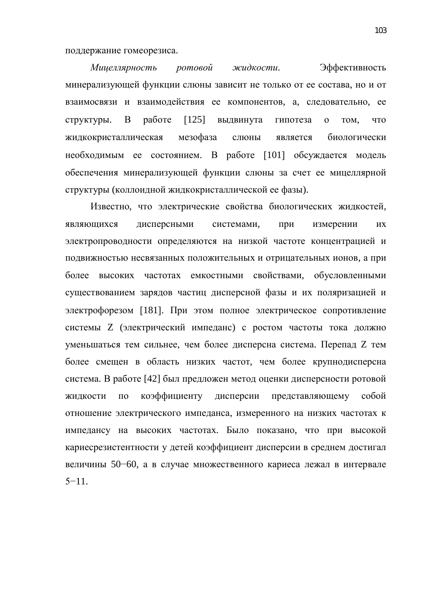поддержание гомеорезиса.

Мицеллярность ротовой жидкости. Эффективность минерализующей функции слюны зависит не только от ее состава, но и от взаимосвязи и взаимодействия ее компонентов, а, следовательно, ее структуры. В работе [125] выдвинута гипотеза о том, что жидкокристаллическая мезофаза слюны является биологически необходимым ее состоянием. В работе [101] обсуждается модель обеспечения минерализующей функции слюны за счет ее мицеллярной структуры (коллоидной жидкокристаллической ее фазы).

Известно, что электрические свойства биологических жидкостей, являющихся дисперсными системами, при измерении их электропроводности определяются на низкой частоте концентрацией и подвижностью несвязанных положительных и отрицательных ионов, а при более высоких частотах емкостными свойствами, обусловленными существованием зарядов частиц дисперсной фазы и их поляризацией и электрофорезом [181]. При этом полное электрическое сопротивление системы Z (электрический импеданс) с ростом частоты тока должно уменьшаться тем сильнее, чем более дисперсна система. Перепад Z тем более смещен в область низких частот, чем более крупнодисперсна система. В работе [42] был предложен метод оценки дисперсности ротовой жидкости по коэффициенту дисперсии представляющему собой отношение электрического импеданса, измеренного на низких частотах к импедансу на высоких частотах. Было показано, что при высокой кариесрезистентности у детей коэффициент дисперсии в среднем достигал величины 50–60, а в случае множественного кариеса лежал в интервале  $5 - 11$ .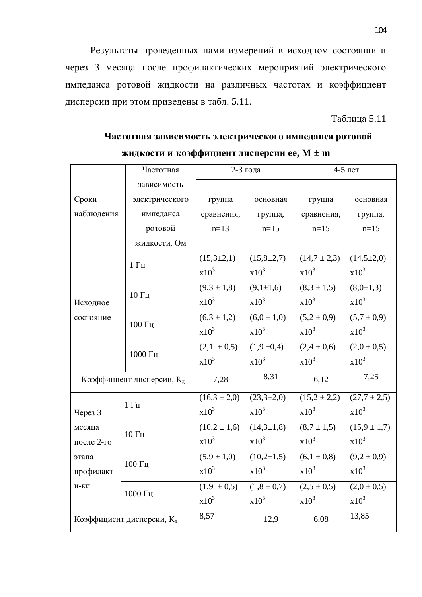Результаты проведенных нами измерений в исходном состоянии и через 3 месяца после профилактических мероприятий электрического импеданса ротовой жидкости на различных частотах и коэффициент дисперсии при этом приведены в табл. 5.11.

Таблица 5.11

|                           | Частотная          | 2-3 года         |                   | 4-5 лет          |                  |
|---------------------------|--------------------|------------------|-------------------|------------------|------------------|
|                           | зависимость        |                  |                   |                  |                  |
| Сроки                     | электрического     | группа           | основная          | группа           | основная         |
| наблюдения                | импеданса          | сравнения,       | группа,           | сравнения,       | группа,          |
|                           | ротовой            | $n=13$           | $n=15$            | $n=15$           | $n=15$           |
|                           | жидкости, Ом       |                  |                   |                  |                  |
|                           | $1 \Gamma$ ц       | $(15,3\pm2,1)$   | $(15, 8 \pm 2.7)$ | $(14,7 \pm 2,3)$ | $(14,5 \pm 2,0)$ |
|                           |                    | $x10^3$          | $x10^3$           | $x10^3$          | $x10^3$          |
|                           | 10 Гц              | $(9,3 \pm 1,8)$  | $(9,1\pm 1,6)$    | $(8,3 \pm 1,5)$  | $(8,0{\pm}1,3)$  |
| Исходное                  |                    | $x10^3$          | $x10^3$           | $x10^3$          | $x10^3$          |
| состояние                 |                    | $(6,3 \pm 1,2)$  | $(6,0 \pm 1,0)$   | $(5,2 \pm 0,9)$  | $(5,7 \pm 0,9)$  |
|                           | $100 \Gamma$ ц     | $x10^3$          | $x10^3$           | $x10^3$          | $x10^3$          |
|                           | 1000 Гц            | $(2,1 \pm 0,5)$  | (1,9,±0,4)        | $(2,4 \pm 0,6)$  | $(2,0 \pm 0,5)$  |
|                           |                    | $x10^3$          | $x10^3$           | $x10^3$          | $x10^3$          |
| Коэффициент дисперсии, Кд |                    | 7,28             | 8,31              | 6,12             | 7,25             |
|                           | $1 \Gamma$ ц       | $(16,3 \pm 2,0)$ | $(23,3\pm2,0)$    | $(15,2 \pm 2,2)$ | $(27,7 \pm 2,5)$ |
| Через 3                   |                    | $x10^3$          | $x10^3$           | $x10^3$          | $x10^3$          |
| месяца                    | $10\,\Gamma\rm{H}$ | $(10,2 \pm 1,6)$ | $(14,3\pm 1,8)$   | $(8,7 \pm 1,5)$  | $(15.9 \pm 1.7)$ |
| после 2-го                |                    | $x10^3$          | $x10^3$           | $x10^3$          | $x10^3$          |
| этапа                     | 100 Гц             | $(5,9 \pm 1,0)$  | $(10,2{\pm}1,5)$  | $(6,1 \pm 0,8)$  | $(9,2 \pm 0,9)$  |
| профилакт                 |                    | $x10^3$          | $x10^3$           | $x10^3$          | $x10^3$          |
| И-КИ                      |                    | $(1,9 \pm 0,5)$  | $(1, 8 \pm 0.7)$  | $(2,5 \pm 0,5)$  | $(2,0 \pm 0,5)$  |
|                           | 1000 Гц            | $x10^3$          | $x10^3$           | $x10^3$          | $x10^3$          |
| Коэффициент дисперсии, Кд |                    | 8,57             | 12,9              | 6,08             | 13,85            |

Частотная зависимость электрического импеданса ротовой **ЖИДКОСТИ И КОЭФФИЦИЕНТ ДИСПЕРСИИ ЕЕ, M ± m**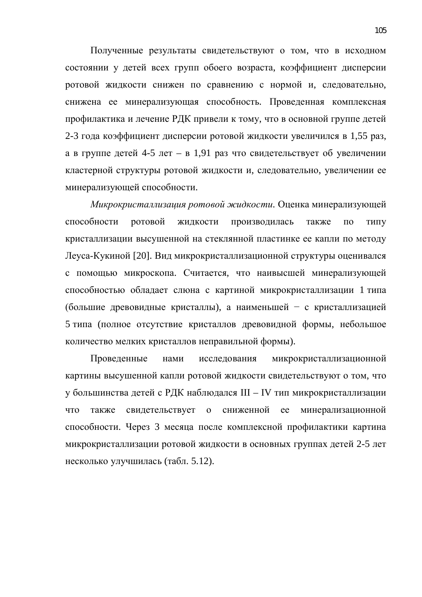Полученные результаты свидетельствуют о том, что в исходном состоянии у детей всех групп обоего возраста, коэффициент дисперсии ротовой жидкости снижен по сравнению с нормой и, следовательно, снижена ее минерализующая способность. Проведенная комплексная профилактика и лечение РДК привели к тому, что в основной группе детей 2-3 года коэффициент дисперсии ротовой жидкости увеличился в 1,55 раз, а в группе детей 4-5 лет – в 1,91 раз что свидетельствует об увеличении кластерной структуры ротовой жидкости и, следовательно, увеличении ее минерализующей способности.

Микрокристаллизация ротовой жидкости. Оценка минерализующей способности ротовой жидкости производилась также по типу кристаллизации высушенной на стеклянной пластинке ее капли по методу Леуса-Кукиной [20]. Вид микрокристаллизационной структуры оценивался с помощью микроскопа. Считается, что наивысшей минерализующей способностью обладает слюна с картиной микрокристаллизации 1 типа (большие древовидные кристаллы), а наименьшей - с кристаллизацией 5 типа (полное отсутствие кристаллов древовидной формы, небольшое количество мелких кристаллов неправильной формы).

Проведенные нами исследования микрокристаллизационной картины высушенной капли ротовой жидкости свидетельствуют о том, что у большинства детей с РДК наблюдался III – IV тип микрокристаллизации что также свидетельствует о сниженной ее минерализационной способности. Через 3 месяца после комплексной профилактики картина микрокристаллизации ротовой жидкости в основных группах детей 2-5 лет несколько улучшилась (табл. 5.12).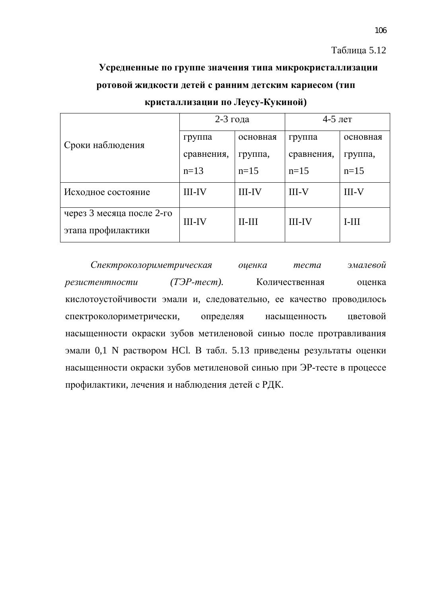#### Таблица 5.12

# Усредненные по группе значения типа микрокристаллизации **изнаты** ротовой жидкости детей с ранним детским кариесом (тип

|                                                 | 2-3 года      |              | $4-5$ лет     |          |
|-------------------------------------------------|---------------|--------------|---------------|----------|
| Сроки наблюдения                                | группа        | основная     | группа        | основная |
|                                                 | сравнения,    | группа,      | сравнения,    | группа,  |
|                                                 | $n=13$        | $n=15$       | $n=15$        | $n=15$   |
| Исходное состояние                              | <b>III-IV</b> | $III$ - $IV$ | $III-V$       | $III-V$  |
| через 3 месяца после 2-го<br>этапа профилактики | <b>III-IV</b> | $II-III$     | <b>III-IV</b> | $I-III$  |

кристаллизации по Леусу-Кукиной)

Спектроколориметрическая оценка теста эмалевой резистентности (*ТЭР-тест*). Количественная оценка кислотоустойчивости эмали и, следовательно, ее качество проводилось спектроколориметрически, определяя насыщенность цветовой насыщенности окраски зубов метиленовой синью после протравливания эмали 0,1 N раствором HCl. В табл. 5.13 приведены результаты оценки насыщенности окраски зубов метиленовой синью при ЭР-тесте в процессе профилактики, лечения и наблюдения детей с РДК.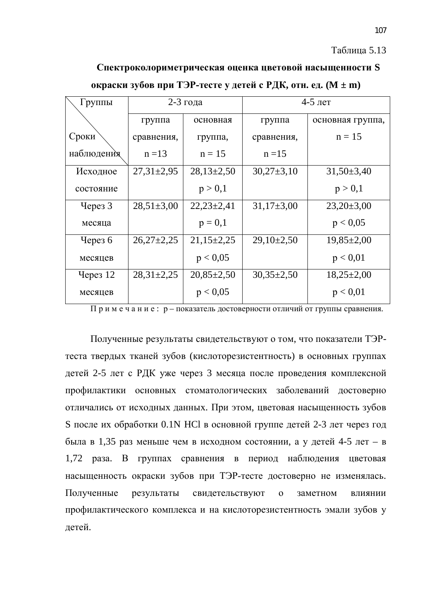#### Таблица 5.13

# Спектроколориметрическая оценка цветовой насыщенности S

| Группы     | 2-3 года         |                 | $4-5$ лет      |                  |  |
|------------|------------------|-----------------|----------------|------------------|--|
|            | группа           | основная        | группа         | основная группа, |  |
| Сроки      | сравнения,       | группа,         | сравнения,     | $n = 15$         |  |
| наблюдения | $n = 13$         | $n = 15$        | $n = 15$       |                  |  |
| Исходное   | $27,31 \pm 2,95$ | $28,13\pm 2,50$ | $30,27\pm3,10$ | $31,50\pm3,40$   |  |
| состояние  |                  | p > 0,1         |                | p > 0,1          |  |
| Через 3    | $28,51\pm3,00$   | $22,23\pm 2,41$ | $31,17\pm3,00$ | $23,20\pm3,00$   |  |
| месяца     |                  | $p = 0,1$       |                | p < 0.05         |  |
| Yepes 6    | $26,27\pm2,25$   | $21,15\pm2,25$  | $29,10\pm2,50$ | $19,85 \pm 2,00$ |  |
| месяцев    |                  | p < 0.05        |                | p < 0.01         |  |
| Через $12$ | $28,31 \pm 2,25$ | $20,85\pm2,50$  | $30,35\pm2,50$ | $18,25\pm2,00$   |  |
| месяцев    |                  | p < 0.05        |                | p < 0.01         |  |

#### **екраски зубов при ТЭР-тесте у детей с РДК, отн. ед. (М ± m)**

 $\Pi$  р и м е ч а н и е : р – показатель достоверности отличий от группы сравнения.

Полученные результаты свидетельствуют о том, что показатели ТЭРтеста твердых тканей зубов (кислоторезистентность) в основных группах детей 2-5 лет с РДК уже через 3 месяца после проведения комплексной профилактики основных стоматологических заболеваний достоверно отличались от исходных данных. При этом, цветовая насыщенность зубов S после их обработки 0.1N HCl в основной группе детей 2-3 лет через год была в 1,35 раз меньше чем в исходном состоянии, а у детей 4-5 лет – в 1,72 раза. В группах сравнения в период наблюдения цветовая насыщенность окраски зубов при ТЭР-тесте достоверно не изменялась. Полученные результаты свидетельствуют о заметном влиянии профилактического комплекса и на кислоторезистентность эмали зубов у летей.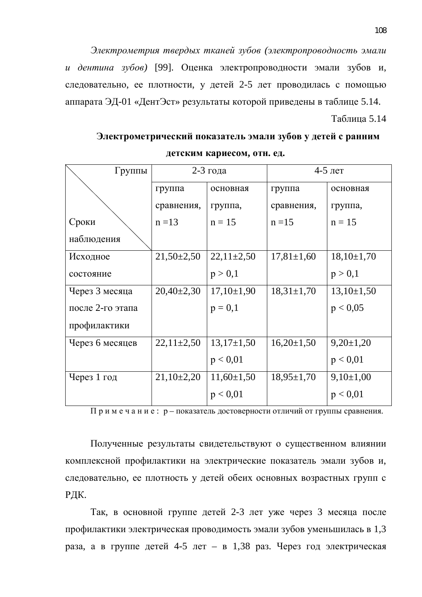Электрометрия твердых тканей зубов (электропроводность эмали *и дентина зубов*) [99]. Оценка электропроводности эмали зубов и, следовательно, ее плотности, у детей 2-5 лет проводилась с помощью аппарата ЭД-01 «ДентЭст» результаты которой приведены в таблице 5.14.

Таблица 5.14

### Электрометрический показатель эмали зубов у детей с ранним **детским кариесом, отн. ед.**

| Группы           | 2-3 года       |                | 4-5 лет          |                |  |
|------------------|----------------|----------------|------------------|----------------|--|
|                  | группа         | основная       | группа           | основная       |  |
|                  | сравнения,     | группа,        | сравнения,       | группа,        |  |
| Сроки            | $n = 13$       | $n = 15$       | $n = 15$         | $n = 15$       |  |
| наблюдения       |                |                |                  |                |  |
| Исходное         | $21,50\pm2,50$ | $22,11\pm2,50$ | $17,81 \pm 1,60$ | $18,10\pm1,70$ |  |
| состояние        |                | p > 0,1        |                  | p > 0,1        |  |
| Через 3 месяца   | $20,40\pm2,30$ | $17,10\pm1,90$ | $18,31\pm1,70$   | $13,10\pm1,50$ |  |
| после 2-го этапа |                | $p = 0,1$      |                  | p < 0.05       |  |
| профилактики     |                |                |                  |                |  |
| Через 6 месяцев  | $22,11\pm2,50$ | $13,17\pm1,50$ | $16,20\pm1,50$   | $9,20\pm1,20$  |  |
|                  |                | p < 0.01       |                  | p < 0.01       |  |
| Через 1 год      | $21,10\pm2,20$ | $11,60\pm1,50$ | $18,95 \pm 1,70$ | $9,10\pm1,00$  |  |
|                  |                | p < 0.01       |                  | p < 0.01       |  |

 $\Pi$  р и м е ч а н и е : р – показатель достоверности отличий от группы сравнения.

Полученные результаты свидетельствуют о существенном влиянии комплексной профилактики на электрические показатель эмали зубов и, следовательно, ее плотность у детей обеих основных возрастных групп с РДК.

Так, в основной группе детей 2-3 лет уже через 3 месяца после профилактики электрическая проводимость эмали зубов уменьшилась в 1,3 раза, а в группе детей 4-5 лет – в 1,38 раз. Через год электрическая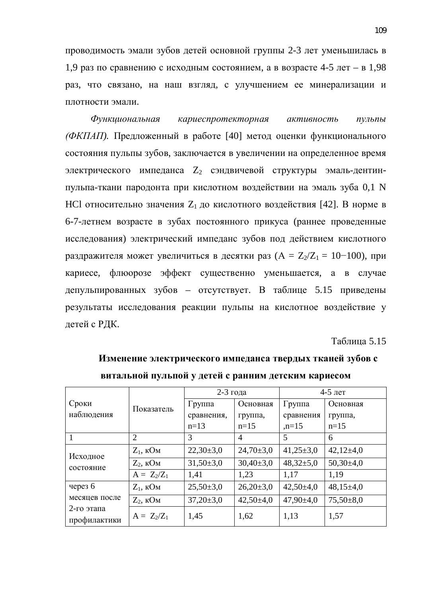проводимость эмали зубов детей основной группы 2-3 лет уменьшилась в 1,9 раз по сравнению с исходным состоянием, а в возрасте 4-5 лет – в 1,98 раз, что связано, на наш взгляд, с улучшением ее минерализации и плотности эмали.

 $\Phi$ ункциональная кариеспротекторная активность пульпы  $\phi$ *√ФКПАП*). Предложенный в работе [40] метод оценки функционального состояния пульпы зубов, заключается в увеличении на определенное время электрического импеданса  $Z_2$  сэндвичевой структуры эмаль-дентинпульпа-ткани пародонта при кислотном воздействии на эмаль зуба 0,1 N HCl относительно значения  $Z_1$  до кислотного воздействия [42]. В норме в 6-7-летнем возрасте в зубах постоянного прикуса (раннее проведенные исследования) электрический импеданс зубов под действием кислотного раздражителя может увеличиться в десятки раз  $(A = Z_2/Z_1 = 10 - 100)$ , при кариесе, флюорозе эффект существенно уменьшается, а в случае депульпированных зубов – отсутствует. В таблице 5.15 приведены результаты исследования реакции пульпы на кислотное воздействие у детей с РДК.

#### Таблица 5.15

| Битальной пульной у детей с ранним детеким кариссом    |                |               |                |                 |               |  |  |
|--------------------------------------------------------|----------------|---------------|----------------|-----------------|---------------|--|--|
| Сроки<br>наблюдения                                    | Показатель     | 2-3 года      |                | $4-5$ лет       |               |  |  |
|                                                        |                | Группа        | Основная       | Группа          | Основная      |  |  |
|                                                        |                | сравнения,    | группа,        | сравнения       | группа,       |  |  |
|                                                        |                | $n=13$        | $n=15$         | $,n=15$         | $n=15$        |  |  |
|                                                        | $\overline{2}$ | 3             | $\overline{A}$ | 5               | 6             |  |  |
| Исходное<br>состояние                                  | $Z_1$ , кОм    | $22,30\pm3,0$ | $24,70\pm3,0$  | $41,25\pm3,0$   | $42,12\pm4,0$ |  |  |
|                                                        | $Z_2$ , кОм    | $31,50\pm3,0$ | $30,40\pm3,0$  | $48,32 \pm 5,0$ | $50,30\pm4,0$ |  |  |
|                                                        | $A = Z_2/Z_1$  | 1,41          | 1,23           | 1,17            | 1,19          |  |  |
| через 6<br>месяцев после<br>2-го этапа<br>профилактики | $Z_1$ , $KOM$  | $25,50\pm3,0$ | $26,20\pm3,0$  | $42,50\pm4,0$   | $48,15\pm4,0$ |  |  |
|                                                        | $Z_2$ , $KOM$  | $37,20\pm3,0$ | $42,50\pm4,0$  | $47,90\pm4,0$   | $75,50\pm8,0$ |  |  |
|                                                        | $A = Z_2/Z_1$  | 1,45          | 1,62           | 1,13            | 1,57          |  |  |

Изменение электрического импеданса твердых тканей зубов с <u>витэльной пульпой у летей с рэнним летским кэриесом</u>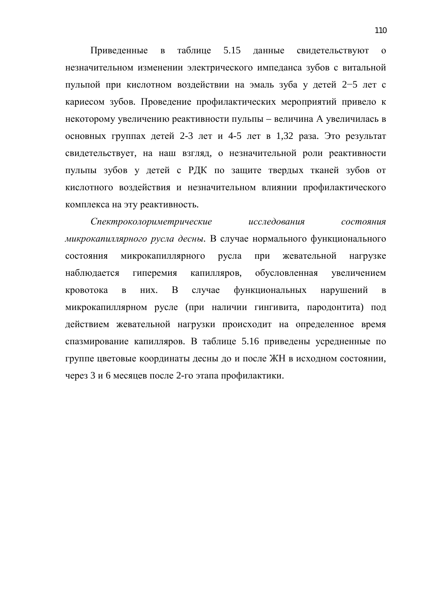Приведенные в таблице 5.15 данные свидетельствуют о незначительном изменении электрического импеданса зубов с витальной пульпой при кислотном воздействии на эмаль зуба у детей 2-5 лет с кариесом зубов. Проведение профилактических мероприятий привело к некоторому увеличению реактивности пульпы – величина А увеличилась в основных группах детей 2-3 лет и 4-5 лет в 1,32 раза. Это результат свидетельствует, на наш взгляд, о незначительной роли реактивности пульпы зубов у детей с РДК по защите твердых тканей зубов от кислотного воздействия и незначительном влиянии профилактического комплекса на эту реактивность.

Спектроколориметрические исследования состояния *микрокапиллярного русла десны*. В случае нормального функционального состояния микрокапиллярного русла при жевательной нагрузке наблюдается гиперемия капилляров, обусловленная увеличением кровотока в них. В случае функциональных нарушений в микрокапиллярном русле (при наличии гингивита, пародонтита) под действием жевательной нагрузки происходит на определенное время спазмирование капилляров. В таблице 5.16 приведены усредненные по группе цветовые координаты десны до и после ЖН в исходном состоянии, через 3 и 6 месяцев после 2-го этапа профилактики.

110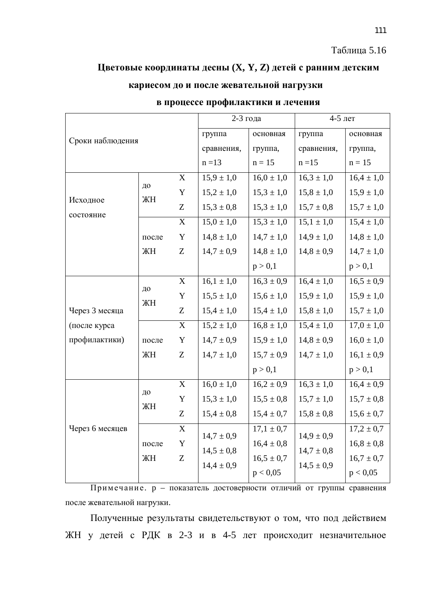#### Таблица 5.16

## **Щветовые координаты десны (X, Y, Z) детей с ранним детским**

## кариесом до и после жевательной нагрузки

| Сроки наблюдения |             |             | 2-3 года       |                | $4-5$ лет                 |                |
|------------------|-------------|-------------|----------------|----------------|---------------------------|----------------|
|                  |             |             | группа         | основная       | группа                    | основная       |
|                  |             | сравнения,  | группа,        | сравнения,     | группа,                   |                |
|                  |             |             | $n = 13$       | $n = 15$       | $n = 15$                  | $n = 15$       |
|                  | ДО<br>ЖH    | $\mathbf X$ | $15,9 \pm 1,0$ | $16,0 \pm 1,0$ | $16,3 \pm 1,0$            | $16,4 \pm 1,0$ |
| Исходное         |             | $\mathbf Y$ | $15,2 \pm 1,0$ | $15,3 \pm 1,0$ | $15,8 \pm 1,0$            | $15,9 \pm 1,0$ |
| состояние        |             | Z           | $15,3 \pm 0,8$ | $15,3 \pm 1,0$ | $15,7 \pm 0,8$            | $15,7 \pm 1,0$ |
|                  |             | $\mathbf X$ | $15,0 \pm 1,0$ | $15,3 \pm 1,0$ | $\overline{15,1} \pm 1,0$ | $15,4 \pm 1,0$ |
|                  | после       | Y           | $14,8 \pm 1,0$ | $14,7 \pm 1,0$ | $14,9 \pm 1,0$            | $14,8 \pm 1,0$ |
|                  | ЖH          | Z           | $14,7 \pm 0.9$ | $14,8 \pm 1,0$ | $14,8 \pm 0,9$            | $14,7 \pm 1,0$ |
|                  |             |             |                | p > 0,1        |                           | p > 0,1        |
|                  |             | $\mathbf X$ | $16,1 \pm 1,0$ | $16,3 \pm 0.9$ | $16.4 \pm 1.0$            | $16,5 \pm 0.9$ |
|                  | ДО<br>ЖH    | $\mathbf Y$ | $15,5 \pm 1,0$ | $15,6 \pm 1,0$ | $15,9 \pm 1,0$            | $15,9 \pm 1,0$ |
| Через 3 месяца   |             | Z           | $15,4 \pm 1,0$ | $15,4 \pm 1,0$ | $15,8 \pm 1,0$            | $15,7 \pm 1,0$ |
| (после курса     |             | X           | $15,2 \pm 1,0$ | $16,8 \pm 1,0$ | $15,4 \pm 1,0$            | $17,0 \pm 1,0$ |
| профилактики)    | после       | $\mathbf Y$ | $14,7 \pm 0,9$ | $15,9 \pm 1,0$ | $14,8 \pm 0,9$            | $16,0 \pm 1,0$ |
|                  | ЖH          | Z           | $14,7 \pm 1,0$ | $15,7 \pm 0,9$ | $14,7 \pm 1,0$            | $16,1 \pm 0,9$ |
|                  |             |             |                | p > 0,1        |                           | p > 0,1        |
|                  | ДО<br>ЖH    | $\mathbf X$ | $16,0 \pm 1,0$ | $16,2 \pm 0.9$ | $16,3 \pm 1,0$            | $16.4 \pm 0.9$ |
|                  |             | Y           | $15,3 \pm 1,0$ | $15,5 \pm 0.8$ | $15,7 \pm 1,0$            | $15,7 \pm 0,8$ |
|                  |             | Z           | $15,4 \pm 0,8$ | $15,4 \pm 0,7$ | $15,8 \pm 0,8$            | $15,6 \pm 0,7$ |
| Через 6 месяцев  | после<br>ЖH | $\mathbf X$ | $14,7 \pm 0.9$ | $17,1 \pm 0.7$ | $14,9 \pm 0,9$            | $17,2 \pm 0.7$ |
|                  |             | $\mathbf Y$ | $14,5 \pm 0,8$ | $16,4 \pm 0,8$ | $14,7 \pm 0.8$            | $16,8 \pm 0,8$ |
|                  |             | Z           | $14,4 \pm 0,9$ | $16,5 \pm 0,7$ | $14,5 \pm 0.9$            | $16.7 \pm 0.7$ |
|                  |             |             |                | p < 0,05       |                           | p < 0,05       |

### **в процессе профилактики и лечения**

Примечание. р – показатель достоверности отличий от группы сравнения после жевательной нагрузки.

Полученные результаты свидетельствуют о том, что под действием ЖН у детей с РДК в 2-3 и в 4-5 лет происходит незначительное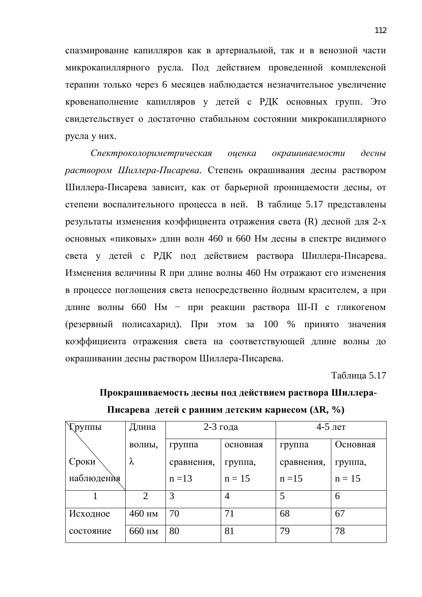спазмирование капилляров как в артериальной, так и в венозной части микрокапиллярного русла. Под действием проведенной комплексной терапии только через 6 месяцев наблюдается незначительное увеличение кровенаполнение капилляров у детей с РДК основных групп. Это свидетельствует о достаточно стабильном состоянии микрокапиллярного русла у них.

Спектроколориметрическая оценка окрашиваемости десны *раствором Шиллера-Писарева*. Степень окрашивания десны раствором Шиллера-Писарева зависит, как от барьерной проницаемости десны, от степени воспалительного процесса в ней. В таблице 5.17 представлены результаты изменения коэффициента отражения света (R) десной для 2-х основных «пиковых» длин волн 460 и 660 Нм десны в спектре видимого света у детей с РДК под действием раствора Шиллера-Писарева. Изменения величины R при длине волны 460 Нм отражают его изменения в процессе поглощения света непосредственно йодным красителем, а при длине волны 660 Нм – при реакции раствора Ш-П с гликогеном  $(\text{резервный полисахарид})$ . При этом за 100 % принято значения коэффициента отражения света на соответствующей длине волны до окрашивании десны раствором Шиллера-Писарева.

Таблица 5.17

| <b>Труппы</b> | Длина                       | 2-3 года   |          | $4-5$ лет  |          |  |  |
|---------------|-----------------------------|------------|----------|------------|----------|--|--|
|               | волны,                      | группа     | основная | группа     | Основная |  |  |
| Сроки         | λ                           | сравнения, | группа,  | сравнения, | группа,  |  |  |
| наблюдения    |                             | $n = 13$   | $n = 15$ | $n = 15$   | $n = 15$ |  |  |
|               | $\mathcal{D}_{\mathcal{L}}$ | 3          | 4        | 5          | 6        |  |  |
| Исходное      | 460 HM                      | 70         | 71       | 68         | 67       |  |  |
| состояние     | 660 HM                      | 80         | 81       | 79         | 78       |  |  |

# Прокрашиваемость десны под действием раствора Шиллера-**Писарева детей с ранним детским кариесом (** $\Delta \mathbf{R}, \%$ **)**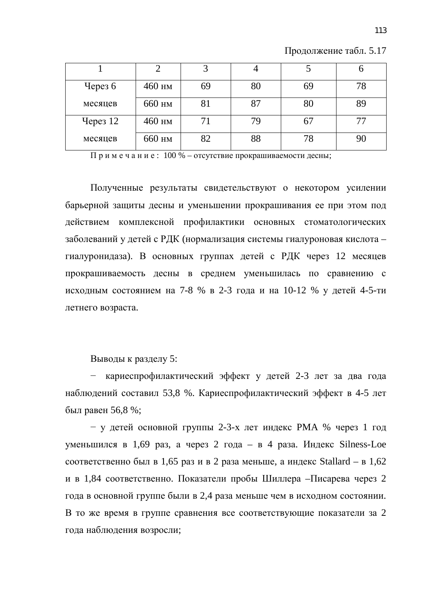| Через $6$ | 460 нм | 69 | 80 | 69 | 78 |
|-----------|--------|----|----|----|----|
| месяцев   | 660 нм | 81 | 87 | 80 | 89 |
| Через 12  | 460 нм | 71 | 79 | O. |    |
| месяцев   | 660 нм | 82 | 88 | 78 |    |

Продолжение табл. 5.17

Примечание:  $100\%$  – отсутствие прокрашиваемости десны;

Полученные результаты свидетельствуют о некотором усилении барьерной защиты десны и уменьшении прокрашивания ее при этом под действием комплексной профилактики основных стоматологических заболеваний у детей с РДК (нормализация системы гиалуроновая кислота – гиалуронидаза). В основных группах детей с РДК через 12 месяцев прокрашиваемость десны в среднем уменьшилась по сравнению с исходным состоянием на 7-8 % в 2-3 года и на 10-12 % у детей 4-5-ти летнего возраста.

Выводы к разделу 5:

– кариеспрофилактический эффект у детей 2-3 лет за два года наблюдений составил 53,8 %. Кариеспрофилактический эффект в 4-5 лет был равен 56,8 %;

 $-$  у детей основной группы 2-3-х лет индекс РМА % через 1 год уменьшился в 1,69 раз, а через 2 года – в 4 раза. Индекс Silness-Loe соответственно был в 1,65 раз и в 2 раза меньше, а индекс Stallard – в 1,62 и в 1,84 соответственно. Показатели пробы Шиллера – Писарева через 2 года в основной группе были в 2,4 раза меньше чем в исходном состоянии. В то же время в группе сравнения все соответствующие показатели за 2 года наблюдения возросли;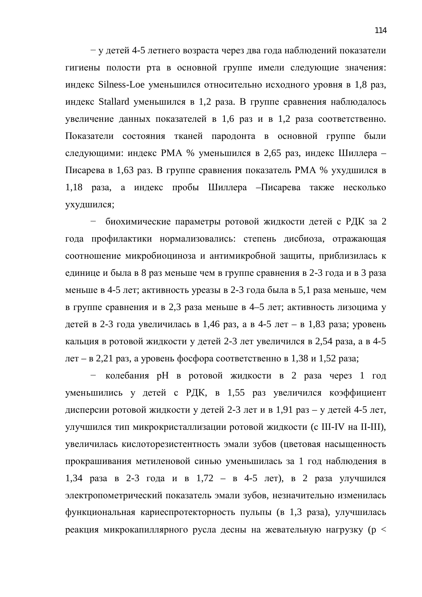у детей 4-5 летнего возраста через два года наблюдений показатели гигиены полости рта в основной группе имели следующие значения: индекс Silness-Loe уменьшился относительно исходного уровня в 1,8 раз, индекс Stallard уменьшился в 1,2 раза. В группе сравнения наблюдалось увеличение данных показателей в 1,6 раз и в 1,2 раза соответственно. Показатели состояния тканей пародонта в основной группе были следующими: индекс РМА % уменьшился в 2,65 раз, индекс Шиллера – Писарева в 1,63 раз. В группе сравнения показатель РМА % ухудшился в 1,18 раза, а индекс пробы Шиллера – Писарева также несколько ухудшился;

– биохимические параметры ротовой жидкости детей с РДК за 2 года профилактики нормализовались: степень дисбиоза, отражающая соотношение микробиоциноза и антимикробной защиты, приблизилась к единице и была в 8 раз меньше чем в группе сравнения в 2-3 года и в 3 раза меньше в 4-5 лет; активность уреазы в 2-3 года была в 5,1 раза меньше, чем в группе сравнения и в 2,3 раза меньше в 4–5 лет; активность лизоцима у детей в 2-3 года увеличилась в 1,46 раз, а в 4-5 лет – в 1,83 раза; уровень кальция в ротовой жидкости у детей 2-3 лет увеличился в 2,54 раза, а в 4-5  $\pi$ нет – в 2,21 раз, а уровень фосфора соответственно в 1,38 и 1,52 раза;

 $-$  колебания рН в ротовой жидкости в 2 раза через 1 год уменьшились у детей с РДК, в 1,55 раз увеличился коэффициент дисперсии ротовой жидкости у детей 2-3 лет и в 1,91 раз – у детей 4-5 лет, улучшился тип микрокристаллизации ротовой жидкости (с III-IV на II-III), увеличилась кислоторезистентность эмали зубов (цветовая насыщенность прокрашивания метиленовой синью уменьшилась за 1 год наблюдения в 1,34 раза в 2-3 года и в 1,72 – в 4-5 лет), в 2 раза улучшился электропометрический показатель эмали зубов, незначительно изменилась функциональная кариеспротекторность пульпы (в 1,3 раза), улучшилась реакция микрокапиллярного русла десны на жевательную нагрузку (р <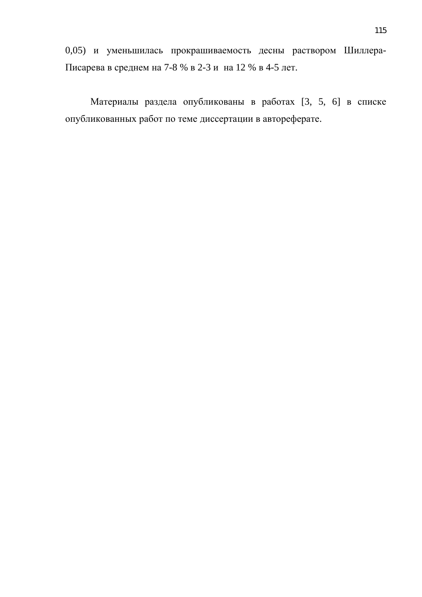0,05) и уменьшилась прокрашиваемость десны раствором Шиллера-Писарева в среднем на 7-8 % в 2-3 и на 12 % в 4-5 лет.

Материалы раздела опубликованы в работах [3, 5, 6] в списке опубликованных работ по теме диссертации в автореферате.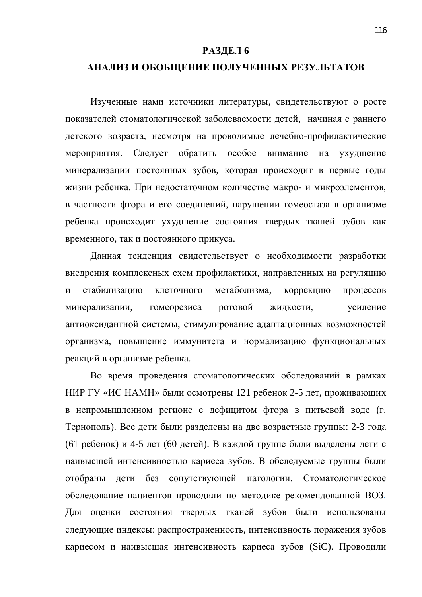#### РАЗДЕЛ 6

#### АНАЛИЗ И ОБОБЩЕНИЕ ПОЛУЧЕННЫХ РЕЗУЛЬТАТОВ

Изученные нами источники литературы, свидетельствуют о росте показателей стоматологической заболеваемости детей, начиная с раннего детского возраста, несмотря на проводимые лечебно-профилактические мероприятия. Следует обратить особое внимание на ухудшение минерализации постоянных зубов, которая происходит в первые годы жизни ребенка. При недостаточном количестве макро- и микроэлементов, в частности фтора и его соединений, нарушении гомеостаза в организме ребенка происходит ухудшение состояния твердых тканей зубов как временного, так и постоянного прикуса.

Данная тенденция свидетельствует о необходимости разработки внедрения комплексных схем профилактики, направленных на регуляцию и стабилизацию клеточного метаболизма, коррекцию процессов минерализации, гомеорезиса ротовой жидкости, усиление антиоксидантной системы, стимулирование адаптационных возможностей организма, повышение иммунитета и нормализацию функциональных реакций в организме ребенка.

Во время проведения стоматологических обследований в рамках НИР ГУ «ИС НАМН» были осмотрены 121 ребенок 2-5 лет, проживающих в непромышленном регионе с дефицитом фтора в питьевой воде (г. Тернополь). Все дети были разделены на две возрастные группы: 2-3 года (61 ребенок) и 4-5 лет (60 детей). В каждой группе были выделены дети с наивысшей интенсивностью кариеса зубов. В обследуемые группы были отобраны дети без сопутствующей патологии. Стоматологическое обследование пациентов проводили по методике рекомендованной ВОЗ. Для оценки состояния твердых тканей зубов были использованы следующие индексы: распространенность, интенсивность поражения зубов кариесом и наивысшая интенсивность кариеса зубов (SiC). Проводили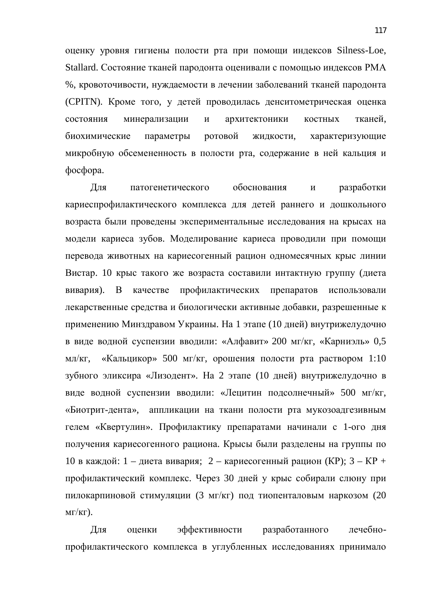оценку уровня гигиены полости рта при помощи индексов Silness-Loe, Stallard. Состояние тканей пародонта оценивали с помощью индексов РМА %, кровоточивости, нуждаемости в лечении заболеваний тканей пародонта (CPITN). Кроме того, у детей проводилась денситометрическая оценка состояния минерализации и архитектоники костных тканей, биохимические параметры ротовой жидкости, характеризующие микробную обсемененность в полости рта, содержание в ней кальция и  $docobopa.$ 

Для патогенетического обоснования и разработки кариеспрофилактического комплекса для детей раннего и дошкольного возраста были проведены экспериментальные исследования на крысах на модели кариеса зубов. Моделирование кариеса проводили при помощи перевода животных на кариесогенный рацион одномесячных крыс линии Вистар. 10 крыс такого же возраста составили интактную группу (диета вивария). В качестве профилактических препаратов использовали лекарственные средства и биологически активные добавки, разрешенные к применению Минздравом Украины. На 1 этапе (10 дней) внутрижелудочно в виде водной суспензии вводили: «Алфавит» 200 мг/кг, «Карниэль» 0,5 мл/кг, «Кальцикор» 500 мг/кг, орошения полости рта раствором 1:10 зубного эликсира «Лизодент». На 2 этапе (10 дней) внутрижелудочно в виде водной суспензии вводили: «Лецитин подсолнечный» 500 мг/кг, «Биотрит-дента», аппликации на ткани полости рта мукозоадгезивным гелем «Квертулин». Профилактику препаратами начинали с 1-ого дня получения кариесогенного рациона. Крысы были разделены на группы по 10 в каждой: 1 – диета вивария; 2 – кариесогенный рацион (КР); 3 – КР + профилактический комплекс. Через 30 дней у крыс собирали слюну при пилокарпиновой стимуляции (3 мг/кг) под тиопенталовым наркозом (20  $MT/K\Gamma$ ).

Для оценки эффективности разработанного лечебнопрофилактического комплекса в углубленных исследованиях принимало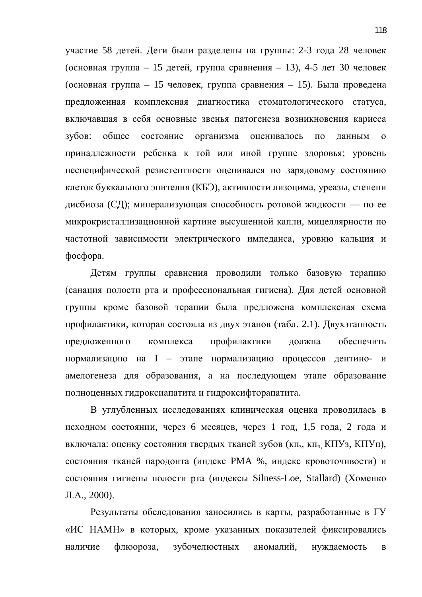участие 58 детей. Дети были разделены на группы: 2-3 года 28 человек  $($ основная группа – 15 детей, группа сравнения – 13), 4-5 лет 30 человек  $($ основная группа – 15 человек, группа сравнения – 15). Была проведена предложенная комплексная диагностика стоматологического статуса, включавшая в себя основные звенья патогенеза возникновения кариеса зубов: общее состояние организма оценивалось по данным о принадлежности ребенка к той или иной группе здоровья; уровень неспецифической резистентности оценивался по зарядовому состоянию клеток буккального эпителия (КБЭ), активности лизоцима, уреазы, степени дисбиоза (СД); минерализующая способность ротовой жидкости — по ее микрокристаллизационной картине высушенной капли, мицеллярности по частотной зависимости электрического импеданса, уровню кальция и  $\phi$ oc $\phi$ opa.

Детям группы сравнения проводили только базовую терапию (санация полости рта и профессиональная гигиена). Для детей основной группы кроме базовой терапии была предложена комплексная схема профилактики, которая состояла из двух этапов (табл. 2.1). Двухэтапность предложенного комплекса профилактики должна обеспечить нормализацию на I – этапе нормализацию процессов дентино- и амелогенеза для образования, а на последующем этапе образование полноценных гидроксиапатита и гидроксифторапатита.

В углубленных исследованиях клиническая оценка проводилась в исходном состоянии, через 6 месяцев, через 1 год, 1,5 года, 2 года и включала: оценку состояния твердых тканей зубов (кп<sub>з</sub>, кп<sub>п,</sub> КПУз, КПУп), состояния тканей пародонта (индекс РМА %, индекс кровоточивости) и состояния гигиены полости рта (индексы Silness-Loe, Stallard) (Хоменко Л.А., 2000).

Результаты обследования заносились в карты, разработанные в ГУ «ИС НАМН» в которых, кроме указанных показателей фиксировались наличие флюороза, зубочелюстных аномалий, нуждаемость в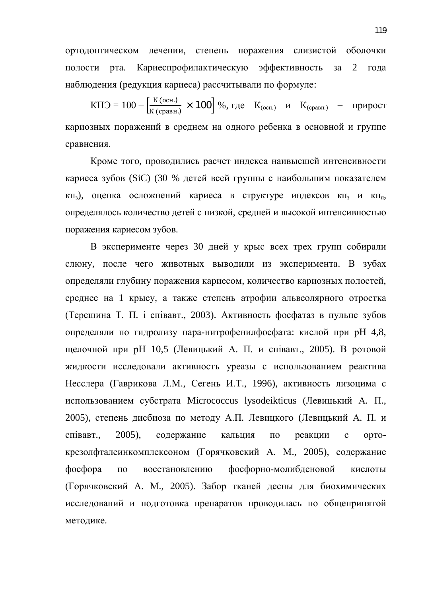ортодонтическом лечении, степень поражения слизистой оболочки полости рта. Кариеспрофилактическую эффективность за 2 года наблюдения (редукция кариеса) рассчитывали по формуле:

 $KTJ = 100 - \frac{K (OCH)}{K (cpab)}$  × 100 %, где  $K_{(ocn.)}$  и  $K_{(cpab)}$  – прирост кариозных поражений в среднем на одного ребенка в основной и группе сравнения.

Кроме того, проводились расчет индекса наивысшей интенсивности кариеса зубов (SiC) (30 % детей всей группы с наибольшим показателем  $\kappa$ п<sub>3</sub>), оценка осложнений кариеса в структуре индексов  $\kappa$ п<sub>з</sub> и кп<sub>п</sub>, определялось количество детей с низкой, средней и высокой интенсивностью поражения кариесом зубов.

В эксперименте через 30 дней у крыс всех трех групп собирали слюну, после чего животных выводили из эксперимента. В зубах определяли глубину поражения кариесом, количество кариозных полостей, среднее на 1 крысу, а также степень атрофии альвеолярного отростка (Терешина Т. П. і співавт., 2003). Активность фосфатаз в пульпе зубов определяли по гидролизу пара-нитрофенилфосфата: кислой при рН 4,8, щелочной при рН 10,5 (Левицький А. П. и співавт., 2005). В ротовой жидкости исследовали активность уреазы с использованием реактива Несслера (Гаврикова Л.М., Сегень И.Т., 1996), активность лизоцима с использованием субстрата Micrococcus lysodeikticus (Левицький А. П., 2005), степень дисбиоза по методу А.П. Левицкого (Левицький А. П. и співавт., 2005), содержание кальция по реакции с ортокрезолфталеинкомплексоном (Горячковский А. М., 2005), содержание фосфора по восстановлению фосфорно-молибденовой кислоты (Горячковский А. М., 2005). Забор тканей десны для биохимических исследований и подготовка препаратов проводилась по общепринятой методике.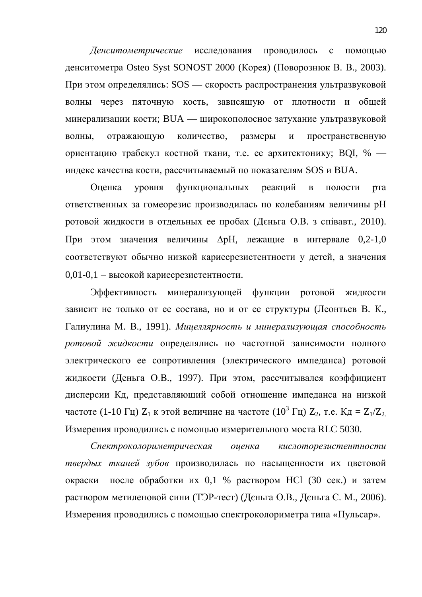Денситометрические исследования проводилось с помощью денситометра Osteo Syst SONOST 2000 (Корея) (Поворознюк В. В., 2003). При этом определялись: SOS — скорость распространения ультразвуковой волны через пяточную кость, зависящую от плотности и общей минерализации кости; BUA — широкополосное затухание ультразвуковой волны, отражающую количество, размеры и пространственную ориентацию трабекул костной ткани, т.е. ее архитектонику; ВОI, % индекс качества кости, рассчитываемый по показателям SOS и BUA.

Оценка уровня функциональных реакций в полости рта ответственных за гомеорезис производилась по колебаниям величины рН ротовой жидкости в отдельных ее пробах (Дєньга О.В. з співавт., 2010). При этом значения величины  $\Delta$ рН, лежащие в интервале 0,2-1,0 соответствуют обычно низкой кариесрезистентности у детей, а значения  $0,01-0,1 -$  высокой кариесрезистентности.

Эффективность минерализующей функции ротовой жидкости зависит не только от ее состава, но и от ее структуры (Леонтьев В. К., Галиулина М. В., 1991). *Мицеллярность и минерализующая способность* ротовой жидкости определялись по частотной зависимости полного электрического ее сопротивления (электрического импеданса) ротовой жидкости (Деньга О.В., 1997). При этом, рассчитывался коэффициент дисперсии Кд, представляющий собой отношение импеданса на низкой частоте (1-10 Гц)  $Z_1$  к этой величине на частоте (10<sup>3</sup> Гц)  $Z_2$ , т.е.  $K_A = Z_1/Z_2$ Измерения проводились с помощью измерительного моста RLC 5030.

Спектроколориметрическая оценка кислоторезистентности твердых тканей зубов производилась по насыщенности их цветовой окраски после обработки их 0,1 % раствором HCl (30 сек.) и затем раствором метиленовой сини (ТЭР-тест) (Дєньга О.В., Дєньга Є. М., 2006). Измерения проводились с помощью спектроколориметра типа «Пульсар».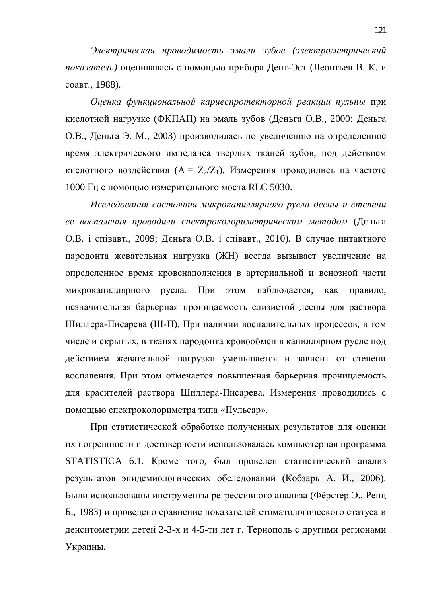Электрическая проводимость эмали зубов (электрометрический показатель) оценивалась с помощью прибора Дент-Эст (Леонтьев В. К. и соавт., 1988).

Оценка функциональной кариеспротекторной реакции пульпы при кислотной нагрузке (ФКПАП) на эмаль зубов (Деньга О.В., 2000; Деньга О.В., Деньга Э. М., 2003) производилась по увеличению на определенное время электрического импеданса твердых тканей зубов, под действием кислотного воздействия  $(A = Z_2/Z_1)$ . Измерения проводились на частоте 1000 Гц с помощью измерительного моста RLC 5030.

*Исследования состояния микрокапиллярного русла десны и степени* ее воспаления проводили спектроколориметрическим методом (Дєньга О.В. і співавт., 2009; Дєньга О.В. і співавт., 2010). В случае интактного пародонта жевательная нагрузка (ЖН) всегда вызывает увеличение на определенное время кровенаполнения в артериальной и венозной части микрокапиллярного русла. При этом наблюдается, как правило, незначительная барьерная проницаемость слизистой десны для раствора Шиллера-Писарева (Ш-П). При наличии воспалительных процессов, в том числе и скрытых, в тканях пародонта кровообмен в капиллярном русле под действием жевательной нагрузки уменьшается и зависит от степени воспаления. При этом отмечается повышенная барьерная проницаемость для красителей раствора Шиллера-Писарева. Измерения проводились с помощью спектроколориметра типа «Пульсар».

При статистической обработке полученных результатов для оценки их погрешности и достоверности использовалась компьютерная программа STATISTICA 6.1. Кроме того, был проведен статистический анализ результатов эпидемиологических обследований (Кобзарь А. И., 2006). Были использованы инструменты регрессивного анализа (Фёрстер Э., Ренц Б., 1983) и проведено сравнение показателей стоматологического статуса и денситометрии детей 2-3-х и 4-5-ти лет г. Тернополь с другими регионами Украины.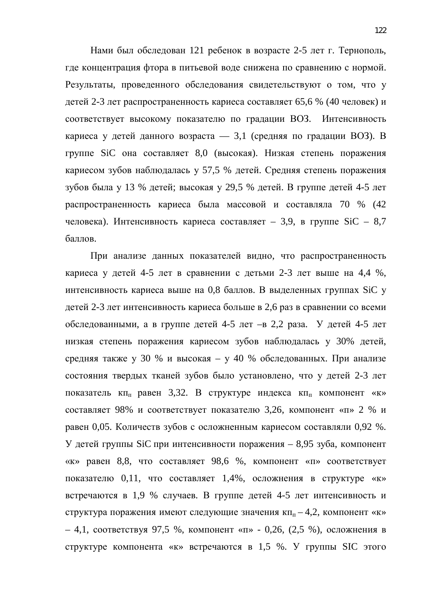Нами был обследован 121 ребенок в возрасте 2-5 лет г. Тернополь, где концентрация фтора в питьевой воде снижена по сравнению с нормой. Результаты, проведенного обследования свидетельствуют о том, что у детей 2-3 лет распространенность кариеса составляет 65,6 % (40 человек) и соответствует высокому показателю по градации ВОЗ. Интенсивность кариеса у детей данного возраста — 3,1 (средняя по градации ВОЗ). В группе SiC она составляет 8,0 (высокая). Низкая степень поражения кариесом зубов наблюдалась у 57,5 % детей. Средняя степень поражения зубов была у 13 % детей; высокая у 29,5 % детей. В группе детей 4-5 лет распространенность кариеса была массовой и составляла 70 % (42 человека). Интенсивность кариеса составляет – 3,9, в группе  $SiC - 8,7$ баллов.

При анализе данных показателей видно, что распространенность кариеса у детей 4-5 лет в сравнении с детьми 2-3 лет выше на 4,4 %, интенсивность кариеса выше на 0,8 баллов. В выделенных группах SiC у детей 2-3 лет интенсивность кариеса больше в 2,6 раз в сравнении со всеми обследованными, а в группе детей 4-5 лет - в 2,2 раза. У детей 4-5 лет низкая степень поражения кариесом зубов наблюдалась у 30% детей, средняя также у 30 % и высокая – у 40 % обследованных. При анализе состояния твердых тканей зубов было установлено, что у детей 2-3 лет показатель  $\kappa$ п<sub>п</sub> равен 3,32. В структуре индекса  $\kappa$ п<sub>п</sub> компонент «к» составляет 98% и соответствует показателю 3,26, компонент «п» 2 % и равен 0,05. Количеств зубов с осложненным кариесом составляли 0,92 %. У детей группы SiC при интенсивности поражения – 8,95 зуба, компонент «к» равен 8,8, что составляет 98,6 %, компонент «п» соответствует показателю 0,11, что составляет 1,4%, осложнения в структуре «к» встречаются в 1,9 % случаев. В группе детей 4-5 лет интенсивность и структура поражения имеют следующие значения кп<sub>п</sub> $-4,2$ , компонент «к» – 4,1, соответствуя 97,5 %, компонент «п» - 0,26, (2,5 %), осложнения в структуре компонента «к» встречаются в 1,5 %. У группы SIC этого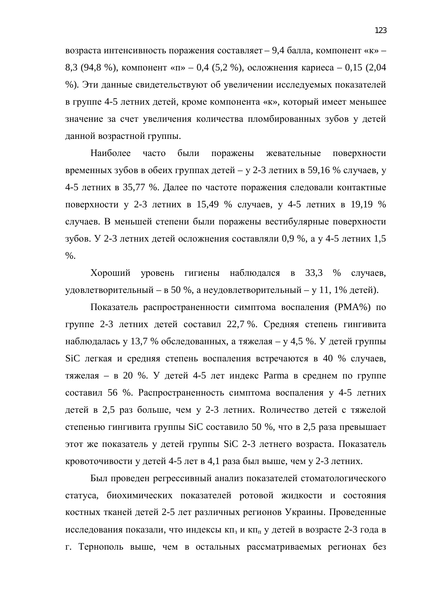возраста интенсивность поражения составляет – 9,4 балла, компонент «к» – 8,3 (94,8 %), компонент «п» – 0,4 (5,2 %), осложнения кариеса – 0,15 (2,04 %). Эти данные свидетельствуют об увеличении исследуемых показателей в группе 4-5 летних детей, кроме компонента «к», который имеет меньшее значение за счет увеличения количества пломбированных зубов у детей данной возрастной группы.

Наиболее часто были поражены жевательные поверхности временных зубов в обеих группах детей – у 2-3 летних в 59,16 % случаев, у 4-5 летних в 35,77 %. Далее по частоте поражения следовали контактные поверхности у 2-3 летних в 15,49 % случаев, у 4-5 летних в 19,19 % случаев. В меньшей степени были поражены вестибулярные поверхности зубов. У 2-3 летних детей осложнения составляли 0,9 %, а у 4-5 летних 1,5 %.

Хороший уровень гигиены наблюдался в 33,3 % случаев, удовлетворительный – в 50 %, а неудовлетворительный – у 11, 1% детей).

Показатель распространенности симптома воспаления (РМА%) по группе 2-3 летних детей составил 22,7 %. Средняя степень гингивита наблюдалась у 13,7 % обследованных, а тяжелая – у 4,5 %. У детей группы SiC легкая и средняя степень воспаления встречаются в 40 % случаев, тяжелая – в 20 %. У детей 4-5 лет индекс Рагта в среднем по группе составил 56 %. Распространенность симптома воспаления у 4-5 летних детей в 2,5 раз больше, чем у 2-3 летних. Количество детей с тяжелой степенью гингивита группы SiC составило 50 %, что в 2,5 раза превышает этот же показатель у детей группы SiC 2-3 летнего возраста. Показатель кровоточивости у детей 4-5 лет в 4,1 раза был выше, чем у 2-3 летних.

Был проведен регрессивный анализ показателей стоматологического статуса, биохимических показателей ротовой жидкости и состояния костных тканей детей 2-5 лет различных регионов Украины. Проведенные исследования показали, что индексы кп<sub>з</sub> и кп<sub>п</sub> у детей в возрасте 2-3 года в г. Тернополь выше, чем в остальных рассматриваемых регионах без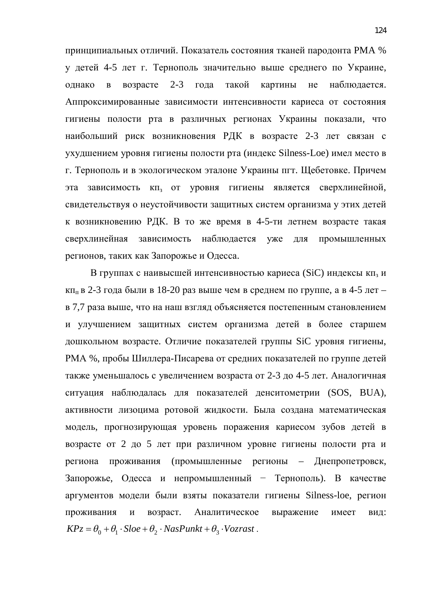принципиальных отличий. Показатель состояния тканей пародонта РМА % у детей 4-5 лет г. Тернополь значительно выше среднего по Украине, однако в возрасте 2-3 года такой картины не наблюдается. Аппроксимированные зависимости интенсивности кариеса от состояния гигиены полости рта в различных регионах Украины показали, что наибольший риск возникновения РДК в возрасте 2-3 лет связан с ухудшением уровня гигиены полости рта (индекс Silness-Loe) имел место в г. Тернополь и в экологическом эталоне Украины пгт. Щебетовке. Причем эта зависимость кп<sub>з</sub> от уровня гигиены является сверхлинейной, свидетельствуя о неустойчивости защитных систем организма у этих детей к возникновению РДК. В то же время в 4-5-ти летнем возрасте такая сверхлинейная зависимость наблюдается уже для промышленных регионов, таких как Запорожье и Одесса.

В группах с наивысшей интенсивностью кариеса (SiC) индексы кп<sub>з</sub> и кп<sub>и</sub> в 2-3 года были в 18-20 раз выше чем в среднем по группе, а в 4-5 лет – в 7,7 раза выше, что на наш взгляд объясняется постепенным становлением и улучшением защитных систем организма детей в более старшем дошкольном возрасте. Отличие показателей группы SiC уровня гигиены, РМА %, пробы Шиллера-Писарева от средних показателей по группе детей также уменьшалось с увеличением возраста от 2-3 до 4-5 лет. Аналогичная ситуация наблюдалась для показателей денситометрии (SOS, BUA), активности лизоцима ротовой жидкости. Была создана математическая модель, прогнозирующая уровень поражения кариесом зубов детей в возрасте от 2 до 5 лет при различном уровне гигиены полости рта и региона проживания (промышленные регионы – Днепропетровск, Запорожье, Одесса и непромышленный – Тернополь). В качестве аргументов модели были взяты показатели гигиены Silness-loe, регион проживания и возраст. Аналитическое выражение имеет вид:  $KPz = \theta_0 + \theta_1 \cdot Sloe + \theta_2 \cdot NasPunkt + \theta_3 \cdot Vozrast$ .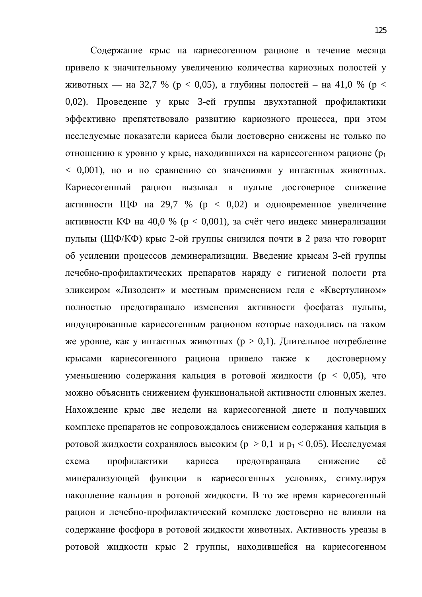Содержание крыс на кариесогенном рационе в течение месяца привело к значительному увеличению количества кариозных полостей у животных — на 32,7 % ( $p < 0.05$ ), а глубины полостей – на 41,0 % ( $p <$ 0,02). Проведение у крыс 3-ей группы двухэтапной профилактики эффективно препятствовало развитию кариозного процесса, при этом исследуемые показатели кариеса были достоверно снижены не только по отношению к уровню у крыс, находившихся на кариесогенном рационе ( $p_1$  $< 0.001$ ), но и по сравнению со значениями у интактных животных. Кариесогенный рацион вызывал в пульпе достоверное снижение активности ЩФ на 29,7 % (р < 0,02) и одновременное увеличение активности КФ на 40,0 % ( $p < 0.001$ ), за счёт чего индекс минерализации пульпы (ЩФ/КФ) крыс 2-ой группы снизился почти в 2 раза что говорит об усилении процессов деминерализации. Введение крысам 3-ей группы лечебно-профилактических препаратов наряду с гигиеной полости рта эликсиром «Лизодент» и местным применением геля с «Квертулином» полностью предотвращало изменения активности фосфатаз пульпы, индуцированные кариесогенным рационом которые находились на таком же уровне, как у интактных животных ( $p > 0,1$ ). Длительное потребление крысами кариесогенного рациона привело также к достоверному уменьшению содержания кальция в ротовой жидкости (р < 0,05), что можно объяснить снижением функциональной активности слюнных желез. Нахождение крыс две недели на кариесогенной диете и получавших комплекс препаратов не сопровождалось снижением содержания кальция в ротовой жидкости сохранялось высоким ( $p > 0,1$  и  $p_1 < 0,05$ ). Исследуемая схема профилактики кариеса предотвращала снижение её минерализующей функции в кариесогенных условиях, стимулируя накопление кальция в ротовой жидкости. В то же время кариесогенный рацион и лечебно-профилактический комплекс достоверно не влияли на содержание фосфора в ротовой жидкости животных. Активность уреазы в ротовой жидкости крыс 2 группы, находившейся на кариесогенном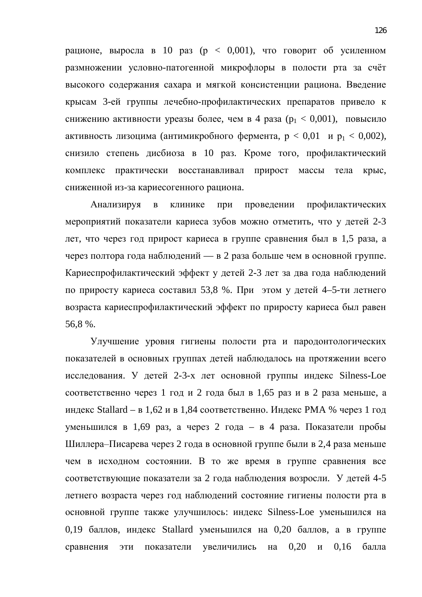рационе, выросла в 10 раз ( $p < 0.001$ ), что говорит об усиленном размножении условно-патогенной микрофлоры в полости рта за счёт высокого содержания сахара и мягкой консистенции рациона. Введение крысам 3-ей группы лечебно-профилактических препаратов привело к снижению активности уреазы более, чем в 4 раза ( $p_1 < 0.001$ ), повысило активность лизоцима (антимикробного фермента,  $p < 0.01$  и  $p_1 < 0.002$ ), снизило степень дисбиоза в 10 раз. Кроме того, профилактический комплекс практически восстанавливал прирост массы тела крыс, сниженной из-за кариесогенного рациона.

Анализируя в клинике при проведении профилактических мероприятий показатели кариеса зубов можно отметить, что у детей 2-3 дет, что через год прирост кариеса в группе сравнения был в 1,5 раза, а через полтора года наблюдений — в 2 раза больше чем в основной группе. Кариеспрофилактический эффект у детей 2-3 лет за два года наблюдений по приросту кариеса составил 53,8 %. При этом у детей 4–5-ти летнего возраста кариеспрофилактический эффект по приросту кариеса был равен 56,8 %.

Улучшение уровня гигиены полости рта и пародонтологических показателей в основных группах детей наблюдалось на протяжении всего исследования. У детей 2-3-х лет основной группы индекс Silness-Loe соответственно через 1 год и 2 года был в 1,65 раз и в 2 раза меньше, а индекс Stallard – в 1,62 и в 1,84 соответственно. Индекс РМА % через 1 год уменьшился в 1,69 раз, а через 2 года – в 4 раза. Показатели пробы Шиллера–Писарева через 2 года в основной группе были в 2,4 раза меньше чем в исходном состоянии. В то же время в группе сравнения все соответствующие показатели за 2 года наблюдения возросли. У детей 4-5 летнего возраста через год наблюдений состояние гигиены полости рта в основной группе также улучшилось: индекс Silness-Loe уменьшился на 0,19 баллов, индекс Stallard уменьшился на 0,20 баллов, а в группе сравнения эти показатели увеличились на 0,20 и 0,16 балла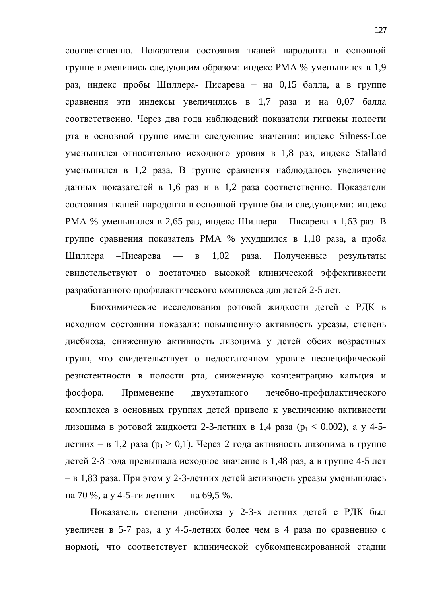соответственно. Показатели состояния тканей пародонта в основной группе изменились следующим образом: индекс РМА % уменьшился в 1,9 раз, индекс пробы Шиллера- Писарева - на 0,15 балла, а в группе сравнения эти индексы увеличились в 1,7 раза и на 0,07 балла соответственно. Через два года наблюдений показатели гигиены полости рта в основной группе имели следующие значения: индекс Silness-Loe уменьшился относительно исходного уровня в 1,8 раз, индекс Stallard уменьшился в 1,2 раза. В группе сравнения наблюдалось увеличение данных показателей в 1,6 раз и в 1,2 раза соответственно. Показатели состояния тканей пародонта в основной группе были следующими: индекс РМА % уменьшился в 2,65 раз, индекс Шиллера – Писарева в 1,63 раз. В группе сравнения показатель РМА % ухудшился в 1,18 раза, а проба Шиллера – Писарева — в 1,02 раза. Полученные результаты свидетельствуют о достаточно высокой клинической эффективности разработанного профилактического комплекса для детей 2-5 лет.

Биохимические исследования ротовой жидкости детей с РДК в исходном состоянии показали: повышенную активность уреазы, степень дисбиоза, сниженную активность лизоцима у детей обеих возрастных групп, что свидетельствует о недостаточном уровне неспецифической резистентности в полости рта, сниженную концентрацию кальция и фосфора. Применение двухэтапного лечебно-профилактического комплекса в основных группах детей привело к увеличению активности лизоцима в ротовой жидкости 2-3-летних в 1,4 раза ( $p_1 < 0.002$ ), а у 4-5детних – в 1,2 раза ( $p_1 > 0,1$ ). Через 2 года активность лизоцима в группе детей 2-3 года превышала исходное значение в 1,48 раз, а в группе 4-5 лет – в 1,83 раза. При этом у 2-3-летних детей активность уреазы уменьшилась на 70 %, а у 4-5-ти летних — на 69,5 %.

Показатель степени дисбиоза у 2-3-х летних детей с РДК был увеличен в 5-7 раз, а у 4-5-летних более чем в 4 раза по сравнению с нормой, что соответствует клинической субкомпенсированной стадии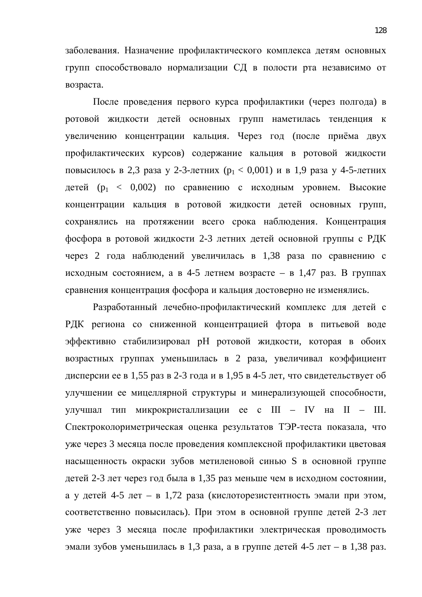заболевания. Назначение профилактического комплекса детям основных групп способствовало нормализации СД в полости рта независимо от возраста.

После проведения первого курса профилактики (через полгода) в ротовой жидкости детей основных групп наметилась тенденция к увеличению концентрации кальция. Через год (после приёма двух профилактических курсов) содержание кальция в ротовой жидкости повысилось в 2,3 раза у 2-3-летних ( $p_1 < 0.001$ ) и в 1,9 раза у 4-5-летних детей (р<sub>1</sub> < 0,002) по сравнению с исходным уровнем. Высокие концентрации кальция в ротовой жидкости детей основных групп, сохранялись на протяжении всего срока наблюдения. Концентрация фосфора в ротовой жидкости 2-3 летних детей основной группы с РДК через 2 года наблюдений увеличилась в 1,38 раза по сравнению с исходным состоянием, а в 4-5 летнем возрасте – в 1,47 раз. В группах сравнения концентрация фосфора и кальция достоверно не изменялись.

Разработанный лечебно-профилактический комплекс для детей с РДК региона со сниженной концентрацией фтора в питьевой воде эффективно стабилизировал рН ротовой жидкости, которая в обоих возрастных группах уменьшилась в 2 раза, увеличивал коэффициент дисперсии ее в 1,55 раз в 2-3 года и в 1,95 в 4-5 лет, что свидетельствует об улучшении ее мицеллярной структуры и минерализующей способности, улучшал тип микрокристаллизации ее с III – IV на II – III. Спектроколориметрическая оценка результатов ТЭР-теста показала, что уже через 3 месяца после проведения комплексной профилактики цветовая насыщенность окраски зубов метиленовой синью S в основной группе детей 2-3 лет через год была в 1,35 раз меньше чем в исходном состоянии, а у детей 4-5 лет – в 1,72 раза (кислоторезистентность эмали при этом, соответственно повысилась). При этом в основной группе детей 2-3 лет уже через 3 месяца после профилактики электрическая проводимость эмали зубов уменьшилась в 1,3 раза, а в группе детей 4-5 лет – в 1,38 раз.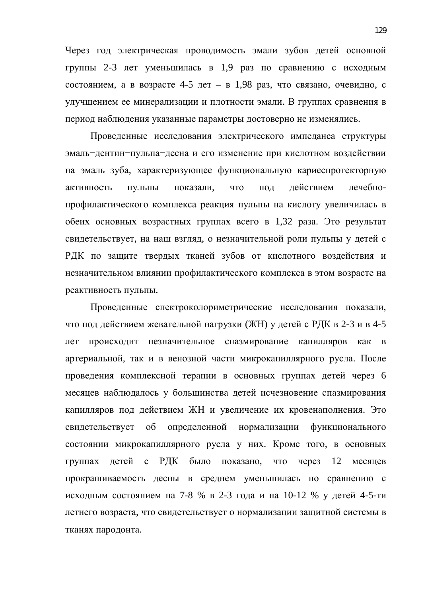Через год электрическая проводимость эмали зубов детей основной группы 2-3 лет уменьшилась в 1,9 раз по сравнению с исходным состоянием, а в возрасте 4-5 лет – в 1,98 раз, что связано, очевидно, с улучшением ее минерализации и плотности эмали. В группах сравнения в период наблюдения указанные параметры достоверно не изменялись.

Проведенные исследования электрического импеданса структуры эмаль-дентин-пульпа-десна и его изменение при кислотном воздействии на эмаль зуба, характеризующее функциональную кариеспротекторную активность пульпы показали, что под действием лечебнопрофилактического комплекса реакция пульпы на кислоту увеличилась в обеих основных возрастных группах всего в 1,32 раза. Это результат свидетельствует, на наш взгляд, о незначительной роли пульпы у детей с РДК по защите твердых тканей зубов от кислотного воздействия и незначительном влиянии профилактического комплекса в этом возрасте на реактивность пульпы.

Проведенные спектроколориметрические исследования показали, что под действием жевательной нагрузки (ЖН) у детей с РДК в 2-3 и в 4-5 лет происходит незначительное спазмирование капилляров как в артериальной, так и в венозной части микрокапиллярного русла. После проведения комплексной терапии в основных группах детей через 6 месяцев наблюдалось у большинства детей исчезновение спазмирования капилляров под действием ЖН и увеличение их кровенаполнения. Это свидетельствует об определенной нормализации функционального состоянии микрокапиллярного русла у них. Кроме того, в основных группах детей с РДК было показано, что через 12 месяцев прокрашиваемость десны в среднем уменьшилась по сравнению с исходным состоянием на 7-8 % в 2-3 года и на 10-12 % у детей 4-5-ти летнего возраста, что свидетельствует о нормализации защитной системы в тканях пародонта.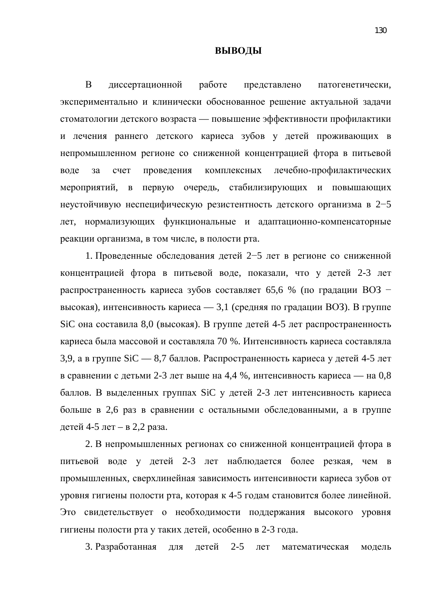#### **ВЫВОДЫ**

В диссертационной работе представлено патогенетически, экспериментально и клинически обоснованное решение актуальной задачи стоматологии детского возраста — повышение эффективности профилактики и лечения раннего детского кариеса зубов у детей проживающих в непромышленном регионе со сниженной концентрацией фтора в питьевой воде за счет проведения комплексных лечебно-профилактических мероприятий, в первую очередь, стабилизирующих и повышающих неустойчивую неспецифическую резистентность детского организма в 2-5 лет, нормализующих функциональные и адаптационно-компенсаторные реакции организма, в том числе, в полости рта.

1. Проведенные обследования детей 2–5 лет в регионе со сниженной концентрацией фтора в питьевой воде, показали, что у детей 2-3 лет распространенность кариеса зубов составляет 65,6 % (по градации ВОЗ – высокая), интенсивность кариеса — 3,1 (средняя по градации ВОЗ). В группе SiC она составила 8,0 (высокая). В группе детей 4-5 лет распространенность кариеса была массовой и составляла 70 %. Интенсивность кариеса составляла 3,9, а в группе  $SiC - 8$ ,7 баллов. Распространенность кариеса у детей 4-5 лет в сравнении с детьми 2-3 лет выше на 4,4 %, интенсивность кариеса — на 0,8 баллов. В выделенных группах SiC у детей 2-3 лет интенсивность кариеса больше в 2,6 раз в сравнении с остальными обследованными, а в группе детей 4-5 лет – в 2,2 раза.

2. В непромышленных регионах со сниженной концентрацией фтора в питьевой воде у детей 2-3 лет наблюдается более резкая, чем в промышленных, сверхлинейная зависимость интенсивности кариеса зубов от уровня гигиены полости рта, которая к 4-5 годам становится более линейной. Это свидетельствует о необходимости поддержания высокого уровня гигиены полости рта у таких детей, особенно в 2-3 года.

3. Разработанная для детей 2-5 лет математическая модель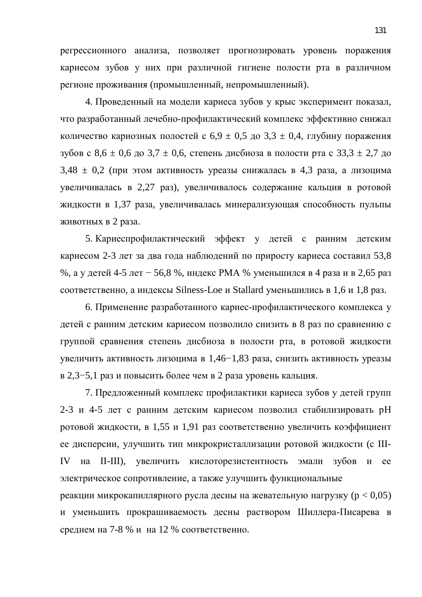регрессионного анализа, позволяет прогнозировать уровень поражения кариесом зубов у них при различной гигиене полости рта в различном регионе проживания (промышленный, непромышленный).

4. Проведенный на модели кариеса зубов у крыс эксперимент показал, что разработанный лечебно-профилактический комплекс эффективно снижал количество кариозных полостей с  $6.9 \pm 0.5$  до  $3.3 \pm 0.4$ , глубину поражения зубов с 8,6  $\pm$  0,6 до 3,7  $\pm$  0,6, степень дисбиоза в полости рта с 33,3  $\pm$  2,7 до  $3,48 \pm 0,2$  (при этом активность уреазы снижалась в 4,3 раза, а лизоцима увеличивалась в 2,27 раз), увеличивалось содержание кальция в ротовой жидкости в 1,37 раза, увеличивалась минерализующая способность пульпы животных в 2 раза.

5. Кариеспрофилактический эффект у детей с ранним детским кариесом 2-3 лет за два года наблюдений по приросту кариеса составил 53,8 %, а у детей 4-5 лет – 56,8 %, индекс РМА % уменьшился в 4 раза и в 2,65 раз соответственно, а индексы Silness-Loe и Stallard уменьшились в 1,6 и 1,8 раз.

6. Применение разработанного кариес-профилактического комплекса у детей с ранним детским кариесом позволило снизить в 8 раз по сравнению с группой сравнения степень дисбиоза в полости рта, в ротовой жидкости увеличить активность лизоцима в 1,46–1,83 раза, снизить активность уреазы в 2,3–5,1 раз и повысить более чем в 2 раза уровень кальция.

7. Предложенный комплекс профилактики кариеса зубов у детей групп 2-3 и 4-5 лет с ранним детским кариесом позволил стабилизировать pH ротовой жидкости, в 1,55 и 1,91 раз соответственно увеличить коэффициент ее дисперсии, улучшить тип микрокристаллизации ротовой жидкости (с III-IV на II-III), увеличить кислоторезистентность эмали зубов и ее электрическое сопротивление, а также улучшить функциональные реакции микрокапиллярного русла десны на жевательную нагрузку ( $p < 0.05$ ) и уменьшить прокрашиваемость десны раствором Шиллера-Писарева в среднем на 7-8 % и на 12 % соответственно.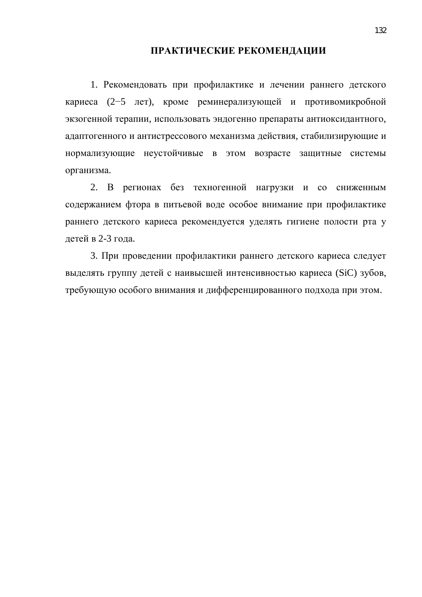#### ПРАКТИЧЕСКИЕ РЕКОМЕНДАЦИИ

1. Рекомендовать при профилактике и лечении раннего детского кариеса (2–5 лет), кроме реминерализующей и противомикробной экзогенной терапии, использовать эндогенно препараты антиоксидантного, адаптогенного и антистрессового механизма действия, стабилизирующие и нормализующие неустойчивые в этом возрасте защитные системы организма.

2. В регионах без техногенной нагрузки и со сниженным содержанием фтора в питьевой воде особое внимание при профилактике раннего детского кариеса рекомендуется уделять гигиене полости рта у детей в 2-3 года.

3. При проведении профилактики раннего детского кариеса следует выделять группу детей с наивысшей интенсивностью кариеса (SiC) зубов, требующую особого внимания и дифференцированного подхода при этом.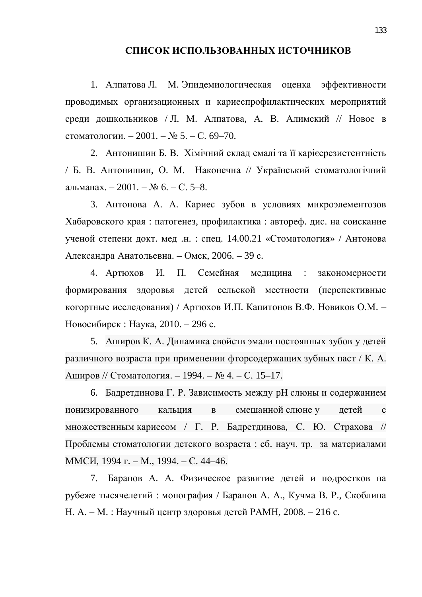#### СПИСОК ИСПОЛЬЗОВАННЫХ ИСТОЧНИКОВ

1. Алпатова Л. М. Эпидемиологическая оценка эффективности проводимых организационных и кариеспрофилактических мероприятий среди дошкольников / Л. М. Алпатова, А. В. Алимский // Новое в стоматологии. – 2001. –  $N_2$  5. – С. 69–70.

2. Антонишин Б. В. Хімічний склад емалі та її каріє срезистентність / Б. В. Антонишин, О. М. Наконечна // Український стоматологічний альманах. – 2001. – № 6. – С. 5–8.

3. Антонова А. А. Кариес зубов в условиях микроэлементозов Хабаровского края: патогенез, профилактика: автореф. дис. на соискание ученой степени докт. мед.н.: спец. 14.00.21 «Стоматология» / Антонова Александра Анатольевна. – Омск, 2006. – 39 с.

4. Артюхов И. П. Семейная медицина : закономерности формирования здоровья детей сельской местности (перспективные когортные исследования) / Артюхов И.П. Капитонов В.Ф. Новиков О.М. – Новосибирск : Наука, 2010. – 296 с.

5. Аширов К. А. Динамика свойств эмали постоянных зубов у детей различного возраста при применении фторсодержащих зубных паст / К. А. Аширов // Стоматология. – 1994. – № 4. – С. 15–17.

6. Бадретдинова Г. Р. Зависимость между рН слюны и содержанием ионизированного кальция в смешаннойслюне у детей с множественным кариесом / Г. Р. Бадретдинова, С. Ю. Страхова // Проблемы стоматологии детского возраста: сб. науч. тр. за материалами ММСИ, 1994 г. – М., 1994. – С. 44–46.

7. Баранов А. А. Физическое развитие детей и подростков на рубеже тысячелетий: монография / Баранов А. А., Кучма В. Р., Скоблина Н. А. – М. : Научный центр здоровья детей РАМН, 2008. – 216 с.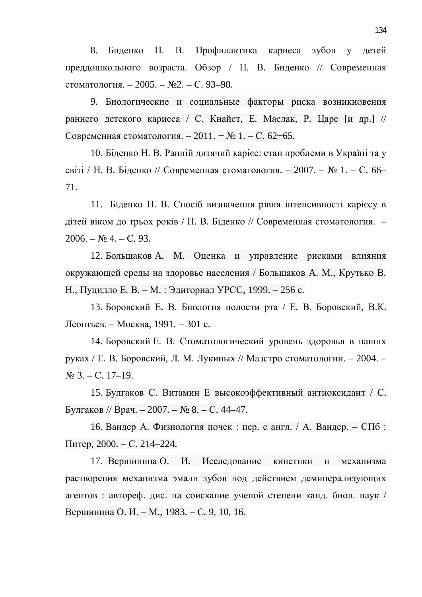8. Биденко Н. В. Профилактика кариеса зубов у детей преддошкольного возраста. Обзор / Н. В. Биденко // Современная стоматология. – 2005. – №2. – С. 93–98.

9. Биологические и социальные факторы риска возникновения раннего детского кариеса / С. Кнайст, Е. Маслак, Р. Царе [и др.] // Современная стоматология. – 2011. – № 1. – С. 62–65.

10. Біденко Н. В. Ранній дитячий карієс: стан проблеми в Україні та у світі / Н. В. Біденко // Современная стоматология. – 2007. – № 1. – С. 66– 71.

11. Біденко Н. В. Спосіб визначення рівня інтенсивності карієсу в дітей віком до трьох років / Н. В. Біденко // Современная стоматология. –  $2006. - N_2$  4. – C. 93.

12. Большаков А. М. Оценка и управление рисками влияния окружающей среды на здоровье населения / Большаков А. М., Крутько В. Н., Пуцилло Е. В. – М. : Эдиториал УРСС, 1999. – 256 с.

13. Боровский Е. В. Биология полости рта / Е. В. Боровский, В.К. Леонтьев. – Москва, 1991. – 301 с.

14. Боровский Е. В. Стоматологический уровень здоровья в наших руках / Е. В. Боровский, Л. М. Лукиных // Маэстро стоматологии. – 2004. –  $N<sub>2</sub>$  3. – C. 17–19.

15. Булгаков С. Витамин Е высокоэффективный антиоксидант / С. Булгаков // Врач. – 2007. – № 8. – С. 44–47.

16. Вандер А. Физиология почек: пер. с англ. / А. Вандер. – СПб: Питер, 2000. – С. 214–224.

17. Вершинина О. И. Исследование кинетики и механизма растворения механизма эмали зубов под действием деминерализующих агентов : автореф. дис. на соискание ученой степени канд. биол. наук / Вершинина О. И. – М., 1983. – С. 9, 10, 16.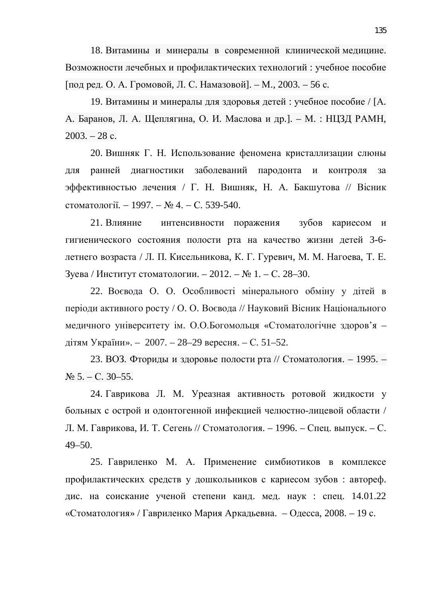18. Витамины и минералы в современной клинической медицине. Возможности лечебных и профилактических технологий: учебное пособие [под ред. О. А. Громовой, Л. С. Намазовой]. – М., 2003. – 56 с.

19. Витамины и минералы для здоровья детей : учебное пособие / [А. А. Баранов, Л. А. Щеплягина, О. И. Маслова и др.]. – М. : НЦЗД РАМН,  $2003. - 28$  c.

20. Вишняк Г. Н. Использование феномена кристаллизации слюны для ранней диагностики заболеваний пародонта и контроля за эффективностью лечения / Г. Н. Вишняк, Н. А. Бакшутова // Вісник стоматології.  $-1997. -$  № 4.  $-$  С. 539-540.

21. Влияние интенсивности поражения зубов кариесом и гигиенического состояния полости рта на качество жизни детей 3-6детнего возраста / Л. П. Кисельникова, К. Г. Гуревич, М. М. Нагоева, Т. Е. Зуева / Институт стоматологии. – 2012. – № 1. – С. 28–30.

22. Воєвода О. О. Особливості мінерального обміну у дітей в періоди активного росту / О. О. Воєвода // Науковий Вісник Національного медичного університету ім. О.О.Богомольця «Стоматологічне здоров'я дітям України». – 2007. – 28–29 вересня. – С. 51–52.

23. ВОЗ. Фториды и здоровье полости рта // Стоматология. – 1995. –  $N_2$  5. – C. 30–55.

24. Гаврикова Л. М. Уреазная активность ротовой жидкости у больных с острой и одонтогенной инфекцией челюстно-лицевой области / Л. М. Гаврикова, И. Т. Сегень // Стоматология. – 1996. – Спец. выпуск. – С. 49–50.

25. Гавриленко М. А. Применение симбиотиков в комплексе профилактических средств у дошкольников с кариесом зубов: автореф. дис. на соискание ученой степени канд. мед. наук : спец. 14.01.22 «Стоматология» / Гавриленко Мария Аркадьевна. – Одесса, 2008. – 19 с.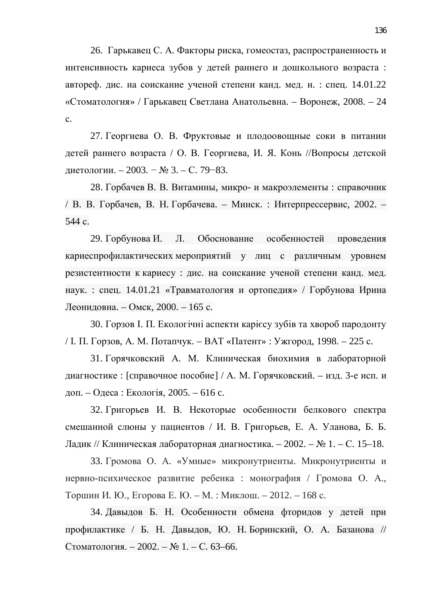26. Гарькавец С. А. Факторы риска, гомеостаз, распространенность и интенсивность кариеса зубов у детей раннего и дошкольного возраста: автореф. дис. на соискание ученой степени канд. мед. н. : спец. 14.01.22 «Стоматология» / Гарькавец Светлана Анатольевна. – Воронеж, 2008. – 24 ɫ.

27. Георгиева О. В. Фруктовые и плодоовощные соки в питании детей раннего возраста / О. В. Георгиева, И. Я. Конь //Вопросы детской диетологии. – 2003. – № 3. – С. 79–83.

28. Горбачев В. В. Витамины, микро- и макроэлементы : справочник / В. В. Горбачев, В. Н. Горбачева. – Минск. : Интерпрессервис, 2002. – 544 c.

29. Горбунова И. Л. Обоснование особенностей проведения кариеспрофилактических мероприятий у лиц с различным уровнем резистентности к кариесу : дис. на соискание ученой степени канд. мед. наук. : спец. 14.01.21 «Травматология и ортопедия» / Горбунова Ирина Леонидовна. – Омск, 2000. – 165 с.

30. Горзов І. П. Екологічні аспекти карієсу зубів та хвороб пародонту / І. П. Горзов, А. М. Потапчук. – ВАТ «Патент» : Ужгород, 1998. – 225 с.

31. Горячковский А. М. Клиническая биохимия в лабораторной диагностике : [справочное пособие] / А. М. Горячковский. – изд. 3-е исп. и доп. – Одеса : Екологія, 2005. – 616 с.

32. Григорьев И. В. Некоторые особенности белкового спектра смешанной слюны у пациентов / И. В. Григорьев, Е. А. Уланова, Б. Б. Ладик // Клиническая лабораторная диагностика. – 2002. – № 1. – С. 15–18.

33. Громова О. А. «Умные» микронутриенты. Микронутриенты и нервно-психическое развитие ребенка : монография / Громова О. А., Торшин И. Ю., Егорова Е. Ю. – М. : Миклош. – 2012. – 168 с.

34. Давыдов Б. Н. Особенности обмена фторидов у детей при профилактике / Б. Н. Давыдов, Ю. Н. Боринский, О. А. Базанова // Стоматология. – 2002. – № 1. – С. 63–66.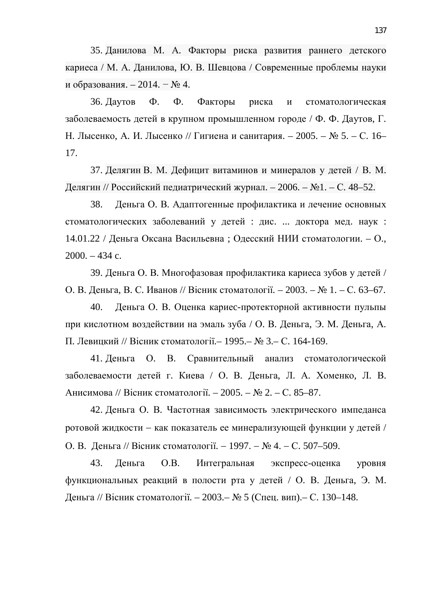35. Данилова М. А. Факторы риска развития раннего детского кариеса / М. А. Данилова, Ю. В. Шевцова / Современные проблемы науки и образования. – 2014. –  $\mathbb{N}^{\circ}$ 4.

36. Даутов Ф. Ф. Факторы риска и стоматологическая заболеваемость детей в крупном промышленном городе / Ф. Ф. Даутов, Г. Н. Лысенко, А. И. Лысенко // Гигиена и санитария. – 2005. – № 5. – С. 16– 17.

37. Делягин В. М. Дефицит витаминов и минералов у детей / В. М. Делягин // Российский педиатрический журнал. – 2006. – №1. – С. 48–52.

38. Деньга О. В. Адаптогенные профилактика и лечение основных стоматологических заболеваний у детей : дис. ... доктора мед. наук : 14.01.22 / Деньга Оксана Васильевна; Одесский НИИ стоматологии. – О., 2000. – 434 c.

39. Деньга О. В. Многофазовая профилактика кариеса зубов у детей / О. В. Деньга, В. С. Иванов // Вісник стоматології. – 2003. – № 1. – С. 63–67.

40. Деньга О. В. Оценка кариес-протекторной активности пульпы при кислотном воздействии на эмаль зуба / О. В. Деньга, Э. М. Деньга, А. П. Левицкий // Вісник стоматології.– 1995.– № 3.– С. 164-169.

41. Деньга О. В. Сравнительный анализ стоматологической заболеваемости детей г. Киева / О. В. Деньга, Л. А. Хоменко, Л. В. Анисимова // Вісник стоматології. – 2005. – № 2. – С. 85–87.

42. Деньга О. В. Частотная зависимость электрического импеданса ротовой жидкости - как показатель ее минерализующей функции у детей / О. В. Деньга // Вісник стоматології. − 1997. – № 4. – С. 507–509.

43. Деньга О.В. Интегральная экспресс-оценка уровня функциональных реакций в полости рта у детей / О. В. Деньга, Э. М. Деньга // Вісник стоматології. – 2003.– № 5 (Спец. вип).– С. 130–148.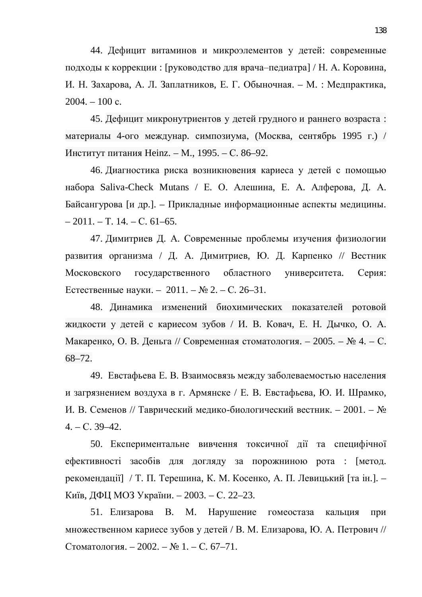44. Дефицит витаминов и микроэлементов у детей: современные подходы к коррекции : [руководство для врача-педиатра] / Н. А. Коровина, И. Н. Захарова, А. Л. Заплатников, Е. Г. Обыночная. – М. : Медпрактика,  $2004. - 100$  c.

45. Дефицит микронутриентов у детей грудного и раннего возраста: материалы 4-ого междунар. симпозиума, (Москва, сентябрь 1995 г.) / Институт питания Heinz. – М., 1995. – С. 86–92.

46. Диагностика риска возникновения кариеса у детей с помощью набора Saliva-Check Mutans / Е. О. Алешина, Е. А. Алферова, Д. А. Байсангурова [и др.]. – Прикладные информационные аспекты медицины.  $-2011$ . – T. 14. – C. 61–65.

47. Димитриев Д. А. Современные проблемы изучения физиологии развития организма / Д. А. Димитриев, Ю. Д. Карпенко // Вестник Московского государственного областного университета. Серия: Естественные науки. – 2011. – № 2. – С. 26–31.

48. Динамика изменений биохимических показателей ротовой жидкости у детей с кариесом зубов / И. В. Ковач, Е. Н. Дычко, О. А. Макаренко, О. В. Деньга // Современная стоматология. – 2005. – № 4. – С. 68–72.

49. Евстафьева Е. В. Взаимосвязь между заболеваемостью населения и загрязнением воздуха в г. Армянске / Е. В. Евстафьева, Ю. И. Шрамко, И. В. Семенов // Таврический медико-биологический вестник. – 2001. – №  $4. - C. 39 - 42.$ 

50. Експериментальне вивчення токсичної дії та специфічної ефективності засобів для догляду за порожниною рота : [метод. рекомендації] / Т. П. Терешина, К. М. Косенко, А. П. Левицький [та ін.]. – Київ, ДФЦ МОЗ України. − 2003. – С. 22–23.

51. Елизарова В. М. Нарушение гомеостаза кальция при множественном кариесе зубов у детей / В. М. Елизарова, Ю. А. Петрович // Стоматология. – 2002. –  $\mathbb{N}$ <sup>o</sup> 1. – С. 67–71.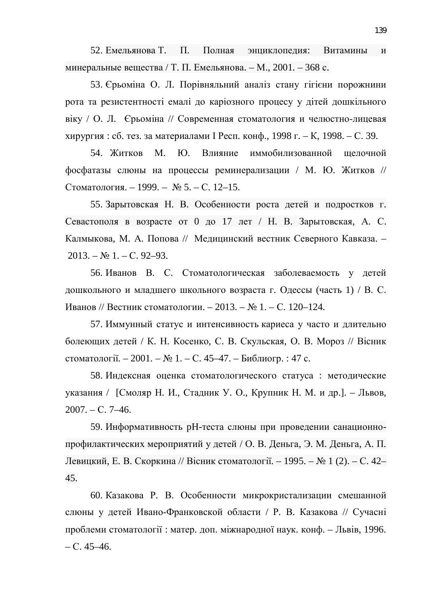52. Емельянова Т. П. Полная энциклопедия: Витамины и минеральные вещества / Т. П. Емельянова. – М., 2001. – 368 с.

53. Єрьоміна О. Л. Порівняльний аналіз стану гігієни порожнини рота та резистентності емалі до каріозного процесу у дітей дошкільного віку / О. Л. Єрьоміна // Современная стоматология и челюєтно-лицевая хирургия : сб. тез. за материалами I Респ. конф., 1998 г. – К, 1998. – С. 39.

54. Житков М. Ю. Влияние иммобилизованной щелочной фосфатазы слюны на процессы реминерализации / М. Ю. Житков // Стоматология. – 1999. – № 5. – С. 12–15.

55. Зарытовская Н. В. Особенности роста детей и подростков г. Севастополя в возрасте от 0 до 17 лет / Н. В. Зарытовская, А. С. Калмыкова, М. А. Попова // Медицинский вестник Северного Кавказа. –  $2013. - N_2 1. - C. 92 - 93.$ 

56. Иванов В. С. Стоматологическая заболеваемость у детей дошкольного и младшего школьного возраста г. Одессы (часть 1) / В. С. Иванов // Вестник стоматологии. – 2013. – № 1. – С. 120–124.

57. Иммунный статус и интенсивность кариеса у часто и длительно болеющих детей / К. Н. Косенко, С. В. Скульская, О. В. Мороз // Вісник стоматології. – 2001. – № 1. – С. 45–47. – Библиогр. : 47 с.

58. Индексная оценка стоматологического статуса : методические указания / [Смоляр Н. И., Стадник У. О., Крупник Н. М. и др.]. – Львов,  $2007. - C. 7 - 46.$ 

59. Информативность рН-теста слюны при проведении санационнопрофилактических мероприятий у детей / О. В. Деньга, Э. М. Деньга, А. П. Левицкий, Е. В. Скоркина // Вісник стоматології. – 1995. – № 1 (2). – С. 42– 45.

60. Казакова Р. В. Особенности микрокристализации смешанной слюны у детей Ивано-Франковской области / Р. В. Казакова // Сучасні проблеми стоматології: матер. доп. міжнародної наук. конф. – Львів, 1996.  $- C. 45-46.$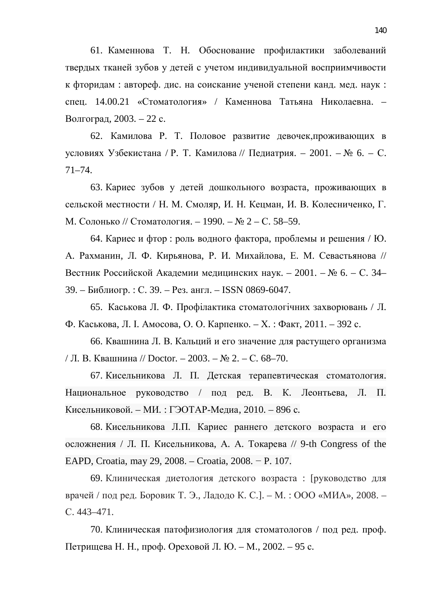61. Каменнова Т. Н. Обоснование профилактики заболеваний твердых тканей зубов у детей с учетом индивидуальной восприимчивости к фторидам : автореф. дис. на соискание ученой степени канд. мед. наук : спец. 14.00.21 «Стоматология» / Каменнова Татьяна Николаевна. – Волгоград, 2003. – 22 с.

62. Камилова Р. Т. Половое развитие девочек, проживающих в условиях Узбекистана / Р. Т. Камилова // Педиатрия. – 2001. – № 6. – С. 71–74.

63. Кариес зубов у детей дошкольного возраста, проживающих в сельской местности / Н. М. Смоляр, И. Н. Кецман, И. В. Колесниченко, Г. М. Солонько // Стоматология. – 1990. – № 2 – С. 58–59.

64. Кариес и фтор : роль водного фактора, проблемы и решения / Ю. А. Рахманин, Л. Ф. Кирьянова, Р. И. Михайлова, Е. М. Севастьянова // Вестник Российской Академии медицинских наук. – 2001. – № 6. – С. 34– 39. – Библиогр.: С. 39. – Рез. англ. – ISSN 0869-6047.

65. Каськова Л. Ф. Профілактика стоматологічних захворювань / Л. Ф. Каськова, Л. І. Амосова, О. О. Карпенко. – Х.: Факт, 2011. – 392 с.

66. Квашнина Л. В. Кальций и его значение для растущего организма / Л. В. Квашнина // Doctor. – 2003. – № 2. – С. 68–70.

67. Кисельникова Л. П. Детская терапевтическая стоматология. Национальное руководство / под ред. В. К. Леонтьева, Л. П. Кисельниковой. – МИ.: ГЭОТАР-Медиа, 2010. – 896 с.

68. Кисельникова Л.П. Кариес раннего детского возраста и его осложнения / Л. П. Кисельникова, А. А. Токарева // 9-th Congress of the EAPD, Croatia, may 29, 2008. – Croatia, 2008. – P. 107.

69. Клиническая диетология детского возраста : [руководство для врачей / под ред. Боровик Т. Э., Ладодо К. С. ]. – М. : ООО «МИА», 2008. – C. 443–471.

70. Клиническая патофизиология для стоматологов / под ред. проф. Петрищева Н. Н., проф. Ореховой Л. Ю. – М., 2002. – 95 с.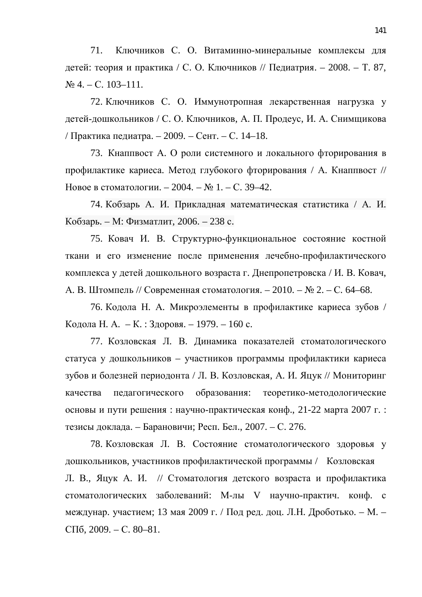71. Ключников С. О. Витаминно-минеральные комплексы для детей: теория и практика / С. О. Ключников // Педиатрия. – 2008. – Т. 87,  $N<sub>2</sub>$  4. – C. 103–111.

72. Ключников С. О. Иммунотропная лекарственная нагрузка у детей-дошкольников / С. О. Ключников, А. П. Продеус, И. А. Снимщикова / Практика педиатра. – 2009. – Сент. – С. 14–18.

73. Кнаппвост А. О роли системного и локального фторирования в профилактике кариеса. Метод глубокого фторирования / А. Кнаппвост // Новое в стоматологии. – 2004. – № 1. – С. 39–42.

74. Кобзарь А. И. Прикладная математическая статистика / А. И. Кобзарь. – М: Физматлит, 2006. – 238 с.

75. Ковач И. В. Структурно-функциональное состояние костной ткани и его изменение после применения лечебно-профилактического комплекса у детей дошкольного возраста г. Днепропетровска / И. В. Ковач, А. В. Штомпель // Современная стоматология. – 2010. – № 2. – С. 64–68.

76. Кодола Н. А. Микроэлементы в профилактике кариеса зубов / Кодола Н. А. – К.: Здоровя. – 1979. – 160 с.

77. Козловская Л. В. Динамика показателей стоматологического статуса у дошкольников – участников программы профилактики кариеса зубов и болезней периодонта / Л. В. Козловская, А. И. Яцук // Мониторинг качества педагогического образования: теоретико-методологические основы и пути решения: научно-практическая конф., 21-22 марта 2007 г.: тезисы доклада. – Барановичи; Респ. Бел., 2007. – С. 276.

78. Козловская Л. В. Состояние стоматологического здоровья у дошкольников, участников профилактической программы / Козловская Л. В., Яцук А. И. // Стоматология детского возраста и профилактика стоматологических заболеваний: М-лы V научно-практич. конф. с междунар. участием; 13 мая 2009 г. / Под ред. доц. Л.Н. Дроботько. – М. – CII<sub>6</sub>, 2009. – C. 80–81.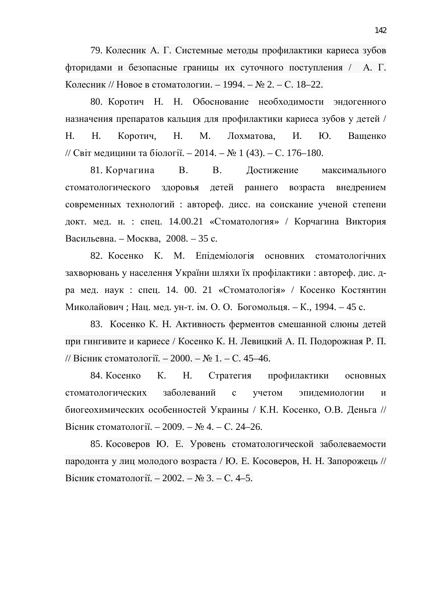79. Колесник А. Г. Системные методы профилактики кариеса зубов фторидами и безопасные границы их суточного поступления / А. Г. Колесник // Новое в стоматологии. – 1994. – № 2. – С. 18–22.

80. Коротич Н. Н. Обоснование необходимости эндогенного назначения препаратов кальция для профилактики кариеса зубов у детей / Н. Н. Коротич, Н. М. Лохматова, И. Ю. Ващенко // Світ медицини та біології. – 2014. – № 1 (43). – С. 176–180.

81. Корчагина В. В. Достижение максимального стоматологического здоровья детей раннего возраста внедрением современных технологий: автореф. дисс. на соискание ученой степени докт. мед. н. : спец. 14.00.21 «Стоматология» / Корчагина Виктория Васильевна. – Москва, 2008. – 35 с.

82. Косенко К. М. Епідеміологія основних стоматологічних захворювань у населення України шляхи їх профілактики: автореф. дис. дра мед. наук : спец. 14. 00. 21 «Стоматологія» / Косенко Костянтин Миколайович; Нац. мед. ун-т. ім. О. О. Богомольця. – К., 1994. – 45 с.

83. Косенко К. Н. Активность ферментов смешанной слюны детей при гингивите и кариесе / Косенко К. Н. Левицкий А. П. Подорожная Р. П. // Вісник стоматології. – 2000. – № 1. – С. 45–46.

84. Косенко К. Н. Стратегия профилактики основных стоматологических заболеваний с учетом эпилемиологии и биогеохимических особенностей Украины / К.Н. Косенко, О.В. Деньга // Вісник стоматології. – 2009. – № 4. – С. 24–26.

85. Косоверов Ю. Е. Уровень стоматологической заболеваемости пародонта у лиц молодого возраста / Ю. Е. Косоверов, Н. Н. Запорожець // Вісник стоматології. – 2002. – № 3. – С. 4–5.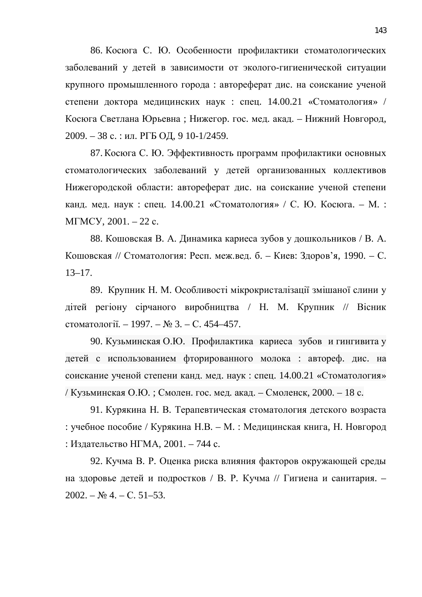86. Косюга С. Ю. Особенности профилактики стоматологических заболеваний у детей в зависимости от эколого-гигиенической ситуации крупного промышленного города : автореферат дис. на соискание ученой степени доктора медицинских наук : спец. 14.00.21 «Стоматология» / Косюга Светлана Юрьевна; Нижегор. гос. мед. акад. – Нижний Новгород, 2009. – 38 с. : ил. РГБ ОД, 9 10-1/2459.

87. Косюга С. Ю. Эффективность программ профилактики основных стоматологических заболеваний у детей организованных коллективов Нижегородской области: автореферат дис. на соискание ученой степени канд. мед. наук: спец. 14.00.21 «Стоматология» / С. Ю. Косюга. – М.:  $MTMCY, 2001. - 22$  c.

88. Кошовская В. А. Динамика кариеса зубов у дошкольников / В. А. Кошовская // Стоматология: Респ. меж.вед. б. – Киев: Здоров'я, 1990. – С. 13–17.

89. Крупник Н. М. Особливості мікрокристалізації змішаної слини у дітей регіону сірчаного виробництва / Н. М. Крупник // Вісник стоматології. – 1997. – № 3. – С. 454–457.

90. Кузьминская О.Ю. Профилактика кариеса зубов и гингивита у детей с использованием фторированного молока : автореф. дис. на соискание ученой степени канд. мед. наук : спец. 14.00.21 «Стоматология» / Кузьминская О.Ю.; Смолен. гос. мед. акад. – Смоленск, 2000. – 18 с.

91. Курякина Н. В. Терапевтическая стоматология детского возраста : учебное пособие / Курякина Н.В. – М. : Медицинская книга, Н. Новгород : Издательство НГМА, 2001. – 744 с.

92. Кучма В. Р. Оценка риска влияния факторов окружающей среды на здоровье детей и подростков / В. Р. Кучма // Гигиена и санитария. –  $2002. - N<sub>2</sub> 4. - C. 51-53.$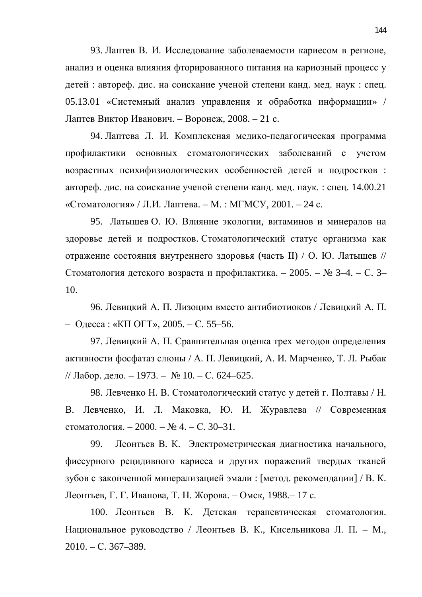93. Лаптев В. И. Исследование заболеваемости кариесом в регионе. анализ и оценка влияния фторированного питания на кариозный процесс у детей : автореф. дис. на соискание ученой степени канд. мед. наук : спец. 05.13.01 «Системный анализ управления и обработка информации» / Лаптев Виктор Иванович. – Воронеж, 2008. – 21 с.

94. Лаптева Л. И. Комплексная медико-педагогическая программа профилактики основных стоматологических заболеваний с учетом возрастных психифизиологических особенностей детей и подростков: автореф. дис. на соискание ученой степени канд. мед. наук. : спец. 14.00.21 «Стоматология» / Л.И. Лаптева. – М.: МГМСУ, 2001. – 24 с.

95. Латышев О. Ю. Влияние экологии, витаминов и минералов на здоровье детей и подростков. Стоматологический статус организма как отражение состояния внутреннего здоровья (часть II) / О. Ю. Латышев // Стоматология детского возраста и профилактика. – 2005. – № 3–4. – С. 3– 10.

96. Левицкий А. П. Лизоцим вместо антибиотиоков / Левицкий А. П. – Одесса: «КП ОГТ», 2005. – С. 55–56.

97. Левицкий А. П. Сравнительная оценка трех методов определения активности фосфатаз слюны / А. П. Левицкий, А. И. Марченко, Т. Л. Рыбак // Лабор. дело. – 1973. –  $\mathcal{N}$  10. – С. 624–625.

98. Левченко Н. В. Стоматологический статус у детей г. Полтавы / Н. В. Левченко, И. Л. Маковка, Ю. И. Журавлева // Современная стоматология. – 2000. – № 4. – С. 30–31.

99. Леонтьев В. К. Электрометрическая диагностика начального, фиссурного рецидивного кариеса и других поражений твердых тканей зубов с законченной минерализацией эмали : [метод. рекомендации] / В. К. Леонтьев, Г. Г. Иванова, Т. Н. Жорова. – Омск, 1988.– 17 с.

100. Леонтьев В. К. Детская терапевтическая стоматология. Национальное руководство / Леонтьев В. К., Кисельникова Л. П. – М.,  $2010. - C. 367 - 389.$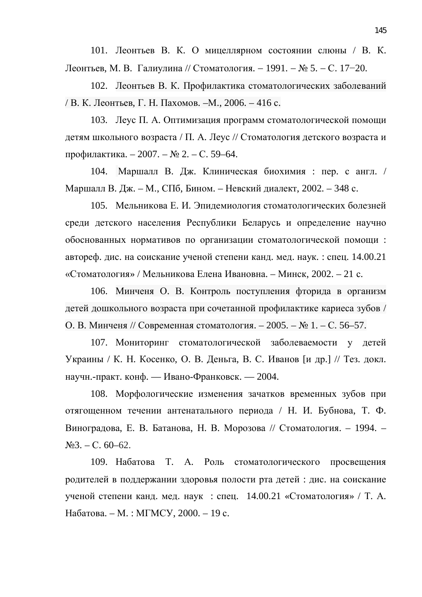101. Леонтьев В. К. О мицеллярном состоянии слюны / В. К. Леонтьев, М. В. Галиулина // Стоматология. − 1991. – № 5. – С. 17–20.

102. Леонтьев В. К. Профилактика стоматологических заболеваний / В. К. Леонтьев, Г. Н. Пахомов.  $-M., 2006. -416$  с.

103. Леус П. А. Оптимизация программ стоматологической помощи детям школьного возраста / П. А. Леус // Стоматология детского возраста и профилактика. – 2007. – № 2. – С. 59–64.

104. Маршалл В. Дж. Клиническая биохимия : пер. с англ. / Маршалл В. Дж. – М., СПб, Бином. – Невский диалект, 2002. – 348 с.

105. Мельникова Е. И. Эпидемиология стоматологических болезней среди детского населения Республики Беларусь и определение научно обоснованных нормативов по организации стоматологической помощи: автореф. дис. на соискание ученой степени канд. мед. наук. : спец. 14.00.21 «Стоматология» / Мельникова Елена Ивановна. – Минск, 2002. – 21 с.

106. Минченя О. В. Контроль поступления фторида в организм детей дошкольного возраста при сочетанной профилактике кариеса зубов / О. В. Минченя // Современная стоматология. – 2005. – № 1. – С. 56–57.

107. Мониторинг стоматологической заболеваемости у детей Украины / К. Н. Косенко, О. В. Деньга, В. С. Иванов [и др.] // Тез. докл. научн.-практ. конф. — Ивано-Франковск. — 2004.

108. Морфологические изменения зачатков временных зубов при отягощенном течении антенатального периода / Н. И. Бубнова, Т. Ф. Виноградова, Е. В. Батанова, Н. В. Морозова // Стоматология. – 1994. –  $N<sub>23</sub> - C. 60-62.$ 

109. Набатова Т. А. Роль стоматологического просвещения родителей в поддержании здоровья полости рта детей : дис. на соискание ученой степени канд. мед. наук: спец.  $14.00.21$  «Стоматология» / Т. А. Набатова. – М. : МГМСУ, 2000. – 19 с.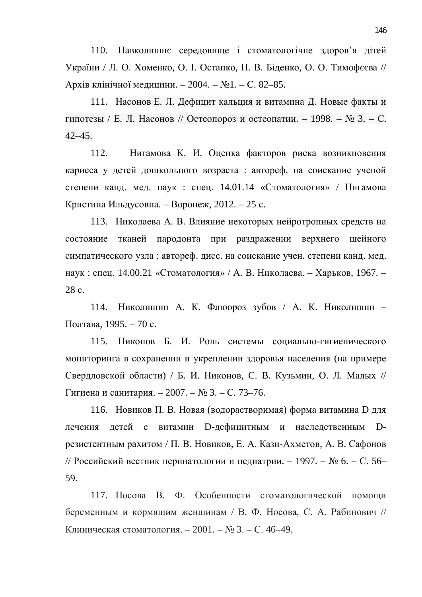110. Навколишнє середовище і стоматологічне здоров'я дітей України / Л. О. Хоменко, О. І. Остапко, Н. В. Біденко, О. О. Тимофєєва // Архів клінічної медицини. – 2004. – №1. – С. 82–85.

111. Насонов Е. Л. Дефицит кальция и витамина Д. Новые факты и гипотезы / Е. Л. Насонов // Остеопороз и остеопатии. – 1998. –  $\mathbb{N}$  3. – С. 42–45.

112. Нигамова К. И. Оценка факторов риска возникновения кариеса у детей дошкольного возраста : автореф. на соискание ученой степени канд. мед. наук : спец. 14.01.14 «Стоматология» / Нигамова Кристина Ильдусовна. – Воронеж, 2012. – 25 с.

113. Николаева А. В. Влияние некоторых нейротропных средств на состояние тканей пародонта при раздражении верхнего шейного симпатического узла: автореф. дисс. на соискание учен. степени канд. мед. наук: спец. 14.00.21 «Стоматология» / А. В. Николаева. – Харьков, 1967. – 28 c.

114. Николишин А. К. Флюороз зубов / А. К. Николишин – Полтава, 1995. – 70 с.

115. Никонов Б. И. Роль системы социально-гигиенического мониторинга в сохранении и укреплении здоровья населения (на примере Свердловской области) / Б. И. Никонов, С. В. Кузьмин, О. Л. Малых // Гигиена и санитария. – 2007. – № 3. – С. 73–76.

116. Новиков П. В. Новая (водорастворимая) форма витамина D для лечения детей с витамин D-дефицитным и наследственным Dрезистентным рахитом / П. В. Новиков, Е. А. Кази-Ахметов, А. В. Сафонов // Российский вестник перинатологии и педиатрии. – 1997. – № 6. – С. 56– 59.

117. Носова В. Ф. Особенности стоматологической помоши беременным и кормящим женщинам / В. Ф. Носова, С. А. Рабинович // Клиническая стоматология. – 2001. – № 3. – С. 46–49.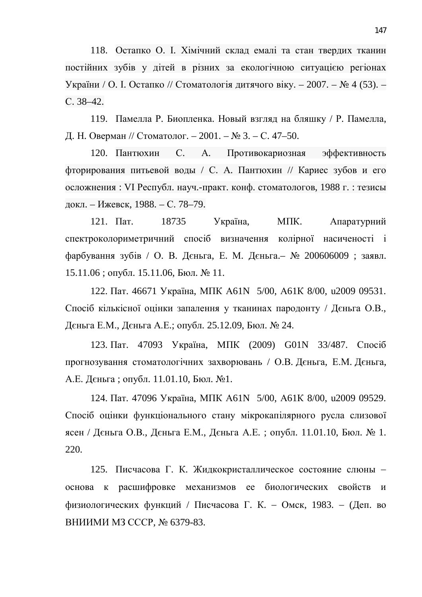118. Остапко О. І. Хімічний склад емалі та стан твердих тканин постійних зубів у дітей в різних за екологічною ситуацією регіонах України / О. І. Остапко // Стоматологія дитячого віку. – 2007. – № 4 (53). –  $C. 38-42.$ 

119. Памелла Р. Биопленка. Новый взгляд на бляшку / Р. Памелла, Д. Н. Оверман // Стоматолог. – 2001. – № 3. – С. 47–50.

120. Пантюхин С. А. Противокариозная эффективность фторирования питьевой воды / С. А. Пантюхин // Кариес зубов и его осложнения: VI Республ. науч.-практ. конф. стоматологов, 1988 г. : тезисы докл. – Ижевск, 1988. – С. 78–79.

121. Пат. 18735 Україна, МПК. Апаратурний спектроколориметричний спосіб визначення колірної насиченості і фарбування зубів / О. В. Дєньга, Е. М. Дєньга. № 200606009 ; заявл.  $15.11.06$ ; опубл. 15.11.06, Бюл. № 11.

122. Пат. 46671 Україна, МПК А61N 5/00, А61К 8/00, и2009 09531. Спосіб кількісної оцінки запалення у тканинах пародонту / Дєньга О.В., Дєньга Е.М., Дєньга А.Е.; опубл. 25.12.09, Бюл. № 24.

123. Пат. 47093 Україна, МПК (2009) G01N 33/487. Спосіб прогнозування стоматологічних захворювань / О.В. Дєньга, Е.М. Дєньга, А.Е. Дєньга; опубл. 11.01.10, Бюл. №1.

124. Пат. 47096 Україна, МПК Аб1N 5/00, Аб1К 8/00, u2009 09529. Спосіб оцінки функціонального стану мікрокапілярного русла слизової ясен / Дєньга О.В., Дєньга Е.М., Дєньга А.Е.; опубл. 11.01.10, Бюл. № 1. 220.

125. Писчасова Г. К. Жидкокристаллическое состояние слюны основа к расшифровке механизмов ее биологических свойств и физиологических функций / Писчасова Г. К. - Омск, 1983. - (Деп. во ВНИИМИ МЗ СССР, № 6379-83.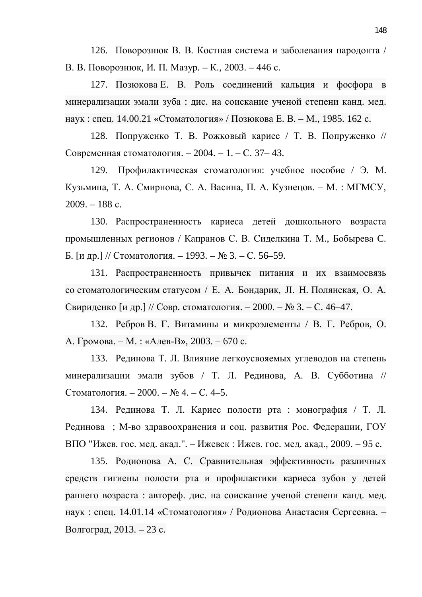126. Поворознюк В. В. Костная система и заболевания пародонта / В. В. Поворознюк, И. П. Мазур. – К., 2003. – 446 с.

127. Позюкова Е. В. Роль соединений кальция и фосфора в минерализации эмали зуба : дис. на соискание ученой степени канд. мед. наук: спец. 14.00.21 «Стоматология» / Позюкова Е. В. – М., 1985. 162 с.

128. Попруженко Т. В. Рожковый кариес / Т. В. Попруженко // Современная стоматология. – 2004. – 1. – С. 37– 43.

129. Профилактическая стоматология: учебное пособие / Э. М. Кузьмина, Т. А. Смирнова, С. А. Васина, П. А. Кузнецов. – М. : МГМСУ,  $2009. - 188$  c.

130. Распространенность кариеса детей дошкольного возраста промышленных регионов / Капранов С. В. Сиделкина Т. М., Бобырева С. Б. [и др.] // Стоматология. – 1993. – № 3. – С. 56–59.

131. Распространенность привычек питания и их взаимосвязь со стоматологическим статусом / Е. А. Бондарик, Л. Н. Полянская, О. А. Свириденко [и др.] // Совр. стоматология. – 2000. – № 3. – С. 46–47.

132. Ребров В. Г. Витамины и микроэлементы / В. Г. Ребров, О. А. Громова. – М. : «Алев-В», 2003. – 670 с.

133. Рединова Т. Л. Влияние легкоусвояемых углеводов на степень минерализации эмали зубов / Т. Л. Рединова, А. В. Субботина // Стоматология. – 2000. – № 4. – С. 4–5.

134. Рединова Т. Л. Кариес полости рта : монография / Т. Л. Рединова; М-во здравоохранения и соц. развития Рос. Федерации, ГОУ ВПО "Ижев. гос. мед. акад.". – Ижевск : Ижев. гос. мед. акад., 2009. – 95 с.

135. Родионова А. С. Сравнительная эффективность различных средств гигиены полости рта и профилактики кариеса зубов у детей раннего возраста : автореф. дис. на соискание ученой степени канд. мед. наук: спец. 14.01.14 «Стоматология» / Родионова Анастасия Сергеевна. – Волгоград, 2013. – 23 с.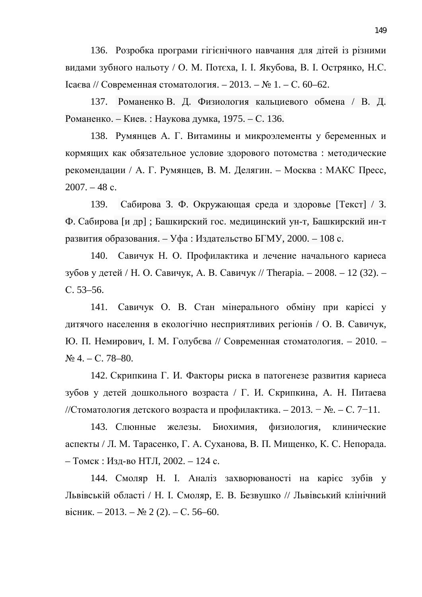136. Розробка програми гігієнічного навчання для дітей із різними видами зубного нальоту / О. М. Потеха, І. І. Якубова, В. І. Острянко, Н.С.  $Icaєва // Современная стоматология. – 2013. – № 1. – С. 60–62.$ 

137. Романенко В. Д. Физиология кальциевого обмена / В. Д. Романенко. – Киев. : Наукова думка, 1975. – С. 136.

138. Румянцев А. Г. Витамины и микроэлементы у беременных и кормящих как обязательное условие здорового потомства: методические рекомендации / А. Г. Румянцев, В. М. Делягин. – Москва: МАКС Пресс,  $2007. - 48$  c.

139. Сабирова З. Ф. Окружающая среда и здоровье [Текст] / З. Ф. Сабирова [и др]; Башкирский гос. медицинский ун-т, Башкирский ин-т развития образования. – Уфа : Издательство БГМУ, 2000. – 108 с.

140. Савичук Н. О. Профилактика и лечение начального кариеса зубов у детей / Н. О. Савичук, А. В. Савичук // Therapia. – 2008. – 12 (32). – ɋ. 53–56.

141. Савичук О. В. Стан мінерального обміну при карієсі у дитячого населення в екологічно несприятливих регіонів / О. В. Савичук, Ю. П. Немирович, І. М. Голубєва // Современная стоматология. – 2010. –  $N_2$  4. – C. 78–80.

142. Скрипкина Г. И. Факторы риска в патогенезе развития кариеса зубов у детей дошкольного возраста / Г. И. Скрипкина, А. Н. Питаева //Стоматология детского возраста и профилактика. – 2013. – №. – С. 7–11.

143. Слюнные железы. Биохимия, физиология, клинические аспекты / Л. М. Тарасенко, Г. А. Суханова, В. П. Мищенко, К. С. Непорада. – Томск : Изд-во НТЛ, 2002. – 124 с.

144. Смоляр Н. І. Аналіз захворюваності на карієс зубів у Львівській області / Н. І. Смоляр, Е. В. Безвушко // Львівський клінічний вісник. – 2013. – № 2 (2). – С. 56–60.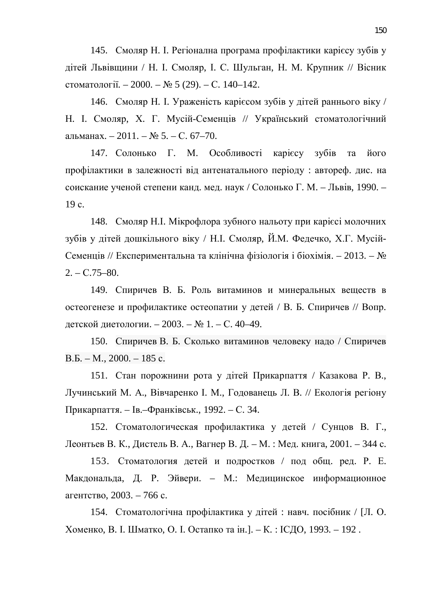145. Смоляр Н. I. Регіонална програма профілактики карієсу зубів у дітей Львівщини / Н. І. Смоляр, І. С. Шульган, Н. М. Крупник // Вісник стоматології. – 2000. – № 5 (29). – С. 140–142.

146. Смоляр Н. І. Ураженість карієсом зубів у дітей раннього віку / Н. І. Смоляр, Х. Г. Мусій-Семенців // Український стоматологічний альманах. – 2011. – № 5. – С. 67–70.

147. Солонько Г. М. Особливості карієсу зубів та його профілактики в залежності від антенатального періоду : автореф. дис. на соискание ученой степени канд. мед. наук / Солонько Г. М. – Львів, 1990. – 19 c.

148. Смоляр Н.І. Мікрофлора зубного нальоту при карієсі молочних зубів у дітей дошкільного віку / Н.І. Смоляр, Й.М. Федечко, Х.Г. Мусій-Семенців // Експериментальна та клінічна фізіологія і біохімія. – 2013. –  $\mathbb{N}_2$  $2. - C.75 - 80.$ 

149. Спиричев В. Б. Роль витаминов и минеральных веществ в остеогенезе и профилактике остеопатии у детей / В. Б. Спиричев // Вопр. детской диетологии. – 2003. – № 1. – С. 40–49.

150. Спиричев В. Б. Сколько витаминов человеку надо / Спиричев  $B.E. - M., 2000. - 185$  c.

151. Стан порожнини рота у дітей Прикарпаття / Казакова Р. В., Лучинський М. А., Вівчаренко І. М., Годованець Л. В. // Екологія регіону Прикарпаття. – Ів.–Франківськ., 1992. – С. 34.

152. Стоматологическая профилактика у детей / Сунцов В. Г., Леонтьев В. К., Дистель В. А., Вагнер В. Д. – М. : Мед. книга, 2001. – 344 с.

153. Стоматология детей и подростков / под общ. ред. Р. Е. Макдональда, Д. Р. Эйвери. – М.: Медицинское информационное агентство, 2003. – 766 с.

154. Стоматологічна профілактика у дітей: навч. посібник / [Л. О. Хоменко, В. І. Шматко, О. І. Остапко та ін. ]. – К.: ІСДО, 1993. – 192.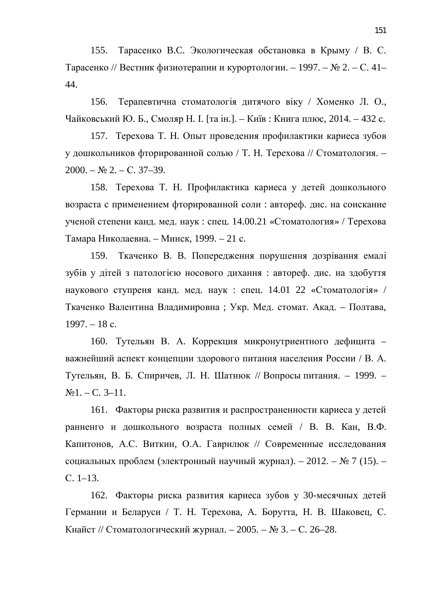155. Тарасенко В.С. Экологическая обстановка в Крыму / В. С. Тарасенко // Вестник физиотерапии и курортологии. – 1997. –  $\mathbb{N}$  2. – С. 41– 44.

156. Терапевтична стоматологія дитячого віку / Хоменко Л. О., Чайковський Ю. Б., Смоляр Н. І. [та ін.]. – Київ: Книга плюс, 2014. – 432 с.

157. Терехова Т. Н. Опыт проведения профилактики кариеса зубов у дошкольников фторированной солью / Т. Н. Терехова // Стоматология. –  $2000. - N_2$  2. – C. 37–39.

158. Терехова Т. Н. Профилактика кариеса у детей дошкольного возраста с применением фторированной соли : автореф. дис. на соискание ученой степени канд. мед. наук: спец. 14.00.21 «Стоматология» / Терехова Тамара Николаевна. – Минск, 1999. – 21 с.

159. Ткаченко В. В. Попередження порушення дозрівання емалі зубів у дітей з патологією носового дихання: автореф. дис. на здобуття наукового ступреня канд. мед. наук : спец. 14.01 22 «Стоматологія» / Ткаченко Валентина Владимировна; Укр. Мед. стомат. Акад. – Полтава,  $1997. - 18$  c.

160. Тутельян В. А. Коррекция микронутриентного дефицита – важнейший аспект концепции здорового питания населения России / В. А. Тутельян, В. Б. Спиричев, Л. Н. Шатнюк // Вопросы питания. – 1999. –  $N_21. - C. 3-11.$ 

161. Факторы риска развития и распространенности кариеса у детей ранненго и дошкольного возраста полных семей / В. В. Кан, В.Ф. Капитонов, А.С. Виткин, О.А. Гаврилюк // Современные исследования социальных проблем (электронный научный журнал). – 2012. – № 7 (15). –  $C. 1-13.$ 

162. Факторы риска развития кариеса зубов у 30-месячных детей Германии и Беларуси / Т. Н. Терехова, А. Борутта, Н. В. Шаковец, С. Кнайст // Стоматологический журнал. – 2005. – № 3. – С. 26–28.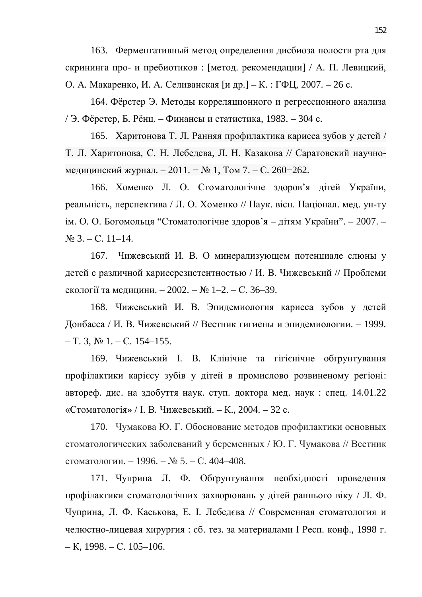163. Ферментативный метод определения дисбиоза полости рта для скрининга про- и пребиотиков: [метод. рекомендации] / А. П. Левицкий, О. А. Макаренко, И. А. Селиванская [и др.] – К.: ГФЦ, 2007. – 26 с.

164. Фёрстер Э. Методы корреляционного и регрессионного анализа / Э. Фёрстер, Б. Рёнц. – Финансы и статистика, 1983. – 304 с.

165. Харитонова Т. Л. Ранняя профилактика кариеса зубов у детей / Т. Л. Харитонова, С. Н. Лебедева, Л. Н. Казакова // Саратовский научномедицинский журнал. – 2011. – № 1, Том 7. – С. 260–262.

166. Хоменко Л. О. Стоматологічне здоров'я дітей України, реальність, перспектива / Л. О. Хоменко // Наук. вісн. Націонал. мед. ун-ту ім. О. О. Богомольця "Стоматологічне здоров'я – дітям України". – 2007. –  $\mathbb{N}^{\circ}$  3. – C. 11–14.

167. Чижевський И. В. О минерализующем потенциале слюны у детей с различной кариесрезистентностью / И. В. Чижевський // Проблеми екології та медицини. – 2002. – № 1–2. – С. 36–39.

168. Чижевський И. В. Эпидемиология кариеса зубов у детей Донбасса / И. В. Чижевський // Вестник гигиены и эпидемиологии. – 1999.  $-$  T. 3,  $\mathbb{N}^{\circ}$  1.  $-$  C. 154–155.

169. Чижевський І. В. Клінічне та гігієнічне обґрунтування профілактики карієсу зубів у дітей в промислово розвиненому регіоні: автореф. дис. на здобуття наук. ступ. доктора мед. наук: спец. 14.01.22 «Стоматологія» / І. В. Чижевський. – К., 2004. – 32 с.

170. Чумакова Ю. Г. Обоснование методов профилактики основных стоматологических заболеваний у беременных / Ю. Г. Чумакова // Вестник стоматологии. – 1996. – № 5. – С. 404–408.

171. Чуприна Л. Ф. Обгрунтування необхідності проведення профілактики стоматологічних захворювань у дітей раннього віку / Л. Ф. Чуприна, Л. Ф. Каськова, Е. І. Лебедєва // Современная стоматология и челюстно-лицевая хирургия : сб. тез. за материалами I Респ. конф., 1998 г.  $-$ K, 1998. – C. 105–106.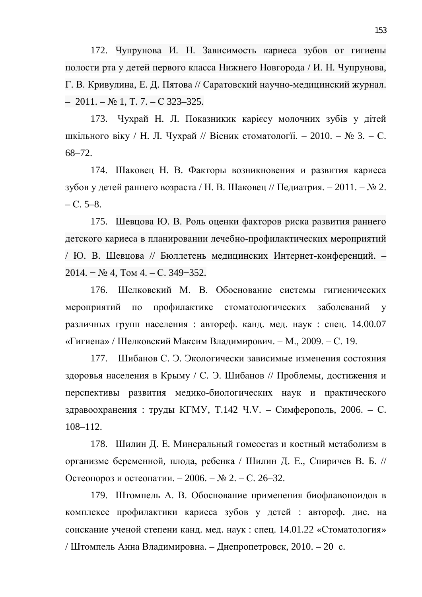172. Чупрунова И. Н. Зависимость кариеса зубов от гигиены полости рта у детей первого класса Нижнего Новгорода / И. Н. Чупрунова, Г. В. Кривулина, Е. Д. Пятова // Саратовский научно-медицинский журнал.  $-2011. - N_2 1$ , T. 7.  $- C 323-325.$ 

173. Чухрай Н. Л. Показникик карієсу молочних зубів у дітей шкільного віку / Н. Л. Чухрай // Вісник стоматології. – 2010. – № 3. – С. 68–72.

174. Шаковец Н. В. Факторы возникновения и развития кариеса зубов у детей раннего возраста / Н. В. Шаковец // Педиатрия. – 2011. – № 2.  $- C. 5-8.$ 

175. Шевцова Ю. В. Роль оценки факторов риска развития раннего детского кариеса в планировании лечебно-профилактических мероприятий / Ю. В. Шевцова // Бюллетень медицинских Интернет-конференций. –  $2014. - N<sub>2</sub> 4, Tom 4. - C. 349 - 352.$ 

176. Шелковский М. В. Обоснование системы гигиенических мероприятий по профилактике стоматологических заболеваний у различных групп населения : автореф. канд. мед. наук : спец. 14.00.07 «Гигиена» / Шелковский Максим Владимирович. – М., 2009. – С. 19.

177. Шибанов С. Э. Экологически зависимые изменения состояния здоровья населения в Крыму / С. Э. Шибанов // Проблемы, достижения и перспективы развития медико-биологических наук и практического здравоохранения : труды КГМУ, Т.142 Ч.V. – Симферополь, 2006. – С. 108–112.

178. Шилин Д. Е. Минеральный гомеостаз и костный метаболизм в организме беременной, плода, ребенка / Шилин Д. Е., Спиричев В. Б. // Остеопороз и остеопатии. – 2006. – № 2. – С. 26–32.

179. Штомпель А. В. Обоснование применения биофлавоноидов в комплексе профилактики кариеса зубов у детей : автореф. дис. на соискание ученой степени канд. мед. наук: спец. 14.01.22 «Стоматология» / Штомпель Анна Владимировна. – Днепропетровск, 2010. – 20 с.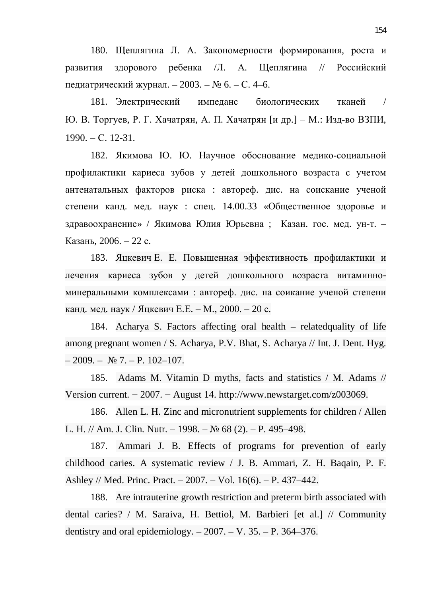180. Щеплягина Л. А. Закономерности формирования, роста и развития здорового ребенка /Л. А. Щеплягина // Российский педиатрический журнал. – 2003. – № 6. – С. 4–6.

181. Электрический импеданс биологических тканей / Ю. В. Торгуев, Р. Г. Хачатрян, А. П. Хачатрян [и др.] – М.: Изд-во ВЗПИ,  $1990. - C. 12-31.$ 

182. Якимова Ю. Ю. Научное обоснование медико-социальной профилактики кариеса зубов у детей дошкольного возраста с учетом антенатальных факторов риска : автореф. дис. на соискание ученой степени канд. мед. наук : спец. 14.00.33 «Общественное здоровье и здравоохранение» / Якимова Юлия Юрьевна; Казан. гос. мед. ун-т. – Казань, 2006. – 22 с.

183. Яцкевич Е. Е. Повышенная эффективность профилактики и лечения кариеса зубов у детей дошкольного возраста витаминноминеральными комплексами : автореф. дис. на соикание ученой степени канд. мед. наук / Яцкевич Е.Е. – М., 2000. – 20 с.

184. Acharya S. Factors affecting oral health – relatedquality of life among pregnant women / S. Acharya, P.V. Bhat, S. Acharya // Int. J. Dent. Hyg.  $-2009. - \mathbb{N} \times 7. - \mathbb{P}$ . 102-107.

185. Adams M. Vitamin D myths, facts and statistics / M. Adams // Version current.  $-2007. -$  August 14. http://www.newstarget.com/z003069.

186. Allen L. H. Zinc and micronutrient supplements for children / Allen L. H. // Am. J. Clin. Nutr. – 1998. –  $\mathbb{N}$  68 (2). – P. 495–498.

187. Ammari J. B. Effects of programs for prevention of early childhood caries. A systematic review / J. B. Ammari, Z. H. Baqain, P. F. Ashley // Med. Princ. Pract. – 2007. – Vol. 16(6). – P. 437–442.

188. Are intrauterine growth restriction and preterm birth associated with dental caries? / M. Saraiva, H. Bettiol, M. Barbieri [et al.] // Community dentistry and oral epidemiology.  $-2007. -V. 35. -P. 364-376.$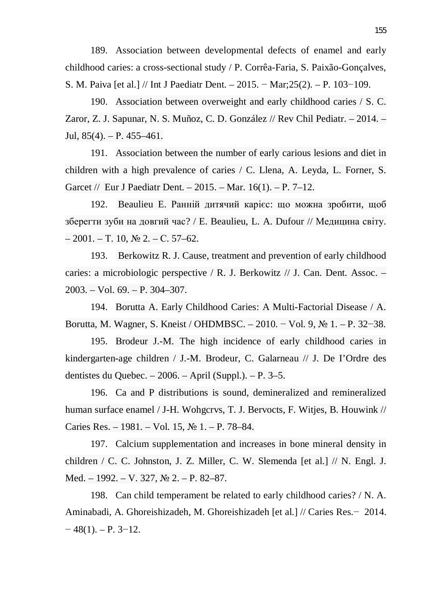189. Association between developmental defects of enamel and early childhood caries: a cross-sectional study / P. Corrêa-Faria, S. Paixão-Gonçalves, S. M. Paiva [et al.] // Int J Paediatr Dent. –  $2015. - \text{Mar};25(2)$ . – P. 103–109.

190. Association between overweight and early childhood caries / S. C. Zaror, Z. J. Sapunar, N. S. Muñoz, C. D. González // Rev Chil Pediatr. – 2014. – Jul,  $85(4)$ . – P.  $455-461$ .

191. Association between the number of early carious lesions and diet in children with a high prevalence of caries / C. Llena, A. Leyda, L. Forner, S. Garcet // Eur J Paediatr Dent.  $- 2015$ .  $-$  Mar. 16(1).  $-$  P. 7–12.

192. Beaulieu E. Ранній дитячий карієс: що можна зробити, щоб зберегти зуби на довгий час? / Е. Beaulieu, L. A. Dufour // Медицина світу.  $-2001$ . – T. 10,  $\text{Ne } 2$ . – C. 57–62.

193. Berkowitz R. J. Cause, treatment and prevention of early childhood caries: a microbiologic perspective / R. J. Berkowitz // J. Can. Dent. Assoc. – 2003. – Vol. 69. – P. 304–307.

194. Borutta A. Early Childhood Caries: A Multi-Factorial Disease / A. Borutta, M. Wagner, S. Kneist / OHDMBSC. – 2010. – Vol. 9,  $\mathbb{N}^2$  1. – P. 32–38.

195. Brodeur J.-M. The high incidence of early childhood caries in kindergarten-age children / J.-M. Brodeur, C. Galarneau // J. De I'Ordre des dentistes du Quebec.  $-2006$ .  $-$  April (Suppl.).  $-$  P. 3–5.

196. Ca and P distributions is sound, demineralized and remineralized human surface enamel / J-H. Wohgcrvs, T. J. Bervocts, F. Witjes, B. Houwink // Caries Res. – 1981. – Vol. 15,  $\mathcal{N}$  1. – P. 78–84.

197. Calcium supplementation and increases in bone mineral density in children / C. C. Johnston, J. Z. Miller, C. W. Slemenda [et al.] // N. Engl. J. Med. – 1992. – V. 327, № 2. – P. 82–87.

198. Can child temperament be related to early childhood caries? / N. A. Aminabadi, A. Ghoreishizadeh, M. Ghoreishizadeh [et al.] // Caries Res. - 2014.  $-48(1)$ . – P. 3–12.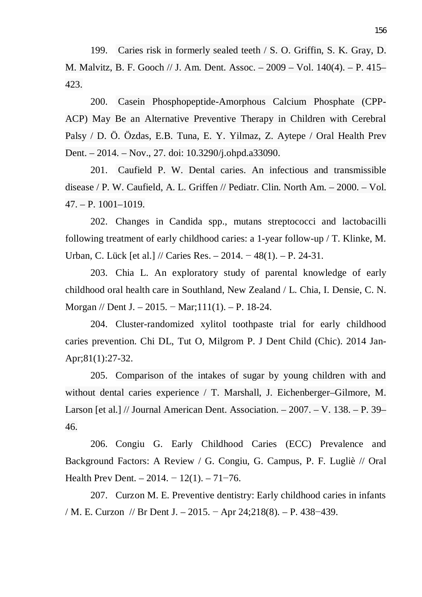199. Caries risk in formerly sealed teeth / S. O. Griffin, S. K. Gray, D. M. Malvitz, B. F. Gooch // J. Am. Dent. Assoc. – 2009 – Vol. 140(4). – P. 415– 423.

200. Casein Phosphopeptide-Amorphous Calcium Phosphate (CPP-ACP) May Be an Alternative Preventive Therapy in Children with Cerebral Palsy / D. Ö. Özdas, E.B. Tuna, E. Y. Yilmaz, Z. Aytepe / Oral Health Prev Dent. – 2014. – Nov., 27. doi: 10.3290/j.ohpd.a33090.

201. Caufield P. W. Dental caries. An infectious and transmissible disease / P. W. Caufield, A. L. Griffen // Pediatr. Clin. North Am. – 2000. – Vol. 47. – P. 1001–1019.

202. Changes in Candida spp., mutans streptococci and lactobacilli following treatment of early childhood caries: a 1-year follow-up / T. Klinke, M. Urban, C. Lück [et al.] // Caries Res. – 2014. – 48(1). – P. 24-31.

203. Chia L. An exploratory study of parental knowledge of early childhood oral health care in Southland, New Zealand / L. Chia, I. Densie, C. N. Morgan // Dent J. – 2015. – Mar; 111(1). – P. 18-24.

204. Cluster-randomized xylitol toothpaste trial for early childhood caries prevention. Chi DL, Tut O, Milgrom P. J Dent Child (Chic). 2014 Jan-Apr;81(1):27-32.

205. Comparison of the intakes of sugar by young children with and without dental caries experience / T. Marshall, J. Eichenberger–Gilmore, M. Larson [et al.] // Journal American Dent. Association. – 2007. – V. 138. – P. 39– 46.

206. Congiu G. Early Childhood Caries (ECC) Prevalence and Background Factors: A Review / G. Congiu, G. Campus, P. F. Lugliè // Oral Health Prev Dent. –  $2014. - 12(1)$ . –  $71-76$ .

207. Curzon M. E. Preventive dentistry: Early childhood caries in infants / M. E. Curzon // Br Dent J.  $-2015. -$  Apr 24;218(8).  $-$  P. 438–439.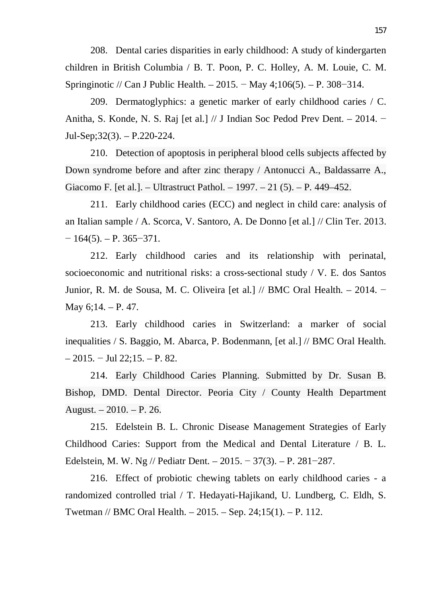208. Dental caries disparities in early childhood: A study of kindergarten children in British Columbia / B. T. Poon, P. C. Holley, A. M. Louie, C. M. Springinotic // Can J Public Health. – 2015. – May 4;106(5). – P. 308–314.

209. Dermatoglyphics: a genetic marker of early childhood caries / C. Anitha, S. Konde, N. S. Raj [et al.]  $// J$  Indian Soc Pedod Prev Dent. – 2014. – Jul-Sep;32(3). – P.220-224.

210. Detection of apoptosis in peripheral blood cells subjects affected by Down syndrome before and after zinc therapy / Antonucci A., Baldassarre A., Giacomo F. [et al.]. – Ultrastruct Pathol. – 1997. – 21 (5). – P. 449–452.

211. Early childhood caries (ECC) and neglect in child care: analysis of an Italian sample / A. Scorca, V. Santoro, A. De Donno [et al.] // Clin Ter. 2013.  $-164(5)$ . – P. 365–371.

212. Early childhood caries and its relationship with perinatal, socioeconomic and nutritional risks: a cross-sectional study / V. E. dos Santos Junior, R. M. de Sousa, M. C. Oliveira [et al.]  $//$  BMC Oral Health. – 2014. – May 6;14. – P. 47.

213. Early childhood caries in Switzerland: a marker of social inequalities / S. Baggio, M. Abarca, P. Bodenmann, [et al.] // BMC Oral Health.  $-2015. -$  Jul 22;15. – P. 82.

214. Early Childhood Caries Planning. Submitted by Dr. Susan B. Bishop, DMD. Dental Director. Peoria City / County Health Department August. – 2010. – P. 26.

215. Edelstein B. L. Chronic Disease Management Strategies of Early Childhood Caries: Support from the Medical and Dental Literature / B. L. Edelstein, M. W. Ng // Pediatr Dent. – 2015. – 37(3). – P. 281–287.

216. Effect of probiotic chewing tablets on early childhood caries - a randomized controlled trial / T. Hedayati-Hajikand, U. Lundberg, C. Eldh, S. Twetman // BMC Oral Health. – 2015. – Sep. 24;15(1). – P. 112.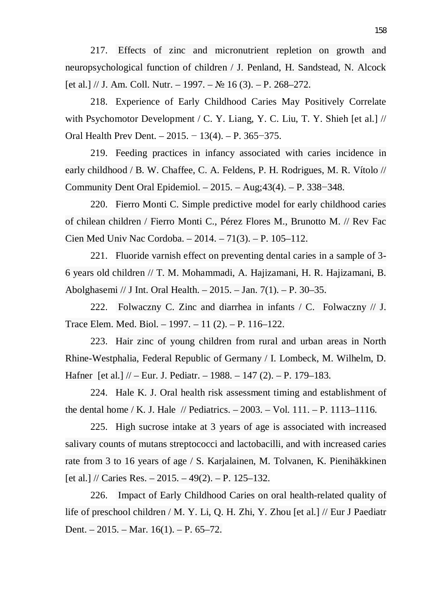217. Effects of zinc and micronutrient repletion on growth and neuropsychological function of children / J. Penland, H. Sandstead, N. Alcock [et al.] // J. Am. Coll. Nutr. – 1997. –  $\mathbb{N}$  16 (3). – P. 268–272.

218. Experience of Early Childhood Caries May Positively Correlate with Psychomotor Development / C. Y. Liang, Y. C. Liu, T. Y. Shieh [et al.] // Oral Health Prev Dent. –  $2015. - 13(4)$ . – P. 365–375.

219. Feeding practices in infancy associated with caries incidence in early childhood / B. W. Chaffee, C. A. Feldens, P. H. Rodrigues, M. R. Vítolo // Community Dent Oral Epidemiol. –  $2015. - \text{Aug: }43(4)$ . – P. 338–348.

220. Fierro Monti C. Simple predictive model for early childhood caries of chilean children / Fierro Monti C., Pérez Flores M., Brunotto M. // Rev Fac Cien Med Univ Nac Cordoba. – 2014. – 71(3). – P. 105–112.

221. Fluoride varnish effect on preventing dental caries in a sample of 3- 6 years old children // T. M. Mohammadi, A. Hajizamani, H. R. Hajizamani, B. Abolghasemi // J Int. Oral Health. – 2015. – Jan. 7(1). – P. 30–35.

222. Folwaczny C. Zinc and diarrhea in infants / C. Folwaczny // J. Trace Elem. Med. Biol. – 1997. – 11 (2). – P. 116–122.

223. Hair zinc of young children from rural and urban areas in North Rhine-Westphalia, Federal Republic of Germany / I. Lombeck, M. Wilhelm, D. Hafner [et al.] // – Eur. J. Pediatr. – 1988. – 147 (2). – P. 179–183.

224. Hale K. J. Oral health risk assessment timing and establishment of the dental home / K. J. Hale // Pediatrics.  $-2003$ .  $-$  Vol. 111.  $-$  P. 1113–1116.

225. High sucrose intake at 3 years of age is associated with increased salivary counts of mutans streptococci and lactobacilli, and with increased caries rate from 3 to 16 years of age / S. Karjalainen, M. Tolvanen, K. Pienihäkkinen [et al.] // Caries Res.  $-2015. -49(2)$ .  $- P. 125-132$ .

226. Impact of Early Childhood Caries on oral health-related quality of life of preschool children / M. Y. Li, Q. H. Zhi, Y. Zhou [et al.] // Eur J Paediatr Dent. – 2015. – Mar. 16(1). – P. 65–72.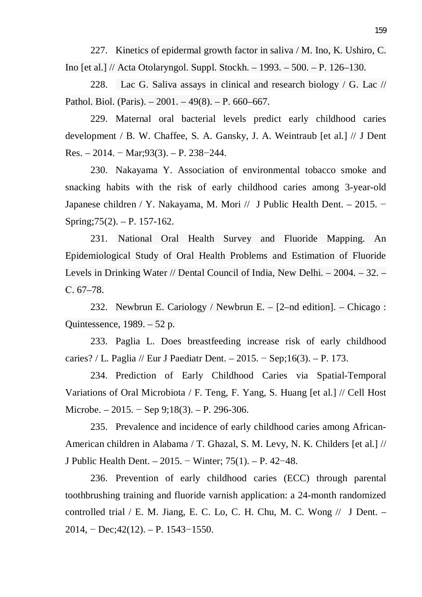227. Kinetics of epidermal growth factor in saliva / M. Ino, K. Ushiro, C. Ino [et al.] // Acta Otolaryngol. Suppl. Stockh. – 1993. – 500. – P. 126–130.

228. Lac G. Saliva assays in clinical and research biology / G. Lac // Pathol. Biol. (Paris).  $-2001. -49(8)$ .  $- P. 660-667$ .

229. Maternal oral bacterial levels predict early childhood caries development / B. W. Chaffee, S. A. Gansky, J. A. Weintraub [et al.] // J Dent Res. – 2014. – Mar; 93(3). – P. 238–244.

230. Nakayama Y. Association of environmental tobacco smoke and snacking habits with the risk of early childhood caries among 3-year-old Japanese children / Y. Nakayama, M. Mori // J Public Health Dent. – 2015. – Spring;75(2). – P. 157-162.

231. National Oral Health Survey and Fluoride Mapping. An Epidemiological Study of Oral Health Problems and Estimation of Fluoride Levels in Drinking Water // Dental Council of India, New Delhi. – 2004. – 32. –  $C. 67-78.$ 

232. Newbrun E. Cariology / Newbrun E. – [2–nd edition]. – Chicago : Quintessence, 1989. – 52 p.

233. Paglia L. Does breastfeeding increase risk of early childhood caries? / L. Paglia // Eur J Paediatr Dent. – 2015. – Sep;16(3). – P. 173.

234. Prediction of Early Childhood Caries via Spatial-Temporal Variations of Oral Microbiota / F. Teng, F. Yang, S. Huang [et al.] // Cell Host Microbe. – 2015. – Sep 9;18(3). – P. 296-306.

235. Prevalence and incidence of early childhood caries among African-American children in Alabama / T. Ghazal, S. M. Levy, N. K. Childers [et al.] // J Public Health Dent. – 2015. – Winter;  $75(1)$ . – P. 42–48.

236. Prevention of early childhood caries (ECC) through parental toothbrushing training and fluoride varnish application: a 24-month randomized controlled trial / E. M. Jiang, E. C. Lo, C. H. Chu, M. C. Wong  $//$  J Dent. –  $2014$ , – Dec;42(12). – P. 1543–1550.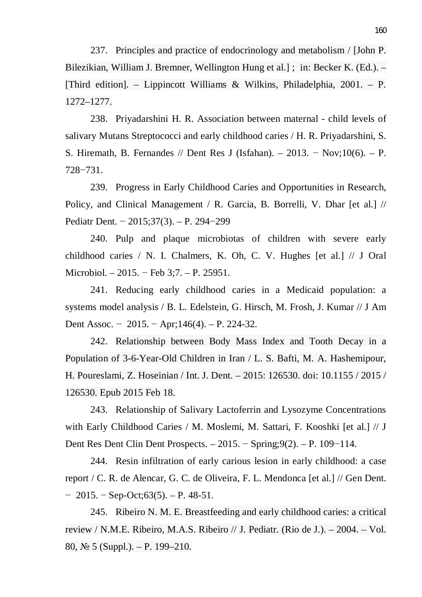237. Principles and practice of endocrinology and metabolism / [John P. Bilezikian, William J. Bremner, Wellington Hung et al.] ; in: Becker K. (Ed.). – [Third edition]. – Lippincott Williams & Wilkins, Philadelphia, 2001. – P. 1272–1277.

238. Priyadarshini H. R. Association between maternal - child levels of salivary Mutans Streptococci and early childhood caries / H. R. Priyadarshini, S. S. Hiremath, B. Fernandes // Dent Res J (Isfahan). – 2013. – Nov;10(6). – P.  $728 - 731.$ 

239. Progress in Early Childhood Caries and Opportunities in Research, Policy, and Clinical Management / R. Garcia, B. Borrelli, V. Dhar [et al.] // Pediatr Dent. – 2015;37(3). – P. 294–299

240. Pulp and plaque microbiotas of children with severe early childhood caries / N. I. Chalmers, K. Oh, C. V. Hughes [et al.] // J Oral Microbiol. – 2015. – Feb 3;7. – P. 25951.

241. Reducing early childhood caries in a Medicaid population: a systems model analysis / B. L. Edelstein, G. Hirsch, M. Frosh, J. Kumar // J Am Dent Assoc. –  $2015. -$ Apr;146(4). – P. 224-32.

242. Relationship between Body Mass Index and Tooth Decay in a Population of 3-6-Year-Old Children in Iran / L. S. Bafti, M. A. Hashemipour, H. Poureslami, Z. Hoseinian / Int. J. Dent. – 2015: 126530. doi: 10.1155 / 2015 / 126530. Epub 2015 Feb 18.

243. Relationship of Salivary Lactoferrin and Lysozyme Concentrations with Early Childhood Caries / M. Moslemi, M. Sattari, F. Kooshki [et al.] // J Dent Res Dent Clin Dent Prospects.  $-2015.$  – Spring;  $9(2)$ . – P. 109–114.

244. Resin infiltration of early carious lesion in early childhood: a case report / C. R. de Alencar, G. C. de Oliveira, F. L. Mendonca [et al.] // Gen Dent.  $-2015. -$  Sep-Oct; 63(5). – P. 48-51.

245. Ribeiro N. M. E. Breastfeeding and early childhood caries: a critical review / N.M.E. Ribeiro, M.A.S. Ribeiro // J. Pediatr. (Rio de J.). – 2004. – Vol. 80,  $\mathbb{N}$  5 (Suppl.). – P. 199–210.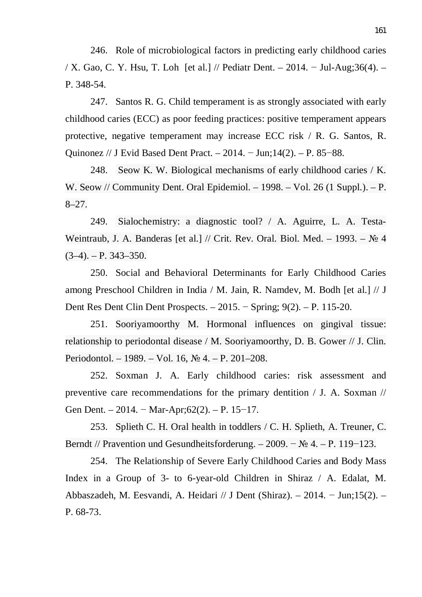246. Role of microbiological factors in predicting early childhood caries / X. Gao, C. Y. Hsu, T. Loh [et al.] // Pediatr Dent. – 2014. – Jul-Aug;36(4). – P. 348-54.

247. Santos R. G. Child temperament is as strongly associated with early childhood caries (ECC) as poor feeding practices: positive temperament appears protective, negative temperament may increase ECC risk / R. G. Santos, R. Quinonez // J Evid Based Dent Pract. – 2014. – Jun;14(2). – P. 85–88.

248. Seow K. W. Biological mechanisms of early childhood caries / K. W. Seow // Community Dent. Oral Epidemiol. – 1998. – Vol. 26 (1 Suppl.). – P. 8–27.

249. Sialochemistry: a diagnostic tool? / A. Aguirre, L. A. Testa-Weintraub, J. A. Banderas [et al.] // Crit. Rev. Oral. Biol. Med. - 1993. -  $\mathcal{N}_2$  4  $(3-4)$ . – P. 343–350.

250. Social and Behavioral Determinants for Early Childhood Caries among Preschool Children in India / M. Jain, R. Namdev, M. Bodh [et al.] // J Dent Res Dent Clin Dent Prospects. –  $2015.$  – Spring;  $9(2)$ . – P. 115-20.

251. Sooriyamoorthy M. Hormonal influences on gingival tissue: relationship to periodontal disease / M. Sooriyamoorthy, D. B. Gower // J. Clin. Periodontol. – 1989. – Vol. 16,  $\mathcal{N}_2$  4. – P. 201–208.

252. Soxman J. A. Early childhood caries: risk assessment and preventive care recommendations for the primary dentition / J. A. Soxman // Gen Dent. – 2014. – Mar-Apr;62(2). – P. 15–17.

253. Splieth C. H. Oral health in toddlers / C. H. Splieth, A. Treuner, C. Berndt // Pravention und Gesundheitsforderung. – 2009. –  $\mathbb{N}^2$  4. – P. 119–123.

254. The Relationship of Severe Early Childhood Caries and Body Mass Index in a Group of 3- to 6-year-old Children in Shiraz / A. Edalat, M. Abbaszadeh, M. Eesvandi, A. Heidari // J Dent (Shiraz).  $-2014$ .  $-$  Jun;15(2).  $-$ P. 68-73.